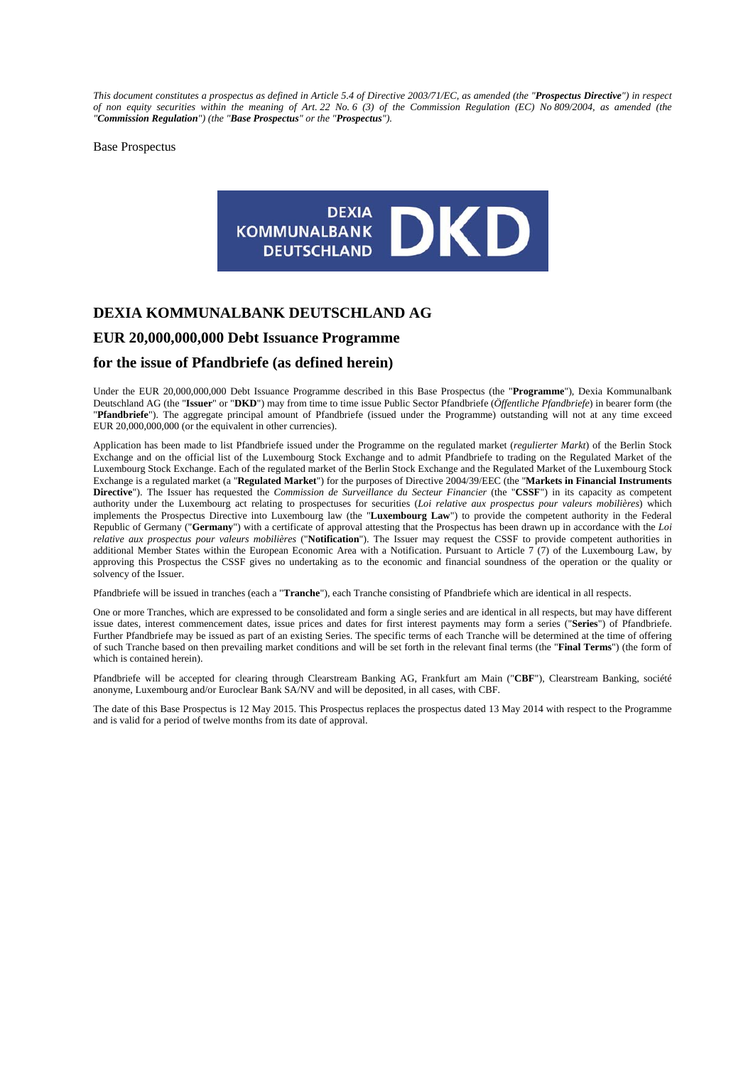*This document constitutes a prospectus as defined in Article 5.4 of Directive 2003/71/EC, as amended (the "Prospectus Directive") in respect of non equity securities within the meaning of Art. 22 No. 6 (3) of the Commission Regulation (EC) No 809/2004, as amended (the "Commission Regulation") (the "Base Prospectus" or the "Prospectus").* 

Base Prospectus



# **DEXIA KOMMUNALBANK DEUTSCHLAND AG**

# **EUR 20,000,000,000 Debt Issuance Programme**

## **for the issue of Pfandbriefe (as defined herein)**

Under the EUR 20,000,000,000 Debt Issuance Programme described in this Base Prospectus (the "**Programme**"), Dexia Kommunalbank Deutschland AG (the "**Issuer**" or "**DKD**") may from time to time issue Public Sector Pfandbriefe (*Öffentliche Pfandbriefe*) in bearer form (the "**Pfandbriefe**"). The aggregate principal amount of Pfandbriefe (issued under the Programme) outstanding will not at any time exceed EUR 20,000,000,000 (or the equivalent in other currencies).

Application has been made to list Pfandbriefe issued under the Programme on the regulated market (*regulierter Markt*) of the Berlin Stock Exchange and on the official list of the Luxembourg Stock Exchange and to admit Pfandbriefe to trading on the Regulated Market of the Luxembourg Stock Exchange. Each of the regulated market of the Berlin Stock Exchange and the Regulated Market of the Luxembourg Stock Exchange is a regulated market (a "**Regulated Market**") for the purposes of Directive 2004/39/EEC (the "**Markets in Financial Instruments Directive**"). The Issuer has requested the *Commission de Surveillance du Secteur Financier* (the "**CSSF**") in its capacity as competent authority under the Luxembourg act relating to prospectuses for securities (*Loi relative aux prospectus pour valeurs mobilières*) which implements the Prospectus Directive into Luxembourg law (the "**Luxembourg Law**") to provide the competent authority in the Federal Republic of Germany ("**Germany**") with a certificate of approval attesting that the Prospectus has been drawn up in accordance with the *Loi relative aux prospectus pour valeurs mobilières* ("**Notification**"). The Issuer may request the CSSF to provide competent authorities in additional Member States within the European Economic Area with a Notification. Pursuant to Article 7 (7) of the Luxembourg Law, by approving this Prospectus the CSSF gives no undertaking as to the economic and financial soundness of the operation or the quality or solvency of the Issuer.

Pfandbriefe will be issued in tranches (each a "**Tranche**"), each Tranche consisting of Pfandbriefe which are identical in all respects.

One or more Tranches, which are expressed to be consolidated and form a single series and are identical in all respects, but may have different issue dates, interest commencement dates, issue prices and dates for first interest payments may form a series ("**Series**") of Pfandbriefe. Further Pfandbriefe may be issued as part of an existing Series. The specific terms of each Tranche will be determined at the time of offering of such Tranche based on then prevailing market conditions and will be set forth in the relevant final terms (the "**Final Terms**") (the form of which is contained herein).

Pfandbriefe will be accepted for clearing through Clearstream Banking AG, Frankfurt am Main ("**CBF**"), Clearstream Banking, société anonyme, Luxembourg and/or Euroclear Bank SA/NV and will be deposited, in all cases, with CBF.

The date of this Base Prospectus is 12 May 2015. This Prospectus replaces the prospectus dated 13 May 2014 with respect to the Programme and is valid for a period of twelve months from its date of approval.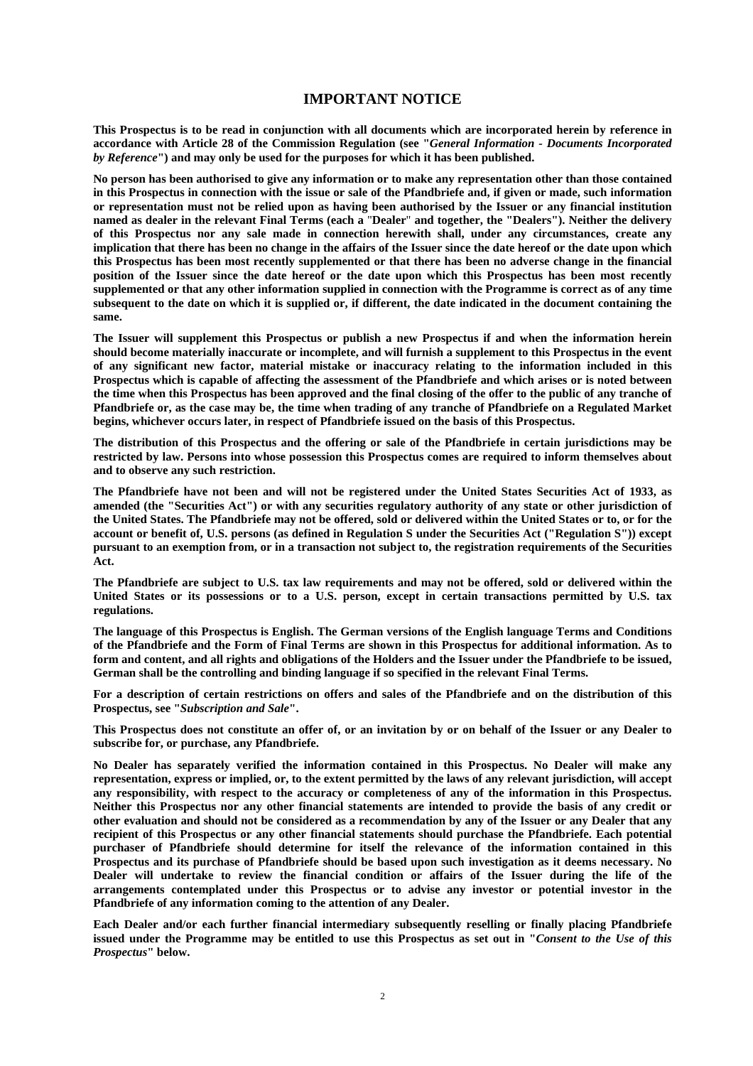# **IMPORTANT NOTICE**

**This Prospectus is to be read in conjunction with all documents which are incorporated herein by reference in accordance with Article 28 of the Commission Regulation (see "***General Information - Documents Incorporated by Reference***") and may only be used for the purposes for which it has been published.** 

**No person has been authorised to give any information or to make any representation other than those contained in this Prospectus in connection with the issue or sale of the Pfandbriefe and, if given or made, such information or representation must not be relied upon as having been authorised by the Issuer or any financial institution named as dealer in the relevant Final Terms (each a** "**Dealer**" **and together, the "Dealers"). Neither the delivery of this Prospectus nor any sale made in connection herewith shall, under any circumstances, create any implication that there has been no change in the affairs of the Issuer since the date hereof or the date upon which this Prospectus has been most recently supplemented or that there has been no adverse change in the financial position of the Issuer since the date hereof or the date upon which this Prospectus has been most recently supplemented or that any other information supplied in connection with the Programme is correct as of any time subsequent to the date on which it is supplied or, if different, the date indicated in the document containing the same.** 

**The Issuer will supplement this Prospectus or publish a new Prospectus if and when the information herein should become materially inaccurate or incomplete, and will furnish a supplement to this Prospectus in the event of any significant new factor, material mistake or inaccuracy relating to the information included in this Prospectus which is capable of affecting the assessment of the Pfandbriefe and which arises or is noted between the time when this Prospectus has been approved and the final closing of the offer to the public of any tranche of Pfandbriefe or, as the case may be, the time when trading of any tranche of Pfandbriefe on a Regulated Market begins, whichever occurs later, in respect of Pfandbriefe issued on the basis of this Prospectus.** 

**The distribution of this Prospectus and the offering or sale of the Pfandbriefe in certain jurisdictions may be restricted by law. Persons into whose possession this Prospectus comes are required to inform themselves about and to observe any such restriction.** 

**The Pfandbriefe have not been and will not be registered under the United States Securities Act of 1933, as amended (the "Securities Act") or with any securities regulatory authority of any state or other jurisdiction of the United States. The Pfandbriefe may not be offered, sold or delivered within the United States or to, or for the account or benefit of, U.S. persons (as defined in Regulation S under the Securities Act ("Regulation S")) except pursuant to an exemption from, or in a transaction not subject to, the registration requirements of the Securities Act.** 

**The Pfandbriefe are subject to U.S. tax law requirements and may not be offered, sold or delivered within the United States or its possessions or to a U.S. person, except in certain transactions permitted by U.S. tax regulations.** 

**The language of this Prospectus is English. The German versions of the English language Terms and Conditions of the Pfandbriefe and the Form of Final Terms are shown in this Prospectus for additional information. As to form and content, and all rights and obligations of the Holders and the Issuer under the Pfandbriefe to be issued, German shall be the controlling and binding language if so specified in the relevant Final Terms.** 

**For a description of certain restrictions on offers and sales of the Pfandbriefe and on the distribution of this Prospectus, see "***Subscription and Sale***".** 

**This Prospectus does not constitute an offer of, or an invitation by or on behalf of the Issuer or any Dealer to subscribe for, or purchase, any Pfandbriefe.** 

**No Dealer has separately verified the information contained in this Prospectus. No Dealer will make any representation, express or implied, or, to the extent permitted by the laws of any relevant jurisdiction, will accept any responsibility, with respect to the accuracy or completeness of any of the information in this Prospectus. Neither this Prospectus nor any other financial statements are intended to provide the basis of any credit or other evaluation and should not be considered as a recommendation by any of the Issuer or any Dealer that any recipient of this Prospectus or any other financial statements should purchase the Pfandbriefe. Each potential purchaser of Pfandbriefe should determine for itself the relevance of the information contained in this Prospectus and its purchase of Pfandbriefe should be based upon such investigation as it deems necessary. No Dealer will undertake to review the financial condition or affairs of the Issuer during the life of the arrangements contemplated under this Prospectus or to advise any investor or potential investor in the Pfandbriefe of any information coming to the attention of any Dealer.** 

**Each Dealer and/or each further financial intermediary subsequently reselling or finally placing Pfandbriefe issued under the Programme may be entitled to use this Prospectus as set out in "***Consent to the Use of this Prospectus***" below.**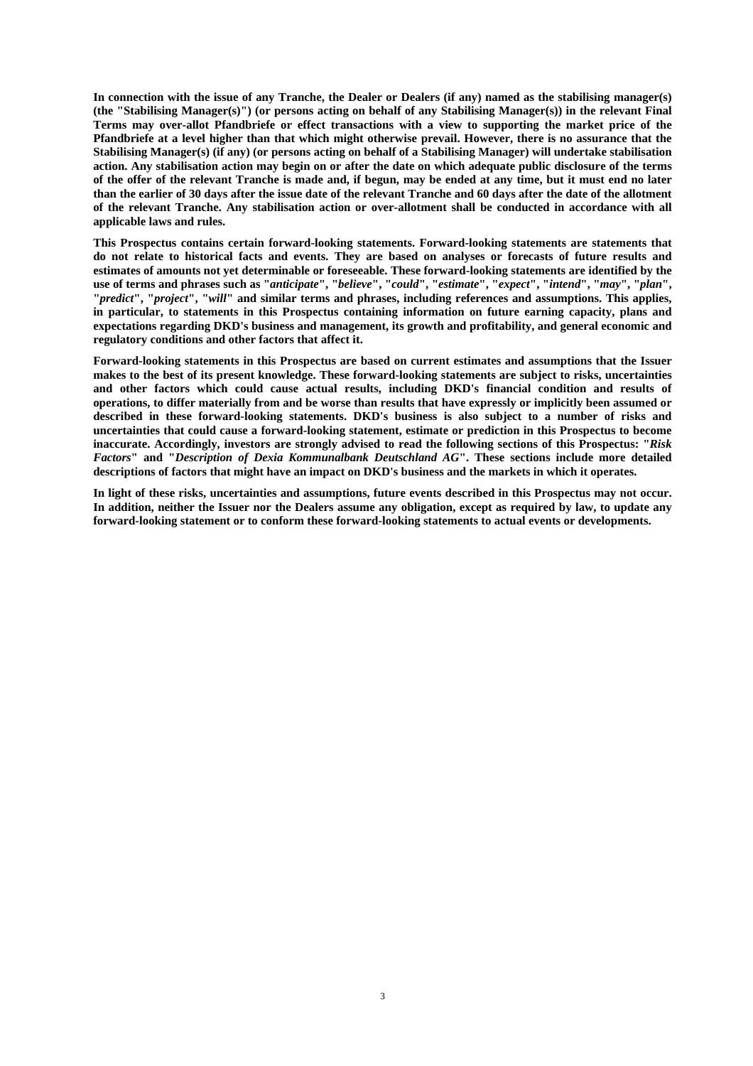**In connection with the issue of any Tranche, the Dealer or Dealers (if any) named as the stabilising manager(s) (the "Stabilising Manager(s)") (or persons acting on behalf of any Stabilising Manager(s)) in the relevant Final Terms may over-allot Pfandbriefe or effect transactions with a view to supporting the market price of the Pfandbriefe at a level higher than that which might otherwise prevail. However, there is no assurance that the Stabilising Manager(s) (if any) (or persons acting on behalf of a Stabilising Manager) will undertake stabilisation action. Any stabilisation action may begin on or after the date on which adequate public disclosure of the terms of the offer of the relevant Tranche is made and, if begun, may be ended at any time, but it must end no later than the earlier of 30 days after the issue date of the relevant Tranche and 60 days after the date of the allotment of the relevant Tranche. Any stabilisation action or over-allotment shall be conducted in accordance with all applicable laws and rules.** 

**This Prospectus contains certain forward-looking statements. Forward-looking statements are statements that do not relate to historical facts and events. They are based on analyses or forecasts of future results and estimates of amounts not yet determinable or foreseeable. These forward-looking statements are identified by the**  use of terms and phrases such as "anticipate", "believe", "could", "estimate", "expect", "intend", "may", "plan", **"***predict***", "***project***", "***will***" and similar terms and phrases, including references and assumptions. This applies, in particular, to statements in this Prospectus containing information on future earning capacity, plans and expectations regarding DKD's business and management, its growth and profitability, and general economic and regulatory conditions and other factors that affect it.** 

**Forward-looking statements in this Prospectus are based on current estimates and assumptions that the Issuer makes to the best of its present knowledge. These forward-looking statements are subject to risks, uncertainties and other factors which could cause actual results, including DKD's financial condition and results of operations, to differ materially from and be worse than results that have expressly or implicitly been assumed or described in these forward-looking statements. DKD's business is also subject to a number of risks and uncertainties that could cause a forward-looking statement, estimate or prediction in this Prospectus to become inaccurate. Accordingly, investors are strongly advised to read the following sections of this Prospectus: "***Risk Factors***" and "***Description of Dexia Kommunalbank Deutschland AG***". These sections include more detailed descriptions of factors that might have an impact on DKD's business and the markets in which it operates.** 

**In light of these risks, uncertainties and assumptions, future events described in this Prospectus may not occur. In addition, neither the Issuer nor the Dealers assume any obligation, except as required by law, to update any forward-looking statement or to conform these forward-looking statements to actual events or developments.**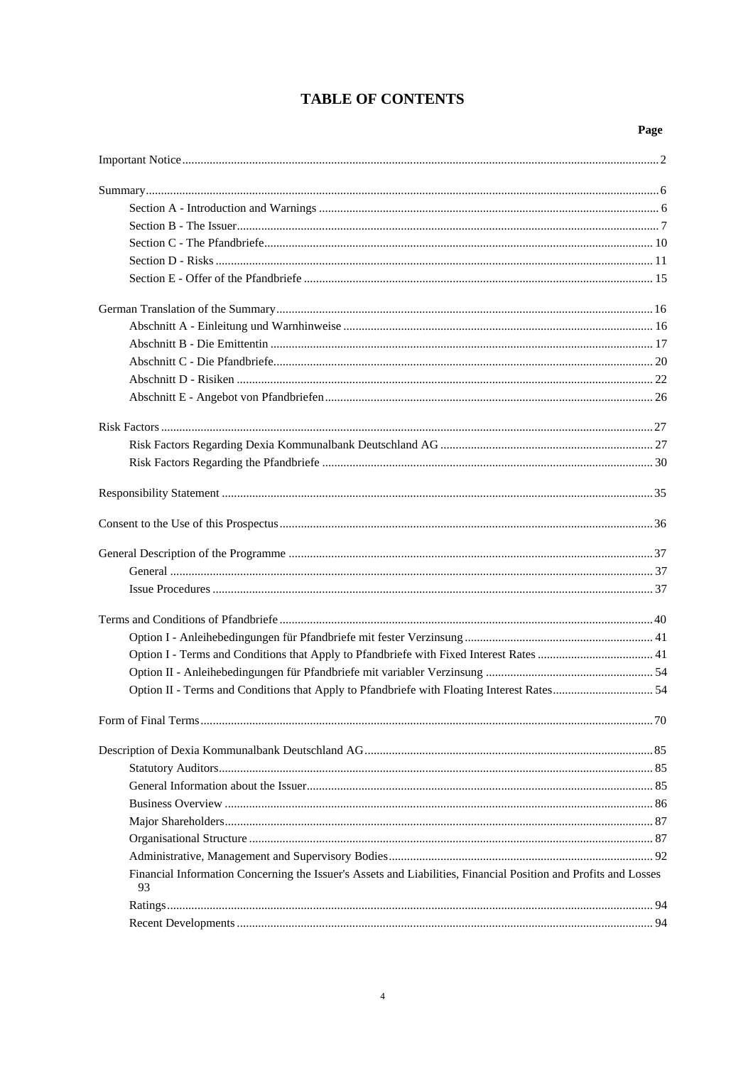# **TABLE OF CONTENTS**

# Page

| Option II - Terms and Conditions that Apply to Pfandbriefe with Floating Interest Rates 54                            |  |
|-----------------------------------------------------------------------------------------------------------------------|--|
|                                                                                                                       |  |
|                                                                                                                       |  |
|                                                                                                                       |  |
|                                                                                                                       |  |
|                                                                                                                       |  |
|                                                                                                                       |  |
|                                                                                                                       |  |
|                                                                                                                       |  |
| Financial Information Concerning the Issuer's Assets and Liabilities, Financial Position and Profits and Losses<br>93 |  |
|                                                                                                                       |  |
|                                                                                                                       |  |
|                                                                                                                       |  |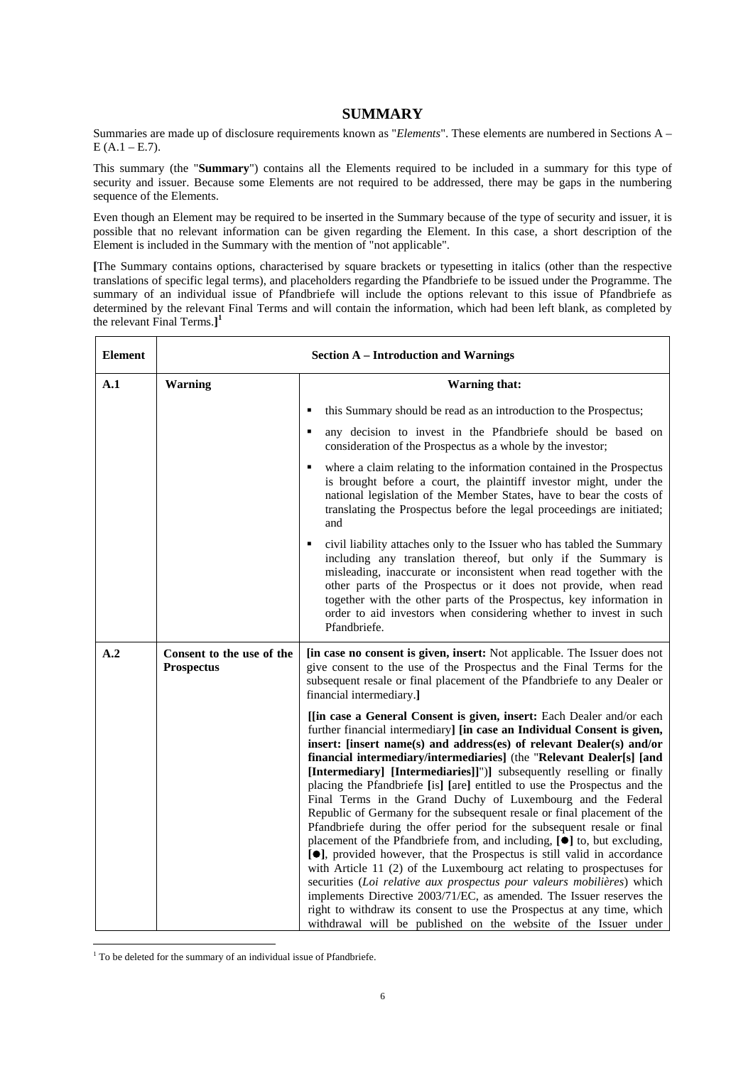# **SUMMARY**

Summaries are made up of disclosure requirements known as "*Elements*". These elements are numbered in Sections A –  $E (A.1 – E.7).$ 

This summary (the "**Summary**") contains all the Elements required to be included in a summary for this type of security and issuer. Because some Elements are not required to be addressed, there may be gaps in the numbering sequence of the Elements.

Even though an Element may be required to be inserted in the Summary because of the type of security and issuer, it is possible that no relevant information can be given regarding the Element. In this case, a short description of the Element is included in the Summary with the mention of "not applicable".

**[**The Summary contains options, characterised by square brackets or typesetting in italics (other than the respective translations of specific legal terms), and placeholders regarding the Pfandbriefe to be issued under the Programme. The summary of an individual issue of Pfandbriefe will include the options relevant to this issue of Pfandbriefe as determined by the relevant Final Terms and will contain the information, which had been left blank, as completed by the relevant Final Terms.**] 1**

| <b>Element</b> |                                                | <b>Section A - Introduction and Warnings</b>                                                                                                                                                                                                                                                                                                                                                                                                                                                                                                                                                                                                                                                                                                                                                                                                                                                                                                                                                                                                                                                                                                                                                                                        |
|----------------|------------------------------------------------|-------------------------------------------------------------------------------------------------------------------------------------------------------------------------------------------------------------------------------------------------------------------------------------------------------------------------------------------------------------------------------------------------------------------------------------------------------------------------------------------------------------------------------------------------------------------------------------------------------------------------------------------------------------------------------------------------------------------------------------------------------------------------------------------------------------------------------------------------------------------------------------------------------------------------------------------------------------------------------------------------------------------------------------------------------------------------------------------------------------------------------------------------------------------------------------------------------------------------------------|
| A.1            | <b>Warning</b>                                 | <b>Warning that:</b>                                                                                                                                                                                                                                                                                                                                                                                                                                                                                                                                                                                                                                                                                                                                                                                                                                                                                                                                                                                                                                                                                                                                                                                                                |
|                |                                                | this Summary should be read as an introduction to the Prospectus;                                                                                                                                                                                                                                                                                                                                                                                                                                                                                                                                                                                                                                                                                                                                                                                                                                                                                                                                                                                                                                                                                                                                                                   |
|                |                                                | any decision to invest in the Pfandbriefe should be based on<br>consideration of the Prospectus as a whole by the investor;                                                                                                                                                                                                                                                                                                                                                                                                                                                                                                                                                                                                                                                                                                                                                                                                                                                                                                                                                                                                                                                                                                         |
|                |                                                | where a claim relating to the information contained in the Prospectus<br>is brought before a court, the plaintiff investor might, under the<br>national legislation of the Member States, have to bear the costs of<br>translating the Prospectus before the legal proceedings are initiated;<br>and                                                                                                                                                                                                                                                                                                                                                                                                                                                                                                                                                                                                                                                                                                                                                                                                                                                                                                                                |
|                |                                                | civil liability attaches only to the Issuer who has tabled the Summary<br>including any translation thereof, but only if the Summary is<br>misleading, inaccurate or inconsistent when read together with the<br>other parts of the Prospectus or it does not provide, when read<br>together with the other parts of the Prospectus, key information in<br>order to aid investors when considering whether to invest in such<br>Pfandbriefe.                                                                                                                                                                                                                                                                                                                                                                                                                                                                                                                                                                                                                                                                                                                                                                                        |
| A.2            | Consent to the use of the<br><b>Prospectus</b> | [in case no consent is given, insert: Not applicable. The Issuer does not<br>give consent to the use of the Prospectus and the Final Terms for the<br>subsequent resale or final placement of the Pfandbriefe to any Dealer or<br>financial intermediary.]                                                                                                                                                                                                                                                                                                                                                                                                                                                                                                                                                                                                                                                                                                                                                                                                                                                                                                                                                                          |
|                |                                                | [[in case a General Consent is given, insert: Each Dealer and/or each<br>further financial intermediary] [in case an Individual Consent is given,<br>insert: [insert name(s) and address(es) of relevant Dealer(s) and/or<br>financial intermediary/intermediaries] (the "Relevant Dealer[s] [and<br>[Intermediary] [Intermediaries]]")] subsequently reselling or finally<br>placing the Pfandbriefe [is] [are] entitled to use the Prospectus and the<br>Final Terms in the Grand Duchy of Luxembourg and the Federal<br>Republic of Germany for the subsequent resale or final placement of the<br>Pfandbriefe during the offer period for the subsequent resale or final<br>placement of the Pfandbriefe from, and including, [ $\bullet$ ] to, but excluding,<br>[ <sup>•</sup> ], provided however, that the Prospectus is still valid in accordance<br>with Article 11 (2) of the Luxembourg act relating to prospectuses for<br>securities (Loi relative aux prospectus pour valeurs mobilières) which<br>implements Directive 2003/71/EC, as amended. The Issuer reserves the<br>right to withdraw its consent to use the Prospectus at any time, which<br>withdrawal will be published on the website of the Issuer under |

 $\overline{a}$ <sup>1</sup> To be deleted for the summary of an individual issue of Pfandbriefe.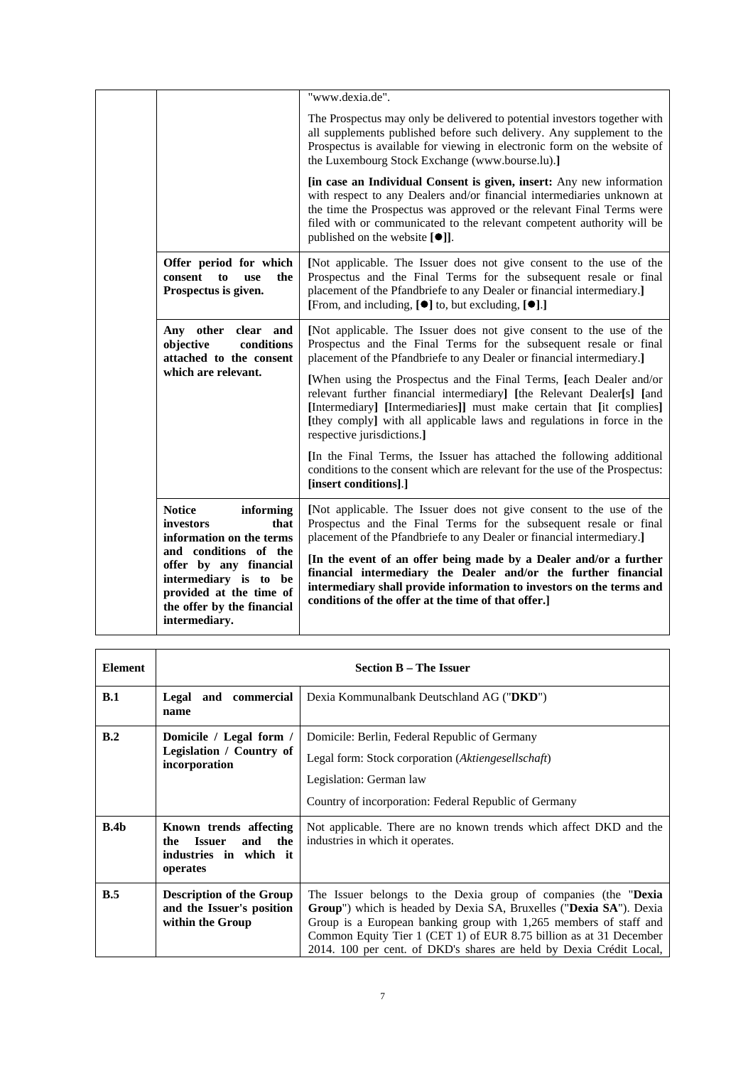|                                                                                                                                                    | "www.dexia.de".                                                                                                                                                                                                                                                                                                                                  |
|----------------------------------------------------------------------------------------------------------------------------------------------------|--------------------------------------------------------------------------------------------------------------------------------------------------------------------------------------------------------------------------------------------------------------------------------------------------------------------------------------------------|
|                                                                                                                                                    | The Prospectus may only be delivered to potential investors together with<br>all supplements published before such delivery. Any supplement to the<br>Prospectus is available for viewing in electronic form on the website of<br>the Luxembourg Stock Exchange (www.bourse.lu).]                                                                |
|                                                                                                                                                    | [in case an Individual Consent is given, insert: Any new information<br>with respect to any Dealers and/or financial intermediaries unknown at<br>the time the Prospectus was approved or the relevant Final Terms were<br>filed with or communicated to the relevant competent authority will be<br>published on the website [ <sup>●</sup> ]]. |
| Offer period for which<br>consent<br>the<br>to<br><b>use</b><br>Prospectus is given.                                                               | [Not applicable. The Issuer does not give consent to the use of the<br>Prospectus and the Final Terms for the subsequent resale or final<br>placement of the Pfandbriefe to any Dealer or financial intermediary.]<br>[From, and including, $[\bullet]$ to, but excluding, $[\bullet]$ .]                                                        |
| Any other clear and<br>objective<br>conditions<br>attached to the consent                                                                          | [Not applicable. The Issuer does not give consent to the use of the<br>Prospectus and the Final Terms for the subsequent resale or final<br>placement of the Pfandbriefe to any Dealer or financial intermediary.]                                                                                                                               |
| which are relevant.                                                                                                                                | [When using the Prospectus and the Final Terms, [each Dealer and/or<br>relevant further financial intermediary] [the Relevant Dealer[s] [and<br>[Intermediary] [Intermediaries]] must make certain that [it complies]<br>[they comply] with all applicable laws and regulations in force in the<br>respective jurisdictions.]                    |
|                                                                                                                                                    | [In the Final Terms, the Issuer has attached the following additional<br>conditions to the consent which are relevant for the use of the Prospectus:<br>[insert conditions].]                                                                                                                                                                    |
| <b>Notice</b><br>informing<br>investors<br>that<br>information on the terms                                                                        | [Not applicable. The Issuer does not give consent to the use of the<br>Prospectus and the Final Terms for the subsequent resale or final<br>placement of the Pfandbriefe to any Dealer or financial intermediary.]                                                                                                                               |
| and conditions of the<br>offer by any financial<br>intermediary is to be<br>provided at the time of<br>the offer by the financial<br>intermediary. | [In the event of an offer being made by a Dealer and/or a further<br>financial intermediary the Dealer and/or the further financial<br>intermediary shall provide information to investors on the terms and<br>conditions of the offer at the time of that offer.]                                                                               |
|                                                                                                                                                    |                                                                                                                                                                                                                                                                                                                                                  |

| <b>Element</b>   |                                                                                                    | <b>Section B – The Issuer</b>                                                                                                                                                                                                                                                                                                                           |
|------------------|----------------------------------------------------------------------------------------------------|---------------------------------------------------------------------------------------------------------------------------------------------------------------------------------------------------------------------------------------------------------------------------------------------------------------------------------------------------------|
| B.1              | Legal and commercial<br>name                                                                       | Dexia Kommunalbank Deutschland AG ("DKD")                                                                                                                                                                                                                                                                                                               |
| B.2              | Domicile / Legal form /<br>Legislation / Country of<br>incorporation                               | Domicile: Berlin, Federal Republic of Germany<br>Legal form: Stock corporation (Aktiengesellschaft)<br>Legislation: German law<br>Country of incorporation: Federal Republic of Germany                                                                                                                                                                 |
| B.4 <sub>b</sub> | Known trends affecting<br><b>Issuer</b><br>the<br>and<br>the<br>industries in which it<br>operates | Not applicable. There are no known trends which affect DKD and the<br>industries in which it operates.                                                                                                                                                                                                                                                  |
| B.5              | <b>Description of the Group</b><br>and the Issuer's position<br>within the Group                   | The Issuer belongs to the Dexia group of companies (the "Dexia"<br>Group") which is headed by Dexia SA, Bruxelles ("Dexia SA"). Dexia<br>Group is a European banking group with 1,265 members of staff and<br>Common Equity Tier 1 (CET 1) of EUR 8.75 billion as at 31 December<br>2014. 100 per cent. of DKD's shares are held by Dexia Crédit Local, |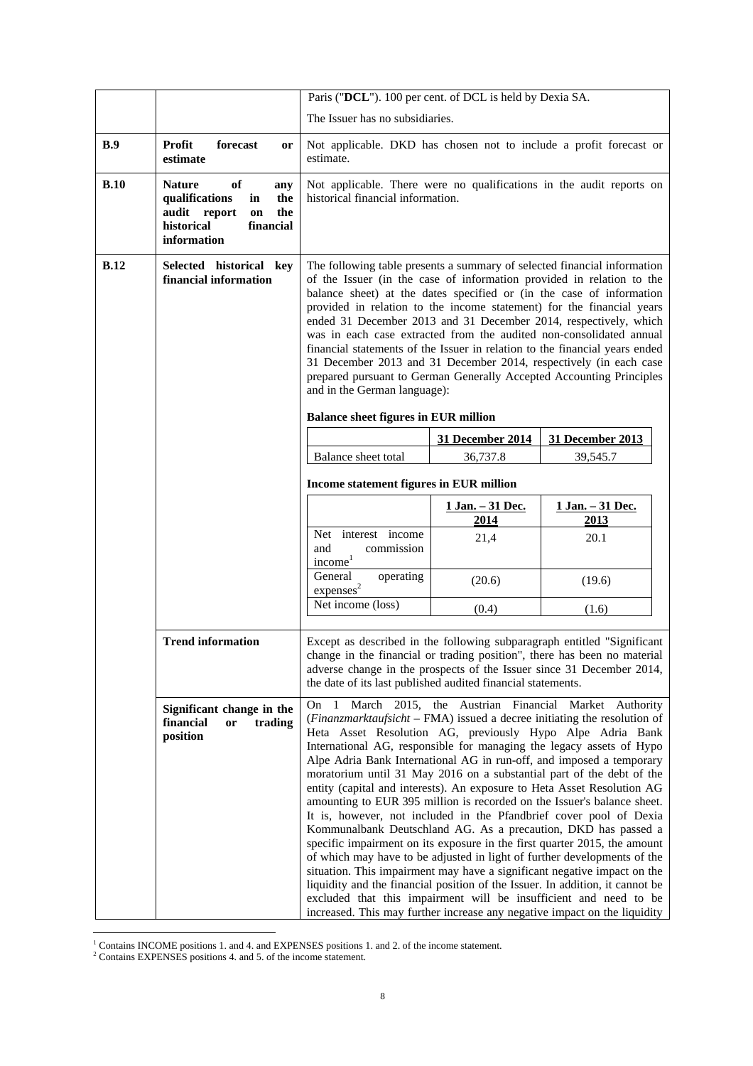|             |                                                                                                                                  | Paris ("DCL"). 100 per cent. of DCL is held by Dexia SA.                                                                                                                                                                                                                                                                                                                                                                                                                                                                                                                                                                                                                                                                                                                                                                                                                                                                                                                                       |                                 |                                                                                                                                                                                                       |
|-------------|----------------------------------------------------------------------------------------------------------------------------------|------------------------------------------------------------------------------------------------------------------------------------------------------------------------------------------------------------------------------------------------------------------------------------------------------------------------------------------------------------------------------------------------------------------------------------------------------------------------------------------------------------------------------------------------------------------------------------------------------------------------------------------------------------------------------------------------------------------------------------------------------------------------------------------------------------------------------------------------------------------------------------------------------------------------------------------------------------------------------------------------|---------------------------------|-------------------------------------------------------------------------------------------------------------------------------------------------------------------------------------------------------|
|             |                                                                                                                                  | The Issuer has no subsidiaries.                                                                                                                                                                                                                                                                                                                                                                                                                                                                                                                                                                                                                                                                                                                                                                                                                                                                                                                                                                |                                 |                                                                                                                                                                                                       |
| B.9         | <b>Profit</b><br>forecast<br>or<br>estimate                                                                                      | Not applicable. DKD has chosen not to include a profit forecast or<br>estimate.                                                                                                                                                                                                                                                                                                                                                                                                                                                                                                                                                                                                                                                                                                                                                                                                                                                                                                                |                                 |                                                                                                                                                                                                       |
| B.10        | of<br><b>Nature</b><br>any<br>qualifications<br>in<br>the<br>the<br>audit report<br>on<br>financial<br>historical<br>information | historical financial information.                                                                                                                                                                                                                                                                                                                                                                                                                                                                                                                                                                                                                                                                                                                                                                                                                                                                                                                                                              |                                 | Not applicable. There were no qualifications in the audit reports on                                                                                                                                  |
| <b>B.12</b> | Selected historical key<br>financial information                                                                                 | The following table presents a summary of selected financial information<br>of the Issuer (in the case of information provided in relation to the<br>balance sheet) at the dates specified or (in the case of information<br>provided in relation to the income statement) for the financial years<br>ended 31 December 2013 and 31 December 2014, respectively, which<br>was in each case extracted from the audited non-consolidated annual<br>financial statements of the Issuer in relation to the financial years ended<br>31 December 2013 and 31 December 2014, respectively (in each case<br>prepared pursuant to German Generally Accepted Accounting Principles<br>and in the German language):<br><b>Balance sheet figures in EUR million</b>                                                                                                                                                                                                                                       |                                 |                                                                                                                                                                                                       |
|             |                                                                                                                                  |                                                                                                                                                                                                                                                                                                                                                                                                                                                                                                                                                                                                                                                                                                                                                                                                                                                                                                                                                                                                | 31 December 2014                | 31 December 2013                                                                                                                                                                                      |
|             |                                                                                                                                  | Balance sheet total                                                                                                                                                                                                                                                                                                                                                                                                                                                                                                                                                                                                                                                                                                                                                                                                                                                                                                                                                                            | 36,737.8                        | 39,545.7                                                                                                                                                                                              |
|             |                                                                                                                                  |                                                                                                                                                                                                                                                                                                                                                                                                                                                                                                                                                                                                                                                                                                                                                                                                                                                                                                                                                                                                |                                 |                                                                                                                                                                                                       |
|             |                                                                                                                                  | Income statement figures in EUR million                                                                                                                                                                                                                                                                                                                                                                                                                                                                                                                                                                                                                                                                                                                                                                                                                                                                                                                                                        |                                 |                                                                                                                                                                                                       |
|             |                                                                                                                                  |                                                                                                                                                                                                                                                                                                                                                                                                                                                                                                                                                                                                                                                                                                                                                                                                                                                                                                                                                                                                | <u>1 Jan. - 31 Dec.</u><br>2014 | <u>1 Jan. - 31 Dec.</u><br>2013                                                                                                                                                                       |
|             |                                                                                                                                  | Net interest income<br>and<br>commission<br>income <sup>1</sup>                                                                                                                                                                                                                                                                                                                                                                                                                                                                                                                                                                                                                                                                                                                                                                                                                                                                                                                                | 21,4                            | 20.1                                                                                                                                                                                                  |
|             |                                                                                                                                  | General<br>operating<br>express <sup>2</sup>                                                                                                                                                                                                                                                                                                                                                                                                                                                                                                                                                                                                                                                                                                                                                                                                                                                                                                                                                   | (20.6)                          | (19.6)                                                                                                                                                                                                |
|             |                                                                                                                                  | Net income (loss)                                                                                                                                                                                                                                                                                                                                                                                                                                                                                                                                                                                                                                                                                                                                                                                                                                                                                                                                                                              | (0.4)                           | (1.6)                                                                                                                                                                                                 |
|             | <b>Trend information</b>                                                                                                         | adverse change in the prospects of the Issuer since 31 December 2014,<br>the date of its last published audited financial statements.                                                                                                                                                                                                                                                                                                                                                                                                                                                                                                                                                                                                                                                                                                                                                                                                                                                          |                                 | Except as described in the following subparagraph entitled "Significant"<br>change in the financial or trading position", there has been no material                                                  |
|             | Significant change in the<br>financial<br>trading<br>or<br>position                                                              | On<br>-1<br>(Finanzmarktaufsicht – FMA) issued a decree initiating the resolution of<br>Heta Asset Resolution AG, previously Hypo Alpe Adria Bank<br>International AG, responsible for managing the legacy assets of Hypo<br>Alpe Adria Bank International AG in run-off, and imposed a temporary<br>moratorium until 31 May 2016 on a substantial part of the debt of the<br>entity (capital and interests). An exposure to Heta Asset Resolution AG<br>amounting to EUR 395 million is recorded on the Issuer's balance sheet.<br>It is, however, not included in the Pfandbrief cover pool of Dexia<br>Kommunalbank Deutschland AG. As a precaution, DKD has passed a<br>specific impairment on its exposure in the first quarter 2015, the amount<br>of which may have to be adjusted in light of further developments of the<br>situation. This impairment may have a significant negative impact on the<br>liquidity and the financial position of the Issuer. In addition, it cannot be |                                 | March 2015, the Austrian Financial Market Authority<br>excluded that this impairment will be insufficient and need to be<br>increased. This may further increase any negative impact on the liquidity |

 1 Contains INCOME positions 1. and 4. and EXPENSES positions 1. and 2. of the income statement. 2 Contains EXPENSES positions 4. and 5. of the income statement.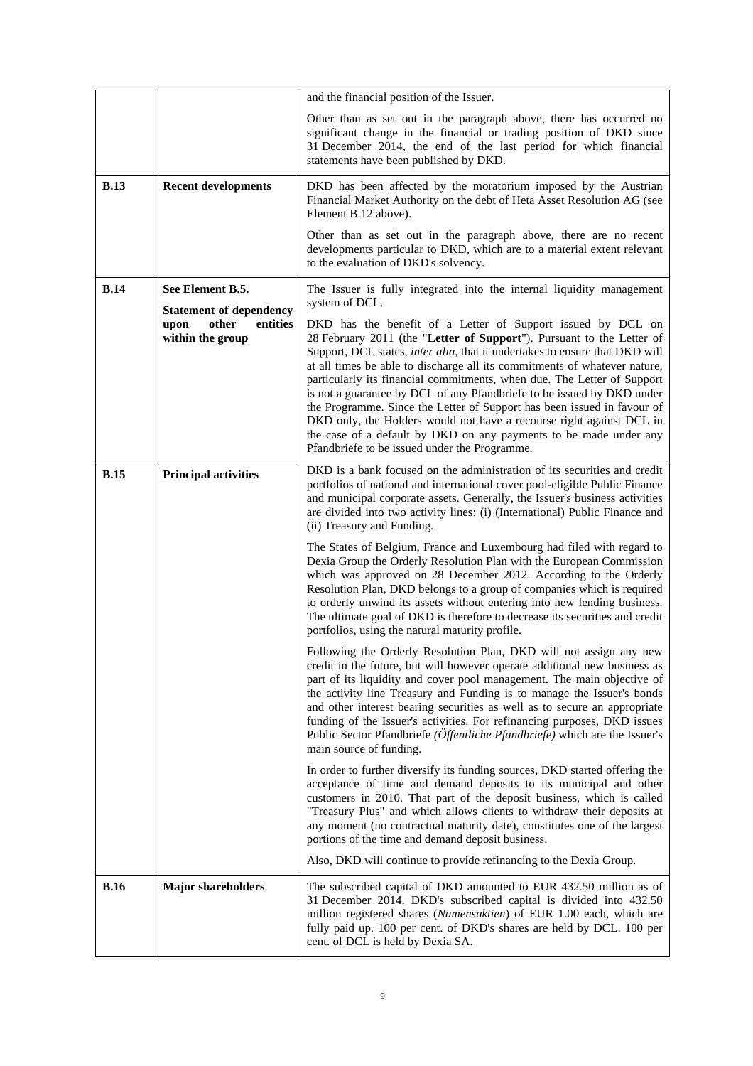|             |                                                             | and the financial position of the Issuer.                                                                                                                                                                                                                                                                                                                                                                                                                                                                                                                                                                                                                       |
|-------------|-------------------------------------------------------------|-----------------------------------------------------------------------------------------------------------------------------------------------------------------------------------------------------------------------------------------------------------------------------------------------------------------------------------------------------------------------------------------------------------------------------------------------------------------------------------------------------------------------------------------------------------------------------------------------------------------------------------------------------------------|
|             |                                                             | Other than as set out in the paragraph above, there has occurred no<br>significant change in the financial or trading position of DKD since<br>31 December 2014, the end of the last period for which financial<br>statements have been published by DKD.                                                                                                                                                                                                                                                                                                                                                                                                       |
| B.13        | <b>Recent developments</b>                                  | DKD has been affected by the moratorium imposed by the Austrian<br>Financial Market Authority on the debt of Heta Asset Resolution AG (see<br>Element B.12 above).                                                                                                                                                                                                                                                                                                                                                                                                                                                                                              |
|             |                                                             | Other than as set out in the paragraph above, there are no recent<br>developments particular to DKD, which are to a material extent relevant<br>to the evaluation of DKD's solvency.                                                                                                                                                                                                                                                                                                                                                                                                                                                                            |
| B.14        | See Element B.5.                                            | The Issuer is fully integrated into the internal liquidity management<br>system of DCL.                                                                                                                                                                                                                                                                                                                                                                                                                                                                                                                                                                         |
|             | <b>Statement of dependency</b><br>other<br>entities<br>upon | DKD has the benefit of a Letter of Support issued by DCL on                                                                                                                                                                                                                                                                                                                                                                                                                                                                                                                                                                                                     |
|             | within the group                                            | 28 February 2011 (the "Letter of Support"). Pursuant to the Letter of<br>Support, DCL states, inter alia, that it undertakes to ensure that DKD will<br>at all times be able to discharge all its commitments of whatever nature,<br>particularly its financial commitments, when due. The Letter of Support<br>is not a guarantee by DCL of any Pfandbriefe to be issued by DKD under<br>the Programme. Since the Letter of Support has been issued in favour of<br>DKD only, the Holders would not have a recourse right against DCL in<br>the case of a default by DKD on any payments to be made under any<br>Pfandbriefe to be issued under the Programme. |
| <b>B.15</b> | <b>Principal activities</b>                                 | DKD is a bank focused on the administration of its securities and credit<br>portfolios of national and international cover pool-eligible Public Finance<br>and municipal corporate assets. Generally, the Issuer's business activities<br>are divided into two activity lines: (i) (International) Public Finance and<br>(ii) Treasury and Funding.                                                                                                                                                                                                                                                                                                             |
|             |                                                             | The States of Belgium, France and Luxembourg had filed with regard to<br>Dexia Group the Orderly Resolution Plan with the European Commission<br>which was approved on 28 December 2012. According to the Orderly<br>Resolution Plan, DKD belongs to a group of companies which is required<br>to orderly unwind its assets without entering into new lending business.<br>The ultimate goal of DKD is therefore to decrease its securities and credit<br>portfolios, using the natural maturity profile.                                                                                                                                                       |
|             |                                                             | Following the Orderly Resolution Plan, DKD will not assign any new<br>credit in the future, but will however operate additional new business as<br>part of its liquidity and cover pool management. The main objective of<br>the activity line Treasury and Funding is to manage the Issuer's bonds<br>and other interest bearing securities as well as to secure an appropriate<br>funding of the Issuer's activities. For refinancing purposes, DKD issues<br>Public Sector Pfandbriefe (Öffentliche Pfandbriefe) which are the Issuer's<br>main source of funding.                                                                                           |
|             |                                                             | In order to further diversify its funding sources, DKD started offering the<br>acceptance of time and demand deposits to its municipal and other<br>customers in 2010. That part of the deposit business, which is called<br>"Treasury Plus" and which allows clients to withdraw their deposits at<br>any moment (no contractual maturity date), constitutes one of the largest<br>portions of the time and demand deposit business.                                                                                                                                                                                                                           |
|             |                                                             | Also, DKD will continue to provide refinancing to the Dexia Group.                                                                                                                                                                                                                                                                                                                                                                                                                                                                                                                                                                                              |
| <b>B.16</b> | <b>Major shareholders</b>                                   | The subscribed capital of DKD amounted to EUR 432.50 million as of<br>31 December 2014. DKD's subscribed capital is divided into 432.50<br>million registered shares (Namensaktien) of EUR 1.00 each, which are<br>fully paid up. 100 per cent. of DKD's shares are held by DCL. 100 per<br>cent. of DCL is held by Dexia SA.                                                                                                                                                                                                                                                                                                                                   |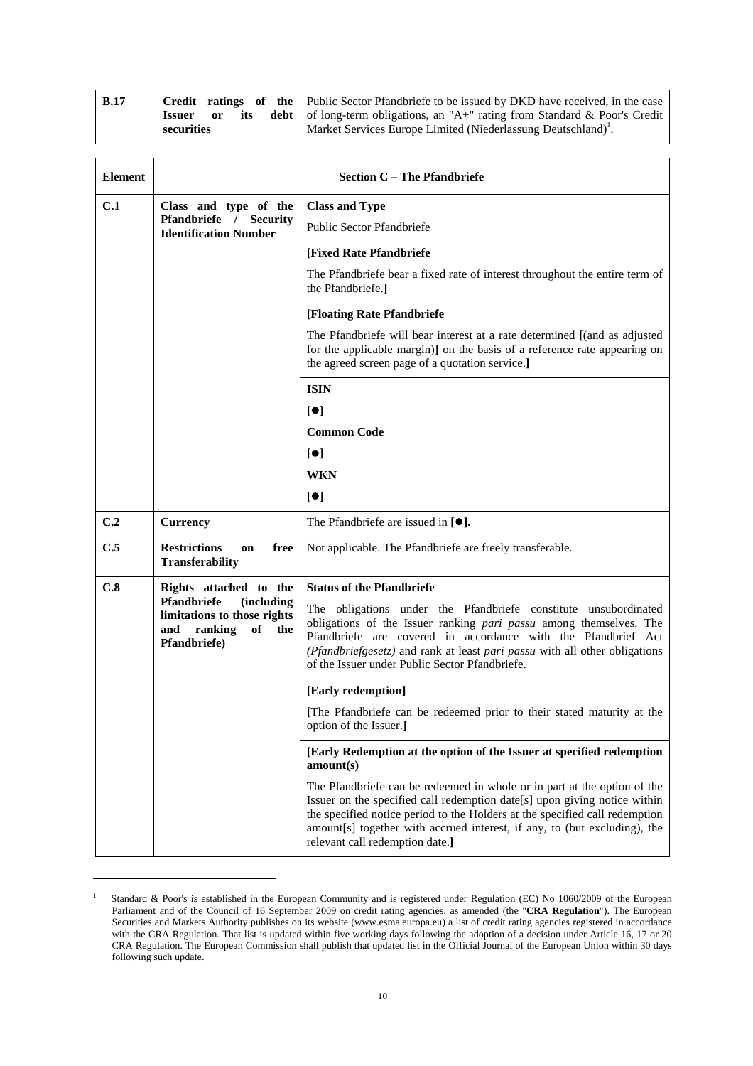| <b>B.17</b> |               |    |     | <b>Credit ratings of the Public Sector Pfandbriefe to be issued by DKD have received, in the case</b> |
|-------------|---------------|----|-----|-------------------------------------------------------------------------------------------------------|
|             | <b>Issuer</b> | or | its | <b>debt</b>   of long-term obligations, an "A+" rating from Standard & Poor's Credit                  |
|             | securities    |    |     | Market Services Europe Limited (Niederlassung Deutschland) <sup>1</sup> .                             |

| <b>Element</b> |                                                                                                                 | <b>Section C - The Pfandbriefe</b>                                                                                                                                                                                                                                                                                                                   |
|----------------|-----------------------------------------------------------------------------------------------------------------|------------------------------------------------------------------------------------------------------------------------------------------------------------------------------------------------------------------------------------------------------------------------------------------------------------------------------------------------------|
| C.1            | Class and type of the                                                                                           | <b>Class and Type</b>                                                                                                                                                                                                                                                                                                                                |
|                | Pfandbriefe / Security<br><b>Identification Number</b>                                                          | Public Sector Pfandbriefe                                                                                                                                                                                                                                                                                                                            |
|                |                                                                                                                 | [Fixed Rate Pfandbriefe                                                                                                                                                                                                                                                                                                                              |
|                |                                                                                                                 | The Pfandbriefe bear a fixed rate of interest throughout the entire term of<br>the Pfandbriefe.]                                                                                                                                                                                                                                                     |
|                |                                                                                                                 | [Floating Rate Pfandbriefe                                                                                                                                                                                                                                                                                                                           |
|                |                                                                                                                 | The Pfandbriefe will bear interest at a rate determined [(and as adjusted<br>for the applicable margin)] on the basis of a reference rate appearing on<br>the agreed screen page of a quotation service.]                                                                                                                                            |
|                |                                                                                                                 | <b>ISIN</b>                                                                                                                                                                                                                                                                                                                                          |
|                |                                                                                                                 | $\blacksquare$                                                                                                                                                                                                                                                                                                                                       |
|                |                                                                                                                 | <b>Common Code</b>                                                                                                                                                                                                                                                                                                                                   |
|                |                                                                                                                 | $\lbrack \bullet \rbrack$                                                                                                                                                                                                                                                                                                                            |
|                |                                                                                                                 | <b>WKN</b>                                                                                                                                                                                                                                                                                                                                           |
|                |                                                                                                                 | [•]                                                                                                                                                                                                                                                                                                                                                  |
| C.2            | <b>Currency</b>                                                                                                 | The Pfandbriefe are issued in $[①$ .                                                                                                                                                                                                                                                                                                                 |
| C.5            | <b>Restrictions</b><br>free<br>on<br><b>Transferability</b>                                                     | Not applicable. The Pfandbriefe are freely transferable.                                                                                                                                                                                                                                                                                             |
| C.8            | Rights attached to the                                                                                          | <b>Status of the Pfandbriefe</b>                                                                                                                                                                                                                                                                                                                     |
|                | Pfandbriefe<br><i>(including)</i><br>limitations to those rights<br>and<br>ranking<br>of<br>the<br>Pfandbriefe) | The obligations under the Pfandbriefe constitute unsubordinated<br>obligations of the Issuer ranking pari passu among themselves. The<br>Pfandbriefe are covered in accordance with the Pfandbrief Act<br>(Pfandbriefgesetz) and rank at least pari passu with all other obligations<br>of the Issuer under Public Sector Pfandbriefe.               |
|                |                                                                                                                 | [Early redemption]                                                                                                                                                                                                                                                                                                                                   |
|                |                                                                                                                 | [The Pfandbriefe can be redeemed prior to their stated maturity at the<br>option of the Issuer.]                                                                                                                                                                                                                                                     |
|                |                                                                                                                 | [Early Redemption at the option of the Issuer at specified redemption<br>amount(s)                                                                                                                                                                                                                                                                   |
|                |                                                                                                                 | The Pfandbriefe can be redeemed in whole or in part at the option of the<br>Issuer on the specified call redemption date[s] upon giving notice within<br>the specified notice period to the Holders at the specified call redemption<br>amount[s] together with accrued interest, if any, to (but excluding), the<br>relevant call redemption date.] |

<sup>1</sup> Standard & Poor's is established in the European Community and is registered under Regulation (EC) No 1060/2009 of the European Parliament and of the Council of 16 September 2009 on credit rating agencies, as amended (the "**CRA Regulation**"). The European Securities and Markets Authority publishes on its website (www.esma.europa.eu) a list of credit rating agencies registered in accordance with the CRA Regulation. That list is updated within five working days following the adoption of a decision under Article 16, 17 or 20 CRA Regulation. The European Commission shall publish that updated list in the Official Journal of the European Union within 30 days following such update.

 $\overline{a}$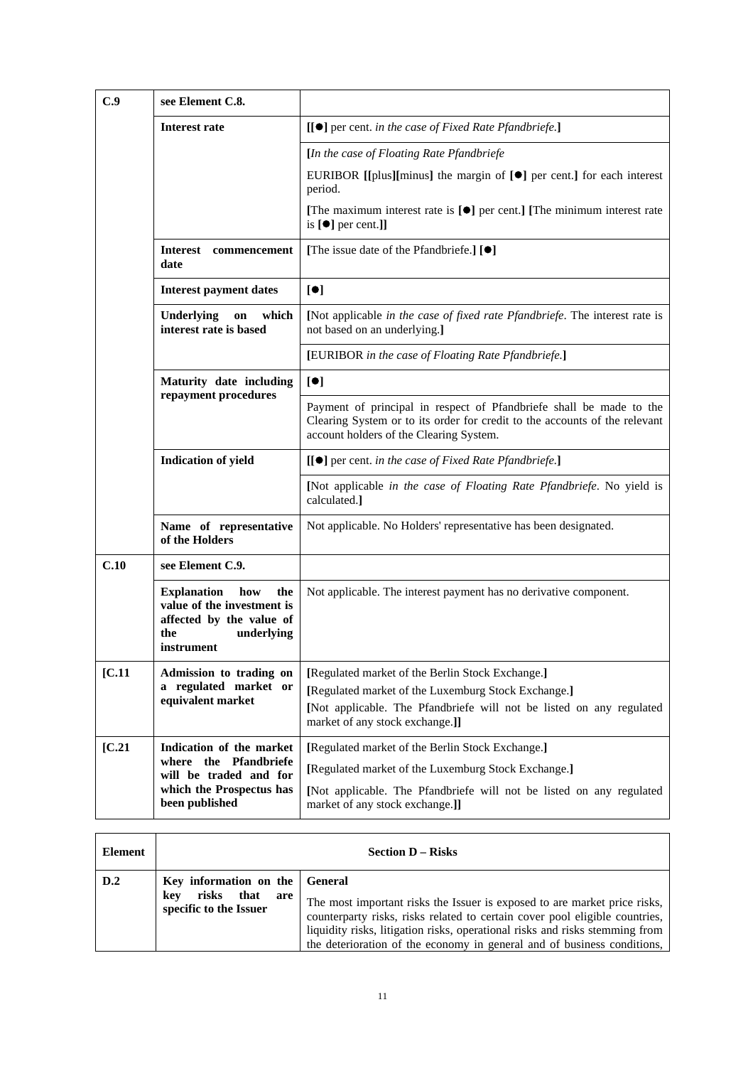| C.9    | see Element C.8.                                                                                                              |                                                                                                                                                                                                                    |
|--------|-------------------------------------------------------------------------------------------------------------------------------|--------------------------------------------------------------------------------------------------------------------------------------------------------------------------------------------------------------------|
|        | <b>Interest rate</b>                                                                                                          | [[●] per cent. in the case of Fixed Rate Pfandbriefe.]                                                                                                                                                             |
|        |                                                                                                                               | [In the case of Floating Rate Pfandbriefe                                                                                                                                                                          |
|        |                                                                                                                               | EURIBOR [[plus][minus] the margin of $[\bullet]$ per cent.] for each interest<br>period.                                                                                                                           |
|        |                                                                                                                               | [The maximum interest rate is $[\bullet]$ per cent.] [The minimum interest rate<br>is $[\bullet]$ per cent.]]                                                                                                      |
|        | <b>Interest</b><br>commencement<br>date                                                                                       | [The issue date of the Pfandbriefe.] [ <sup>0</sup> ]                                                                                                                                                              |
|        | <b>Interest payment dates</b>                                                                                                 | [•]                                                                                                                                                                                                                |
|        | which<br>Underlying<br>on<br>interest rate is based                                                                           | [Not applicable in the case of fixed rate Pfandbriefe. The interest rate is<br>not based on an underlying.]                                                                                                        |
|        |                                                                                                                               | [EURIBOR in the case of Floating Rate Pfandbriefe.]                                                                                                                                                                |
|        | Maturity date including<br>repayment procedures                                                                               | [•]                                                                                                                                                                                                                |
|        |                                                                                                                               | Payment of principal in respect of Pfandbriefe shall be made to the<br>Clearing System or to its order for credit to the accounts of the relevant<br>account holders of the Clearing System.                       |
|        | <b>Indication of yield</b>                                                                                                    | [[ <sup>●</sup> ] per cent. in the case of Fixed Rate Pfandbriefe.]                                                                                                                                                |
|        |                                                                                                                               | [Not applicable in the case of Floating Rate Pfandbriefe. No yield is<br>calculated.]                                                                                                                              |
|        | Name of representative<br>of the Holders                                                                                      | Not applicable. No Holders' representative has been designated.                                                                                                                                                    |
| C.10   | see Element C.9.                                                                                                              |                                                                                                                                                                                                                    |
|        | <b>Explanation</b><br>how<br>the<br>value of the investment is<br>affected by the value of<br>the<br>underlying<br>instrument | Not applicable. The interest payment has no derivative component.                                                                                                                                                  |
| [C.11] | Admission to trading on<br>a regulated market or<br>equivalent market                                                         | [Regulated market of the Berlin Stock Exchange.]<br>[Regulated market of the Luxemburg Stock Exchange.]<br>[Not applicable. The Pfandbriefe will not be listed on any regulated<br>market of any stock exchange.]] |
| [C.21] | Indication of the market<br>where the Pfandbriefe<br>will be traded and for<br>which the Prospectus has<br>been published     | [Regulated market of the Berlin Stock Exchange.]<br>[Regulated market of the Luxemburg Stock Exchange.]<br>[Not applicable. The Pfandbriefe will not be listed on any regulated<br>market of any stock exchange.]] |

| Element |                                                                                         | <b>Section D – Risks</b>                                                                                                                                                                                                                                                                                            |
|---------|-----------------------------------------------------------------------------------------|---------------------------------------------------------------------------------------------------------------------------------------------------------------------------------------------------------------------------------------------------------------------------------------------------------------------|
| D.2     | Key information on the General<br>risks<br>that<br>kev<br>are<br>specific to the Issuer | The most important risks the Issuer is exposed to are market price risks,<br>counterparty risks, risks related to certain cover pool eligible countries,<br>liquidity risks, litigation risks, operational risks and risks stemming from<br>the deterioration of the economy in general and of business conditions, |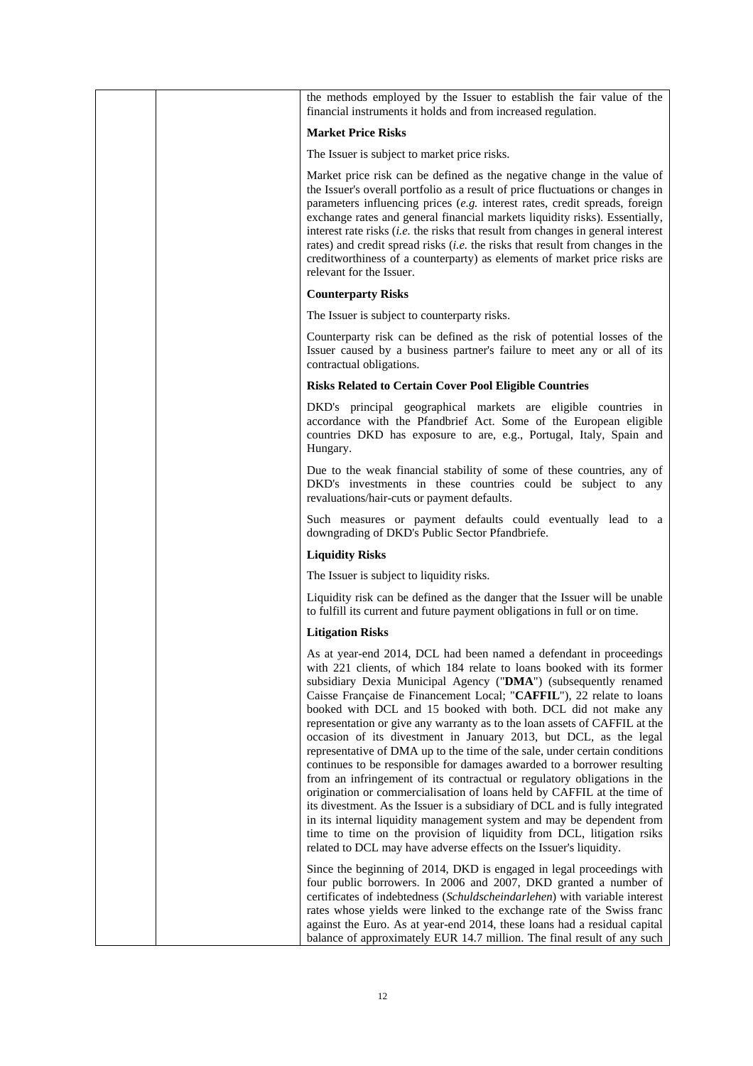|  | the methods employed by the Issuer to establish the fair value of the<br>financial instruments it holds and from increased regulation.                                                                                                                                                                                                                                                                                                                                                                                                                                                                                                                                                                                                                                                                                                                                                                                                                                                                                                                                                                                             |
|--|------------------------------------------------------------------------------------------------------------------------------------------------------------------------------------------------------------------------------------------------------------------------------------------------------------------------------------------------------------------------------------------------------------------------------------------------------------------------------------------------------------------------------------------------------------------------------------------------------------------------------------------------------------------------------------------------------------------------------------------------------------------------------------------------------------------------------------------------------------------------------------------------------------------------------------------------------------------------------------------------------------------------------------------------------------------------------------------------------------------------------------|
|  | <b>Market Price Risks</b>                                                                                                                                                                                                                                                                                                                                                                                                                                                                                                                                                                                                                                                                                                                                                                                                                                                                                                                                                                                                                                                                                                          |
|  | The Issuer is subject to market price risks.                                                                                                                                                                                                                                                                                                                                                                                                                                                                                                                                                                                                                                                                                                                                                                                                                                                                                                                                                                                                                                                                                       |
|  | Market price risk can be defined as the negative change in the value of<br>the Issuer's overall portfolio as a result of price fluctuations or changes in<br>parameters influencing prices (e.g. interest rates, credit spreads, foreign<br>exchange rates and general financial markets liquidity risks). Essentially,<br>interest rate risks (i.e. the risks that result from changes in general interest<br>rates) and credit spread risks ( <i>i.e.</i> the risks that result from changes in the<br>creditworthiness of a counterparty) as elements of market price risks are<br>relevant for the Issuer.                                                                                                                                                                                                                                                                                                                                                                                                                                                                                                                     |
|  | <b>Counterparty Risks</b>                                                                                                                                                                                                                                                                                                                                                                                                                                                                                                                                                                                                                                                                                                                                                                                                                                                                                                                                                                                                                                                                                                          |
|  | The Issuer is subject to counterparty risks.                                                                                                                                                                                                                                                                                                                                                                                                                                                                                                                                                                                                                                                                                                                                                                                                                                                                                                                                                                                                                                                                                       |
|  | Counterparty risk can be defined as the risk of potential losses of the<br>Issuer caused by a business partner's failure to meet any or all of its<br>contractual obligations.                                                                                                                                                                                                                                                                                                                                                                                                                                                                                                                                                                                                                                                                                                                                                                                                                                                                                                                                                     |
|  | <b>Risks Related to Certain Cover Pool Eligible Countries</b>                                                                                                                                                                                                                                                                                                                                                                                                                                                                                                                                                                                                                                                                                                                                                                                                                                                                                                                                                                                                                                                                      |
|  | DKD's principal geographical markets are eligible countries in<br>accordance with the Pfandbrief Act. Some of the European eligible<br>countries DKD has exposure to are, e.g., Portugal, Italy, Spain and<br>Hungary.                                                                                                                                                                                                                                                                                                                                                                                                                                                                                                                                                                                                                                                                                                                                                                                                                                                                                                             |
|  | Due to the weak financial stability of some of these countries, any of<br>DKD's investments in these countries could be subject to any<br>revaluations/hair-cuts or payment defaults.                                                                                                                                                                                                                                                                                                                                                                                                                                                                                                                                                                                                                                                                                                                                                                                                                                                                                                                                              |
|  | Such measures or payment defaults could eventually lead to a<br>downgrading of DKD's Public Sector Pfandbriefe.                                                                                                                                                                                                                                                                                                                                                                                                                                                                                                                                                                                                                                                                                                                                                                                                                                                                                                                                                                                                                    |
|  | <b>Liquidity Risks</b>                                                                                                                                                                                                                                                                                                                                                                                                                                                                                                                                                                                                                                                                                                                                                                                                                                                                                                                                                                                                                                                                                                             |
|  | The Issuer is subject to liquidity risks.                                                                                                                                                                                                                                                                                                                                                                                                                                                                                                                                                                                                                                                                                                                                                                                                                                                                                                                                                                                                                                                                                          |
|  | Liquidity risk can be defined as the danger that the Issuer will be unable<br>to fulfill its current and future payment obligations in full or on time.                                                                                                                                                                                                                                                                                                                                                                                                                                                                                                                                                                                                                                                                                                                                                                                                                                                                                                                                                                            |
|  | <b>Litigation Risks</b>                                                                                                                                                                                                                                                                                                                                                                                                                                                                                                                                                                                                                                                                                                                                                                                                                                                                                                                                                                                                                                                                                                            |
|  | As at year-end 2014, DCL had been named a defendant in proceedings<br>with 221 clients, of which 184 relate to loans booked with its former<br>subsidiary Dexia Municipal Agency ("DMA") (subsequently renamed<br>Caisse Française de Financement Local; "CAFFIL"), 22 relate to loans<br>booked with DCL and 15 booked with both. DCL did not make any<br>representation or give any warranty as to the loan assets of CAFFIL at the<br>occasion of its divestment in January 2013, but DCL, as the legal<br>representative of DMA up to the time of the sale, under certain conditions<br>continues to be responsible for damages awarded to a borrower resulting<br>from an infringement of its contractual or regulatory obligations in the<br>origination or commercialisation of loans held by CAFFIL at the time of<br>its divestment. As the Issuer is a subsidiary of DCL and is fully integrated<br>in its internal liquidity management system and may be dependent from<br>time to time on the provision of liquidity from DCL, litigation rsiks<br>related to DCL may have adverse effects on the Issuer's liquidity. |
|  | Since the beginning of 2014, DKD is engaged in legal proceedings with<br>four public borrowers. In 2006 and 2007, DKD granted a number of<br>certificates of indebtedness (Schuldscheindarlehen) with variable interest<br>rates whose yields were linked to the exchange rate of the Swiss franc<br>against the Euro. As at year-end 2014, these loans had a residual capital<br>balance of approximately EUR 14.7 million. The final result of any such                                                                                                                                                                                                                                                                                                                                                                                                                                                                                                                                                                                                                                                                          |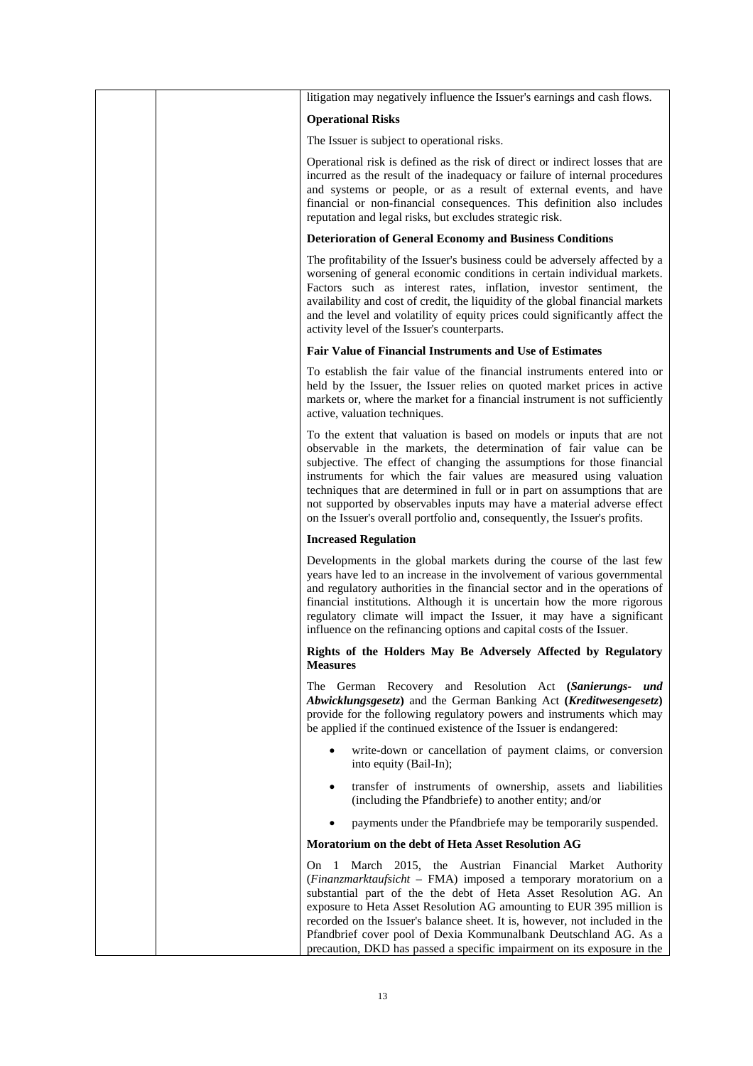| litigation may negatively influence the Issuer's earnings and cash flows.                                                                                                                                                                                                                                                                                                                                                                                                                                                        |
|----------------------------------------------------------------------------------------------------------------------------------------------------------------------------------------------------------------------------------------------------------------------------------------------------------------------------------------------------------------------------------------------------------------------------------------------------------------------------------------------------------------------------------|
| <b>Operational Risks</b>                                                                                                                                                                                                                                                                                                                                                                                                                                                                                                         |
| The Issuer is subject to operational risks.                                                                                                                                                                                                                                                                                                                                                                                                                                                                                      |
| Operational risk is defined as the risk of direct or indirect losses that are<br>incurred as the result of the inadequacy or failure of internal procedures<br>and systems or people, or as a result of external events, and have<br>financial or non-financial consequences. This definition also includes<br>reputation and legal risks, but excludes strategic risk.                                                                                                                                                          |
| <b>Deterioration of General Economy and Business Conditions</b>                                                                                                                                                                                                                                                                                                                                                                                                                                                                  |
| The profitability of the Issuer's business could be adversely affected by a<br>worsening of general economic conditions in certain individual markets.<br>Factors such as interest rates, inflation, investor sentiment, the<br>availability and cost of credit, the liquidity of the global financial markets<br>and the level and volatility of equity prices could significantly affect the<br>activity level of the Issuer's counterparts.                                                                                   |
| Fair Value of Financial Instruments and Use of Estimates                                                                                                                                                                                                                                                                                                                                                                                                                                                                         |
| To establish the fair value of the financial instruments entered into or<br>held by the Issuer, the Issuer relies on quoted market prices in active<br>markets or, where the market for a financial instrument is not sufficiently<br>active, valuation techniques.                                                                                                                                                                                                                                                              |
| To the extent that valuation is based on models or inputs that are not<br>observable in the markets, the determination of fair value can be<br>subjective. The effect of changing the assumptions for those financial<br>instruments for which the fair values are measured using valuation<br>techniques that are determined in full or in part on assumptions that are<br>not supported by observables inputs may have a material adverse effect<br>on the Issuer's overall portfolio and, consequently, the Issuer's profits. |
| <b>Increased Regulation</b>                                                                                                                                                                                                                                                                                                                                                                                                                                                                                                      |
| Developments in the global markets during the course of the last few<br>years have led to an increase in the involvement of various governmental<br>and regulatory authorities in the financial sector and in the operations of<br>financial institutions. Although it is uncertain how the more rigorous<br>regulatory climate will impact the Issuer, it may have a significant<br>influence on the refinancing options and capital costs of the Issuer.                                                                       |
| Rights of the Holders May Be Adversely Affected by Regulatory<br><b>Measures</b>                                                                                                                                                                                                                                                                                                                                                                                                                                                 |
| The German Recovery and Resolution Act (Sanierungs- und<br>Abwicklungsgesetz) and the German Banking Act (Kreditwesengesetz)<br>provide for the following regulatory powers and instruments which may<br>be applied if the continued existence of the Issuer is endangered:                                                                                                                                                                                                                                                      |
| write-down or cancellation of payment claims, or conversion<br>into equity (Bail-In);                                                                                                                                                                                                                                                                                                                                                                                                                                            |
| transfer of instruments of ownership, assets and liabilities<br>$\bullet$<br>(including the Pfandbriefe) to another entity; and/or                                                                                                                                                                                                                                                                                                                                                                                               |
| payments under the Pfandbriefe may be temporarily suspended.                                                                                                                                                                                                                                                                                                                                                                                                                                                                     |
| Moratorium on the debt of Heta Asset Resolution AG                                                                                                                                                                                                                                                                                                                                                                                                                                                                               |
| March 2015, the Austrian Financial Market Authority<br>On.<br>-1<br>(Finanzmarktaufsicht - FMA) imposed a temporary moratorium on a<br>substantial part of the the debt of Heta Asset Resolution AG. An<br>exposure to Heta Asset Resolution AG amounting to EUR 395 million is<br>recorded on the Issuer's balance sheet. It is, however, not included in the<br>Pfandbrief cover pool of Dexia Kommunalbank Deutschland AG. As a<br>precaution, DKD has passed a specific impairment on its exposure in the                    |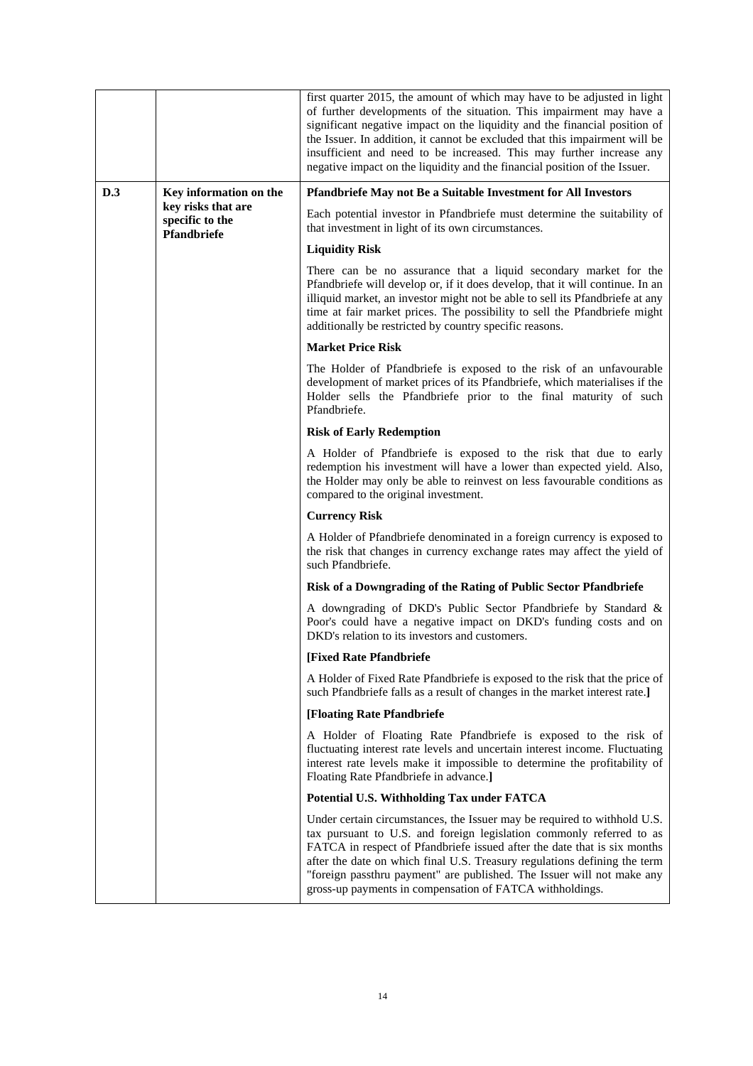|     |                                                      | first quarter 2015, the amount of which may have to be adjusted in light<br>of further developments of the situation. This impairment may have a<br>significant negative impact on the liquidity and the financial position of<br>the Issuer. In addition, it cannot be excluded that this impairment will be<br>insufficient and need to be increased. This may further increase any<br>negative impact on the liquidity and the financial position of the Issuer. |
|-----|------------------------------------------------------|---------------------------------------------------------------------------------------------------------------------------------------------------------------------------------------------------------------------------------------------------------------------------------------------------------------------------------------------------------------------------------------------------------------------------------------------------------------------|
| D.3 | Key information on the                               | Pfandbriefe May not Be a Suitable Investment for All Investors                                                                                                                                                                                                                                                                                                                                                                                                      |
|     | key risks that are<br>specific to the<br>Pfandbriefe | Each potential investor in Pfandbriefe must determine the suitability of<br>that investment in light of its own circumstances.                                                                                                                                                                                                                                                                                                                                      |
|     |                                                      | <b>Liquidity Risk</b>                                                                                                                                                                                                                                                                                                                                                                                                                                               |
|     |                                                      | There can be no assurance that a liquid secondary market for the<br>Pfandbriefe will develop or, if it does develop, that it will continue. In an<br>illiquid market, an investor might not be able to sell its Pfandbriefe at any<br>time at fair market prices. The possibility to sell the Pfandbriefe might<br>additionally be restricted by country specific reasons.                                                                                          |
|     |                                                      | <b>Market Price Risk</b>                                                                                                                                                                                                                                                                                                                                                                                                                                            |
|     |                                                      | The Holder of Pfandbriefe is exposed to the risk of an unfavourable<br>development of market prices of its Pfandbriefe, which materialises if the<br>Holder sells the Pfandbriefe prior to the final maturity of such<br>Pfandbriefe.                                                                                                                                                                                                                               |
|     |                                                      | <b>Risk of Early Redemption</b>                                                                                                                                                                                                                                                                                                                                                                                                                                     |
|     |                                                      | A Holder of Pfandbriefe is exposed to the risk that due to early<br>redemption his investment will have a lower than expected yield. Also,<br>the Holder may only be able to reinvest on less favourable conditions as<br>compared to the original investment.                                                                                                                                                                                                      |
|     |                                                      | <b>Currency Risk</b>                                                                                                                                                                                                                                                                                                                                                                                                                                                |
|     |                                                      | A Holder of Pfandbriefe denominated in a foreign currency is exposed to<br>the risk that changes in currency exchange rates may affect the yield of<br>such Pfandbriefe.                                                                                                                                                                                                                                                                                            |
|     |                                                      | Risk of a Downgrading of the Rating of Public Sector Pfandbriefe                                                                                                                                                                                                                                                                                                                                                                                                    |
|     |                                                      | A downgrading of DKD's Public Sector Pfandbriefe by Standard &<br>Poor's could have a negative impact on DKD's funding costs and on<br>DKD's relation to its investors and customers.                                                                                                                                                                                                                                                                               |
|     |                                                      | [Fixed Rate Pfandbriefe                                                                                                                                                                                                                                                                                                                                                                                                                                             |
|     |                                                      | A Holder of Fixed Rate Pfandbriefe is exposed to the risk that the price of<br>such Pfandbriefe falls as a result of changes in the market interest rate.]                                                                                                                                                                                                                                                                                                          |
|     |                                                      | [Floating Rate Pfandbriefe                                                                                                                                                                                                                                                                                                                                                                                                                                          |
|     |                                                      | A Holder of Floating Rate Pfandbriefe is exposed to the risk of<br>fluctuating interest rate levels and uncertain interest income. Fluctuating<br>interest rate levels make it impossible to determine the profitability of<br>Floating Rate Pfandbriefe in advance.]                                                                                                                                                                                               |
|     |                                                      | Potential U.S. Withholding Tax under FATCA                                                                                                                                                                                                                                                                                                                                                                                                                          |
|     |                                                      | Under certain circumstances, the Issuer may be required to withhold U.S.<br>tax pursuant to U.S. and foreign legislation commonly referred to as<br>FATCA in respect of Pfandbriefe issued after the date that is six months<br>after the date on which final U.S. Treasury regulations defining the term<br>"foreign passthru payment" are published. The Issuer will not make any<br>gross-up payments in compensation of FATCA withholdings.                     |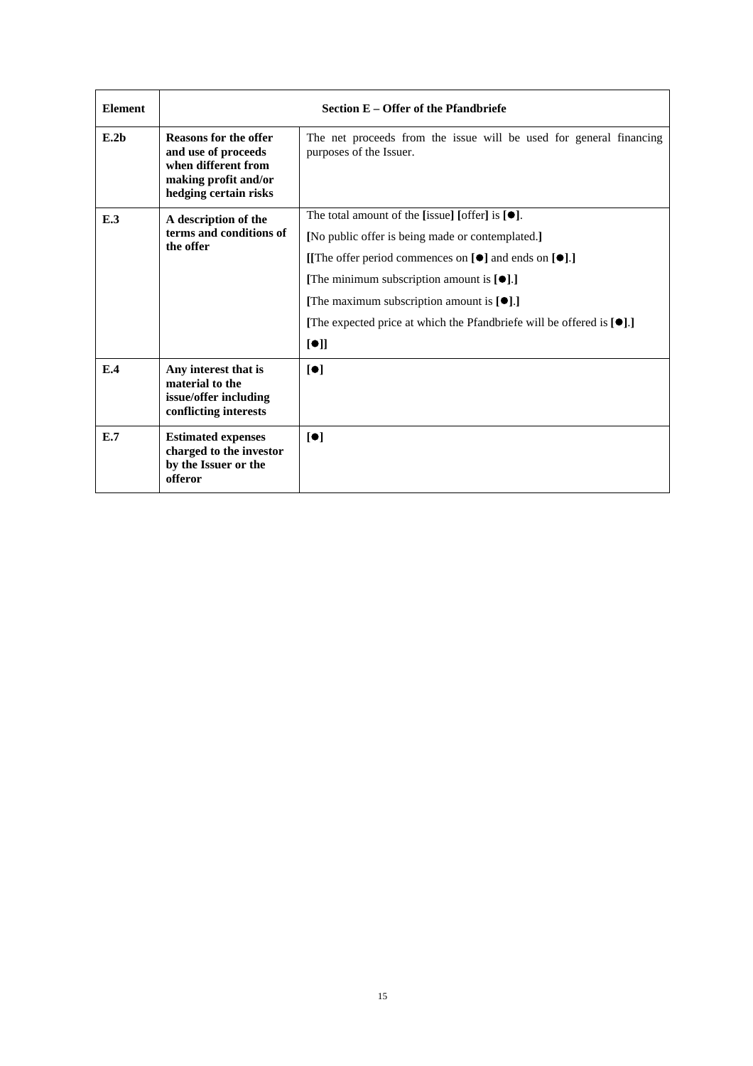| <b>Element</b>   | Section E – Offer of the Pfandbriefe                                                                                        |                                                                                                                                                                                                                                                                                                                                                                                       |  |
|------------------|-----------------------------------------------------------------------------------------------------------------------------|---------------------------------------------------------------------------------------------------------------------------------------------------------------------------------------------------------------------------------------------------------------------------------------------------------------------------------------------------------------------------------------|--|
| E.2 <sub>b</sub> | <b>Reasons for the offer</b><br>and use of proceeds<br>when different from<br>making profit and/or<br>hedging certain risks | The net proceeds from the issue will be used for general financing<br>purposes of the Issuer.                                                                                                                                                                                                                                                                                         |  |
| E.3              | A description of the<br>terms and conditions of<br>the offer                                                                | The total amount of the [issue] [offer] is $[•]$ .<br>[No public offer is being made or contemplated.]<br>[[The offer period commences on $[\bullet]$ and ends on $[\bullet]$ .]<br>[The minimum subscription amount is $[\bullet]$ .]<br>[The maximum subscription amount is $[\bullet]$ .]<br>[The expected price at which the Pfandbriefe will be offered is $[\bullet]$ .]<br>[①] |  |
| E.4              | Any interest that is<br>material to the<br>issue/offer including<br>conflicting interests                                   | $\lbrack \bullet \rbrack$                                                                                                                                                                                                                                                                                                                                                             |  |
| E.7              | <b>Estimated expenses</b><br>charged to the investor<br>by the Issuer or the<br>offeror                                     | $\blacksquare$                                                                                                                                                                                                                                                                                                                                                                        |  |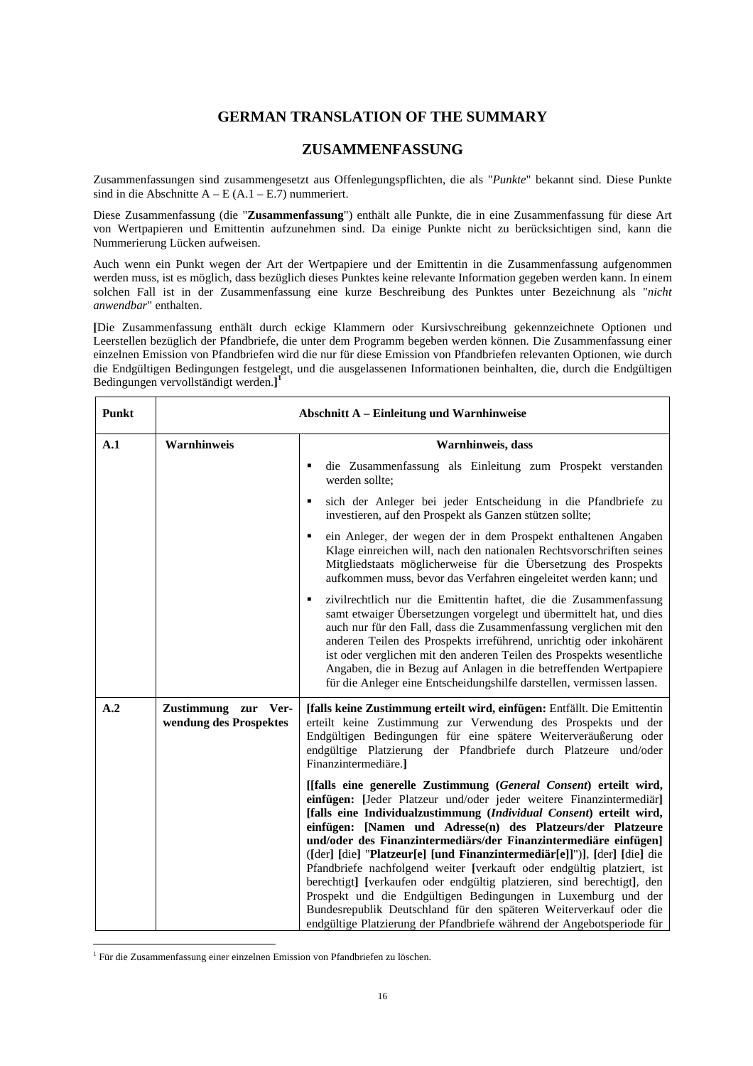# **GERMAN TRANSLATION OF THE SUMMARY**

# **ZUSAMMENFASSUNG**

Zusammenfassungen sind zusammengesetzt aus Offenlegungspflichten, die als "*Punkte*" bekannt sind. Diese Punkte sind in die Abschnitte A – E (A.1 – E.7) nummeriert.

Diese Zusammenfassung (die "**Zusammenfassung**") enthält alle Punkte, die in eine Zusammenfassung für diese Art von Wertpapieren und Emittentin aufzunehmen sind. Da einige Punkte nicht zu berücksichtigen sind, kann die Nummerierung Lücken aufweisen.

Auch wenn ein Punkt wegen der Art der Wertpapiere und der Emittentin in die Zusammenfassung aufgenommen werden muss, ist es möglich, dass bezüglich dieses Punktes keine relevante Information gegeben werden kann. In einem solchen Fall ist in der Zusammenfassung eine kurze Beschreibung des Punktes unter Bezeichnung als "*nicht anwendbar*" enthalten.

**[**Die Zusammenfassung enthält durch eckige Klammern oder Kursivschreibung gekennzeichnete Optionen und Leerstellen bezüglich der Pfandbriefe, die unter dem Programm begeben werden können. Die Zusammenfassung einer einzelnen Emission von Pfandbriefen wird die nur für diese Emission von Pfandbriefen relevanten Optionen, wie durch die Endgültigen Bedingungen festgelegt, und die ausgelassenen Informationen beinhalten, die, durch die Endgültigen Bedingungen vervollständigt werden.**] 1**

| <b>Punkt</b> | <b>Abschnitt A - Einleitung und Warnhinweise</b> |                                                                                                                                                                                                                                                                                                                                                                                                                                                                                                                                                                                                                                                                                                                                                                                                      |
|--------------|--------------------------------------------------|------------------------------------------------------------------------------------------------------------------------------------------------------------------------------------------------------------------------------------------------------------------------------------------------------------------------------------------------------------------------------------------------------------------------------------------------------------------------------------------------------------------------------------------------------------------------------------------------------------------------------------------------------------------------------------------------------------------------------------------------------------------------------------------------------|
| A.1          | Warnhinweis                                      | Warnhinweis, dass                                                                                                                                                                                                                                                                                                                                                                                                                                                                                                                                                                                                                                                                                                                                                                                    |
|              |                                                  | die Zusammenfassung als Einleitung zum Prospekt verstanden<br>werden sollte;                                                                                                                                                                                                                                                                                                                                                                                                                                                                                                                                                                                                                                                                                                                         |
|              |                                                  | sich der Anleger bei jeder Entscheidung in die Pfandbriefe zu<br>investieren, auf den Prospekt als Ganzen stützen sollte;                                                                                                                                                                                                                                                                                                                                                                                                                                                                                                                                                                                                                                                                            |
|              |                                                  | ein Anleger, der wegen der in dem Prospekt enthaltenen Angaben<br>Klage einreichen will, nach den nationalen Rechtsvorschriften seines<br>Mitgliedstaats möglicherweise für die Übersetzung des Prospekts<br>aufkommen muss, bevor das Verfahren eingeleitet werden kann; und                                                                                                                                                                                                                                                                                                                                                                                                                                                                                                                        |
|              |                                                  | zivilrechtlich nur die Emittentin haftet, die die Zusammenfassung<br>samt etwaiger Übersetzungen vorgelegt und übermittelt hat, und dies<br>auch nur für den Fall, dass die Zusammenfassung verglichen mit den<br>anderen Teilen des Prospekts irreführend, unrichtig oder inkohärent<br>ist oder verglichen mit den anderen Teilen des Prospekts wesentliche<br>Angaben, die in Bezug auf Anlagen in die betreffenden Wertpapiere<br>für die Anleger eine Entscheidungshilfe darstellen, vermissen lassen.                                                                                                                                                                                                                                                                                          |
| A.2          | Zustimmung zur Ver-<br>wendung des Prospektes    | [falls keine Zustimmung erteilt wird, einfügen: Entfällt. Die Emittentin<br>erteilt keine Zustimmung zur Verwendung des Prospekts und der<br>Endgültigen Bedingungen für eine spätere Weiterveräußerung oder<br>endgültige Platzierung der Pfandbriefe durch Platzeure und/oder<br>Finanzintermediäre.]                                                                                                                                                                                                                                                                                                                                                                                                                                                                                              |
|              |                                                  | [[falls eine generelle Zustimmung (General Consent) erteilt wird,<br>einfügen: [Jeder Platzeur und/oder jeder weitere Finanzintermediär]<br>[falls eine Individualzustimmung (Individual Consent) erteilt wird,<br>einfügen: [Namen und Adresse(n) des Platzeurs/der Platzeure<br>und/oder des Finanzintermediärs/der Finanzintermediäre einfügen]<br>([der] [die] "Platzeur[e] [und Finanzintermediär[e]]")], [der] [die] die<br>Pfandbriefe nachfolgend weiter [verkauft oder endgültig platziert, ist<br>berechtigt] [verkaufen oder endgültig platzieren, sind berechtigt], den<br>Prospekt und die Endgültigen Bedingungen in Luxemburg und der<br>Bundesrepublik Deutschland für den späteren Weiterverkauf oder die<br>endgültige Platzierung der Pfandbriefe während der Angebotsperiode für |

<sup>&</sup>lt;sup>1</sup> Für die Zusammenfassung einer einzelnen Emission von Pfandbriefen zu löschen.

 $\overline{a}$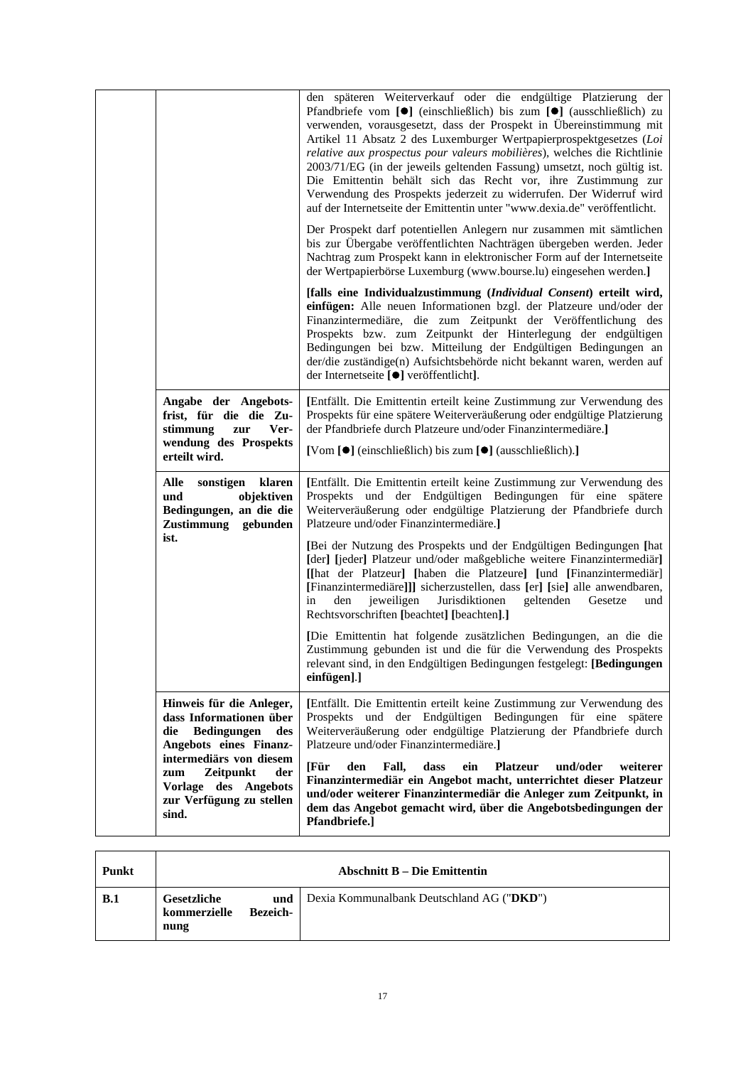|                                                                                                                                              | den späteren Weiterverkauf oder die endgültige Platzierung der<br>Pfandbriefe vom [●] (einschließlich) bis zum [●] (ausschließlich) zu<br>verwenden, vorausgesetzt, dass der Prospekt in Übereinstimmung mit<br>Artikel 11 Absatz 2 des Luxemburger Wertpapierprospektgesetzes (Loi<br>relative aux prospectus pour valeurs mobilières), welches die Richtlinie<br>2003/71/EG (in der jeweils geltenden Fassung) umsetzt, noch gültig ist.<br>Die Emittentin behält sich das Recht vor, ihre Zustimmung zur<br>Verwendung des Prospekts jederzeit zu widerrufen. Der Widerruf wird<br>auf der Internetseite der Emittentin unter "www.dexia.de" veröffentlicht. |
|----------------------------------------------------------------------------------------------------------------------------------------------|-----------------------------------------------------------------------------------------------------------------------------------------------------------------------------------------------------------------------------------------------------------------------------------------------------------------------------------------------------------------------------------------------------------------------------------------------------------------------------------------------------------------------------------------------------------------------------------------------------------------------------------------------------------------|
|                                                                                                                                              | Der Prospekt darf potentiellen Anlegern nur zusammen mit sämtlichen<br>bis zur Übergabe veröffentlichten Nachträgen übergeben werden. Jeder<br>Nachtrag zum Prospekt kann in elektronischer Form auf der Internetseite<br>der Wertpapierbörse Luxemburg (www.bourse.lu) eingesehen werden.]                                                                                                                                                                                                                                                                                                                                                                     |
|                                                                                                                                              | [falls eine Individualzustimmung (Individual Consent) erteilt wird,<br>einfügen: Alle neuen Informationen bzgl. der Platzeure und/oder der<br>Finanzintermediäre, die zum Zeitpunkt der Veröffentlichung des<br>Prospekts bzw. zum Zeitpunkt der Hinterlegung der endgültigen<br>Bedingungen bei bzw. Mitteilung der Endgültigen Bedingungen an<br>der/die zuständige(n) Aufsichtsbehörde nicht bekannt waren, werden auf<br>der Internetseite [●] veröffentlicht].                                                                                                                                                                                             |
| Angabe der Angebots-<br>frist, für die die Zu-<br>stimmung<br>Ver-<br>zur<br>wendung des Prospekts<br>erteilt wird.                          | [Entfällt. Die Emittentin erteilt keine Zustimmung zur Verwendung des<br>Prospekts für eine spätere Weiterveräußerung oder endgültige Platzierung<br>der Pfandbriefe durch Platzeure und/oder Finanzintermediäre.]<br>[Vom [●] (einschließlich) bis zum [●] (ausschließlich).]                                                                                                                                                                                                                                                                                                                                                                                  |
| Alle<br>sonstigen klaren<br>und<br>objektiven<br>Bedingungen, an die die<br>Zustimmung gebunden                                              | [Entfällt. Die Emittentin erteilt keine Zustimmung zur Verwendung des<br>Prospekts und der Endgültigen Bedingungen für eine spätere<br>Weiterveräußerung oder endgültige Platzierung der Pfandbriefe durch<br>Platzeure und/oder Finanzintermediäre.]                                                                                                                                                                                                                                                                                                                                                                                                           |
| ist.                                                                                                                                         | [Bei der Nutzung des Prospekts und der Endgültigen Bedingungen [hat<br>[der] [jeder] Platzeur und/oder maßgebliche weitere Finanzintermediär]<br>[[hat der Platzeur] [haben die Platzeure] [und [Finanzintermediär]<br>[Finanzintermediäre]]] sicherzustellen, dass [er] [sie] alle anwendbaren,<br>jeweiligen<br>Jurisdiktionen<br>geltenden Gesetze<br>in<br>den<br>und<br>Rechtsvorschriften [beachtet] [beachten].]                                                                                                                                                                                                                                         |
|                                                                                                                                              | [Die Emittentin hat folgende zusätzlichen Bedingungen, an die die<br>Zustimmung gebunden ist und die für die Verwendung des Prospekts<br>relevant sind, in den Endgültigen Bedingungen festgelegt: [Bedingungen<br>einfügen].]                                                                                                                                                                                                                                                                                                                                                                                                                                  |
| Hinweis für die Anleger,<br>dass Informationen über<br><b>Bedingungen</b><br>die<br>des<br>Angebots eines Finanz-<br>intermediärs von diesem | [Entfällt. Die Emittentin erteilt keine Zustimmung zur Verwendung des<br>Prospekts und der Endgültigen Bedingungen für eine spätere<br>Weiterveräußerung oder endgültige Platzierung der Pfandbriefe durch<br>Platzeure und/oder Finanzintermediäre.]                                                                                                                                                                                                                                                                                                                                                                                                           |
| Zeitpunkt<br>der<br>zum<br>Vorlage des Angebots<br>zur Verfügung zu stellen<br>sind.                                                         | [Für<br>und/oder<br>den<br>Fall,<br>dass<br><b>Platzeur</b><br>weiterer<br>ein<br>Finanzintermediär ein Angebot macht, unterrichtet dieser Platzeur<br>und/oder weiterer Finanzintermediär die Anleger zum Zeitpunkt, in<br>dem das Angebot gemacht wird, über die Angebotsbedingungen der<br>Pfandbriefe.]                                                                                                                                                                                                                                                                                                                                                     |

| Punkt | <b>Abschnitt B – Die Emittentin</b> |                        |                                           |
|-------|-------------------------------------|------------------------|-------------------------------------------|
| B.1   | Gesetzliche<br>kommerzielle<br>nung | und<br><b>Bezeich-</b> | Dexia Kommunalbank Deutschland AG ("DKD") |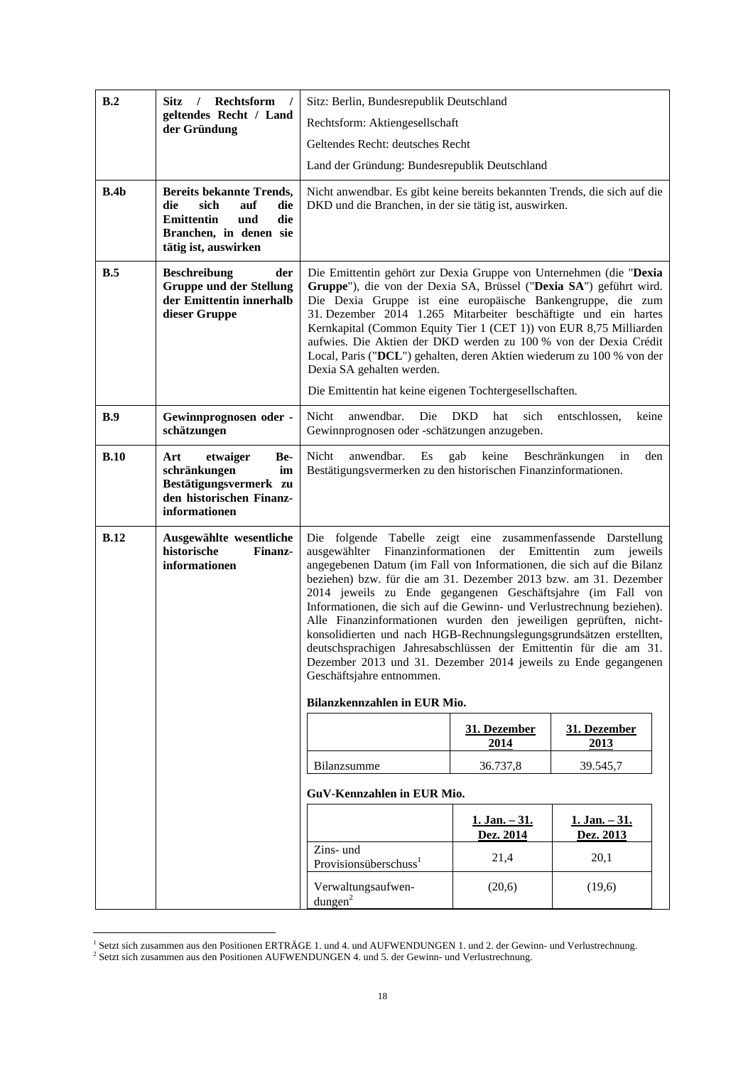| B.2  | <b>Sitz</b><br>Rechtsform<br>$\sqrt{2}$<br>geltendes Recht / Land<br>der Gründung                                                                 | Sitz: Berlin, Bundesrepublik Deutschland                                                                                                                                                                                                                                                                                                                                                                                                                                                                                                                                                                                                                                                                                         |                             |                             |
|------|---------------------------------------------------------------------------------------------------------------------------------------------------|----------------------------------------------------------------------------------------------------------------------------------------------------------------------------------------------------------------------------------------------------------------------------------------------------------------------------------------------------------------------------------------------------------------------------------------------------------------------------------------------------------------------------------------------------------------------------------------------------------------------------------------------------------------------------------------------------------------------------------|-----------------------------|-----------------------------|
|      |                                                                                                                                                   | Rechtsform: Aktiengesellschaft                                                                                                                                                                                                                                                                                                                                                                                                                                                                                                                                                                                                                                                                                                   |                             |                             |
|      |                                                                                                                                                   | Geltendes Recht: deutsches Recht                                                                                                                                                                                                                                                                                                                                                                                                                                                                                                                                                                                                                                                                                                 |                             |                             |
|      |                                                                                                                                                   | Land der Gründung: Bundesrepublik Deutschland                                                                                                                                                                                                                                                                                                                                                                                                                                                                                                                                                                                                                                                                                    |                             |                             |
| B.4b | <b>Bereits bekannte Trends,</b><br>die<br>sich<br>auf<br>die<br><b>Emittentin</b><br>und<br>die<br>Branchen, in denen sie<br>tätig ist, auswirken | Nicht anwendbar. Es gibt keine bereits bekannten Trends, die sich auf die<br>DKD und die Branchen, in der sie tätig ist, auswirken.                                                                                                                                                                                                                                                                                                                                                                                                                                                                                                                                                                                              |                             |                             |
| B.5  | <b>Beschreibung</b><br>der<br><b>Gruppe und der Stellung</b><br>der Emittentin innerhalb<br>dieser Gruppe                                         | Die Emittentin gehört zur Dexia Gruppe von Unternehmen (die "Dexia<br>Gruppe"), die von der Dexia SA, Brüssel ("Dexia SA") geführt wird.<br>Die Dexia Gruppe ist eine europäische Bankengruppe, die zum<br>31. Dezember 2014 1.265 Mitarbeiter beschäftigte und ein hartes<br>Kernkapital (Common Equity Tier 1 (CET 1)) von EUR 8,75 Milliarden<br>aufwies. Die Aktien der DKD werden zu 100 % von der Dexia Crédit<br>Local, Paris ("DCL") gehalten, deren Aktien wiederum zu 100 % von der<br>Dexia SA gehalten werden.<br>Die Emittentin hat keine eigenen Tochtergesellschaften.                                                                                                                                            |                             |                             |
| B.9  | Gewinnprognosen oder -<br>schätzungen                                                                                                             | Die<br>Nicht<br>anwendbar.<br>Gewinnprognosen oder -schätzungen anzugeben.                                                                                                                                                                                                                                                                                                                                                                                                                                                                                                                                                                                                                                                       | <b>DKD</b><br>sich<br>hat   | entschlossen,<br>keine      |
| B.10 | etwaiger<br>Be-<br>Art<br>schränkungen<br>im<br>Bestätigungsvermerk zu<br>den historischen Finanz-<br>informationen                               | Nicht<br>anwendbar.<br>Es<br>Bestätigungsvermerken zu den historischen Finanzinformationen.                                                                                                                                                                                                                                                                                                                                                                                                                                                                                                                                                                                                                                      | keine<br>gab                | Beschränkungen<br>den<br>in |
| B.12 | Ausgewählte wesentliche<br>historische<br>Finanz-<br>informationen                                                                                | Die folgende Tabelle zeigt eine zusammenfassende Darstellung<br>ausgewählter Finanzinformationen der Emittentin zum jeweils<br>angegebenen Datum (im Fall von Informationen, die sich auf die Bilanz<br>beziehen) bzw. für die am 31. Dezember 2013 bzw. am 31. Dezember<br>2014 jeweils zu Ende gegangenen Geschäftsjahre (im Fall von<br>Informationen, die sich auf die Gewinn- und Verlustrechnung beziehen).<br>Alle Finanzinformationen wurden den jeweiligen geprüften, nicht-<br>konsolidierten und nach HGB-Rechnungslegungsgrundsätzen erstellten,<br>deutschsprachigen Jahresabschlüssen der Emittentin für die am 31.<br>Dezember 2013 und 31. Dezember 2014 jeweils zu Ende gegangenen<br>Geschäftsjahre entnommen. |                             |                             |
|      |                                                                                                                                                   | Bilanzkennzahlen in EUR Mio.                                                                                                                                                                                                                                                                                                                                                                                                                                                                                                                                                                                                                                                                                                     |                             |                             |
|      |                                                                                                                                                   |                                                                                                                                                                                                                                                                                                                                                                                                                                                                                                                                                                                                                                                                                                                                  | 31. Dezember<br>2014        | 31. Dezember<br>2013        |
|      |                                                                                                                                                   | Bilanzsumme                                                                                                                                                                                                                                                                                                                                                                                                                                                                                                                                                                                                                                                                                                                      | 36.737,8                    | 39.545,7                    |
|      |                                                                                                                                                   | GuV-Kennzahlen in EUR Mio.                                                                                                                                                                                                                                                                                                                                                                                                                                                                                                                                                                                                                                                                                                       |                             |                             |
|      |                                                                                                                                                   |                                                                                                                                                                                                                                                                                                                                                                                                                                                                                                                                                                                                                                                                                                                                  | $1. Jan. -31.$<br>Dez. 2014 | $1. Jan. -31.$<br>Dez. 2013 |
|      |                                                                                                                                                   | Zins- und<br>Provisionsüberschuss <sup>1</sup>                                                                                                                                                                                                                                                                                                                                                                                                                                                                                                                                                                                                                                                                                   | 21,4                        | 20,1                        |
|      |                                                                                                                                                   | Verwaltungsaufwen-<br>$d$ ungen $^2$                                                                                                                                                                                                                                                                                                                                                                                                                                                                                                                                                                                                                                                                                             | (20,6)                      | (19,6)                      |

<sup>1&</sup>lt;br>1 Setzt sich zusammen aus den Positionen ERTRÄGE 1. und 4. und AUFWENDUNGEN 1. und 2. der Gewinn- und Verlustrechnung.<br><sup>2</sup> Setzt sich zusammen aus den Positionen AUFWENDUNGEN 4. und 5. der Gewinn- und Verlustrechnung.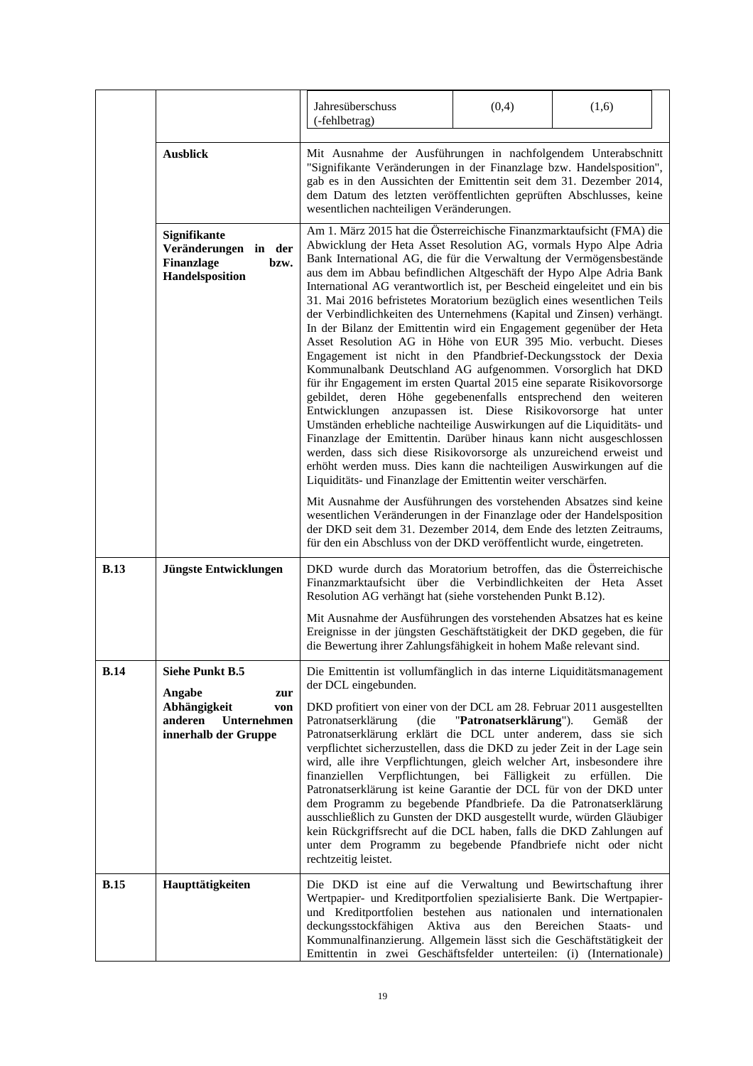|             |                                                                                                                  | Jahresüberschuss<br>(-fehlbetrag)                                                                                                                                                                                                                                                                                                                                                                                                                                                                                                                                                                                                                                                                                                                                                                                                                                                                                                                                                                                                                                                                                                                                                                                                                                                                                                                                            | (0,4)                                       | (1,6)                                          |
|-------------|------------------------------------------------------------------------------------------------------------------|------------------------------------------------------------------------------------------------------------------------------------------------------------------------------------------------------------------------------------------------------------------------------------------------------------------------------------------------------------------------------------------------------------------------------------------------------------------------------------------------------------------------------------------------------------------------------------------------------------------------------------------------------------------------------------------------------------------------------------------------------------------------------------------------------------------------------------------------------------------------------------------------------------------------------------------------------------------------------------------------------------------------------------------------------------------------------------------------------------------------------------------------------------------------------------------------------------------------------------------------------------------------------------------------------------------------------------------------------------------------------|---------------------------------------------|------------------------------------------------|
|             | <b>Ausblick</b>                                                                                                  | Mit Ausnahme der Ausführungen in nachfolgendem Unterabschnitt<br>"Signifikante Veränderungen in der Finanzlage bzw. Handelsposition",<br>gab es in den Aussichten der Emittentin seit dem 31. Dezember 2014,<br>dem Datum des letzten veröffentlichten geprüften Abschlusses, keine<br>wesentlichen nachteiligen Veränderungen.                                                                                                                                                                                                                                                                                                                                                                                                                                                                                                                                                                                                                                                                                                                                                                                                                                                                                                                                                                                                                                              |                                             |                                                |
|             | <b>Signifikante</b><br>Veränderungen in der<br>Finanzlage<br>bzw.<br>Handelsposition                             | Am 1. März 2015 hat die Österreichische Finanzmarktaufsicht (FMA) die<br>Abwicklung der Heta Asset Resolution AG, vormals Hypo Alpe Adria<br>Bank International AG, die für die Verwaltung der Vermögensbestände<br>aus dem im Abbau befindlichen Altgeschäft der Hypo Alpe Adria Bank<br>International AG verantwortlich ist, per Bescheid eingeleitet und ein bis<br>31. Mai 2016 befristetes Moratorium bezüglich eines wesentlichen Teils<br>der Verbindlichkeiten des Unternehmens (Kapital und Zinsen) verhängt.<br>In der Bilanz der Emittentin wird ein Engagement gegenüber der Heta<br>Asset Resolution AG in Höhe von EUR 395 Mio. verbucht. Dieses<br>Engagement ist nicht in den Pfandbrief-Deckungsstock der Dexia<br>Kommunalbank Deutschland AG aufgenommen. Vorsorglich hat DKD<br>für ihr Engagement im ersten Quartal 2015 eine separate Risikovorsorge<br>gebildet, deren Höhe gegebenenfalls entsprechend den weiteren<br>Entwicklungen anzupassen ist. Diese Risikovorsorge hat unter<br>Umständen erhebliche nachteilige Auswirkungen auf die Liquiditäts- und<br>Finanzlage der Emittentin. Darüber hinaus kann nicht ausgeschlossen<br>werden, dass sich diese Risikovorsorge als unzureichend erweist und<br>erhöht werden muss. Dies kann die nachteiligen Auswirkungen auf die<br>Liquiditäts- und Finanzlage der Emittentin weiter verschärfen. |                                             |                                                |
|             |                                                                                                                  | Mit Ausnahme der Ausführungen des vorstehenden Absatzes sind keine<br>wesentlichen Veränderungen in der Finanzlage oder der Handelsposition<br>der DKD seit dem 31. Dezember 2014, dem Ende des letzten Zeitraums,<br>für den ein Abschluss von der DKD veröffentlicht wurde, eingetreten.                                                                                                                                                                                                                                                                                                                                                                                                                                                                                                                                                                                                                                                                                                                                                                                                                                                                                                                                                                                                                                                                                   |                                             |                                                |
| <b>B.13</b> | Jüngste Entwicklungen                                                                                            | DKD wurde durch das Moratorium betroffen, das die Österreichische<br>Finanzmarktaufsicht über die Verbindlichkeiten der Heta Asset<br>Resolution AG verhängt hat (siehe vorstehenden Punkt B.12).<br>Mit Ausnahme der Ausführungen des vorstehenden Absatzes hat es keine                                                                                                                                                                                                                                                                                                                                                                                                                                                                                                                                                                                                                                                                                                                                                                                                                                                                                                                                                                                                                                                                                                    |                                             |                                                |
|             |                                                                                                                  | Ereignisse in der jüngsten Geschäftstätigkeit der DKD gegeben, die für<br>die Bewertung ihrer Zahlungsfähigkeit in hohem Maße relevant sind.                                                                                                                                                                                                                                                                                                                                                                                                                                                                                                                                                                                                                                                                                                                                                                                                                                                                                                                                                                                                                                                                                                                                                                                                                                 |                                             |                                                |
| <b>B.14</b> | <b>Siehe Punkt B.5</b><br>Angabe<br>zur<br>Abhängigkeit<br>von<br>anderen<br>Unternehmen<br>innerhalb der Gruppe | Die Emittentin ist vollumfänglich in das interne Liquiditätsmanagement<br>der DCL eingebunden.<br>DKD profitiert von einer von der DCL am 28. Februar 2011 ausgestellten<br>(die<br>Patronatserklärung<br>Patronatserklärung erklärt die DCL unter anderem, dass sie sich<br>verpflichtet sicherzustellen, dass die DKD zu jeder Zeit in der Lage sein<br>wird, alle ihre Verpflichtungen, gleich welcher Art, insbesondere ihre<br>finanziellen Verpflichtungen,<br>Patronatserklärung ist keine Garantie der DCL für von der DKD unter<br>dem Programm zu begebende Pfandbriefe. Da die Patronatserklärung<br>ausschließlich zu Gunsten der DKD ausgestellt wurde, würden Gläubiger<br>kein Rückgriffsrecht auf die DCL haben, falls die DKD Zahlungen auf<br>unter dem Programm zu begebende Pfandbriefe nicht oder nicht<br>rechtzeitig leistet.                                                                                                                                                                                                                                                                                                                                                                                                                                                                                                                         | "Patronatserklärung").<br>bei<br>Fälligkeit | Gemäß<br>der<br>${\bf zu}$<br>erfüllen.<br>Die |
| <b>B.15</b> | Haupttätigkeiten                                                                                                 | Die DKD ist eine auf die Verwaltung und Bewirtschaftung ihrer<br>Wertpapier- und Kreditportfolien spezialisierte Bank. Die Wertpapier-<br>und Kreditportfolien bestehen aus nationalen und internationalen<br>deckungsstockfähigen<br>Aktiva<br>Kommunalfinanzierung. Allgemein lässt sich die Geschäftstätigkeit der<br>Emittentin in zwei Geschäftsfelder unterteilen: (i) (Internationale)                                                                                                                                                                                                                                                                                                                                                                                                                                                                                                                                                                                                                                                                                                                                                                                                                                                                                                                                                                                | den<br>aus                                  | Bereichen<br>Staats-<br>und                    |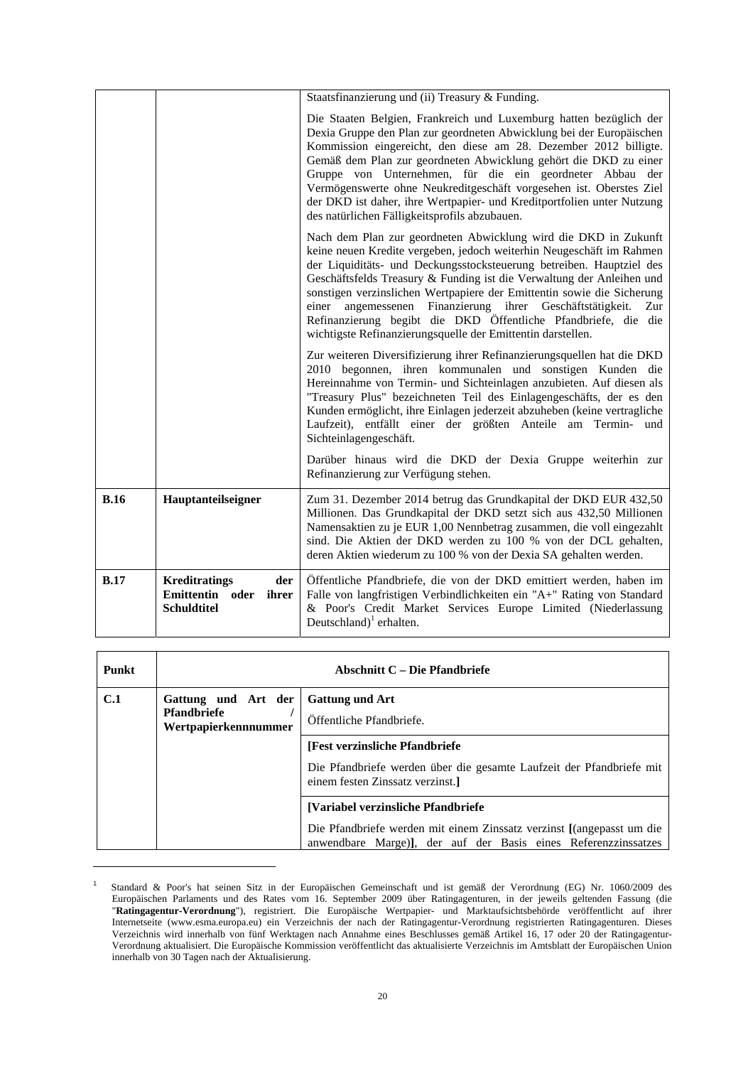|             |                                                                               | Staatsfinanzierung und (ii) Treasury & Funding.                                                                                                                                                                                                                                                                                                                                                                                                                                                                                                                            |
|-------------|-------------------------------------------------------------------------------|----------------------------------------------------------------------------------------------------------------------------------------------------------------------------------------------------------------------------------------------------------------------------------------------------------------------------------------------------------------------------------------------------------------------------------------------------------------------------------------------------------------------------------------------------------------------------|
|             |                                                                               | Die Staaten Belgien, Frankreich und Luxemburg hatten bezüglich der<br>Dexia Gruppe den Plan zur geordneten Abwicklung bei der Europäischen<br>Kommission eingereicht, den diese am 28. Dezember 2012 billigte.<br>Gemäß dem Plan zur geordneten Abwicklung gehört die DKD zu einer<br>Gruppe von Unternehmen, für die ein geordneter Abbau der<br>Vermögenswerte ohne Neukreditgeschäft vorgesehen ist. Oberstes Ziel<br>der DKD ist daher, ihre Wertpapier- und Kreditportfolien unter Nutzung<br>des natürlichen Fälligkeitsprofils abzubauen.                           |
|             |                                                                               | Nach dem Plan zur geordneten Abwicklung wird die DKD in Zukunft<br>keine neuen Kredite vergeben, jedoch weiterhin Neugeschäft im Rahmen<br>der Liquiditäts- und Deckungsstocksteuerung betreiben. Hauptziel des<br>Geschäftsfelds Treasury & Funding ist die Verwaltung der Anleihen und<br>sonstigen verzinslichen Wertpapiere der Emittentin sowie die Sicherung<br>angemessenen Finanzierung ihrer Geschäftstätigkeit.<br>einer<br>Zur<br>Refinanzierung begibt die DKD Öffentliche Pfandbriefe, die die<br>wichtigste Refinanzierungsquelle der Emittentin darstellen. |
|             |                                                                               | Zur weiteren Diversifizierung ihrer Refinanzierungsquellen hat die DKD<br>2010 begonnen, ihren kommunalen und sonstigen Kunden die<br>Hereinnahme von Termin- und Sichteinlagen anzubieten. Auf diesen als<br>"Treasury Plus" bezeichneten Teil des Einlagengeschäfts, der es den<br>Kunden ermöglicht, ihre Einlagen jederzeit abzuheben (keine vertragliche<br>Laufzeit), entfällt einer der größten Anteile am Termin- und<br>Sichteinlagengeschäft.                                                                                                                    |
|             |                                                                               | Darüber hinaus wird die DKD der Dexia Gruppe weiterhin zur<br>Refinanzierung zur Verfügung stehen.                                                                                                                                                                                                                                                                                                                                                                                                                                                                         |
| <b>B.16</b> | Hauptanteilseigner                                                            | Zum 31. Dezember 2014 betrug das Grundkapital der DKD EUR 432,50<br>Millionen. Das Grundkapital der DKD setzt sich aus 432,50 Millionen<br>Namensaktien zu je EUR 1,00 Nennbetrag zusammen, die voll eingezahlt<br>sind. Die Aktien der DKD werden zu 100 % von der DCL gehalten,<br>deren Aktien wiederum zu 100 % von der Dexia SA gehalten werden.                                                                                                                                                                                                                      |
| B.17        | <b>Kreditratings</b><br>der<br>Emittentin oder<br>ihrer<br><b>Schuldtitel</b> | Öffentliche Pfandbriefe, die von der DKD emittiert werden, haben im<br>Falle von langfristigen Verbindlichkeiten ein "A+" Rating von Standard<br>& Poor's Credit Market Services Europe Limited (Niederlassung<br>Deutschland) <sup>1</sup> erhalten.                                                                                                                                                                                                                                                                                                                      |

| <b>Punkt</b> | Abschnitt C – Die Pfandbriefe                 |                                                                                                                                        |
|--------------|-----------------------------------------------|----------------------------------------------------------------------------------------------------------------------------------------|
| C.1          | <b>Gattung und Art</b><br>Gattung und Art der |                                                                                                                                        |
|              | <b>Pfandbriefe</b><br>Wertpapierkennnummer    | Öffentliche Pfandbriefe.                                                                                                               |
|              |                                               | [Fest verzinsliche Pfandbriefe]                                                                                                        |
|              |                                               | Die Pfandbriefe werden über die gesamte Laufzeit der Pfandbriefe mit<br>einem festen Zinssatz verzinst.                                |
|              |                                               | [Variabel verzinsliche Pfandbriefe]                                                                                                    |
|              |                                               | Die Pfandbriefe werden mit einem Zinssatz verzinst [(angepasst um die<br>anwendbare Marge), der auf der Basis eines Referenzzinssatzes |

<sup>1</sup> Standard & Poor's hat seinen Sitz in der Europäischen Gemeinschaft und ist gemäß der Verordnung (EG) Nr. 1060/2009 des Europäischen Parlaments und des Rates vom 16. September 2009 über Ratingagenturen, in der jeweils geltenden Fassung (die "**Ratingagentur-Verordnung**"), registriert. Die Europäische Wertpapier- und Marktaufsichtsbehörde veröffentlicht auf ihrer Internetseite (www.esma.europa.eu) ein Verzeichnis der nach der Ratingagentur-Verordnung registrierten Ratingagenturen. Dieses Verzeichnis wird innerhalb von fünf Werktagen nach Annahme eines Beschlusses gemäß Artikel 16, 17 oder 20 der Ratingagentur-Verordnung aktualisiert. Die Europäische Kommission veröffentlicht das aktualisierte Verzeichnis im Amtsblatt der Europäischen Union innerhalb von 30 Tagen nach der Aktualisierung.

 $\overline{a}$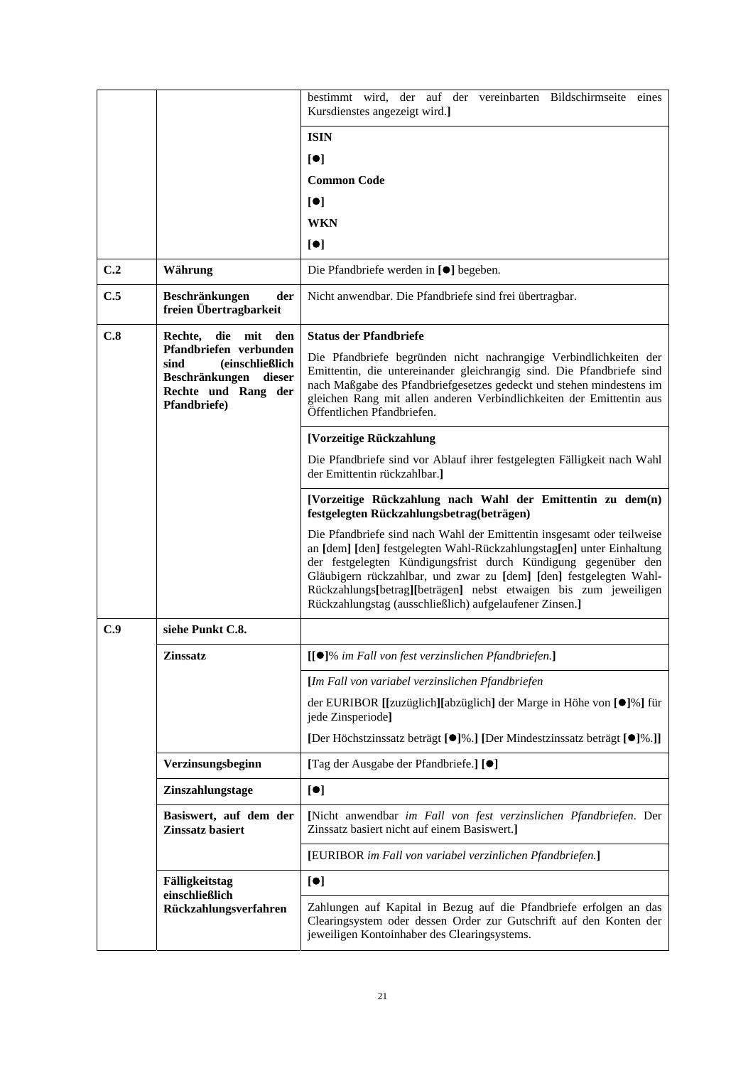|     |                                                                                                                             | bestimmt wird, der auf der vereinbarten Bildschirmseite eines<br>Kursdienstes angezeigt wird.]                                                                                                                                                                                                                                                                                                                         |  |  |
|-----|-----------------------------------------------------------------------------------------------------------------------------|------------------------------------------------------------------------------------------------------------------------------------------------------------------------------------------------------------------------------------------------------------------------------------------------------------------------------------------------------------------------------------------------------------------------|--|--|
|     | <b>ISIN</b>                                                                                                                 |                                                                                                                                                                                                                                                                                                                                                                                                                        |  |  |
|     |                                                                                                                             | $\lbrack \bullet \rbrack$                                                                                                                                                                                                                                                                                                                                                                                              |  |  |
|     |                                                                                                                             | <b>Common Code</b>                                                                                                                                                                                                                                                                                                                                                                                                     |  |  |
|     |                                                                                                                             | [•]                                                                                                                                                                                                                                                                                                                                                                                                                    |  |  |
|     |                                                                                                                             | <b>WKN</b>                                                                                                                                                                                                                                                                                                                                                                                                             |  |  |
|     |                                                                                                                             | [•]                                                                                                                                                                                                                                                                                                                                                                                                                    |  |  |
| C.2 | Währung                                                                                                                     | Die Pfandbriefe werden in [●] begeben.                                                                                                                                                                                                                                                                                                                                                                                 |  |  |
| C.5 | der<br>Beschränkungen<br>freien Übertragbarkeit                                                                             | Nicht anwendbar. Die Pfandbriefe sind frei übertragbar.                                                                                                                                                                                                                                                                                                                                                                |  |  |
| C.8 | die mit<br>Rechte,<br>den                                                                                                   | <b>Status der Pfandbriefe</b>                                                                                                                                                                                                                                                                                                                                                                                          |  |  |
|     | Pfandbriefen verbunden<br><i>(einschließlich</i><br>sind<br>Beschränkungen<br>dieser<br>Rechte und Rang der<br>Pfandbriefe) | Die Pfandbriefe begründen nicht nachrangige Verbindlichkeiten der<br>Emittentin, die untereinander gleichrangig sind. Die Pfandbriefe sind<br>nach Maßgabe des Pfandbriefgesetzes gedeckt und stehen mindestens im<br>gleichen Rang mit allen anderen Verbindlichkeiten der Emittentin aus<br>Öffentlichen Pfandbriefen.                                                                                               |  |  |
|     |                                                                                                                             | [Vorzeitige Rückzahlung                                                                                                                                                                                                                                                                                                                                                                                                |  |  |
|     |                                                                                                                             | Die Pfandbriefe sind vor Ablauf ihrer festgelegten Fälligkeit nach Wahl<br>der Emittentin rückzahlbar.]                                                                                                                                                                                                                                                                                                                |  |  |
|     |                                                                                                                             | [Vorzeitige Rückzahlung nach Wahl der Emittentin zu dem(n)<br>festgelegten Rückzahlungsbetrag(beträgen)                                                                                                                                                                                                                                                                                                                |  |  |
|     |                                                                                                                             | Die Pfandbriefe sind nach Wahl der Emittentin insgesamt oder teilweise<br>an [dem] [den] festgelegten Wahl-Rückzahlungstag[en] unter Einhaltung<br>der festgelegten Kündigungsfrist durch Kündigung gegenüber den<br>Gläubigern rückzahlbar, und zwar zu [dem] [den] festgelegten Wahl-<br>Rückzahlungs[betrag][beträgen] nebst etwaigen bis zum jeweiligen<br>Rückzahlungstag (ausschließlich) aufgelaufener Zinsen.] |  |  |
| C.9 | siehe Punkt C.8.                                                                                                            |                                                                                                                                                                                                                                                                                                                                                                                                                        |  |  |
|     | Zinssatz                                                                                                                    | [[●]% im Fall von fest verzinslichen Pfandbriefen.]                                                                                                                                                                                                                                                                                                                                                                    |  |  |
|     |                                                                                                                             | [Im Fall von variabel verzinslichen Pfandbriefen                                                                                                                                                                                                                                                                                                                                                                       |  |  |
|     |                                                                                                                             | der EURIBOR [[zuzüglich][abzüglich] der Marge in Höhe von [●]%] für<br>jede Zinsperiode]                                                                                                                                                                                                                                                                                                                               |  |  |
|     |                                                                                                                             | [Der Höchstzinssatz beträgt [ <sup>•</sup> ]%.] [Der Mindestzinssatz beträgt [ <sup>•</sup> ]%.]]                                                                                                                                                                                                                                                                                                                      |  |  |
|     | Verzinsungsbeginn                                                                                                           | [Tag der Ausgabe der Pfandbriefe.] [●]                                                                                                                                                                                                                                                                                                                                                                                 |  |  |
|     | Zinszahlungstage<br>[•]                                                                                                     |                                                                                                                                                                                                                                                                                                                                                                                                                        |  |  |
|     | Basiswert, auf dem der<br>Zinssatz basiert                                                                                  | [Nicht anwendbar im Fall von fest verzinslichen Pfandbriefen. Der<br>Zinssatz basiert nicht auf einem Basiswert.]                                                                                                                                                                                                                                                                                                      |  |  |
|     |                                                                                                                             | [EURIBOR im Fall von variabel verzinlichen Pfandbriefen.]                                                                                                                                                                                                                                                                                                                                                              |  |  |
|     | Fälligkeitstag                                                                                                              | [•]                                                                                                                                                                                                                                                                                                                                                                                                                    |  |  |
|     | einschließlich<br>Rückzahlungsverfahren                                                                                     | Zahlungen auf Kapital in Bezug auf die Pfandbriefe erfolgen an das<br>Clearingsystem oder dessen Order zur Gutschrift auf den Konten der<br>jeweiligen Kontoinhaber des Clearingsystems.                                                                                                                                                                                                                               |  |  |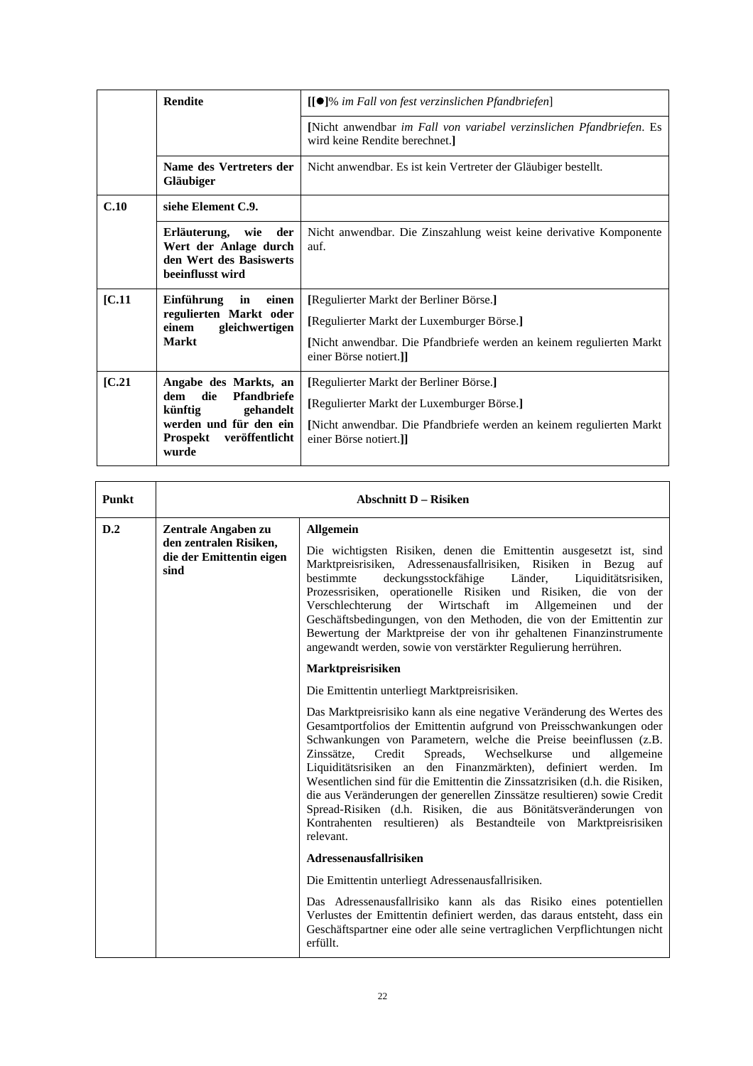|        | <b>Rendite</b>                                                                                                                                     | [[●]% im Fall von fest verzinslichen Pfandbriefen]                                                                                                                                     |
|--------|----------------------------------------------------------------------------------------------------------------------------------------------------|----------------------------------------------------------------------------------------------------------------------------------------------------------------------------------------|
|        |                                                                                                                                                    | [Nicht anwendbar im Fall von variabel verzinslichen Pfandbriefen. Es<br>wird keine Rendite berechnet.                                                                                  |
|        | Name des Vertreters der<br>Gläubiger                                                                                                               | Nicht anwendbar. Es ist kein Vertreter der Gläubiger bestellt.                                                                                                                         |
| C.10   | siehe Element C.9.                                                                                                                                 |                                                                                                                                                                                        |
|        | Erläuterung, wie der<br>Wert der Anlage durch<br>den Wert des Basiswerts<br>beeinflusst wird                                                       | Nicht anwendbar. Die Zinszahlung weist keine derivative Komponente<br>auf.                                                                                                             |
| [C.11] | Einführung<br>in<br>einen<br>regulierten Markt oder<br>gleichwertigen<br>einem<br>Markt                                                            | [Regulierter Markt der Berliner Börse.]<br>[Regulierter Markt der Luxemburger Börse.]<br>[Nicht anwendbar. Die Pfandbriefe werden an keinem regulierten Markt<br>einer Börse notiert.] |
| [C.21] | Angabe des Markts, an<br>Pfandbriefe<br>die<br>dem<br>künftig<br>gehandelt<br>werden und für den ein<br><b>Prospekt</b><br>veröffentlicht<br>wurde | [Regulierter Markt der Berliner Börse.]<br>[Regulierter Markt der Luxemburger Börse.]<br>Nicht anwendbar. Die Pfandbriefe werden an keinem regulierten Markt<br>einer Börse notiert.]] |

| Punkt | <b>Abschnitt D - Risiken</b>                               |                                                                                                                                                                                                                                                                                                                                                                                                                                                                                                                                                                                                                                                                        |
|-------|------------------------------------------------------------|------------------------------------------------------------------------------------------------------------------------------------------------------------------------------------------------------------------------------------------------------------------------------------------------------------------------------------------------------------------------------------------------------------------------------------------------------------------------------------------------------------------------------------------------------------------------------------------------------------------------------------------------------------------------|
| D.2   | Zentrale Angaben zu                                        | <b>Allgemein</b>                                                                                                                                                                                                                                                                                                                                                                                                                                                                                                                                                                                                                                                       |
|       | den zentralen Risiken,<br>die der Emittentin eigen<br>sind | Die wichtigsten Risiken, denen die Emittentin ausgesetzt ist, sind<br>Marktpreisrisiken, Adressenausfallrisiken, Risiken in Bezug<br>auf<br>bestimmte<br>deckungsstockfähige<br>Länder,<br>Liquiditätsrisiken,<br>Prozessrisiken, operationelle Risiken und Risiken, die von<br>der<br>Verschlechterung der Wirtschaft im Allgemeinen<br>und<br>der<br>Geschäftsbedingungen, von den Methoden, die von der Emittentin zur<br>Bewertung der Marktpreise der von ihr gehaltenen Finanzinstrumente<br>angewandt werden, sowie von verstärkter Regulierung herrühren.                                                                                                      |
|       |                                                            | Marktpreisrisiken                                                                                                                                                                                                                                                                                                                                                                                                                                                                                                                                                                                                                                                      |
|       |                                                            | Die Emittentin unterliegt Marktpreisrisiken.                                                                                                                                                                                                                                                                                                                                                                                                                                                                                                                                                                                                                           |
|       |                                                            | Das Marktpreisrisiko kann als eine negative Veränderung des Wertes des<br>Gesamtportfolios der Emittentin aufgrund von Preisschwankungen oder<br>Schwankungen von Parametern, welche die Preise beeinflussen (z.B.<br>Zinssätze, Credit<br>Spreads, Wechselkurse<br>und<br>allgemeine<br>Liquiditätsrisiken an den Finanzmärkten), definiert werden. Im<br>Wesentlichen sind für die Emittentin die Zinssatzrisiken (d.h. die Risiken,<br>die aus Veränderungen der generellen Zinssätze resultieren) sowie Credit<br>Spread-Risiken (d.h. Risiken, die aus Bönitätsveränderungen von<br>Kontrahenten resultieren) als Bestandteile von Marktpreisrisiken<br>relevant. |
|       |                                                            | Adressenausfallrisiken                                                                                                                                                                                                                                                                                                                                                                                                                                                                                                                                                                                                                                                 |
|       |                                                            | Die Emittentin unterliegt Adressenausfallrisiken.                                                                                                                                                                                                                                                                                                                                                                                                                                                                                                                                                                                                                      |
|       |                                                            | Das Adressenausfallrisiko kann als das Risiko eines potentiellen<br>Verlustes der Emittentin definiert werden, das daraus entsteht, dass ein<br>Geschäftspartner eine oder alle seine vertraglichen Verpflichtungen nicht<br>erfüllt.                                                                                                                                                                                                                                                                                                                                                                                                                                  |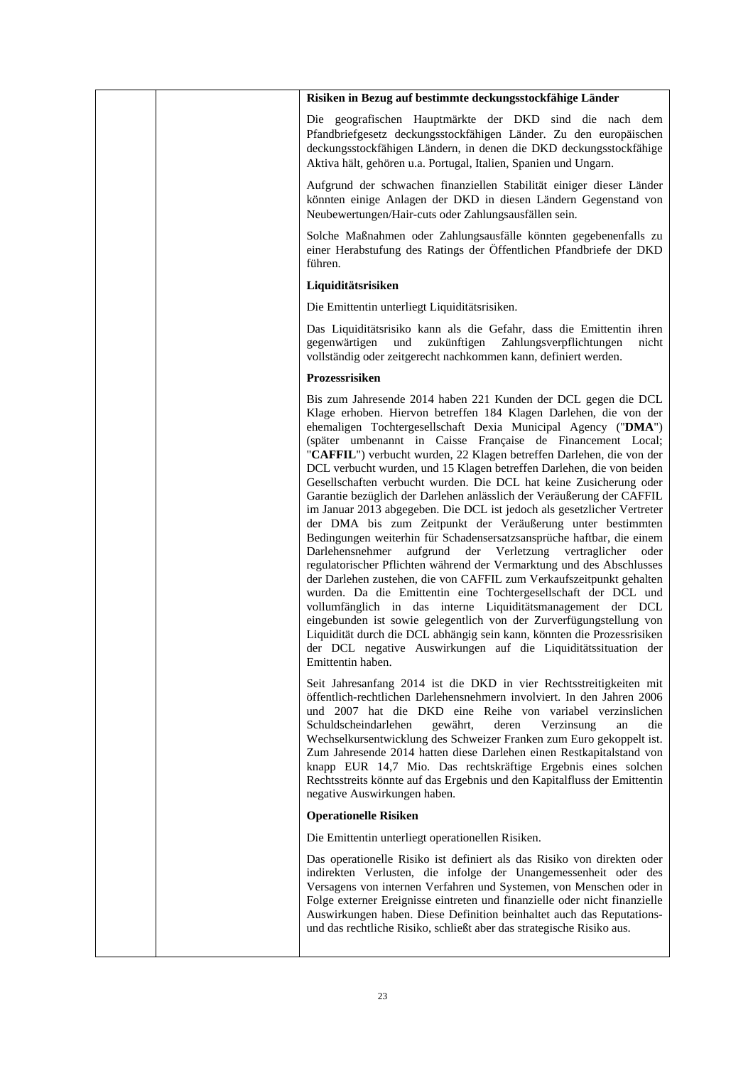|  | Risiken in Bezug auf bestimmte deckungsstockfähige Länder                                                                                                                                                                                                                                                                                                                                                                                                                                                                                                                                                                                                                                                                                                                                                                                                                                                                                                                                                                                                                                                                                                                                                                                                                                                                                                                               |
|--|-----------------------------------------------------------------------------------------------------------------------------------------------------------------------------------------------------------------------------------------------------------------------------------------------------------------------------------------------------------------------------------------------------------------------------------------------------------------------------------------------------------------------------------------------------------------------------------------------------------------------------------------------------------------------------------------------------------------------------------------------------------------------------------------------------------------------------------------------------------------------------------------------------------------------------------------------------------------------------------------------------------------------------------------------------------------------------------------------------------------------------------------------------------------------------------------------------------------------------------------------------------------------------------------------------------------------------------------------------------------------------------------|
|  | Die geografischen Hauptmärkte der DKD sind die nach dem<br>Pfandbriefgesetz deckungsstockfähigen Länder. Zu den europäischen<br>deckungsstockfähigen Ländern, in denen die DKD deckungsstockfähige<br>Aktiva hält, gehören u.a. Portugal, Italien, Spanien und Ungarn.                                                                                                                                                                                                                                                                                                                                                                                                                                                                                                                                                                                                                                                                                                                                                                                                                                                                                                                                                                                                                                                                                                                  |
|  | Aufgrund der schwachen finanziellen Stabilität einiger dieser Länder<br>könnten einige Anlagen der DKD in diesen Ländern Gegenstand von<br>Neubewertungen/Hair-cuts oder Zahlungsausfällen sein.                                                                                                                                                                                                                                                                                                                                                                                                                                                                                                                                                                                                                                                                                                                                                                                                                                                                                                                                                                                                                                                                                                                                                                                        |
|  | Solche Maßnahmen oder Zahlungsausfälle könnten gegebenenfalls zu<br>einer Herabstufung des Ratings der Öffentlichen Pfandbriefe der DKD<br>führen.                                                                                                                                                                                                                                                                                                                                                                                                                                                                                                                                                                                                                                                                                                                                                                                                                                                                                                                                                                                                                                                                                                                                                                                                                                      |
|  | Liquiditätsrisiken                                                                                                                                                                                                                                                                                                                                                                                                                                                                                                                                                                                                                                                                                                                                                                                                                                                                                                                                                                                                                                                                                                                                                                                                                                                                                                                                                                      |
|  | Die Emittentin unterliegt Liquiditätsrisiken.                                                                                                                                                                                                                                                                                                                                                                                                                                                                                                                                                                                                                                                                                                                                                                                                                                                                                                                                                                                                                                                                                                                                                                                                                                                                                                                                           |
|  | Das Liquiditätsrisiko kann als die Gefahr, dass die Emittentin ihren<br>gegenwärtigen<br>und<br>zukünftigen Zahlungsverpflichtungen<br>nicht<br>vollständig oder zeitgerecht nachkommen kann, definiert werden.                                                                                                                                                                                                                                                                                                                                                                                                                                                                                                                                                                                                                                                                                                                                                                                                                                                                                                                                                                                                                                                                                                                                                                         |
|  | Prozessrisiken                                                                                                                                                                                                                                                                                                                                                                                                                                                                                                                                                                                                                                                                                                                                                                                                                                                                                                                                                                                                                                                                                                                                                                                                                                                                                                                                                                          |
|  | Bis zum Jahresende 2014 haben 221 Kunden der DCL gegen die DCL<br>Klage erhoben. Hiervon betreffen 184 Klagen Darlehen, die von der<br>ehemaligen Tochtergesellschaft Dexia Municipal Agency ("DMA")<br>(später umbenannt in Caisse Française de Financement Local;<br>"CAFFIL") verbucht wurden, 22 Klagen betreffen Darlehen, die von der<br>DCL verbucht wurden, und 15 Klagen betreffen Darlehen, die von beiden<br>Gesellschaften verbucht wurden. Die DCL hat keine Zusicherung oder<br>Garantie bezüglich der Darlehen anlässlich der Veräußerung der CAFFIL<br>im Januar 2013 abgegeben. Die DCL ist jedoch als gesetzlicher Vertreter<br>der DMA bis zum Zeitpunkt der Veräußerung unter bestimmten<br>Bedingungen weiterhin für Schadensersatzsansprüche haftbar, die einem<br>Darlehensnehmer<br>der Verletzung vertraglicher<br>aufgrund<br>oder<br>regulatorischer Pflichten während der Vermarktung und des Abschlusses<br>der Darlehen zustehen, die von CAFFIL zum Verkaufszeitpunkt gehalten<br>wurden. Da die Emittentin eine Tochtergesellschaft der DCL und<br>vollumfänglich in das interne Liquiditätsmanagement der DCL<br>eingebunden ist sowie gelegentlich von der Zurverfügungstellung von<br>Liquidität durch die DCL abhängig sein kann, könnten die Prozessrisiken<br>der DCL negative Auswirkungen auf die Liquiditätssituation der<br>Emittentin haben. |
|  | Seit Jahresanfang 2014 ist die DKD in vier Rechtsstreitigkeiten mit<br>öffentlich-rechtlichen Darlehensnehmern involviert. In den Jahren 2006<br>und 2007 hat die DKD eine Reihe von variabel verzinslichen<br>gewährt,<br>deren<br>Verzinsung<br>Schuldscheindarlehen<br>die<br>an<br>Wechselkursentwicklung des Schweizer Franken zum Euro gekoppelt ist.<br>Zum Jahresende 2014 hatten diese Darlehen einen Restkapitalstand von<br>knapp EUR 14,7 Mio. Das rechtskräftige Ergebnis eines solchen<br>Rechtsstreits könnte auf das Ergebnis und den Kapitalfluss der Emittentin<br>negative Auswirkungen haben.                                                                                                                                                                                                                                                                                                                                                                                                                                                                                                                                                                                                                                                                                                                                                                       |
|  | <b>Operationelle Risiken</b>                                                                                                                                                                                                                                                                                                                                                                                                                                                                                                                                                                                                                                                                                                                                                                                                                                                                                                                                                                                                                                                                                                                                                                                                                                                                                                                                                            |
|  | Die Emittentin unterliegt operationellen Risiken.                                                                                                                                                                                                                                                                                                                                                                                                                                                                                                                                                                                                                                                                                                                                                                                                                                                                                                                                                                                                                                                                                                                                                                                                                                                                                                                                       |
|  | Das operationelle Risiko ist definiert als das Risiko von direkten oder<br>indirekten Verlusten, die infolge der Unangemessenheit oder des<br>Versagens von internen Verfahren und Systemen, von Menschen oder in<br>Folge externer Ereignisse eintreten und finanzielle oder nicht finanzielle<br>Auswirkungen haben. Diese Definition beinhaltet auch das Reputations-<br>und das rechtliche Risiko, schließt aber das strategische Risiko aus.                                                                                                                                                                                                                                                                                                                                                                                                                                                                                                                                                                                                                                                                                                                                                                                                                                                                                                                                       |
|  |                                                                                                                                                                                                                                                                                                                                                                                                                                                                                                                                                                                                                                                                                                                                                                                                                                                                                                                                                                                                                                                                                                                                                                                                                                                                                                                                                                                         |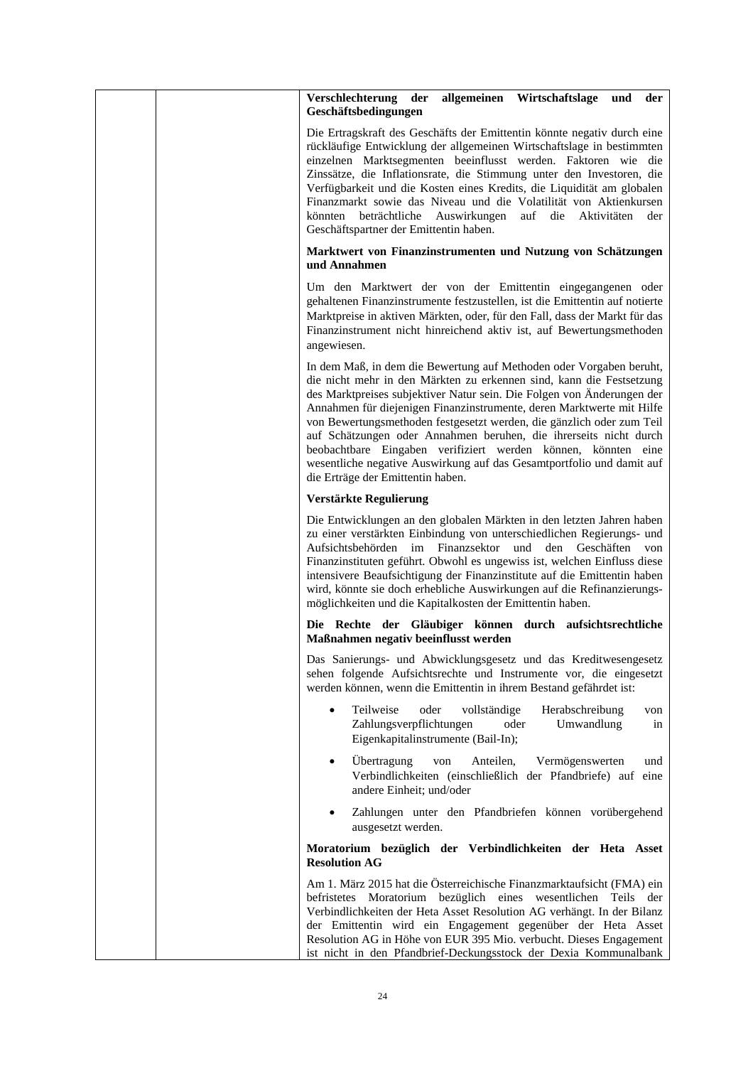|  | allgemeinen Wirtschaftslage<br>Verschlechterung<br>der<br>der<br>und<br>Geschäftsbedingungen                                                                                                                                                                                                                                                                                                                                                                                                                                                                                                                                |
|--|-----------------------------------------------------------------------------------------------------------------------------------------------------------------------------------------------------------------------------------------------------------------------------------------------------------------------------------------------------------------------------------------------------------------------------------------------------------------------------------------------------------------------------------------------------------------------------------------------------------------------------|
|  | Die Ertragskraft des Geschäfts der Emittentin könnte negativ durch eine<br>rückläufige Entwicklung der allgemeinen Wirtschaftslage in bestimmten<br>einzelnen Marktsegmenten beeinflusst werden. Faktoren wie die<br>Zinssätze, die Inflationsrate, die Stimmung unter den Investoren, die<br>Verfügbarkeit und die Kosten eines Kredits, die Liquidität am globalen<br>Finanzmarkt sowie das Niveau und die Volatilität von Aktienkursen<br>könnten beträchtliche Auswirkungen auf die Aktivitäten der<br>Geschäftspartner der Emittentin haben.                                                                           |
|  | Marktwert von Finanzinstrumenten und Nutzung von Schätzungen<br>und Annahmen                                                                                                                                                                                                                                                                                                                                                                                                                                                                                                                                                |
|  | Um den Marktwert der von der Emittentin eingegangenen oder<br>gehaltenen Finanzinstrumente festzustellen, ist die Emittentin auf notierte<br>Marktpreise in aktiven Märkten, oder, für den Fall, dass der Markt für das<br>Finanzinstrument nicht hinreichend aktiv ist, auf Bewertungsmethoden<br>angewiesen.                                                                                                                                                                                                                                                                                                              |
|  | In dem Maß, in dem die Bewertung auf Methoden oder Vorgaben beruht,<br>die nicht mehr in den Märkten zu erkennen sind, kann die Festsetzung<br>des Marktpreises subjektiver Natur sein. Die Folgen von Änderungen der<br>Annahmen für diejenigen Finanzinstrumente, deren Marktwerte mit Hilfe<br>von Bewertungsmethoden festgesetzt werden, die gänzlich oder zum Teil<br>auf Schätzungen oder Annahmen beruhen, die ihrerseits nicht durch<br>beobachtbare Eingaben verifiziert werden können, könnten eine<br>wesentliche negative Auswirkung auf das Gesamtportfolio und damit auf<br>die Erträge der Emittentin haben. |
|  | Verstärkte Regulierung                                                                                                                                                                                                                                                                                                                                                                                                                                                                                                                                                                                                      |
|  | Die Entwicklungen an den globalen Märkten in den letzten Jahren haben<br>zu einer verstärkten Einbindung von unterschiedlichen Regierungs- und<br>Aufsichtsbehörden im Finanzsektor<br>und den<br>Geschäften von<br>Finanzinstituten geführt. Obwohl es ungewiss ist, welchen Einfluss diese<br>intensivere Beaufsichtigung der Finanzinstitute auf die Emittentin haben<br>wird, könnte sie doch erhebliche Auswirkungen auf die Refinanzierungs-<br>möglichkeiten und die Kapitalkosten der Emittentin haben.                                                                                                             |
|  | Die Rechte der Gläubiger können durch aufsichtsrechtliche<br>Maßnahmen negativ beeinflusst werden                                                                                                                                                                                                                                                                                                                                                                                                                                                                                                                           |
|  | Das Sanierungs- und Abwicklungsgesetz und das Kreditwesengesetz<br>sehen folgende Aufsichtsrechte und Instrumente vor, die eingesetzt<br>werden können, wenn die Emittentin in ihrem Bestand gefährdet ist:                                                                                                                                                                                                                                                                                                                                                                                                                 |
|  | Teilweise<br>oder<br>vollständige<br>Herabschreibung<br>$\bullet$<br>von<br>Zahlungsverpflichtungen<br>oder<br>Umwandlung<br>in<br>Eigenkapitalinstrumente (Bail-In);                                                                                                                                                                                                                                                                                                                                                                                                                                                       |
|  | Übertragung<br>von<br>Anteilen,<br>Vermögenswerten<br>und<br>Verbindlichkeiten (einschließlich der Pfandbriefe) auf eine<br>andere Einheit; und/oder                                                                                                                                                                                                                                                                                                                                                                                                                                                                        |
|  | Zahlungen unter den Pfandbriefen können vorübergehend<br>ausgesetzt werden.                                                                                                                                                                                                                                                                                                                                                                                                                                                                                                                                                 |
|  | Moratorium bezüglich der Verbindlichkeiten der Heta Asset<br><b>Resolution AG</b>                                                                                                                                                                                                                                                                                                                                                                                                                                                                                                                                           |
|  | Am 1. März 2015 hat die Österreichische Finanzmarktaufsicht (FMA) ein<br>befristetes Moratorium bezüglich eines wesentlichen Teils der<br>Verbindlichkeiten der Heta Asset Resolution AG verhängt. In der Bilanz<br>der Emittentin wird ein Engagement gegenüber der Heta Asset<br>Resolution AG in Höhe von EUR 395 Mio. verbucht. Dieses Engagement<br>ist nicht in den Pfandbrief-Deckungsstock der Dexia Kommunalbank                                                                                                                                                                                                   |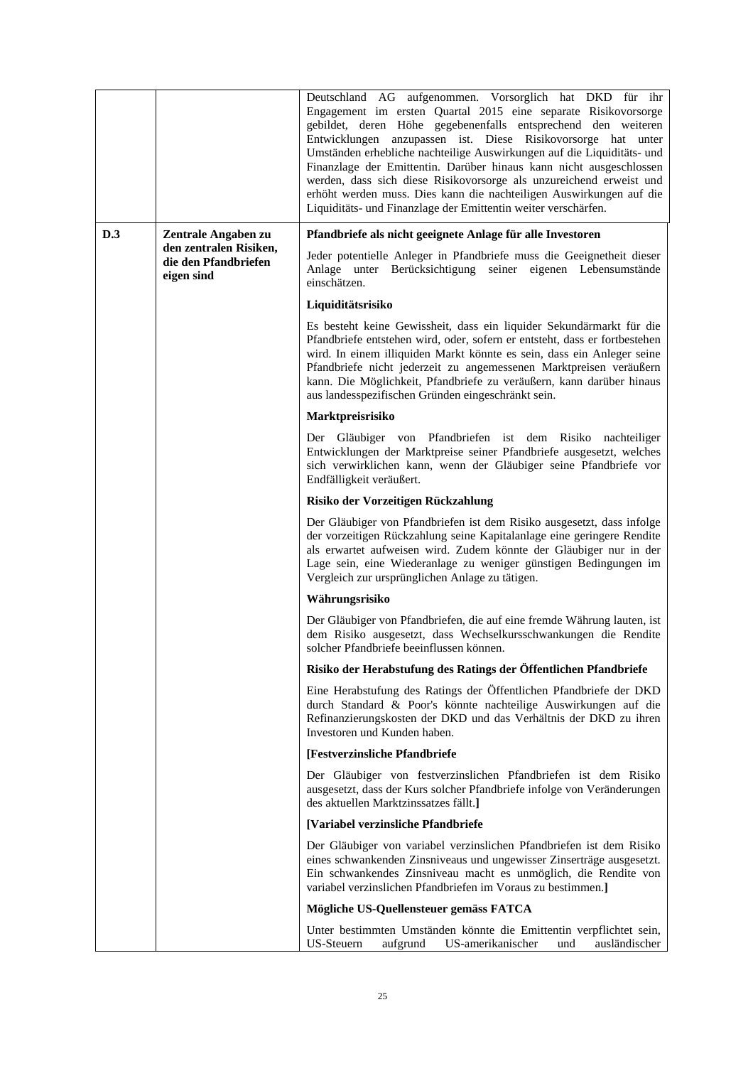|     |                                                              | Deutschland AG aufgenommen. Vorsorglich hat DKD für ihr<br>Engagement im ersten Quartal 2015 eine separate Risikovorsorge<br>gebildet, deren Höhe gegebenenfalls entsprechend den weiteren<br>Entwicklungen anzupassen ist. Diese Risikovorsorge hat unter<br>Umständen erhebliche nachteilige Auswirkungen auf die Liquiditäts- und<br>Finanzlage der Emittentin. Darüber hinaus kann nicht ausgeschlossen<br>werden, dass sich diese Risikovorsorge als unzureichend erweist und<br>erhöht werden muss. Dies kann die nachteiligen Auswirkungen auf die<br>Liquiditäts- und Finanzlage der Emittentin weiter verschärfen. |
|-----|--------------------------------------------------------------|-----------------------------------------------------------------------------------------------------------------------------------------------------------------------------------------------------------------------------------------------------------------------------------------------------------------------------------------------------------------------------------------------------------------------------------------------------------------------------------------------------------------------------------------------------------------------------------------------------------------------------|
| D.3 | Zentrale Angaben zu                                          | Pfandbriefe als nicht geeignete Anlage für alle Investoren                                                                                                                                                                                                                                                                                                                                                                                                                                                                                                                                                                  |
|     | den zentralen Risiken,<br>die den Pfandbriefen<br>eigen sind | Jeder potentielle Anleger in Pfandbriefe muss die Geeignetheit dieser<br>Anlage unter Berücksichtigung seiner eigenen Lebensumstände<br>einschätzen.                                                                                                                                                                                                                                                                                                                                                                                                                                                                        |
|     |                                                              | Liquiditätsrisiko                                                                                                                                                                                                                                                                                                                                                                                                                                                                                                                                                                                                           |
|     |                                                              | Es besteht keine Gewissheit, dass ein liquider Sekundärmarkt für die<br>Pfandbriefe entstehen wird, oder, sofern er entsteht, dass er fortbestehen<br>wird. In einem illiquiden Markt könnte es sein, dass ein Anleger seine<br>Pfandbriefe nicht jederzeit zu angemessenen Marktpreisen veräußern<br>kann. Die Möglichkeit, Pfandbriefe zu veräußern, kann darüber hinaus<br>aus landesspezifischen Gründen eingeschränkt sein.                                                                                                                                                                                            |
|     |                                                              | Marktpreisrisiko                                                                                                                                                                                                                                                                                                                                                                                                                                                                                                                                                                                                            |
|     |                                                              | Der Gläubiger von Pfandbriefen ist dem Risiko nachteiliger<br>Entwicklungen der Marktpreise seiner Pfandbriefe ausgesetzt, welches<br>sich verwirklichen kann, wenn der Gläubiger seine Pfandbriefe vor<br>Endfälligkeit veräußert.                                                                                                                                                                                                                                                                                                                                                                                         |
|     |                                                              | Risiko der Vorzeitigen Rückzahlung                                                                                                                                                                                                                                                                                                                                                                                                                                                                                                                                                                                          |
|     |                                                              | Der Gläubiger von Pfandbriefen ist dem Risiko ausgesetzt, dass infolge<br>der vorzeitigen Rückzahlung seine Kapitalanlage eine geringere Rendite<br>als erwartet aufweisen wird. Zudem könnte der Gläubiger nur in der<br>Lage sein, eine Wiederanlage zu weniger günstigen Bedingungen im<br>Vergleich zur ursprünglichen Anlage zu tätigen.                                                                                                                                                                                                                                                                               |
|     |                                                              | Währungsrisiko                                                                                                                                                                                                                                                                                                                                                                                                                                                                                                                                                                                                              |
|     |                                                              | Der Gläubiger von Pfandbriefen, die auf eine fremde Währung lauten, ist<br>dem Risiko ausgesetzt, dass Wechselkursschwankungen die Rendite<br>solcher Pfandbriefe beeinflussen können.                                                                                                                                                                                                                                                                                                                                                                                                                                      |
|     |                                                              | Risiko der Herabstufung des Ratings der Öffentlichen Pfandbriefe                                                                                                                                                                                                                                                                                                                                                                                                                                                                                                                                                            |
|     |                                                              | Eine Herabstufung des Ratings der Öffentlichen Pfandbriefe der DKD<br>durch Standard & Poor's könnte nachteilige Auswirkungen auf die<br>Refinanzierungskosten der DKD und das Verhältnis der DKD zu ihren<br>Investoren und Kunden haben.                                                                                                                                                                                                                                                                                                                                                                                  |
|     |                                                              | [Festverzinsliche Pfandbriefe                                                                                                                                                                                                                                                                                                                                                                                                                                                                                                                                                                                               |
|     |                                                              | Der Gläubiger von festverzinslichen Pfandbriefen ist dem Risiko<br>ausgesetzt, dass der Kurs solcher Pfandbriefe infolge von Veränderungen<br>des aktuellen Marktzinssatzes fällt.]                                                                                                                                                                                                                                                                                                                                                                                                                                         |
|     |                                                              | [Variabel verzinsliche Pfandbriefe                                                                                                                                                                                                                                                                                                                                                                                                                                                                                                                                                                                          |
|     |                                                              | Der Gläubiger von variabel verzinslichen Pfandbriefen ist dem Risiko<br>eines schwankenden Zinsniveaus und ungewisser Zinserträge ausgesetzt.<br>Ein schwankendes Zinsniveau macht es unmöglich, die Rendite von<br>variabel verzinslichen Pfandbriefen im Voraus zu bestimmen.]                                                                                                                                                                                                                                                                                                                                            |
|     |                                                              | Mögliche US-Quellensteuer gemäss FATCA                                                                                                                                                                                                                                                                                                                                                                                                                                                                                                                                                                                      |
|     |                                                              | Unter bestimmten Umständen könnte die Emittentin verpflichtet sein,<br>US-Steuern<br>aufgrund<br>US-amerikanischer<br>und<br>ausländischer                                                                                                                                                                                                                                                                                                                                                                                                                                                                                  |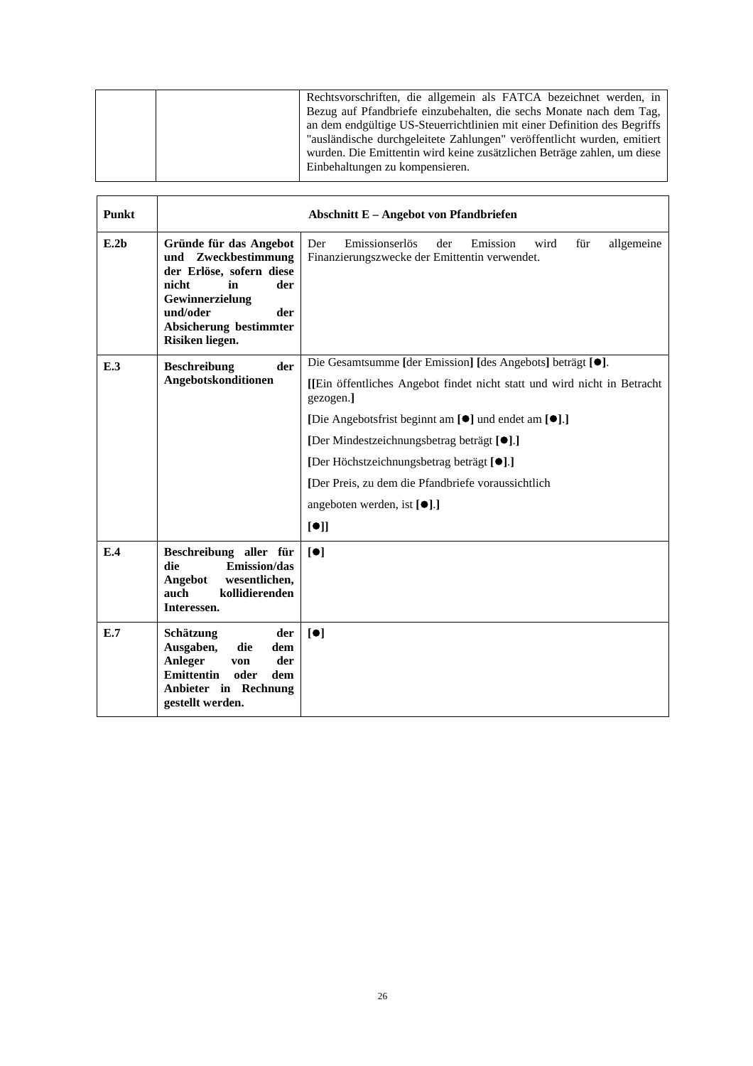|  | Rechtsvorschriften, die allgemein als FATCA bezeichnet werden, in        |
|--|--------------------------------------------------------------------------|
|  | Bezug auf Pfandbriefe einzubehalten, die sechs Monate nach dem Tag,      |
|  | an dem endgültige US-Steuerrichtlinien mit einer Definition des Begriffs |
|  | "ausländische durchgeleitete Zahlungen" veröffentlicht wurden, emitiert  |
|  | wurden. Die Emittentin wird keine zusätzlichen Beträge zahlen, um diese  |
|  | Einbehaltungen zu kompensieren.                                          |
|  |                                                                          |

| Punkt            |                                                                                                                                                                                    | <b>Abschnitt E - Angebot von Pfandbriefen</b>                                                                                                                                                                                                                                                                                                                                                                                                                   |
|------------------|------------------------------------------------------------------------------------------------------------------------------------------------------------------------------------|-----------------------------------------------------------------------------------------------------------------------------------------------------------------------------------------------------------------------------------------------------------------------------------------------------------------------------------------------------------------------------------------------------------------------------------------------------------------|
| E.2 <sub>b</sub> | Gründe für das Angebot<br>und Zweckbestimmung<br>der Erlöse, sofern diese<br>nicht<br>der<br>in<br>Gewinnerzielung<br>und/oder<br>der<br>Absicherung bestimmter<br>Risiken liegen. | Emissionserlös<br>Der<br>der<br>wird<br>für<br>allgemeine<br>Emission<br>Finanzierungszwecke der Emittentin verwendet.                                                                                                                                                                                                                                                                                                                                          |
| E.3              | <b>Beschreibung</b><br>der<br>Angebotskonditionen                                                                                                                                  | Die Gesamtsumme [der Emission] [des Angebots] beträgt [ <sup>•</sup> ].<br>[[Ein öffentliches Angebot findet nicht statt und wird nicht in Betracht<br>gezogen.]<br>[Die Angebotsfrist beginnt am [ <sup>o</sup> ] und endet am [ <sup>o</sup> ].]<br>[Der Mindestzeichnungsbetrag beträgt [ <sup>●</sup> ].]<br>[Der Höchstzeichnungsbetrag beträgt [●].]<br>[Der Preis, zu dem die Pfandbriefe voraussichtlich<br>angeboten werden, ist $[\bullet]$ .]<br>[①] |
| E.4              | Beschreibung aller für<br>Emission/das<br>die<br>wesentlichen,<br>Angebot<br>kollidierenden<br>auch<br>Interessen.                                                                 | [•]                                                                                                                                                                                                                                                                                                                                                                                                                                                             |
| E.7              | Schätzung<br>der<br>Ausgaben,<br>die<br>dem<br>Anleger<br>der<br>von<br><b>Emittentin</b><br>oder<br>dem<br>Anbieter in Rechnung<br>gestellt werden.                               | [•]                                                                                                                                                                                                                                                                                                                                                                                                                                                             |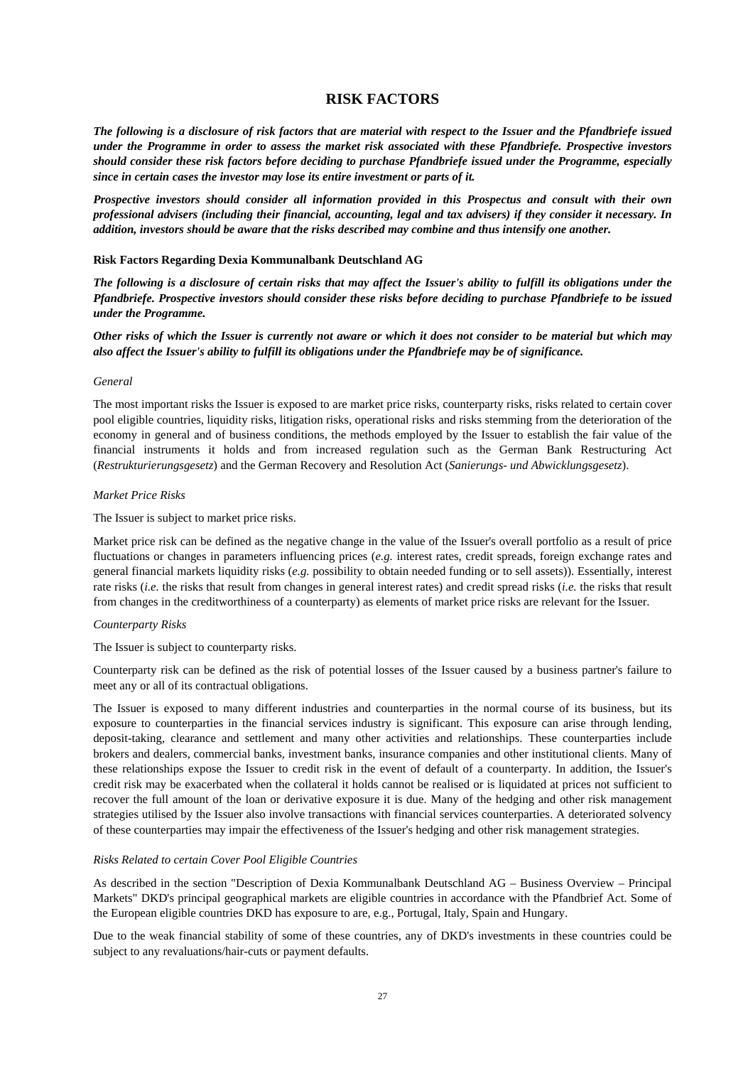# **RISK FACTORS**

*The following is a disclosure of risk factors that are material with respect to the Issuer and the Pfandbriefe issued under the Programme in order to assess the market risk associated with these Pfandbriefe. Prospective investors should consider these risk factors before deciding to purchase Pfandbriefe issued under the Programme, especially since in certain cases the investor may lose its entire investment or parts of it.* 

*Prospective investors should consider all information provided in this Prospectus and consult with their own professional advisers (including their financial, accounting, legal and tax advisers) if they consider it necessary. In addition, investors should be aware that the risks described may combine and thus intensify one another.* 

#### **Risk Factors Regarding Dexia Kommunalbank Deutschland AG**

*The following is a disclosure of certain risks that may affect the Issuer's ability to fulfill its obligations under the Pfandbriefe. Prospective investors should consider these risks before deciding to purchase Pfandbriefe to be issued under the Programme.* 

### *Other risks of which the Issuer is currently not aware or which it does not consider to be material but which may also affect the Issuer's ability to fulfill its obligations under the Pfandbriefe may be of significance.*

#### *General*

The most important risks the Issuer is exposed to are market price risks, counterparty risks, risks related to certain cover pool eligible countries, liquidity risks, litigation risks, operational risks and risks stemming from the deterioration of the economy in general and of business conditions, the methods employed by the Issuer to establish the fair value of the financial instruments it holds and from increased regulation such as the German Bank Restructuring Act (*Restrukturierungsgesetz*) and the German Recovery and Resolution Act (*Sanierungs- und Abwicklungsgesetz*).

#### *Market Price Risks*

The Issuer is subject to market price risks.

Market price risk can be defined as the negative change in the value of the Issuer's overall portfolio as a result of price fluctuations or changes in parameters influencing prices (*e.g.* interest rates, credit spreads, foreign exchange rates and general financial markets liquidity risks (*e.g.* possibility to obtain needed funding or to sell assets)). Essentially, interest rate risks (*i.e.* the risks that result from changes in general interest rates) and credit spread risks (*i.e.* the risks that result from changes in the creditworthiness of a counterparty) as elements of market price risks are relevant for the Issuer.

#### *Counterparty Risks*

The Issuer is subject to counterparty risks.

Counterparty risk can be defined as the risk of potential losses of the Issuer caused by a business partner's failure to meet any or all of its contractual obligations.

The Issuer is exposed to many different industries and counterparties in the normal course of its business, but its exposure to counterparties in the financial services industry is significant. This exposure can arise through lending, deposit-taking, clearance and settlement and many other activities and relationships. These counterparties include brokers and dealers, commercial banks, investment banks, insurance companies and other institutional clients. Many of these relationships expose the Issuer to credit risk in the event of default of a counterparty. In addition, the Issuer's credit risk may be exacerbated when the collateral it holds cannot be realised or is liquidated at prices not sufficient to recover the full amount of the loan or derivative exposure it is due. Many of the hedging and other risk management strategies utilised by the Issuer also involve transactions with financial services counterparties. A deteriorated solvency of these counterparties may impair the effectiveness of the Issuer's hedging and other risk management strategies.

#### *Risks Related to certain Cover Pool Eligible Countries*

As described in the section "Description of Dexia Kommunalbank Deutschland AG – Business Overview – Principal Markets" DKD's principal geographical markets are eligible countries in accordance with the Pfandbrief Act. Some of the European eligible countries DKD has exposure to are, e.g., Portugal, Italy, Spain and Hungary.

Due to the weak financial stability of some of these countries, any of DKD's investments in these countries could be subject to any revaluations/hair-cuts or payment defaults.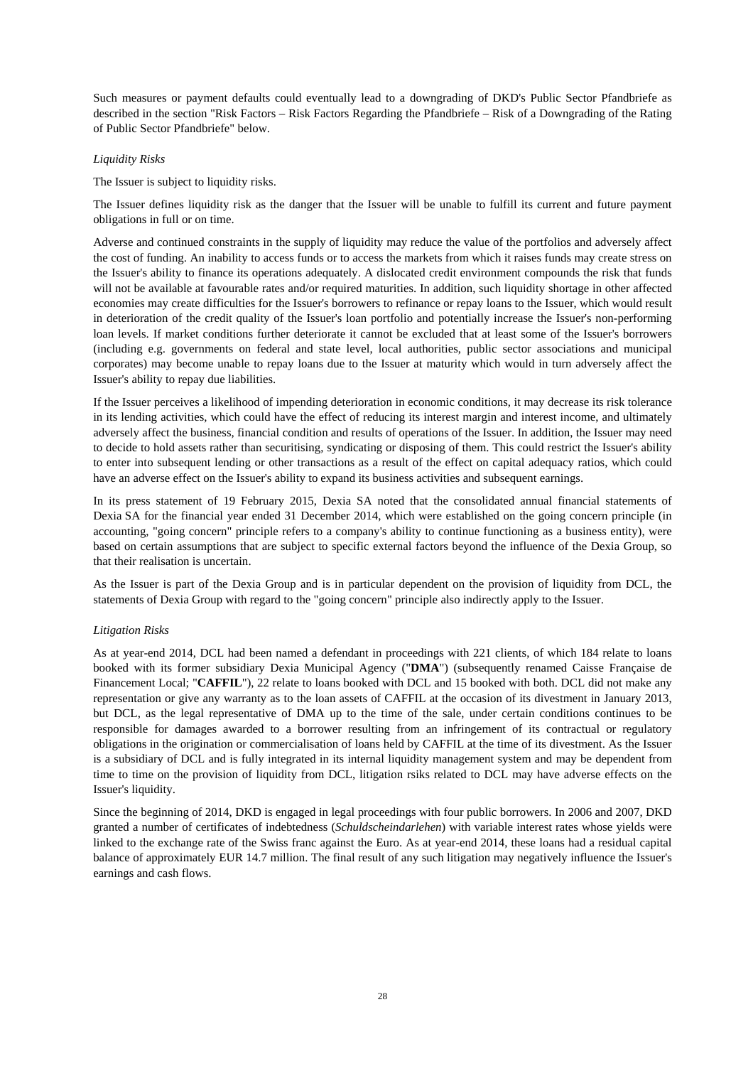Such measures or payment defaults could eventually lead to a downgrading of DKD's Public Sector Pfandbriefe as described in the section "Risk Factors – Risk Factors Regarding the Pfandbriefe – Risk of a Downgrading of the Rating of Public Sector Pfandbriefe" below.

### *Liquidity Risks*

The Issuer is subject to liquidity risks.

The Issuer defines liquidity risk as the danger that the Issuer will be unable to fulfill its current and future payment obligations in full or on time.

Adverse and continued constraints in the supply of liquidity may reduce the value of the portfolios and adversely affect the cost of funding. An inability to access funds or to access the markets from which it raises funds may create stress on the Issuer's ability to finance its operations adequately. A dislocated credit environment compounds the risk that funds will not be available at favourable rates and/or required maturities. In addition, such liquidity shortage in other affected economies may create difficulties for the Issuer's borrowers to refinance or repay loans to the Issuer, which would result in deterioration of the credit quality of the Issuer's loan portfolio and potentially increase the Issuer's non-performing loan levels. If market conditions further deteriorate it cannot be excluded that at least some of the Issuer's borrowers (including e.g. governments on federal and state level, local authorities, public sector associations and municipal corporates) may become unable to repay loans due to the Issuer at maturity which would in turn adversely affect the Issuer's ability to repay due liabilities.

If the Issuer perceives a likelihood of impending deterioration in economic conditions, it may decrease its risk tolerance in its lending activities, which could have the effect of reducing its interest margin and interest income, and ultimately adversely affect the business, financial condition and results of operations of the Issuer. In addition, the Issuer may need to decide to hold assets rather than securitising, syndicating or disposing of them. This could restrict the Issuer's ability to enter into subsequent lending or other transactions as a result of the effect on capital adequacy ratios, which could have an adverse effect on the Issuer's ability to expand its business activities and subsequent earnings.

In its press statement of 19 February 2015, Dexia SA noted that the consolidated annual financial statements of Dexia SA for the financial year ended 31 December 2014, which were established on the going concern principle (in accounting, "going concern" principle refers to a company's ability to continue functioning as a business entity), were based on certain assumptions that are subject to specific external factors beyond the influence of the Dexia Group, so that their realisation is uncertain.

As the Issuer is part of the Dexia Group and is in particular dependent on the provision of liquidity from DCL, the statements of Dexia Group with regard to the "going concern" principle also indirectly apply to the Issuer.

## *Litigation Risks*

As at year-end 2014, DCL had been named a defendant in proceedings with 221 clients, of which 184 relate to loans booked with its former subsidiary Dexia Municipal Agency ("**DMA**") (subsequently renamed Caisse Française de Financement Local; "**CAFFIL**"), 22 relate to loans booked with DCL and 15 booked with both. DCL did not make any representation or give any warranty as to the loan assets of CAFFIL at the occasion of its divestment in January 2013, but DCL, as the legal representative of DMA up to the time of the sale, under certain conditions continues to be responsible for damages awarded to a borrower resulting from an infringement of its contractual or regulatory obligations in the origination or commercialisation of loans held by CAFFIL at the time of its divestment. As the Issuer is a subsidiary of DCL and is fully integrated in its internal liquidity management system and may be dependent from time to time on the provision of liquidity from DCL, litigation rsiks related to DCL may have adverse effects on the Issuer's liquidity.

Since the beginning of 2014, DKD is engaged in legal proceedings with four public borrowers. In 2006 and 2007, DKD granted a number of certificates of indebtedness (*Schuldscheindarlehen*) with variable interest rates whose yields were linked to the exchange rate of the Swiss franc against the Euro. As at year-end 2014, these loans had a residual capital balance of approximately EUR 14.7 million. The final result of any such litigation may negatively influence the Issuer's earnings and cash flows.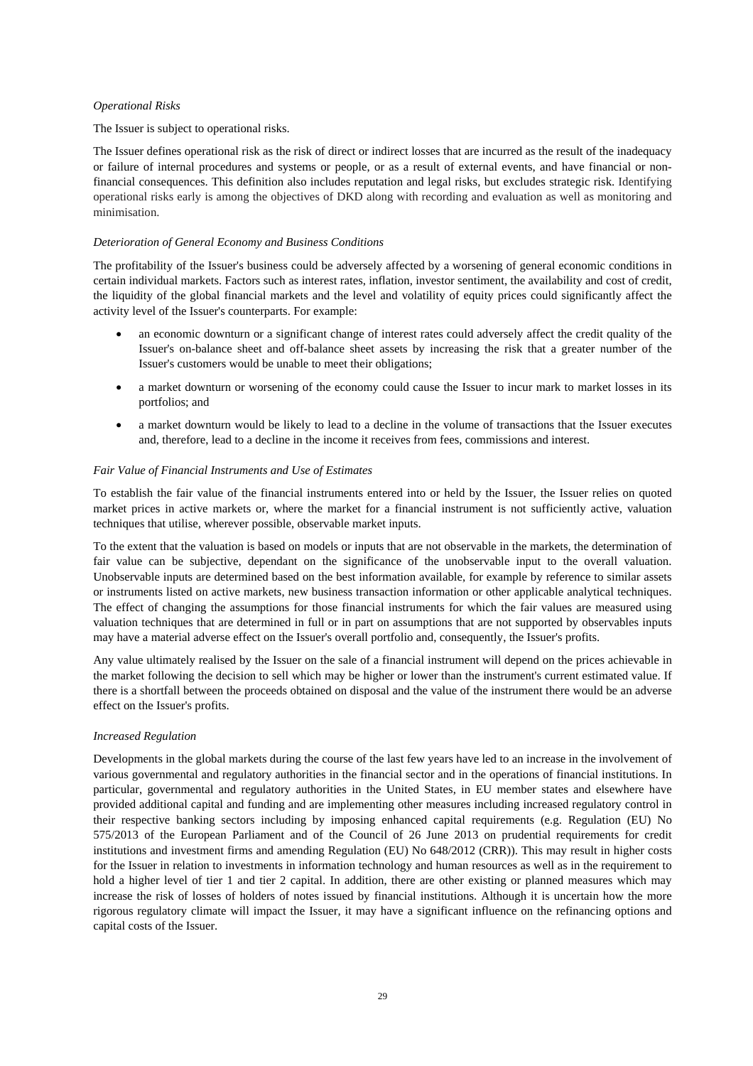#### *Operational Risks*

#### The Issuer is subject to operational risks.

The Issuer defines operational risk as the risk of direct or indirect losses that are incurred as the result of the inadequacy or failure of internal procedures and systems or people, or as a result of external events, and have financial or nonfinancial consequences. This definition also includes reputation and legal risks, but excludes strategic risk. Identifying operational risks early is among the objectives of DKD along with recording and evaluation as well as monitoring and minimisation.

### *Deterioration of General Economy and Business Conditions*

The profitability of the Issuer's business could be adversely affected by a worsening of general economic conditions in certain individual markets. Factors such as interest rates, inflation, investor sentiment, the availability and cost of credit, the liquidity of the global financial markets and the level and volatility of equity prices could significantly affect the activity level of the Issuer's counterparts. For example:

- an economic downturn or a significant change of interest rates could adversely affect the credit quality of the Issuer's on-balance sheet and off-balance sheet assets by increasing the risk that a greater number of the Issuer's customers would be unable to meet their obligations;
- a market downturn or worsening of the economy could cause the Issuer to incur mark to market losses in its portfolios; and
- a market downturn would be likely to lead to a decline in the volume of transactions that the Issuer executes and, therefore, lead to a decline in the income it receives from fees, commissions and interest.

#### *Fair Value of Financial Instruments and Use of Estimates*

To establish the fair value of the financial instruments entered into or held by the Issuer, the Issuer relies on quoted market prices in active markets or, where the market for a financial instrument is not sufficiently active, valuation techniques that utilise, wherever possible, observable market inputs.

To the extent that the valuation is based on models or inputs that are not observable in the markets, the determination of fair value can be subjective, dependant on the significance of the unobservable input to the overall valuation. Unobservable inputs are determined based on the best information available, for example by reference to similar assets or instruments listed on active markets, new business transaction information or other applicable analytical techniques. The effect of changing the assumptions for those financial instruments for which the fair values are measured using valuation techniques that are determined in full or in part on assumptions that are not supported by observables inputs may have a material adverse effect on the Issuer's overall portfolio and, consequently, the Issuer's profits.

Any value ultimately realised by the Issuer on the sale of a financial instrument will depend on the prices achievable in the market following the decision to sell which may be higher or lower than the instrument's current estimated value. If there is a shortfall between the proceeds obtained on disposal and the value of the instrument there would be an adverse effect on the Issuer's profits.

#### *Increased Regulation*

Developments in the global markets during the course of the last few years have led to an increase in the involvement of various governmental and regulatory authorities in the financial sector and in the operations of financial institutions. In particular, governmental and regulatory authorities in the United States, in EU member states and elsewhere have provided additional capital and funding and are implementing other measures including increased regulatory control in their respective banking sectors including by imposing enhanced capital requirements (e.g. Regulation (EU) No 575/2013 of the European Parliament and of the Council of 26 June 2013 on prudential requirements for credit institutions and investment firms and amending Regulation (EU) No 648/2012 (CRR)). This may result in higher costs for the Issuer in relation to investments in information technology and human resources as well as in the requirement to hold a higher level of tier 1 and tier 2 capital. In addition, there are other existing or planned measures which may increase the risk of losses of holders of notes issued by financial institutions. Although it is uncertain how the more rigorous regulatory climate will impact the Issuer, it may have a significant influence on the refinancing options and capital costs of the Issuer.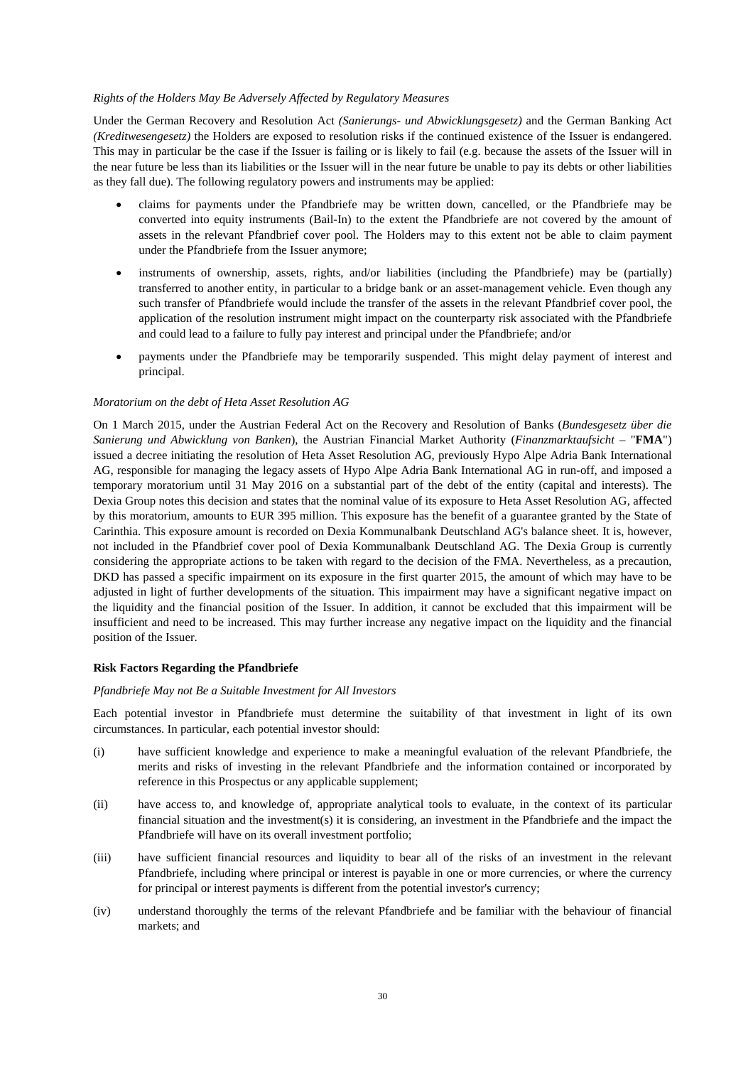#### *Rights of the Holders May Be Adversely Affected by Regulatory Measures*

Under the German Recovery and Resolution Act *(Sanierungs- und Abwicklungsgesetz)* and the German Banking Act *(Kreditwesengesetz)* the Holders are exposed to resolution risks if the continued existence of the Issuer is endangered. This may in particular be the case if the Issuer is failing or is likely to fail (e.g. because the assets of the Issuer will in the near future be less than its liabilities or the Issuer will in the near future be unable to pay its debts or other liabilities as they fall due). The following regulatory powers and instruments may be applied:

- claims for payments under the Pfandbriefe may be written down, cancelled, or the Pfandbriefe may be converted into equity instruments (Bail-In) to the extent the Pfandbriefe are not covered by the amount of assets in the relevant Pfandbrief cover pool. The Holders may to this extent not be able to claim payment under the Pfandbriefe from the Issuer anymore;
- instruments of ownership, assets, rights, and/or liabilities (including the Pfandbriefe) may be (partially) transferred to another entity, in particular to a bridge bank or an asset-management vehicle. Even though any such transfer of Pfandbriefe would include the transfer of the assets in the relevant Pfandbrief cover pool, the application of the resolution instrument might impact on the counterparty risk associated with the Pfandbriefe and could lead to a failure to fully pay interest and principal under the Pfandbriefe; and/or
- payments under the Pfandbriefe may be temporarily suspended. This might delay payment of interest and principal.

#### *Moratorium on the debt of Heta Asset Resolution AG*

On 1 March 2015, under the Austrian Federal Act on the Recovery and Resolution of Banks (*Bundesgesetz über die Sanierung und Abwicklung von Banken*), the Austrian Financial Market Authority (*Finanzmarktaufsicht* – "**FMA**") issued a decree initiating the resolution of Heta Asset Resolution AG, previously Hypo Alpe Adria Bank International AG, responsible for managing the legacy assets of Hypo Alpe Adria Bank International AG in run-off, and imposed a temporary moratorium until 31 May 2016 on a substantial part of the debt of the entity (capital and interests). The Dexia Group notes this decision and states that the nominal value of its exposure to Heta Asset Resolution AG, affected by this moratorium, amounts to EUR 395 million. This exposure has the benefit of a guarantee granted by the State of Carinthia. This exposure amount is recorded on Dexia Kommunalbank Deutschland AG's balance sheet. It is, however, not included in the Pfandbrief cover pool of Dexia Kommunalbank Deutschland AG. The Dexia Group is currently considering the appropriate actions to be taken with regard to the decision of the FMA. Nevertheless, as a precaution, DKD has passed a specific impairment on its exposure in the first quarter 2015, the amount of which may have to be adjusted in light of further developments of the situation. This impairment may have a significant negative impact on the liquidity and the financial position of the Issuer. In addition, it cannot be excluded that this impairment will be insufficient and need to be increased. This may further increase any negative impact on the liquidity and the financial position of the Issuer.

#### **Risk Factors Regarding the Pfandbriefe**

#### *Pfandbriefe May not Be a Suitable Investment for All Investors*

Each potential investor in Pfandbriefe must determine the suitability of that investment in light of its own circumstances. In particular, each potential investor should:

- (i) have sufficient knowledge and experience to make a meaningful evaluation of the relevant Pfandbriefe, the merits and risks of investing in the relevant Pfandbriefe and the information contained or incorporated by reference in this Prospectus or any applicable supplement;
- (ii) have access to, and knowledge of, appropriate analytical tools to evaluate, in the context of its particular financial situation and the investment(s) it is considering, an investment in the Pfandbriefe and the impact the Pfandbriefe will have on its overall investment portfolio;
- (iii) have sufficient financial resources and liquidity to bear all of the risks of an investment in the relevant Pfandbriefe, including where principal or interest is payable in one or more currencies, or where the currency for principal or interest payments is different from the potential investor's currency;
- (iv) understand thoroughly the terms of the relevant Pfandbriefe and be familiar with the behaviour of financial markets; and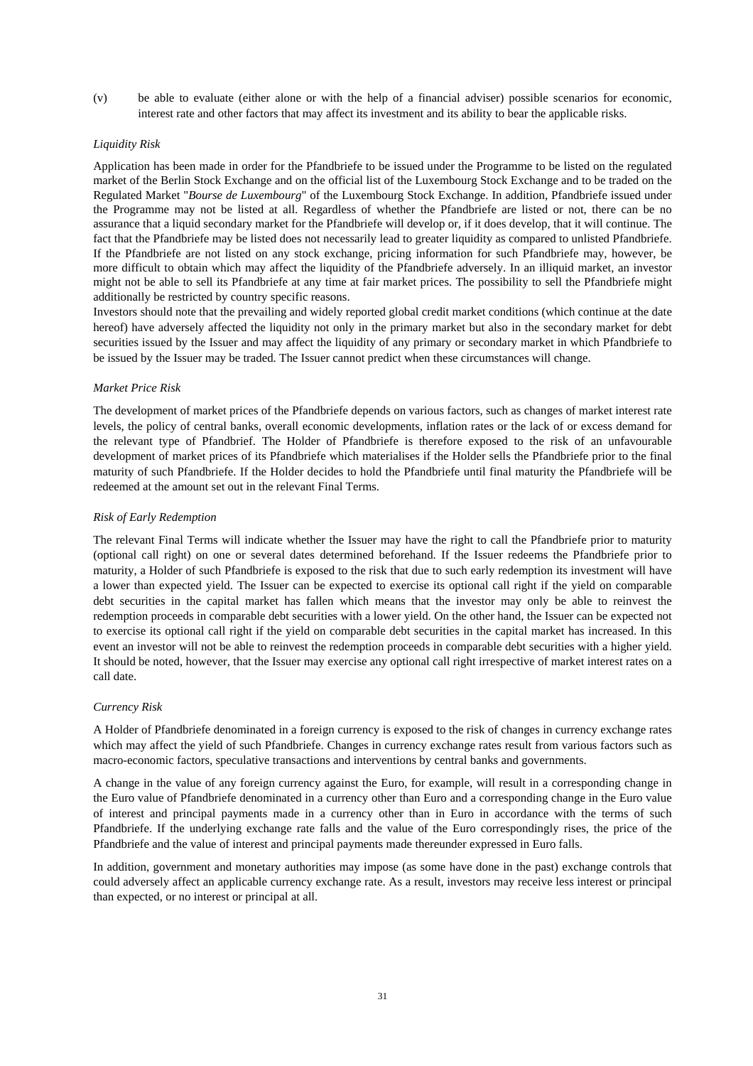(v) be able to evaluate (either alone or with the help of a financial adviser) possible scenarios for economic, interest rate and other factors that may affect its investment and its ability to bear the applicable risks.

#### *Liquidity Risk*

Application has been made in order for the Pfandbriefe to be issued under the Programme to be listed on the regulated market of the Berlin Stock Exchange and on the official list of the Luxembourg Stock Exchange and to be traded on the Regulated Market "*Bourse de Luxembourg*" of the Luxembourg Stock Exchange. In addition, Pfandbriefe issued under the Programme may not be listed at all. Regardless of whether the Pfandbriefe are listed or not, there can be no assurance that a liquid secondary market for the Pfandbriefe will develop or, if it does develop, that it will continue. The fact that the Pfandbriefe may be listed does not necessarily lead to greater liquidity as compared to unlisted Pfandbriefe. If the Pfandbriefe are not listed on any stock exchange, pricing information for such Pfandbriefe may, however, be more difficult to obtain which may affect the liquidity of the Pfandbriefe adversely. In an illiquid market, an investor might not be able to sell its Pfandbriefe at any time at fair market prices. The possibility to sell the Pfandbriefe might additionally be restricted by country specific reasons.

Investors should note that the prevailing and widely reported global credit market conditions (which continue at the date hereof) have adversely affected the liquidity not only in the primary market but also in the secondary market for debt securities issued by the Issuer and may affect the liquidity of any primary or secondary market in which Pfandbriefe to be issued by the Issuer may be traded. The Issuer cannot predict when these circumstances will change.

#### *Market Price Risk*

The development of market prices of the Pfandbriefe depends on various factors, such as changes of market interest rate levels, the policy of central banks, overall economic developments, inflation rates or the lack of or excess demand for the relevant type of Pfandbrief. The Holder of Pfandbriefe is therefore exposed to the risk of an unfavourable development of market prices of its Pfandbriefe which materialises if the Holder sells the Pfandbriefe prior to the final maturity of such Pfandbriefe. If the Holder decides to hold the Pfandbriefe until final maturity the Pfandbriefe will be redeemed at the amount set out in the relevant Final Terms.

### *Risk of Early Redemption*

The relevant Final Terms will indicate whether the Issuer may have the right to call the Pfandbriefe prior to maturity (optional call right) on one or several dates determined beforehand. If the Issuer redeems the Pfandbriefe prior to maturity, a Holder of such Pfandbriefe is exposed to the risk that due to such early redemption its investment will have a lower than expected yield. The Issuer can be expected to exercise its optional call right if the yield on comparable debt securities in the capital market has fallen which means that the investor may only be able to reinvest the redemption proceeds in comparable debt securities with a lower yield. On the other hand, the Issuer can be expected not to exercise its optional call right if the yield on comparable debt securities in the capital market has increased. In this event an investor will not be able to reinvest the redemption proceeds in comparable debt securities with a higher yield. It should be noted, however, that the Issuer may exercise any optional call right irrespective of market interest rates on a call date.

#### *Currency Risk*

A Holder of Pfandbriefe denominated in a foreign currency is exposed to the risk of changes in currency exchange rates which may affect the yield of such Pfandbriefe. Changes in currency exchange rates result from various factors such as macro-economic factors, speculative transactions and interventions by central banks and governments.

A change in the value of any foreign currency against the Euro, for example, will result in a corresponding change in the Euro value of Pfandbriefe denominated in a currency other than Euro and a corresponding change in the Euro value of interest and principal payments made in a currency other than in Euro in accordance with the terms of such Pfandbriefe. If the underlying exchange rate falls and the value of the Euro correspondingly rises, the price of the Pfandbriefe and the value of interest and principal payments made thereunder expressed in Euro falls.

In addition, government and monetary authorities may impose (as some have done in the past) exchange controls that could adversely affect an applicable currency exchange rate. As a result, investors may receive less interest or principal than expected, or no interest or principal at all.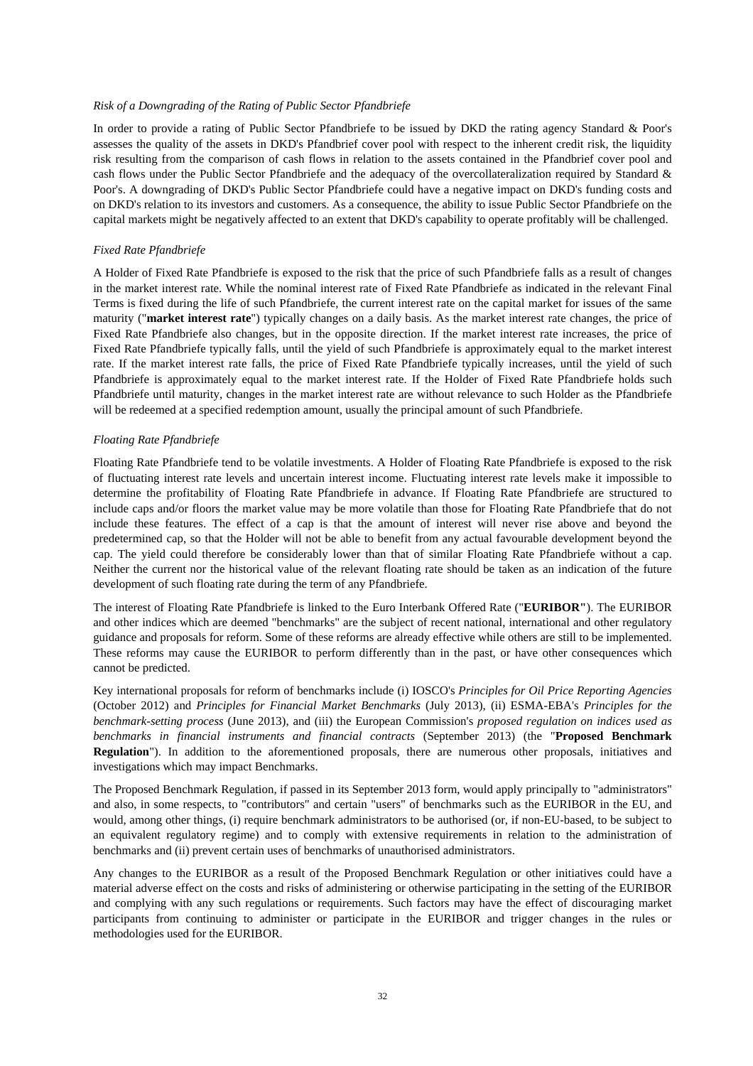#### *Risk of a Downgrading of the Rating of Public Sector Pfandbriefe*

In order to provide a rating of Public Sector Pfandbriefe to be issued by DKD the rating agency Standard & Poor's assesses the quality of the assets in DKD's Pfandbrief cover pool with respect to the inherent credit risk, the liquidity risk resulting from the comparison of cash flows in relation to the assets contained in the Pfandbrief cover pool and cash flows under the Public Sector Pfandbriefe and the adequacy of the overcollateralization required by Standard & Poor's. A downgrading of DKD's Public Sector Pfandbriefe could have a negative impact on DKD's funding costs and on DKD's relation to its investors and customers. As a consequence, the ability to issue Public Sector Pfandbriefe on the capital markets might be negatively affected to an extent that DKD's capability to operate profitably will be challenged.

#### *Fixed Rate Pfandbriefe*

A Holder of Fixed Rate Pfandbriefe is exposed to the risk that the price of such Pfandbriefe falls as a result of changes in the market interest rate. While the nominal interest rate of Fixed Rate Pfandbriefe as indicated in the relevant Final Terms is fixed during the life of such Pfandbriefe, the current interest rate on the capital market for issues of the same maturity ("**market interest rate**") typically changes on a daily basis. As the market interest rate changes, the price of Fixed Rate Pfandbriefe also changes, but in the opposite direction. If the market interest rate increases, the price of Fixed Rate Pfandbriefe typically falls, until the yield of such Pfandbriefe is approximately equal to the market interest rate. If the market interest rate falls, the price of Fixed Rate Pfandbriefe typically increases, until the yield of such Pfandbriefe is approximately equal to the market interest rate. If the Holder of Fixed Rate Pfandbriefe holds such Pfandbriefe until maturity, changes in the market interest rate are without relevance to such Holder as the Pfandbriefe will be redeemed at a specified redemption amount, usually the principal amount of such Pfandbriefe.

#### *Floating Rate Pfandbriefe*

Floating Rate Pfandbriefe tend to be volatile investments. A Holder of Floating Rate Pfandbriefe is exposed to the risk of fluctuating interest rate levels and uncertain interest income. Fluctuating interest rate levels make it impossible to determine the profitability of Floating Rate Pfandbriefe in advance. If Floating Rate Pfandbriefe are structured to include caps and/or floors the market value may be more volatile than those for Floating Rate Pfandbriefe that do not include these features. The effect of a cap is that the amount of interest will never rise above and beyond the predetermined cap, so that the Holder will not be able to benefit from any actual favourable development beyond the cap. The yield could therefore be considerably lower than that of similar Floating Rate Pfandbriefe without a cap. Neither the current nor the historical value of the relevant floating rate should be taken as an indication of the future development of such floating rate during the term of any Pfandbriefe.

The interest of Floating Rate Pfandbriefe is linked to the Euro Interbank Offered Rate ("**EURIBOR"**). The EURIBOR and other indices which are deemed "benchmarks" are the subject of recent national, international and other regulatory guidance and proposals for reform. Some of these reforms are already effective while others are still to be implemented. These reforms may cause the EURIBOR to perform differently than in the past, or have other consequences which cannot be predicted.

Key international proposals for reform of benchmarks include (i) IOSCO's *Principles for Oil Price Reporting Agencies* (October 2012) and *Principles for Financial Market Benchmarks* (July 2013), (ii) ESMA-EBA's *Principles for the benchmark-setting process* (June 2013), and (iii) the European Commission's *proposed regulation on indices used as benchmarks in financial instruments and financial contracts* (September 2013) (the "**Proposed Benchmark Regulation**"). In addition to the aforementioned proposals, there are numerous other proposals, initiatives and investigations which may impact Benchmarks.

The Proposed Benchmark Regulation, if passed in its September 2013 form, would apply principally to "administrators" and also, in some respects, to "contributors" and certain "users" of benchmarks such as the EURIBOR in the EU, and would, among other things, (i) require benchmark administrators to be authorised (or, if non-EU-based, to be subject to an equivalent regulatory regime) and to comply with extensive requirements in relation to the administration of benchmarks and (ii) prevent certain uses of benchmarks of unauthorised administrators.

Any changes to the EURIBOR as a result of the Proposed Benchmark Regulation or other initiatives could have a material adverse effect on the costs and risks of administering or otherwise participating in the setting of the EURIBOR and complying with any such regulations or requirements. Such factors may have the effect of discouraging market participants from continuing to administer or participate in the EURIBOR and trigger changes in the rules or methodologies used for the EURIBOR.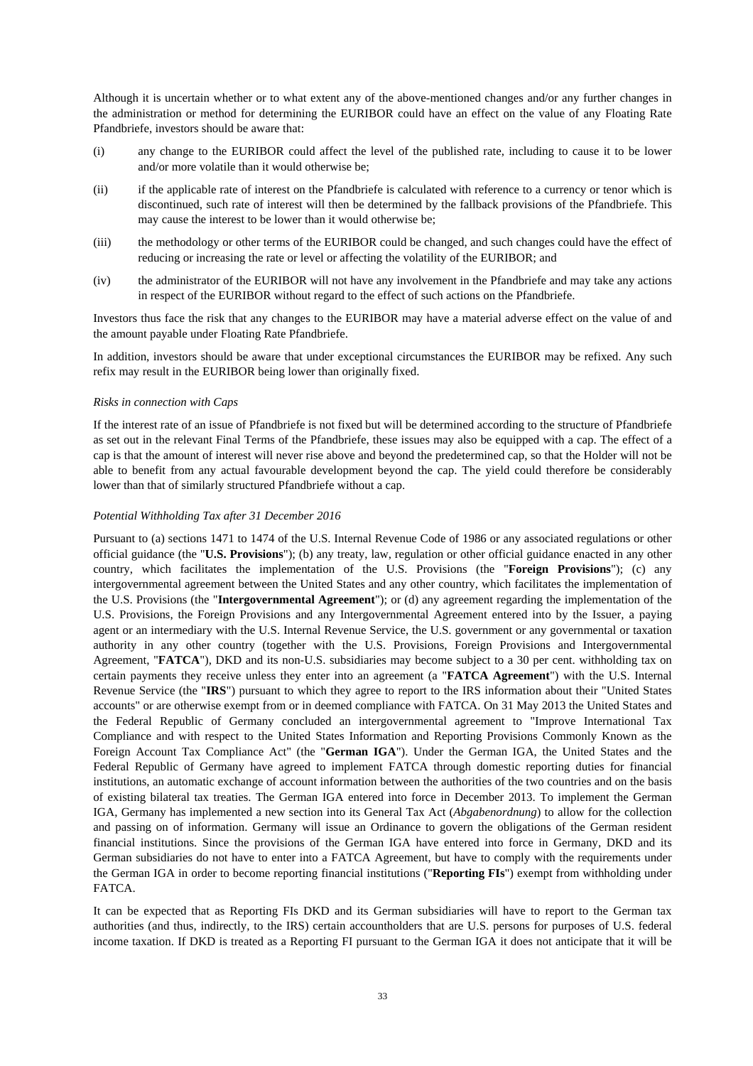Although it is uncertain whether or to what extent any of the above-mentioned changes and/or any further changes in the administration or method for determining the EURIBOR could have an effect on the value of any Floating Rate Pfandbriefe, investors should be aware that:

- (i) any change to the EURIBOR could affect the level of the published rate, including to cause it to be lower and/or more volatile than it would otherwise be;
- (ii) if the applicable rate of interest on the Pfandbriefe is calculated with reference to a currency or tenor which is discontinued, such rate of interest will then be determined by the fallback provisions of the Pfandbriefe. This may cause the interest to be lower than it would otherwise be;
- (iii) the methodology or other terms of the EURIBOR could be changed, and such changes could have the effect of reducing or increasing the rate or level or affecting the volatility of the EURIBOR; and
- (iv) the administrator of the EURIBOR will not have any involvement in the Pfandbriefe and may take any actions in respect of the EURIBOR without regard to the effect of such actions on the Pfandbriefe.

Investors thus face the risk that any changes to the EURIBOR may have a material adverse effect on the value of and the amount payable under Floating Rate Pfandbriefe.

In addition, investors should be aware that under exceptional circumstances the EURIBOR may be refixed. Any such refix may result in the EURIBOR being lower than originally fixed.

#### *Risks in connection with Caps*

If the interest rate of an issue of Pfandbriefe is not fixed but will be determined according to the structure of Pfandbriefe as set out in the relevant Final Terms of the Pfandbriefe, these issues may also be equipped with a cap. The effect of a cap is that the amount of interest will never rise above and beyond the predetermined cap, so that the Holder will not be able to benefit from any actual favourable development beyond the cap. The yield could therefore be considerably lower than that of similarly structured Pfandbriefe without a cap.

#### *Potential Withholding Tax after 31 December 2016*

Pursuant to (a) sections 1471 to 1474 of the U.S. Internal Revenue Code of 1986 or any associated regulations or other official guidance (the "**U.S. Provisions**"); (b) any treaty, law, regulation or other official guidance enacted in any other country, which facilitates the implementation of the U.S. Provisions (the "**Foreign Provisions**"); (c) any intergovernmental agreement between the United States and any other country, which facilitates the implementation of the U.S. Provisions (the "**Intergovernmental Agreement**"); or (d) any agreement regarding the implementation of the U.S. Provisions, the Foreign Provisions and any Intergovernmental Agreement entered into by the Issuer, a paying agent or an intermediary with the U.S. Internal Revenue Service, the U.S. government or any governmental or taxation authority in any other country (together with the U.S. Provisions, Foreign Provisions and Intergovernmental Agreement, "**FATCA**"), DKD and its non-U.S. subsidiaries may become subject to a 30 per cent. withholding tax on certain payments they receive unless they enter into an agreement (a "**FATCA Agreement**") with the U.S. Internal Revenue Service (the "**IRS**") pursuant to which they agree to report to the IRS information about their "United States accounts" or are otherwise exempt from or in deemed compliance with FATCA. On 31 May 2013 the United States and the Federal Republic of Germany concluded an intergovernmental agreement to "Improve International Tax Compliance and with respect to the United States Information and Reporting Provisions Commonly Known as the Foreign Account Tax Compliance Act" (the "**German IGA**"). Under the German IGA, the United States and the Federal Republic of Germany have agreed to implement FATCA through domestic reporting duties for financial institutions, an automatic exchange of account information between the authorities of the two countries and on the basis of existing bilateral tax treaties. The German IGA entered into force in December 2013. To implement the German IGA, Germany has implemented a new section into its General Tax Act (*Abgabenordnung*) to allow for the collection and passing on of information. Germany will issue an Ordinance to govern the obligations of the German resident financial institutions. Since the provisions of the German IGA have entered into force in Germany, DKD and its German subsidiaries do not have to enter into a FATCA Agreement, but have to comply with the requirements under the German IGA in order to become reporting financial institutions ("**Reporting FIs**") exempt from withholding under FATCA.

It can be expected that as Reporting FIs DKD and its German subsidiaries will have to report to the German tax authorities (and thus, indirectly, to the IRS) certain accountholders that are U.S. persons for purposes of U.S. federal income taxation. If DKD is treated as a Reporting FI pursuant to the German IGA it does not anticipate that it will be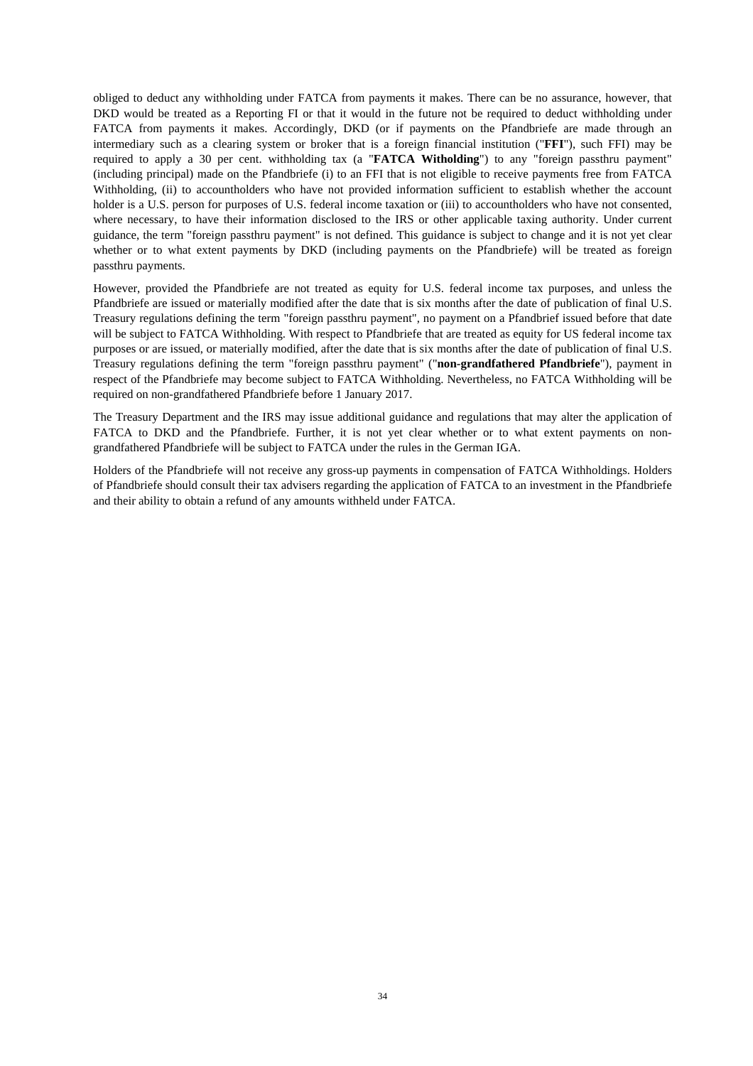obliged to deduct any withholding under FATCA from payments it makes. There can be no assurance, however, that DKD would be treated as a Reporting FI or that it would in the future not be required to deduct withholding under FATCA from payments it makes. Accordingly, DKD (or if payments on the Pfandbriefe are made through an intermediary such as a clearing system or broker that is a foreign financial institution ("**FFI**"), such FFI) may be required to apply a 30 per cent. withholding tax (a "**FATCA Witholding**") to any "foreign passthru payment" (including principal) made on the Pfandbriefe (i) to an FFI that is not eligible to receive payments free from FATCA Withholding, (ii) to accountholders who have not provided information sufficient to establish whether the account holder is a U.S. person for purposes of U.S. federal income taxation or (iii) to accountholders who have not consented, where necessary, to have their information disclosed to the IRS or other applicable taxing authority. Under current guidance, the term "foreign passthru payment" is not defined. This guidance is subject to change and it is not yet clear whether or to what extent payments by DKD (including payments on the Pfandbriefe) will be treated as foreign passthru payments.

However, provided the Pfandbriefe are not treated as equity for U.S. federal income tax purposes, and unless the Pfandbriefe are issued or materially modified after the date that is six months after the date of publication of final U.S. Treasury regulations defining the term "foreign passthru payment", no payment on a Pfandbrief issued before that date will be subject to FATCA Withholding. With respect to Pfandbriefe that are treated as equity for US federal income tax purposes or are issued, or materially modified, after the date that is six months after the date of publication of final U.S. Treasury regulations defining the term "foreign passthru payment" ("**non-grandfathered Pfandbriefe**"), payment in respect of the Pfandbriefe may become subject to FATCA Withholding. Nevertheless, no FATCA Withholding will be required on non-grandfathered Pfandbriefe before 1 January 2017.

The Treasury Department and the IRS may issue additional guidance and regulations that may alter the application of FATCA to DKD and the Pfandbriefe. Further, it is not yet clear whether or to what extent payments on nongrandfathered Pfandbriefe will be subject to FATCA under the rules in the German IGA.

Holders of the Pfandbriefe will not receive any gross-up payments in compensation of FATCA Withholdings. Holders of Pfandbriefe should consult their tax advisers regarding the application of FATCA to an investment in the Pfandbriefe and their ability to obtain a refund of any amounts withheld under FATCA.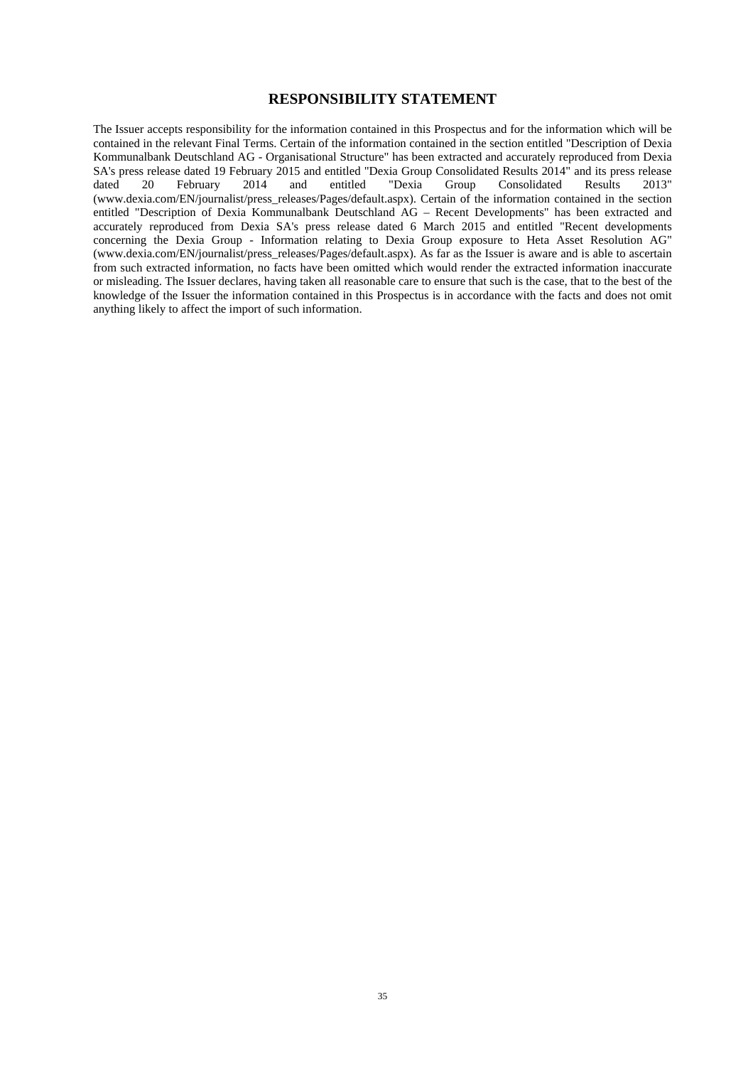# **RESPONSIBILITY STATEMENT**

The Issuer accepts responsibility for the information contained in this Prospectus and for the information which will be contained in the relevant Final Terms. Certain of the information contained in the section entitled "Description of Dexia Kommunalbank Deutschland AG - Organisational Structure" has been extracted and accurately reproduced from Dexia SA's press release dated 19 February 2015 and entitled "Dexia Group Consolidated Results 2014" and its press release dated 20 February 2014 and entitled "Dexia Group Consolidated Results 2013" (www.dexia.com/EN/journalist/press\_releases/Pages/default.aspx). Certain of the information contained in the section entitled "Description of Dexia Kommunalbank Deutschland AG – Recent Developments" has been extracted and accurately reproduced from Dexia SA's press release dated 6 March 2015 and entitled "Recent developments concerning the Dexia Group - Information relating to Dexia Group exposure to Heta Asset Resolution AG" (www.dexia.com/EN/journalist/press\_releases/Pages/default.aspx). As far as the Issuer is aware and is able to ascertain from such extracted information, no facts have been omitted which would render the extracted information inaccurate or misleading. The Issuer declares, having taken all reasonable care to ensure that such is the case, that to the best of the knowledge of the Issuer the information contained in this Prospectus is in accordance with the facts and does not omit anything likely to affect the import of such information.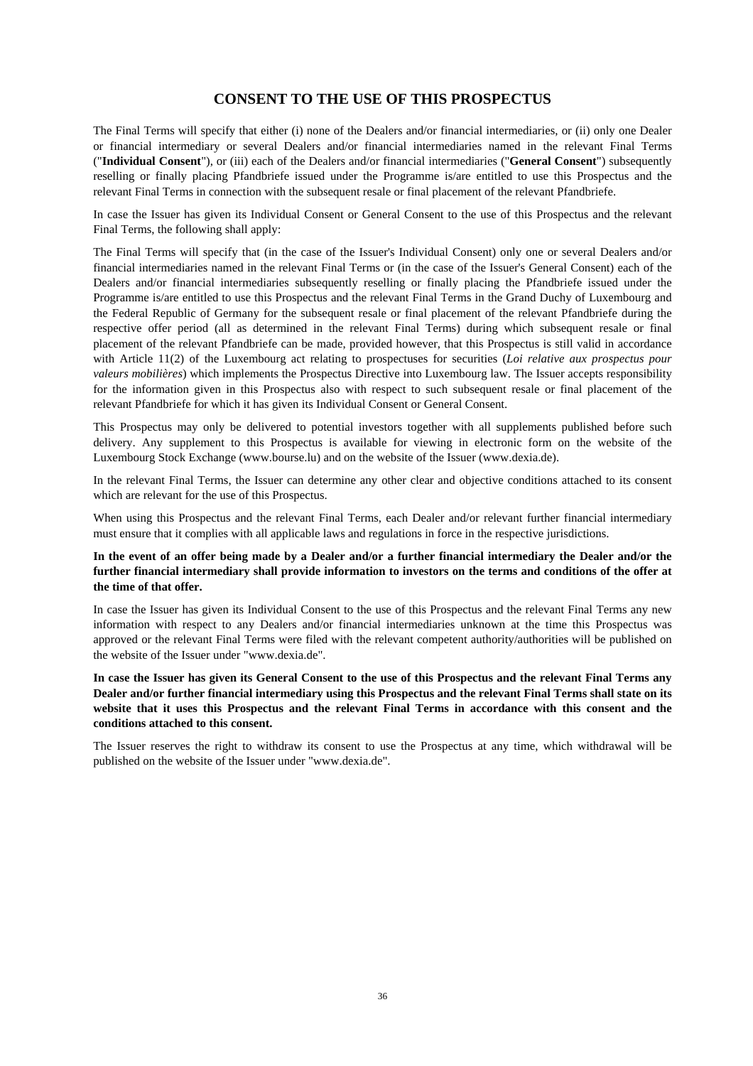# **CONSENT TO THE USE OF THIS PROSPECTUS**

The Final Terms will specify that either (i) none of the Dealers and/or financial intermediaries, or (ii) only one Dealer or financial intermediary or several Dealers and/or financial intermediaries named in the relevant Final Terms ("**Individual Consent**"), or (iii) each of the Dealers and/or financial intermediaries ("**General Consent**") subsequently reselling or finally placing Pfandbriefe issued under the Programme is/are entitled to use this Prospectus and the relevant Final Terms in connection with the subsequent resale or final placement of the relevant Pfandbriefe.

In case the Issuer has given its Individual Consent or General Consent to the use of this Prospectus and the relevant Final Terms, the following shall apply:

The Final Terms will specify that (in the case of the Issuer's Individual Consent) only one or several Dealers and/or financial intermediaries named in the relevant Final Terms or (in the case of the Issuer's General Consent) each of the Dealers and/or financial intermediaries subsequently reselling or finally placing the Pfandbriefe issued under the Programme is/are entitled to use this Prospectus and the relevant Final Terms in the Grand Duchy of Luxembourg and the Federal Republic of Germany for the subsequent resale or final placement of the relevant Pfandbriefe during the respective offer period (all as determined in the relevant Final Terms) during which subsequent resale or final placement of the relevant Pfandbriefe can be made, provided however, that this Prospectus is still valid in accordance with Article 11(2) of the Luxembourg act relating to prospectuses for securities (*Loi relative aux prospectus pour valeurs mobilières*) which implements the Prospectus Directive into Luxembourg law. The Issuer accepts responsibility for the information given in this Prospectus also with respect to such subsequent resale or final placement of the relevant Pfandbriefe for which it has given its Individual Consent or General Consent.

This Prospectus may only be delivered to potential investors together with all supplements published before such delivery. Any supplement to this Prospectus is available for viewing in electronic form on the website of the Luxembourg Stock Exchange (www.bourse.lu) and on the website of the Issuer (www.dexia.de).

In the relevant Final Terms, the Issuer can determine any other clear and objective conditions attached to its consent which are relevant for the use of this Prospectus.

When using this Prospectus and the relevant Final Terms, each Dealer and/or relevant further financial intermediary must ensure that it complies with all applicable laws and regulations in force in the respective jurisdictions.

### **In the event of an offer being made by a Dealer and/or a further financial intermediary the Dealer and/or the further financial intermediary shall provide information to investors on the terms and conditions of the offer at the time of that offer.**

In case the Issuer has given its Individual Consent to the use of this Prospectus and the relevant Final Terms any new information with respect to any Dealers and/or financial intermediaries unknown at the time this Prospectus was approved or the relevant Final Terms were filed with the relevant competent authority/authorities will be published on the website of the Issuer under "www.dexia.de".

### **In case the Issuer has given its General Consent to the use of this Prospectus and the relevant Final Terms any Dealer and/or further financial intermediary using this Prospectus and the relevant Final Terms shall state on its website that it uses this Prospectus and the relevant Final Terms in accordance with this consent and the conditions attached to this consent.**

The Issuer reserves the right to withdraw its consent to use the Prospectus at any time, which withdrawal will be published on the website of the Issuer under "www.dexia.de".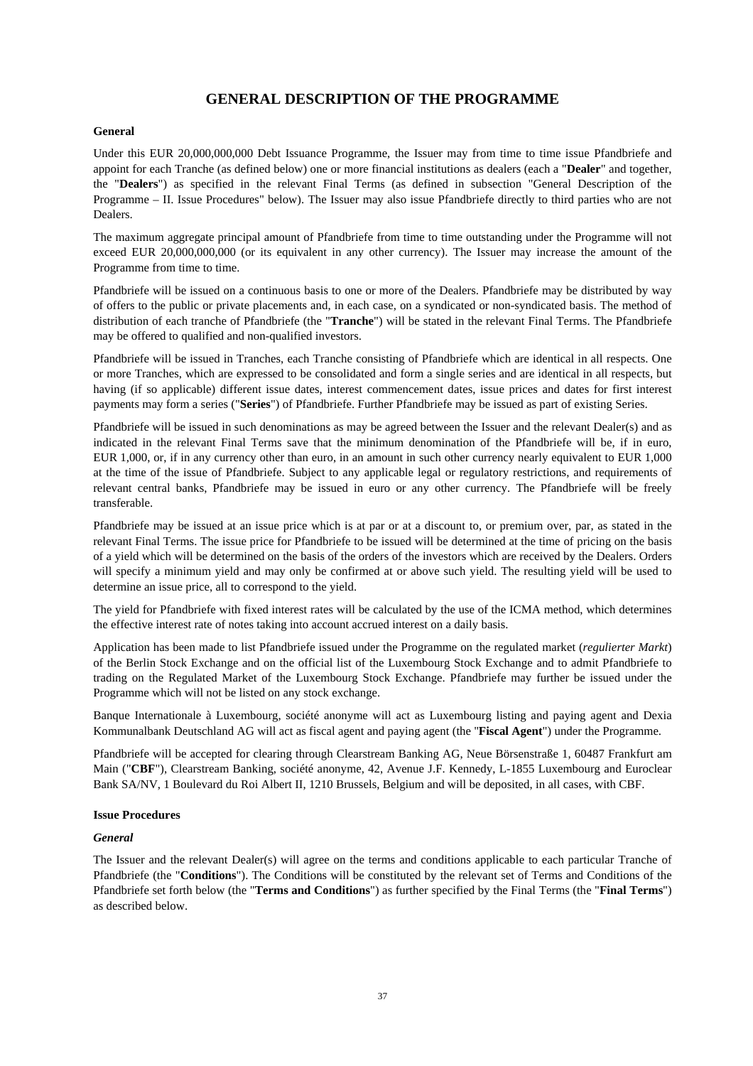## **GENERAL DESCRIPTION OF THE PROGRAMME**

## **General**

Under this EUR 20,000,000,000 Debt Issuance Programme, the Issuer may from time to time issue Pfandbriefe and appoint for each Tranche (as defined below) one or more financial institutions as dealers (each a "**Dealer**" and together, the "**Dealers**") as specified in the relevant Final Terms (as defined in subsection "General Description of the Programme – II. Issue Procedures" below). The Issuer may also issue Pfandbriefe directly to third parties who are not Dealers.

The maximum aggregate principal amount of Pfandbriefe from time to time outstanding under the Programme will not exceed EUR 20,000,000,000 (or its equivalent in any other currency). The Issuer may increase the amount of the Programme from time to time.

Pfandbriefe will be issued on a continuous basis to one or more of the Dealers. Pfandbriefe may be distributed by way of offers to the public or private placements and, in each case, on a syndicated or non-syndicated basis. The method of distribution of each tranche of Pfandbriefe (the "**Tranche**") will be stated in the relevant Final Terms. The Pfandbriefe may be offered to qualified and non-qualified investors.

Pfandbriefe will be issued in Tranches, each Tranche consisting of Pfandbriefe which are identical in all respects. One or more Tranches, which are expressed to be consolidated and form a single series and are identical in all respects, but having (if so applicable) different issue dates, interest commencement dates, issue prices and dates for first interest payments may form a series ("**Series**") of Pfandbriefe. Further Pfandbriefe may be issued as part of existing Series.

Pfandbriefe will be issued in such denominations as may be agreed between the Issuer and the relevant Dealer(s) and as indicated in the relevant Final Terms save that the minimum denomination of the Pfandbriefe will be, if in euro, EUR 1,000, or, if in any currency other than euro, in an amount in such other currency nearly equivalent to EUR 1,000 at the time of the issue of Pfandbriefe. Subject to any applicable legal or regulatory restrictions, and requirements of relevant central banks, Pfandbriefe may be issued in euro or any other currency. The Pfandbriefe will be freely transferable.

Pfandbriefe may be issued at an issue price which is at par or at a discount to, or premium over, par, as stated in the relevant Final Terms. The issue price for Pfandbriefe to be issued will be determined at the time of pricing on the basis of a yield which will be determined on the basis of the orders of the investors which are received by the Dealers. Orders will specify a minimum yield and may only be confirmed at or above such yield. The resulting yield will be used to determine an issue price, all to correspond to the yield.

The yield for Pfandbriefe with fixed interest rates will be calculated by the use of the ICMA method, which determines the effective interest rate of notes taking into account accrued interest on a daily basis.

Application has been made to list Pfandbriefe issued under the Programme on the regulated market (*regulierter Markt*) of the Berlin Stock Exchange and on the official list of the Luxembourg Stock Exchange and to admit Pfandbriefe to trading on the Regulated Market of the Luxembourg Stock Exchange. Pfandbriefe may further be issued under the Programme which will not be listed on any stock exchange.

Banque Internationale à Luxembourg, société anonyme will act as Luxembourg listing and paying agent and Dexia Kommunalbank Deutschland AG will act as fiscal agent and paying agent (the "**Fiscal Agent**") under the Programme.

Pfandbriefe will be accepted for clearing through Clearstream Banking AG, Neue Börsenstraße 1, 60487 Frankfurt am Main ("**CBF**"), Clearstream Banking, société anonyme, 42, Avenue J.F. Kennedy, L-1855 Luxembourg and Euroclear Bank SA/NV, 1 Boulevard du Roi Albert II, 1210 Brussels, Belgium and will be deposited, in all cases, with CBF.

## **Issue Procedures**

#### *General*

The Issuer and the relevant Dealer(s) will agree on the terms and conditions applicable to each particular Tranche of Pfandbriefe (the "**Conditions**"). The Conditions will be constituted by the relevant set of Terms and Conditions of the Pfandbriefe set forth below (the "**Terms and Conditions**") as further specified by the Final Terms (the "**Final Terms**") as described below.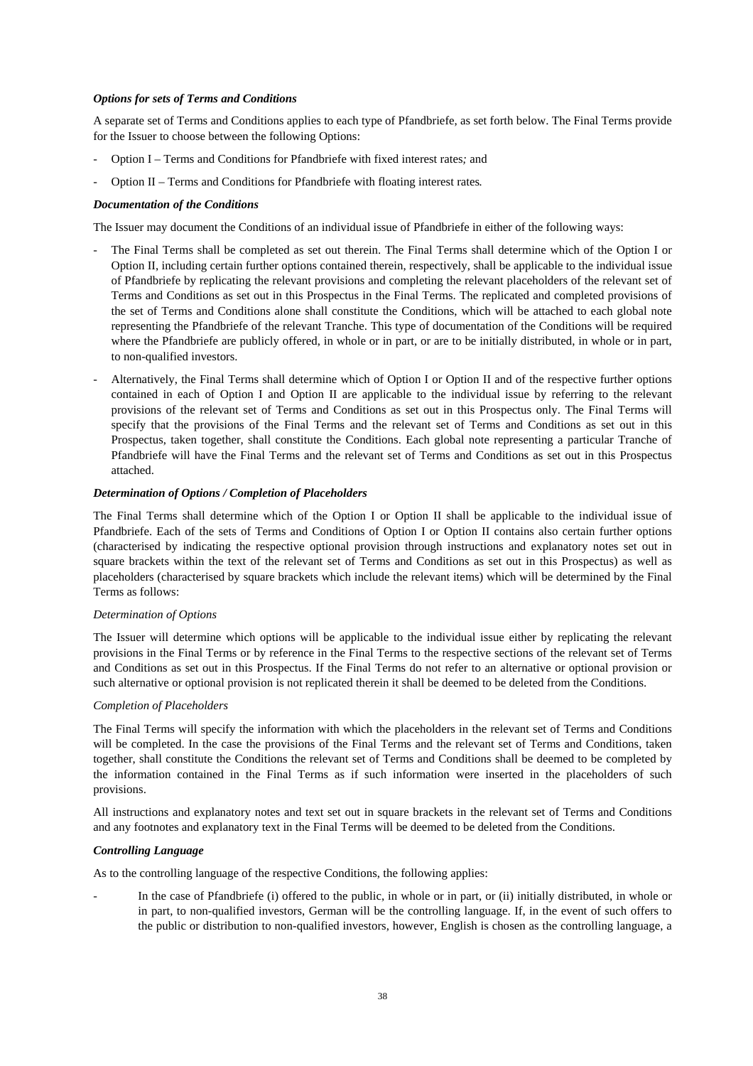## *Options for sets of Terms and Conditions*

A separate set of Terms and Conditions applies to each type of Pfandbriefe, as set forth below. The Final Terms provide for the Issuer to choose between the following Options:

- Option I Terms and Conditions for Pfandbriefe with fixed interest rates*;* and
- Option II Terms and Conditions for Pfandbriefe with floating interest rates*.*

## *Documentation of the Conditions*

The Issuer may document the Conditions of an individual issue of Pfandbriefe in either of the following ways:

- The Final Terms shall be completed as set out therein. The Final Terms shall determine which of the Option I or Option II, including certain further options contained therein, respectively, shall be applicable to the individual issue of Pfandbriefe by replicating the relevant provisions and completing the relevant placeholders of the relevant set of Terms and Conditions as set out in this Prospectus in the Final Terms. The replicated and completed provisions of the set of Terms and Conditions alone shall constitute the Conditions, which will be attached to each global note representing the Pfandbriefe of the relevant Tranche. This type of documentation of the Conditions will be required where the Pfandbriefe are publicly offered, in whole or in part, or are to be initially distributed, in whole or in part, to non-qualified investors.
- Alternatively, the Final Terms shall determine which of Option I or Option II and of the respective further options contained in each of Option I and Option II are applicable to the individual issue by referring to the relevant provisions of the relevant set of Terms and Conditions as set out in this Prospectus only. The Final Terms will specify that the provisions of the Final Terms and the relevant set of Terms and Conditions as set out in this Prospectus, taken together, shall constitute the Conditions. Each global note representing a particular Tranche of Pfandbriefe will have the Final Terms and the relevant set of Terms and Conditions as set out in this Prospectus attached.

## *Determination of Options / Completion of Placeholders*

The Final Terms shall determine which of the Option I or Option II shall be applicable to the individual issue of Pfandbriefe. Each of the sets of Terms and Conditions of Option I or Option II contains also certain further options (characterised by indicating the respective optional provision through instructions and explanatory notes set out in square brackets within the text of the relevant set of Terms and Conditions as set out in this Prospectus) as well as placeholders (characterised by square brackets which include the relevant items) which will be determined by the Final Terms as follows:

## *Determination of Options*

The Issuer will determine which options will be applicable to the individual issue either by replicating the relevant provisions in the Final Terms or by reference in the Final Terms to the respective sections of the relevant set of Terms and Conditions as set out in this Prospectus. If the Final Terms do not refer to an alternative or optional provision or such alternative or optional provision is not replicated therein it shall be deemed to be deleted from the Conditions.

## *Completion of Placeholders*

The Final Terms will specify the information with which the placeholders in the relevant set of Terms and Conditions will be completed. In the case the provisions of the Final Terms and the relevant set of Terms and Conditions, taken together, shall constitute the Conditions the relevant set of Terms and Conditions shall be deemed to be completed by the information contained in the Final Terms as if such information were inserted in the placeholders of such provisions.

All instructions and explanatory notes and text set out in square brackets in the relevant set of Terms and Conditions and any footnotes and explanatory text in the Final Terms will be deemed to be deleted from the Conditions.

## *Controlling Language*

As to the controlling language of the respective Conditions, the following applies:

In the case of Pfandbriefe (i) offered to the public, in whole or in part, or (ii) initially distributed, in whole or in part, to non-qualified investors, German will be the controlling language. If, in the event of such offers to the public or distribution to non-qualified investors, however, English is chosen as the controlling language, a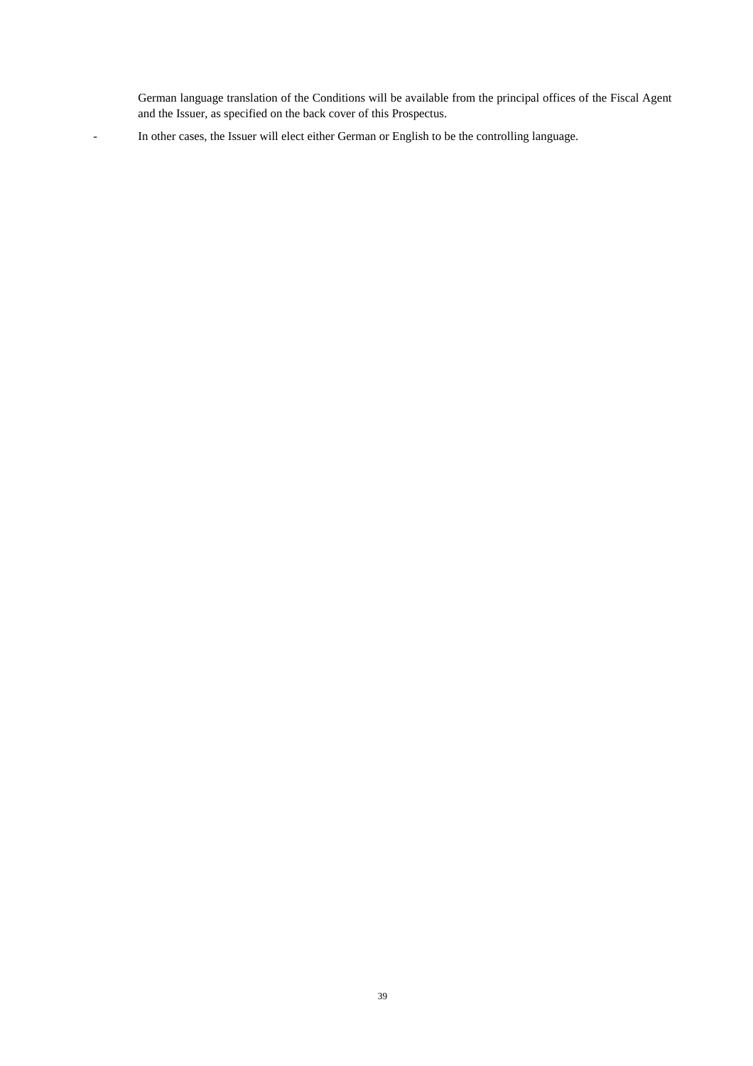German language translation of the Conditions will be available from the principal offices of the Fiscal Agent and the Issuer, as specified on the back cover of this Prospectus.

- In other cases, the Issuer will elect either German or English to be the controlling language.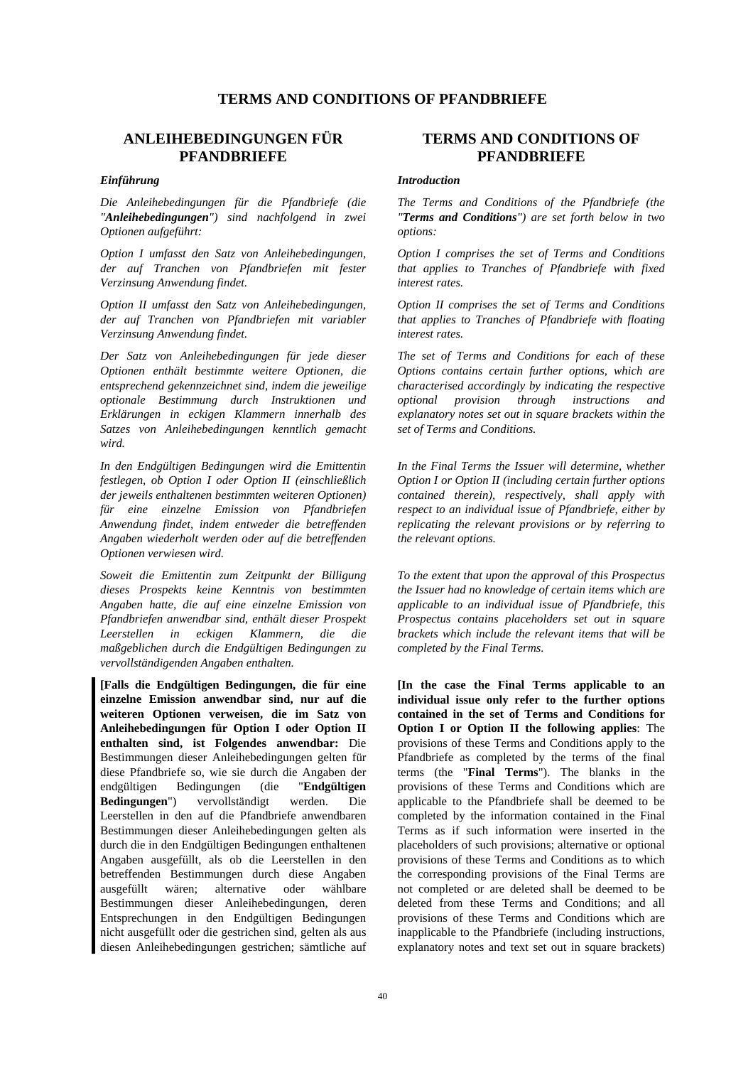## **TERMS AND CONDITIONS OF PFANDBRIEFE**

## **ANLEIHEBEDINGUNGEN FÜR PFANDBRIEFE**

*Die Anleihebedingungen für die Pfandbriefe (die "Anleihebedingungen") sind nachfolgend in zwei Optionen aufgeführt:*

*Option I umfasst den Satz von Anleihebedingungen, der auf Tranchen von Pfandbriefen mit fester Verzinsung Anwendung findet.*

*Option II umfasst den Satz von Anleihebedingungen, der auf Tranchen von Pfandbriefen mit variabler Verzinsung Anwendung findet.*

*Der Satz von Anleihebedingungen für jede dieser Optionen enthält bestimmte weitere Optionen, die entsprechend gekennzeichnet sind, indem die jeweilige optionale Bestimmung durch Instruktionen und Erklärungen in eckigen Klammern innerhalb des Satzes von Anleihebedingungen kenntlich gemacht wird.*

*In den Endgültigen Bedingungen wird die Emittentin festlegen, ob Option I oder Option II (einschließlich der jeweils enthaltenen bestimmten weiteren Optionen) für eine einzelne Emission von Pfandbriefen Anwendung findet, indem entweder die betreffenden Angaben wiederholt werden oder auf die betreffenden Optionen verwiesen wird.*

*Soweit die Emittentin zum Zeitpunkt der Billigung dieses Prospekts keine Kenntnis von bestimmten Angaben hatte, die auf eine einzelne Emission von Pfandbriefen anwendbar sind, enthält dieser Prospekt Leerstellen in eckigen Klammern, die die maßgeblichen durch die Endgültigen Bedingungen zu vervollständigenden Angaben enthalten.*

**[Falls die Endgültigen Bedingungen, die für eine einzelne Emission anwendbar sind, nur auf die weiteren Optionen verweisen, die im Satz von Anleihebedingungen für Option I oder Option II enthalten sind, ist Folgendes anwendbar:** Die Bestimmungen dieser Anleihebedingungen gelten für diese Pfandbriefe so, wie sie durch die Angaben der endgültigen Bedingungen (die "**Endgültigen Bedingungen**") vervollständigt werden. Die Leerstellen in den auf die Pfandbriefe anwendbaren Bestimmungen dieser Anleihebedingungen gelten als durch die in den Endgültigen Bedingungen enthaltenen Angaben ausgefüllt, als ob die Leerstellen in den betreffenden Bestimmungen durch diese Angaben ausgefüllt wären; alternative oder wählbare Bestimmungen dieser Anleihebedingungen, deren Entsprechungen in den Endgültigen Bedingungen nicht ausgefüllt oder die gestrichen sind, gelten als aus diesen Anleihebedingungen gestrichen; sämtliche auf

## **TERMS AND CONDITIONS OF PFANDBRIEFE**

#### *Einführung Introduction*

 *The Terms and Conditions of the Pfandbriefe (the "Terms and Conditions") are set forth below in two options:*

 *Option I comprises the set of Terms and Conditions that applies to Tranches of Pfandbriefe with fixed interest rates.*

 *Option II comprises the set of Terms and Conditions that applies to Tranches of Pfandbriefe with floating interest rates.*

 *The set of Terms and Conditions for each of these Options contains certain further options, which are characterised accordingly by indicating the respective optional provision through instructions and explanatory notes set out in square brackets within the set of Terms and Conditions.*

 *In the Final Terms the Issuer will determine, whether Option I or Option II (including certain further options contained therein), respectively, shall apply with respect to an individual issue of Pfandbriefe, either by replicating the relevant provisions or by referring to the relevant options.*

 *To the extent that upon the approval of this Prospectus the Issuer had no knowledge of certain items which are applicable to an individual issue of Pfandbriefe, this Prospectus contains placeholders set out in square brackets which include the relevant items that will be completed by the Final Terms.*

 **[In the case the Final Terms applicable to an individual issue only refer to the further options contained in the set of Terms and Conditions for Option I or Option II the following applies**: The provisions of these Terms and Conditions apply to the Pfandbriefe as completed by the terms of the final terms (the "**Final Terms**"). The blanks in the provisions of these Terms and Conditions which are applicable to the Pfandbriefe shall be deemed to be completed by the information contained in the Final Terms as if such information were inserted in the placeholders of such provisions; alternative or optional provisions of these Terms and Conditions as to which the corresponding provisions of the Final Terms are not completed or are deleted shall be deemed to be deleted from these Terms and Conditions; and all provisions of these Terms and Conditions which are inapplicable to the Pfandbriefe (including instructions, explanatory notes and text set out in square brackets)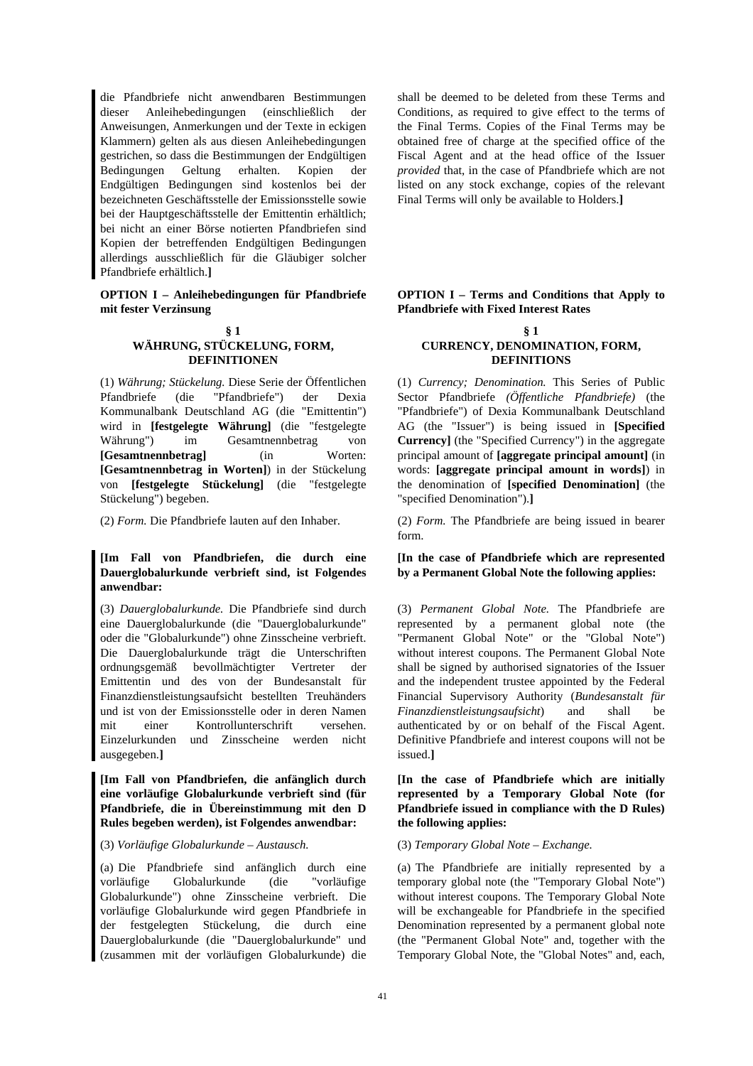die Pfandbriefe nicht anwendbaren Bestimmungen dieser Anleihebedingungen (einschließlich der Anweisungen, Anmerkungen und der Texte in eckigen Klammern) gelten als aus diesen Anleihebedingungen gestrichen, so dass die Bestimmungen der Endgültigen Bedingungen Geltung erhalten. Kopien der Endgültigen Bedingungen sind kostenlos bei der bezeichneten Geschäftsstelle der Emissionsstelle sowie bei der Hauptgeschäftsstelle der Emittentin erhältlich; bei nicht an einer Börse notierten Pfandbriefen sind Kopien der betreffenden Endgültigen Bedingungen allerdings ausschließlich für die Gläubiger solcher Pfandbriefe erhältlich.**]** 

**OPTION I – Anleihebedingungen für Pfandbriefe mit fester Verzinsung**

# **§ 1**

#### **WÄHRUNG, STÜCKELUNG, FORM, DEFINITIONEN**

(1) *Währung; Stückelung.* Diese Serie der Öffentlichen Pfandbriefe (die "Pfandbriefe") der Dexia Kommunalbank Deutschland AG (die "Emittentin") wird in **[festgelegte Währung]** (die "festgelegte Währung") im Gesamtnennbetrag von **[Gesamtnennbetrag]** (in Worten: **[Gesamtnennbetrag in Worten]**) in der Stückelung von **[festgelegte Stückelung]** (die "festgelegte Stückelung") begeben.

## **[Im Fall von Pfandbriefen, die durch eine Dauerglobalurkunde verbrieft sind, ist Folgendes anwendbar:**

(3) *Dauerglobalurkunde.* Die Pfandbriefe sind durch eine Dauerglobalurkunde (die "Dauerglobalurkunde" oder die "Globalurkunde") ohne Zinsscheine verbrieft. Die Dauerglobalurkunde trägt die Unterschriften ordnungsgemäß bevollmächtigter Vertreter der Emittentin und des von der Bundesanstalt für Finanzdienstleistungsaufsicht bestellten Treuhänders und ist von der Emissionsstelle oder in deren Namen mit einer Kontrollunterschrift versehen. Einzelurkunden und Zinsscheine werden nicht ausgegeben.**]** 

**[Im Fall von Pfandbriefen, die anfänglich durch eine vorläufige Globalurkunde verbrieft sind (für Pfandbriefe, die in Übereinstimmung mit den D Rules begeben werden), ist Folgendes anwendbar:** 

(3) *Vorläufige Globalurkunde – Austausch.* (3) *Temporary Global Note – Exchange.* 

(a) Die Pfandbriefe sind anfänglich durch eine vorläufige Globalurkunde (die "vorläufige Globalurkunde") ohne Zinsscheine verbrieft. Die vorläufige Globalurkunde wird gegen Pfandbriefe in der festgelegten Stückelung, die durch eine Dauerglobalurkunde (die "Dauerglobalurkunde" und (zusammen mit der vorläufigen Globalurkunde) die shall be deemed to be deleted from these Terms and Conditions, as required to give effect to the terms of the Final Terms. Copies of the Final Terms may be obtained free of charge at the specified office of the Fiscal Agent and at the head office of the Issuer *provided* that, in the case of Pfandbriefe which are not listed on any stock exchange, copies of the relevant Final Terms will only be available to Holders.**]** 

## **OPTION I – Terms and Conditions that Apply to Pfandbriefe with Fixed Interest Rates**

#### **§ 1 CURRENCY, DENOMINATION, FORM, DEFINITIONS**

 (1) *Currency; Denomination.* This Series of Public Sector Pfandbriefe *(Öffentliche Pfandbriefe)* (the "Pfandbriefe") of Dexia Kommunalbank Deutschland AG (the "Issuer") is being issued in **[Specified Currency]** (the "Specified Currency") in the aggregate principal amount of **[aggregate principal amount]** (in words: **[aggregate principal amount in words]**) in the denomination of **[specified Denomination]** (the "specified Denomination").**]** 

(2) *Form.* Die Pfandbriefe lauten auf den Inhaber. (2) *Form.* The Pfandbriefe are being issued in bearer form.

## **[In the case of Pfandbriefe which are represented by a Permanent Global Note the following applies:**

 (3) *Permanent Global Note.* The Pfandbriefe are represented by a permanent global note (the "Permanent Global Note" or the "Global Note") without interest coupons. The Permanent Global Note shall be signed by authorised signatories of the Issuer and the independent trustee appointed by the Federal Financial Supervisory Authority (*Bundesanstalt für Finanzdienstleistungsaufsicht*) and shall be authenticated by or on behalf of the Fiscal Agent. Definitive Pfandbriefe and interest coupons will not be issued.**]** 

## **[In the case of Pfandbriefe which are initially represented by a Temporary Global Note (for Pfandbriefe issued in compliance with the D Rules) the following applies:**

 (a) The Pfandbriefe are initially represented by a temporary global note (the "Temporary Global Note") without interest coupons. The Temporary Global Note will be exchangeable for Pfandbriefe in the specified Denomination represented by a permanent global note (the "Permanent Global Note" and, together with the Temporary Global Note, the "Global Notes" and, each,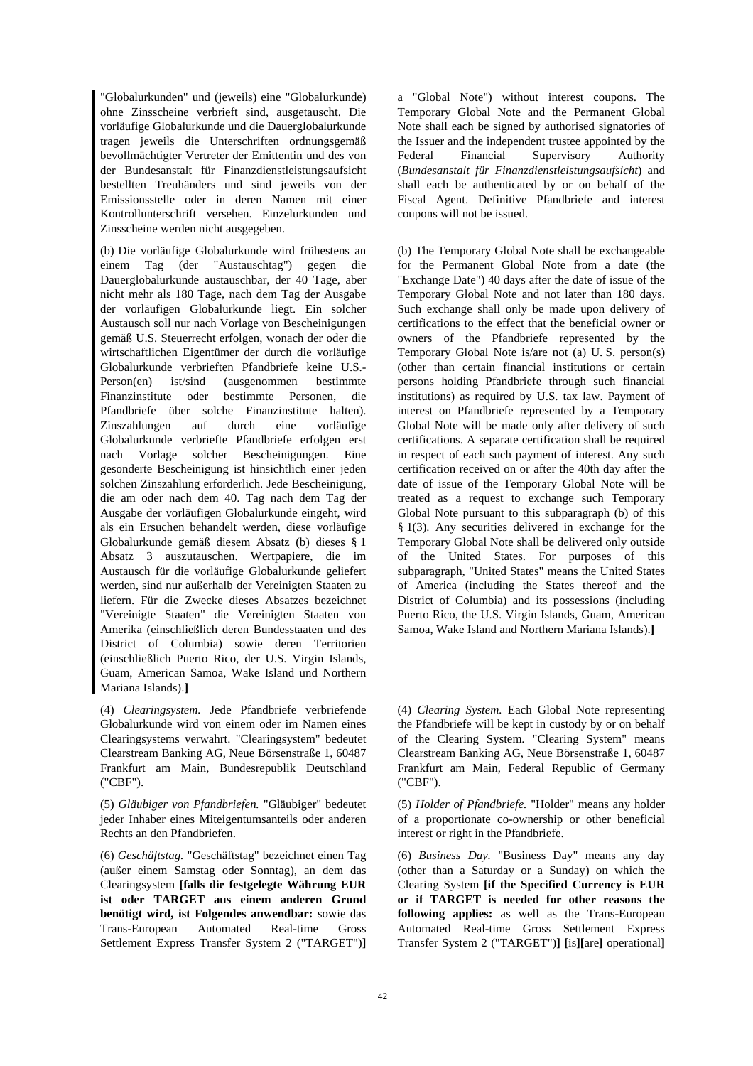"Globalurkunden" und (jeweils) eine "Globalurkunde) ohne Zinsscheine verbrieft sind, ausgetauscht. Die vorläufige Globalurkunde und die Dauerglobalurkunde tragen jeweils die Unterschriften ordnungsgemäß bevollmächtigter Vertreter der Emittentin und des von der Bundesanstalt für Finanzdienstleistungsaufsicht bestellten Treuhänders und sind jeweils von der Emissionsstelle oder in deren Namen mit einer Kontrollunterschrift versehen. Einzelurkunden und Zinsscheine werden nicht ausgegeben.

(b) Die vorläufige Globalurkunde wird frühestens an einem Tag (der "Austauschtag") gegen die Dauerglobalurkunde austauschbar, der 40 Tage, aber nicht mehr als 180 Tage, nach dem Tag der Ausgabe der vorläufigen Globalurkunde liegt. Ein solcher Austausch soll nur nach Vorlage von Bescheinigungen gemäß U.S. Steuerrecht erfolgen, wonach der oder die wirtschaftlichen Eigentümer der durch die vorläufige Globalurkunde verbrieften Pfandbriefe keine U.S.- Person(en) ist/sind (ausgenommen bestimmte Finanzinstitute oder bestimmte Personen, die Pfandbriefe über solche Finanzinstitute halten). Zinszahlungen auf durch eine vorläufige Globalurkunde verbriefte Pfandbriefe erfolgen erst nach Vorlage solcher Bescheinigungen. Eine gesonderte Bescheinigung ist hinsichtlich einer jeden solchen Zinszahlung erforderlich. Jede Bescheinigung, die am oder nach dem 40. Tag nach dem Tag der Ausgabe der vorläufigen Globalurkunde eingeht, wird als ein Ersuchen behandelt werden, diese vorläufige Globalurkunde gemäß diesem Absatz (b) dieses § 1 Absatz 3 auszutauschen. Wertpapiere, die im Austausch für die vorläufige Globalurkunde geliefert werden, sind nur außerhalb der Vereinigten Staaten zu liefern. Für die Zwecke dieses Absatzes bezeichnet "Vereinigte Staaten" die Vereinigten Staaten von Amerika (einschließlich deren Bundesstaaten und des District of Columbia) sowie deren Territorien (einschließlich Puerto Rico, der U.S. Virgin Islands, Guam, American Samoa, Wake Island und Northern Mariana Islands).**]** 

(4) *Clearingsystem.* Jede Pfandbriefe verbriefende Globalurkunde wird von einem oder im Namen eines Clearingsystems verwahrt. "Clearingsystem" bedeutet Clearstream Banking AG, Neue Börsenstraße 1, 60487 Frankfurt am Main, Bundesrepublik Deutschland ("CBF").

(5) *Gläubiger von Pfandbriefen.* "Gläubiger" bedeutet jeder Inhaber eines Miteigentumsanteils oder anderen Rechts an den Pfandbriefen.

(6) *Geschäftstag.* "Geschäftstag" bezeichnet einen Tag (außer einem Samstag oder Sonntag), an dem das Clearingsystem **[falls die festgelegte Währung EUR ist oder TARGET aus einem anderen Grund benötigt wird, ist Folgendes anwendbar:** sowie das Trans-European Automated Real-time Gross Settlement Express Transfer System 2 ("TARGET")**]**

a "Global Note") without interest coupons. The Temporary Global Note and the Permanent Global Note shall each be signed by authorised signatories of the Issuer and the independent trustee appointed by the Federal Financial Supervisory Authority (*Bundesanstalt für Finanzdienstleistungsaufsicht*) and shall each be authenticated by or on behalf of the Fiscal Agent. Definitive Pfandbriefe and interest coupons will not be issued.

 (b) The Temporary Global Note shall be exchangeable for the Permanent Global Note from a date (the "Exchange Date") 40 days after the date of issue of the Temporary Global Note and not later than 180 days. Such exchange shall only be made upon delivery of certifications to the effect that the beneficial owner or owners of the Pfandbriefe represented by the Temporary Global Note is/are not (a) U. S. person(s) (other than certain financial institutions or certain persons holding Pfandbriefe through such financial institutions) as required by U.S. tax law. Payment of interest on Pfandbriefe represented by a Temporary Global Note will be made only after delivery of such certifications. A separate certification shall be required in respect of each such payment of interest. Any such certification received on or after the 40th day after the date of issue of the Temporary Global Note will be treated as a request to exchange such Temporary Global Note pursuant to this subparagraph (b) of this § 1(3). Any securities delivered in exchange for the Temporary Global Note shall be delivered only outside of the United States. For purposes of this subparagraph, "United States" means the United States of America (including the States thereof and the District of Columbia) and its possessions (including Puerto Rico, the U.S. Virgin Islands, Guam, American Samoa, Wake Island and Northern Mariana Islands).**]** 

 (4) *Clearing System.* Each Global Note representing the Pfandbriefe will be kept in custody by or on behalf of the Clearing System. "Clearing System" means Clearstream Banking AG, Neue Börsenstraße 1, 60487 Frankfurt am Main, Federal Republic of Germany ("CBF").

 (5) *Holder of Pfandbriefe.* "Holder" means any holder of a proportionate co-ownership or other beneficial interest or right in the Pfandbriefe.

 (6) *Business Day.* "Business Day" means any day (other than a Saturday or a Sunday) on which the Clearing System **[if the Specified Currency is EUR or if TARGET is needed for other reasons the following applies:** as well as the Trans-European Automated Real-time Gross Settlement Express Transfer System 2 ("TARGET")**] [**is**][**are**]** operational**]**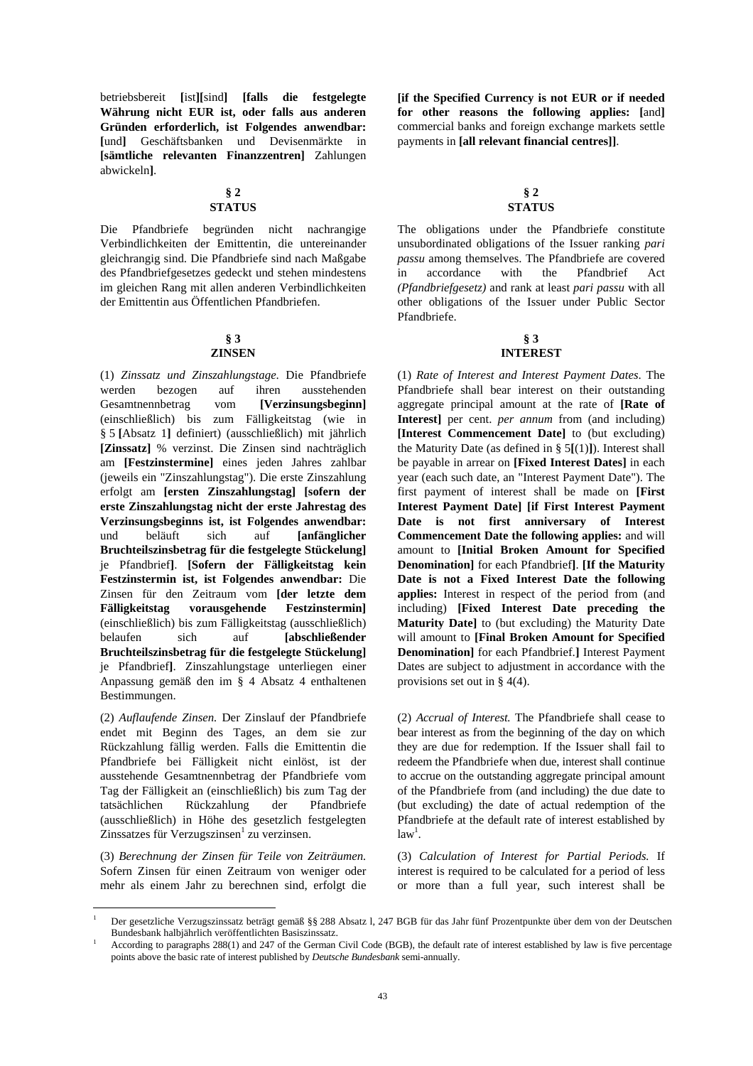betriebsbereit **[**ist**][**sind**] [falls die festgelegte Währung nicht EUR ist, oder falls aus anderen Gründen erforderlich, ist Folgendes anwendbar: [**und**]** Geschäftsbanken und Devisenmärkte in **[sämtliche relevanten Finanzzentren]** Zahlungen abwickeln**]**.

## **§ 2 STATUS**

Die Pfandbriefe begründen nicht nachrangige Verbindlichkeiten der Emittentin, die untereinander gleichrangig sind. Die Pfandbriefe sind nach Maßgabe des Pfandbriefgesetzes gedeckt und stehen mindestens im gleichen Rang mit allen anderen Verbindlichkeiten der Emittentin aus Öffentlichen Pfandbriefen.

## **§ 3 ZINSEN**

(1) *Zinssatz und Zinszahlungstage*. Die Pfandbriefe werden bezogen auf ihren ausstehenden Gesamtnennbetrag vom **[Verzinsungsbeginn]** (einschließlich) bis zum Fälligkeitstag (wie in § 5 **[**Absatz 1**]** definiert) (ausschließlich) mit jährlich **[Zinssatz]** % verzinst. Die Zinsen sind nachträglich am **[Festzinstermine]** eines jeden Jahres zahlbar (jeweils ein "Zinszahlungstag"). Die erste Zinszahlung erfolgt am **[ersten Zinszahlungstag] [sofern der erste Zinszahlungstag nicht der erste Jahrestag des Verzinsungsbeginns ist, ist Folgendes anwendbar:** und beläuft sich auf **[anfänglicher Bruchteilszinsbetrag für die festgelegte Stückelung]** je Pfandbrief**]**. **[Sofern der Fälligkeitstag kein Festzinstermin ist, ist Folgendes anwendbar:** Die Zinsen für den Zeitraum vom **[der letzte dem Fälligkeitstag vorausgehende Festzinstermin]** (einschließlich) bis zum Fälligkeitstag (ausschließlich) belaufen sich auf **[abschließender Bruchteilszinsbetrag für die festgelegte Stückelung]** je Pfandbrief**]**. Zinszahlungstage unterliegen einer Anpassung gemäß den im § 4 Absatz 4 enthaltenen Bestimmungen.

(2) *Auflaufende Zinsen.* Der Zinslauf der Pfandbriefe endet mit Beginn des Tages, an dem sie zur Rückzahlung fällig werden. Falls die Emittentin die Pfandbriefe bei Fälligkeit nicht einlöst, ist der ausstehende Gesamtnennbetrag der Pfandbriefe vom Tag der Fälligkeit an (einschließlich) bis zum Tag der tatsächlichen Rückzahlung der Pfandbriefe (ausschließlich) in Höhe des gesetzlich festgelegten Zinssatzes für Verzugszinsen<sup>1</sup> zu verzinsen.

(3) *Berechnung der Zinsen für Teile von Zeiträumen.* Sofern Zinsen für einen Zeitraum von weniger oder mehr als einem Jahr zu berechnen sind, erfolgt die

 $\overline{a}$ 

**[if the Specified Currency is not EUR or if needed for other reasons the following applies: [**and**]** commercial banks and foreign exchange markets settle payments in **[all relevant financial centres]]**.

## **§ 2 STATUS**

 The obligations under the Pfandbriefe constitute unsubordinated obligations of the Issuer ranking *pari passu* among themselves. The Pfandbriefe are covered in accordance with the Pfandbrief Act *(Pfandbriefgesetz)* and rank at least *pari passu* with all other obligations of the Issuer under Public Sector Pfandbriefe.

## **§ 3 INTEREST**

 (1) *Rate of Interest and Interest Payment Dates*. The Pfandbriefe shall bear interest on their outstanding aggregate principal amount at the rate of **[Rate of Interest]** per cent. *per annum* from (and including) **[Interest Commencement Date]** to (but excluding) the Maturity Date (as defined in § 5**[**(1)**]**). Interest shall be payable in arrear on **[Fixed Interest Dates]** in each year (each such date, an "Interest Payment Date"). The first payment of interest shall be made on **[First Interest Payment Date] [if First Interest Payment Date is not first anniversary of Interest Commencement Date the following applies:** and will amount to **[Initial Broken Amount for Specified Denomination]** for each Pfandbrief**]**. **[If the Maturity Date is not a Fixed Interest Date the following applies:** Interest in respect of the period from (and including) **[Fixed Interest Date preceding the Maturity Date]** to (but excluding) the Maturity Date will amount to **[Final Broken Amount for Specified Denomination]** for each Pfandbrief.**]** Interest Payment Dates are subject to adjustment in accordance with the provisions set out in § 4(4).

 (2) *Accrual of Interest.* The Pfandbriefe shall cease to bear interest as from the beginning of the day on which they are due for redemption. If the Issuer shall fail to redeem the Pfandbriefe when due, interest shall continue to accrue on the outstanding aggregate principal amount of the Pfandbriefe from (and including) the due date to (but excluding) the date of actual redemption of the Pfandbriefe at the default rate of interest established by  $law<sup>1</sup>$ .

 (3) *Calculation of Interest for Partial Periods.* If interest is required to be calculated for a period of less or more than a full year, such interest shall be

<sup>1</sup> Der gesetzliche Verzugszinssatz beträgt gemäß §§ 288 Absatz l, 247 BGB für das Jahr fünf Prozentpunkte über dem von der Deutschen Bundesbank halbjährlich veröffentlichten Basiszinssatz. 1

According to paragraphs 288(1) and 247 of the German Civil Code (BGB), the default rate of interest established by law is five percentage points above the basic rate of interest published by *Deutsche Bundesbank* semi-annually.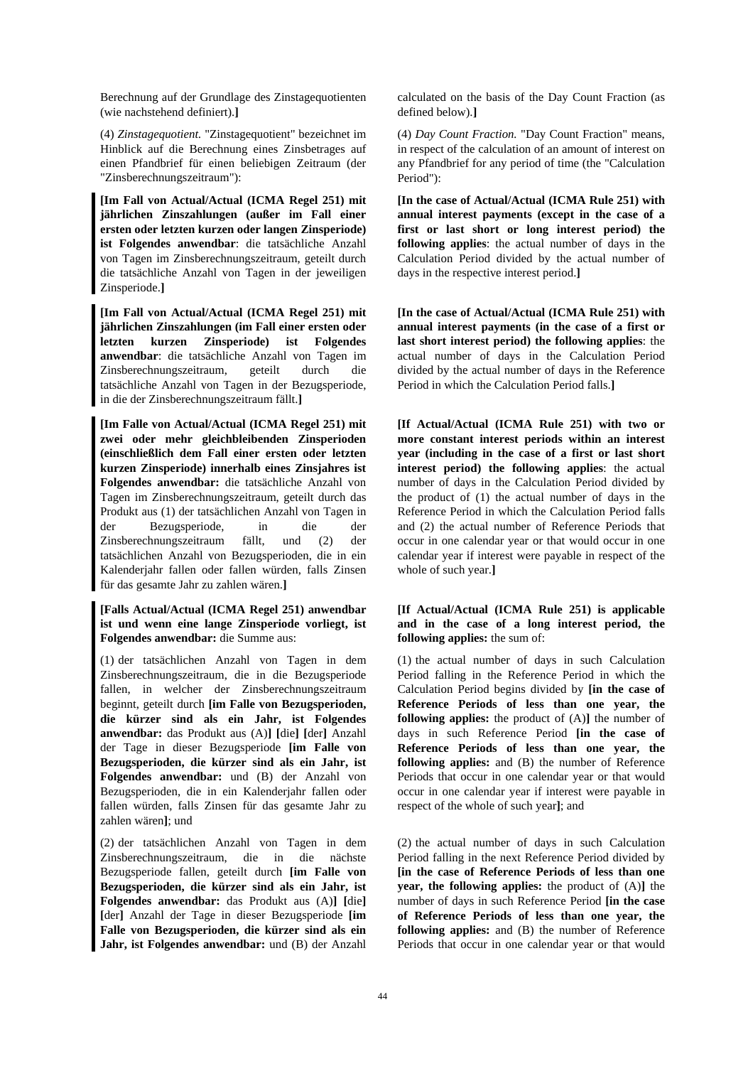Berechnung auf der Grundlage des Zinstagequotienten (wie nachstehend definiert).**]** 

(4) *Zinstagequotient.* "Zinstagequotient" bezeichnet im Hinblick auf die Berechnung eines Zinsbetrages auf einen Pfandbrief für einen beliebigen Zeitraum (der "Zinsberechnungszeitraum"):

**[Im Fall von Actual/Actual (ICMA Regel 251) mit jährlichen Zinszahlungen (außer im Fall einer ersten oder letzten kurzen oder langen Zinsperiode) ist Folgendes anwendbar**: die tatsächliche Anzahl von Tagen im Zinsberechnungszeitraum, geteilt durch die tatsächliche Anzahl von Tagen in der jeweiligen Zinsperiode.**]** 

**[Im Fall von Actual/Actual (ICMA Regel 251) mit jährlichen Zinszahlungen (im Fall einer ersten oder letzten kurzen Zinsperiode) ist Folgendes anwendbar**: die tatsächliche Anzahl von Tagen im Zinsberechnungszeitraum, geteilt durch die tatsächliche Anzahl von Tagen in der Bezugsperiode, in die der Zinsberechnungszeitraum fällt.**]** 

**[Im Falle von Actual/Actual (ICMA Regel 251) mit zwei oder mehr gleichbleibenden Zinsperioden (einschließlich dem Fall einer ersten oder letzten kurzen Zinsperiode) innerhalb eines Zinsjahres ist Folgendes anwendbar:** die tatsächliche Anzahl von Tagen im Zinsberechnungszeitraum, geteilt durch das Produkt aus (1) der tatsächlichen Anzahl von Tagen in der Bezugsperiode, in die der Zinsberechnungszeitraum fällt, und (2) der tatsächlichen Anzahl von Bezugsperioden, die in ein Kalenderjahr fallen oder fallen würden, falls Zinsen für das gesamte Jahr zu zahlen wären.**]** 

## **[Falls Actual/Actual (ICMA Regel 251) anwendbar ist und wenn eine lange Zinsperiode vorliegt, ist Folgendes anwendbar:** die Summe aus:

(1) der tatsächlichen Anzahl von Tagen in dem Zinsberechnungszeitraum, die in die Bezugsperiode fallen, in welcher der Zinsberechnungszeitraum beginnt, geteilt durch **[im Falle von Bezugsperioden, die kürzer sind als ein Jahr, ist Folgendes anwendbar:** das Produkt aus (A)**] [**die**] [**der**]** Anzahl der Tage in dieser Bezugsperiode **[im Falle von Bezugsperioden, die kürzer sind als ein Jahr, ist Folgendes anwendbar:** und (B) der Anzahl von Bezugsperioden, die in ein Kalenderjahr fallen oder fallen würden, falls Zinsen für das gesamte Jahr zu zahlen wären**]**; und

(2) der tatsächlichen Anzahl von Tagen in dem Zinsberechnungszeitraum, die in die nächste Bezugsperiode fallen, geteilt durch **[im Falle von Bezugsperioden, die kürzer sind als ein Jahr, ist Folgendes anwendbar:** das Produkt aus (A)**] [**die**] [**der**]** Anzahl der Tage in dieser Bezugsperiode **[im Falle von Bezugsperioden, die kürzer sind als ein Jahr, ist Folgendes anwendbar:** und (B) der Anzahl calculated on the basis of the Day Count Fraction (as defined below).**]** 

 (4) *Day Count Fraction.* "Day Count Fraction" means, in respect of the calculation of an amount of interest on any Pfandbrief for any period of time (the "Calculation Period"):

 **[In the case of Actual/Actual (ICMA Rule 251) with annual interest payments (except in the case of a first or last short or long interest period) the following applies**: the actual number of days in the Calculation Period divided by the actual number of days in the respective interest period.**]** 

 **[In the case of Actual/Actual (ICMA Rule 251) with annual interest payments (in the case of a first or last short interest period) the following applies**: the actual number of days in the Calculation Period divided by the actual number of days in the Reference Period in which the Calculation Period falls.**]** 

 **[If Actual/Actual (ICMA Rule 251) with two or more constant interest periods within an interest year (including in the case of a first or last short interest period) the following applies**: the actual number of days in the Calculation Period divided by the product of (1) the actual number of days in the Reference Period in which the Calculation Period falls and (2) the actual number of Reference Periods that occur in one calendar year or that would occur in one calendar year if interest were payable in respect of the whole of such year.**]** 

## **[If Actual/Actual (ICMA Rule 251) is applicable and in the case of a long interest period, the following applies:** the sum of:

 (1) the actual number of days in such Calculation Period falling in the Reference Period in which the Calculation Period begins divided by **[in the case of Reference Periods of less than one year, the following applies:** the product of (A)**]** the number of days in such Reference Period **[in the case of Reference Periods of less than one year, the following applies:** and (B) the number of Reference Periods that occur in one calendar year or that would occur in one calendar year if interest were payable in respect of the whole of such year**]**; and

 (2) the actual number of days in such Calculation Period falling in the next Reference Period divided by **[in the case of Reference Periods of less than one year, the following applies:** the product of (A)**]** the number of days in such Reference Period **[in the case of Reference Periods of less than one year, the following applies:** and (B) the number of Reference Periods that occur in one calendar year or that would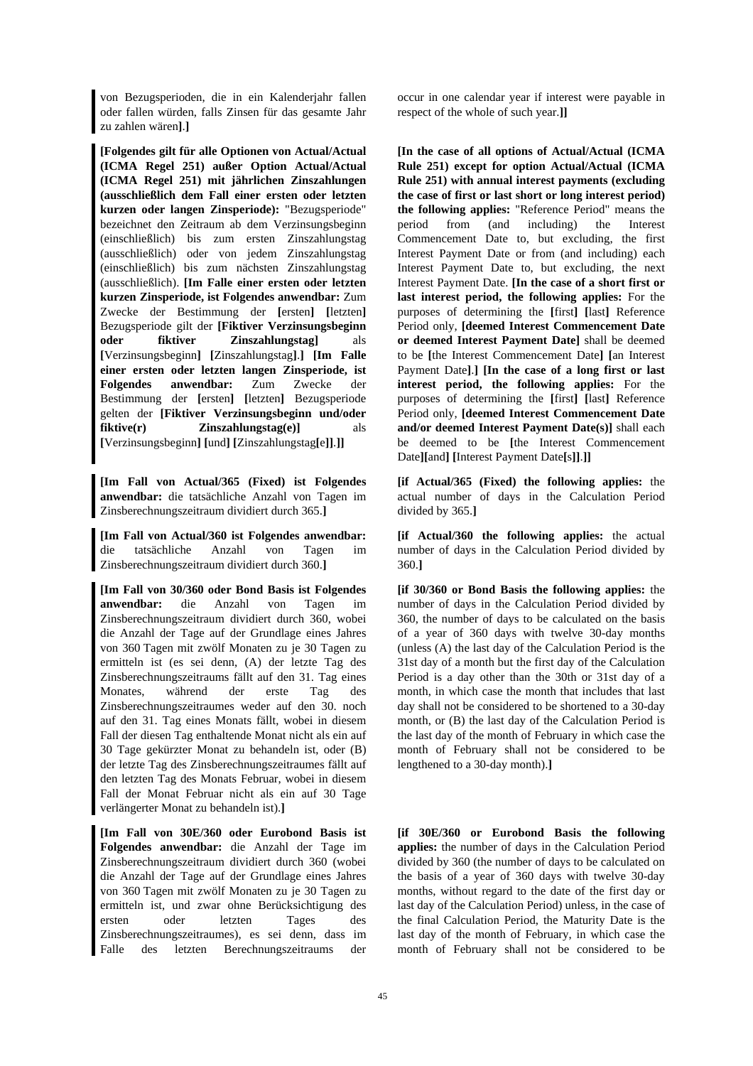von Bezugsperioden, die in ein Kalenderjahr fallen oder fallen würden, falls Zinsen für das gesamte Jahr zu zahlen wären**]**.**]** 

**[Folgendes gilt für alle Optionen von Actual/Actual (ICMA Regel 251) außer Option Actual/Actual (ICMA Regel 251) mit jährlichen Zinszahlungen (ausschließlich dem Fall einer ersten oder letzten kurzen oder langen Zinsperiode):** "Bezugsperiode" bezeichnet den Zeitraum ab dem Verzinsungsbeginn (einschließlich) bis zum ersten Zinszahlungstag (ausschließlich) oder von jedem Zinszahlungstag (einschließlich) bis zum nächsten Zinszahlungstag (ausschließlich). **[Im Falle einer ersten oder letzten kurzen Zinsperiode, ist Folgendes anwendbar:** Zum Zwecke der Bestimmung der **[**ersten**] [**letzten**]** Bezugsperiode gilt der **[Fiktiver Verzinsungsbeginn oder fiktiver Zinszahlungstag]** als **[**Verzinsungsbeginn**] [**Zinszahlungstag**]**.**] [Im Falle einer ersten oder letzten langen Zinsperiode, ist Folgendes anwendbar:** Zum Zwecke der Bestimmung der **[**ersten**] [**letzten**]** Bezugsperiode gelten der **[Fiktiver Verzinsungsbeginn und/oder fiktive(r) Zinszahlungstag(e)]** als **[**Verzinsungsbeginn**] [**und**] [**Zinszahlungstag**[**e**]]**.**]]** 

**[Im Fall von Actual/365 (Fixed) ist Folgendes anwendbar:** die tatsächliche Anzahl von Tagen im Zinsberechnungszeitraum dividiert durch 365.**]** 

**[Im Fall von Actual/360 ist Folgendes anwendbar:** die tatsächliche Anzahl von Tagen im Zinsberechnungszeitraum dividiert durch 360.**]** 

**[Im Fall von 30/360 oder Bond Basis ist Folgendes anwendbar:** die Anzahl von Tagen im Zinsberechnungszeitraum dividiert durch 360, wobei die Anzahl der Tage auf der Grundlage eines Jahres von 360 Tagen mit zwölf Monaten zu je 30 Tagen zu ermitteln ist (es sei denn, (A) der letzte Tag des Zinsberechnungszeitraums fällt auf den 31. Tag eines Monates, während der erste Tag des Zinsberechnungszeitraumes weder auf den 30. noch auf den 31. Tag eines Monats fällt, wobei in diesem Fall der diesen Tag enthaltende Monat nicht als ein auf 30 Tage gekürzter Monat zu behandeln ist, oder (B) der letzte Tag des Zinsberechnungszeitraumes fällt auf den letzten Tag des Monats Februar, wobei in diesem Fall der Monat Februar nicht als ein auf 30 Tage verlängerter Monat zu behandeln ist).**]** 

**[Im Fall von 30E/360 oder Eurobond Basis ist Folgendes anwendbar:** die Anzahl der Tage im Zinsberechnungszeitraum dividiert durch 360 (wobei die Anzahl der Tage auf der Grundlage eines Jahres von 360 Tagen mit zwölf Monaten zu je 30 Tagen zu ermitteln ist, und zwar ohne Berücksichtigung des ersten oder letzten Tages des Zinsberechnungszeitraumes), es sei denn, dass im Falle des letzten Berechnungszeitraums der

occur in one calendar year if interest were payable in respect of the whole of such year.**]]** 

 **[In the case of all options of Actual/Actual (ICMA Rule 251) except for option Actual/Actual (ICMA Rule 251) with annual interest payments (excluding the case of first or last short or long interest period) the following applies:** "Reference Period" means the period from (and including) the Interest Commencement Date to, but excluding, the first Interest Payment Date or from (and including) each Interest Payment Date to, but excluding, the next Interest Payment Date. **[In the case of a short first or last interest period, the following applies:** For the purposes of determining the **[**first**] [**last**]** Reference Period only, **[deemed Interest Commencement Date or deemed Interest Payment Date]** shall be deemed to be **[**the Interest Commencement Date**] [**an Interest Payment Date**]**.**] [In the case of a long first or last interest period, the following applies:** For the purposes of determining the **[**first**] [**last**]** Reference Period only, **[deemed Interest Commencement Date and/or deemed Interest Payment Date(s)]** shall each be deemed to be **[**the Interest Commencement Date**][**and**] [**Interest Payment Date**[**s**]]**.**]]** 

**[if Actual/365 (Fixed) the following applies:** the actual number of days in the Calculation Period divided by 365.**]** 

**[if Actual/360 the following applies:** the actual number of days in the Calculation Period divided by 360.**]** 

**[if 30/360 or Bond Basis the following applies:** the number of days in the Calculation Period divided by 360, the number of days to be calculated on the basis of a year of 360 days with twelve 30-day months (unless (A) the last day of the Calculation Period is the 31st day of a month but the first day of the Calculation Period is a day other than the 30th or 31st day of a month, in which case the month that includes that last day shall not be considered to be shortened to a 30-day month, or (B) the last day of the Calculation Period is the last day of the month of February in which case the month of February shall not be considered to be lengthened to a 30-day month).**]** 

 **[if 30E/360 or Eurobond Basis the following applies:** the number of days in the Calculation Period divided by 360 (the number of days to be calculated on the basis of a year of 360 days with twelve 30-day months, without regard to the date of the first day or last day of the Calculation Period) unless, in the case of the final Calculation Period, the Maturity Date is the last day of the month of February, in which case the month of February shall not be considered to be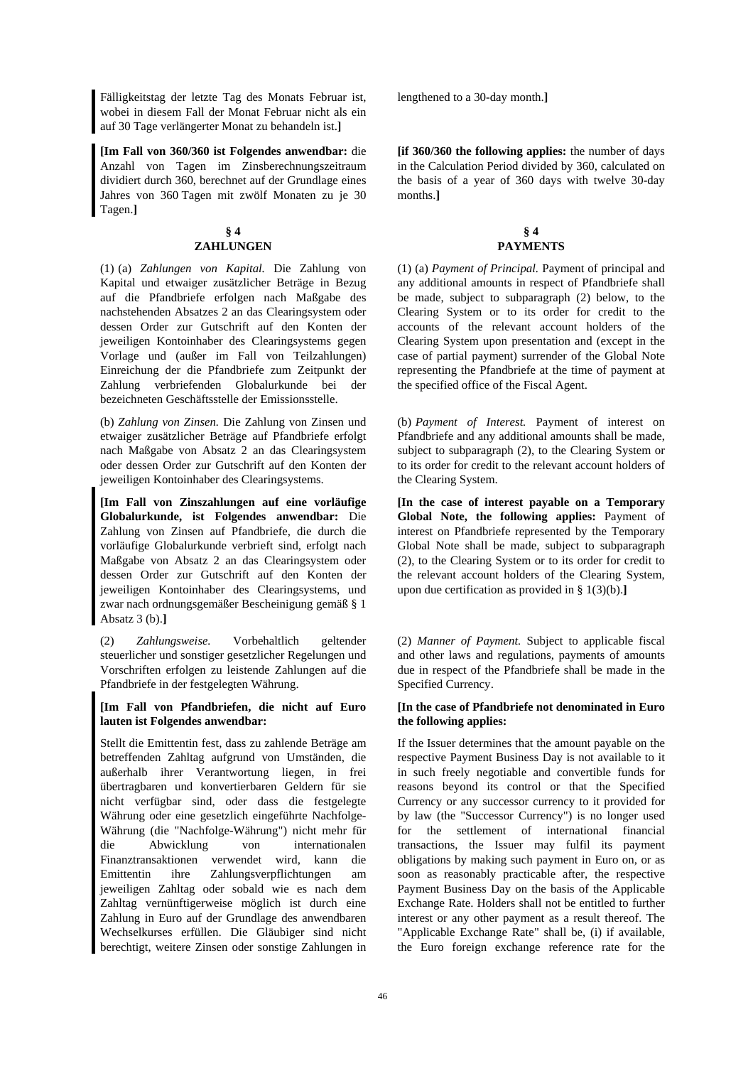Fälligkeitstag der letzte Tag des Monats Februar ist, wobei in diesem Fall der Monat Februar nicht als ein auf 30 Tage verlängerter Monat zu behandeln ist.**]** 

**[Im Fall von 360/360 ist Folgendes anwendbar:** die Anzahl von Tagen im Zinsberechnungszeitraum dividiert durch 360, berechnet auf der Grundlage eines Jahres von 360 Tagen mit zwölf Monaten zu je 30 Tagen.**]** 

## **§ 4 ZAHLUNGEN**

(1) (a) *Zahlungen von Kapital.* Die Zahlung von Kapital und etwaiger zusätzlicher Beträge in Bezug auf die Pfandbriefe erfolgen nach Maßgabe des nachstehenden Absatzes 2 an das Clearingsystem oder dessen Order zur Gutschrift auf den Konten der jeweiligen Kontoinhaber des Clearingsystems gegen Vorlage und (außer im Fall von Teilzahlungen) Einreichung der die Pfandbriefe zum Zeitpunkt der Zahlung verbriefenden Globalurkunde bei der bezeichneten Geschäftsstelle der Emissionsstelle.

(b) *Zahlung von Zinsen.* Die Zahlung von Zinsen und etwaiger zusätzlicher Beträge auf Pfandbriefe erfolgt nach Maßgabe von Absatz 2 an das Clearingsystem oder dessen Order zur Gutschrift auf den Konten der jeweiligen Kontoinhaber des Clearingsystems.

**[Im Fall von Zinszahlungen auf eine vorläufige Globalurkunde, ist Folgendes anwendbar:** Die Zahlung von Zinsen auf Pfandbriefe, die durch die vorläufige Globalurkunde verbrieft sind, erfolgt nach Maßgabe von Absatz 2 an das Clearingsystem oder dessen Order zur Gutschrift auf den Konten der jeweiligen Kontoinhaber des Clearingsystems, und zwar nach ordnungsgemäßer Bescheinigung gemäß § 1 Absatz 3 (b).**]** 

(2) *Zahlungsweise.* Vorbehaltlich geltender steuerlicher und sonstiger gesetzlicher Regelungen und Vorschriften erfolgen zu leistende Zahlungen auf die Pfandbriefe in der festgelegten Währung.

## **[Im Fall von Pfandbriefen, die nicht auf Euro lauten ist Folgendes anwendbar:**

Stellt die Emittentin fest, dass zu zahlende Beträge am betreffenden Zahltag aufgrund von Umständen, die außerhalb ihrer Verantwortung liegen, in frei übertragbaren und konvertierbaren Geldern für sie nicht verfügbar sind, oder dass die festgelegte Währung oder eine gesetzlich eingeführte Nachfolge-Währung (die "Nachfolge-Währung") nicht mehr für die Abwicklung von internationalen Finanztransaktionen verwendet wird, kann die Emittentin ihre Zahlungsverpflichtungen am jeweiligen Zahltag oder sobald wie es nach dem Zahltag vernünftigerweise möglich ist durch eine Zahlung in Euro auf der Grundlage des anwendbaren Wechselkurses erfüllen. Die Gläubiger sind nicht berechtigt, weitere Zinsen oder sonstige Zahlungen in lengthened to a 30-day month.**]** 

**[if 360/360 the following applies:** the number of days in the Calculation Period divided by 360, calculated on the basis of a year of 360 days with twelve 30-day months.**]** 

## **§ 4 PAYMENTS**

 (1) (a) *Payment of Principal.* Payment of principal and any additional amounts in respect of Pfandbriefe shall be made, subject to subparagraph (2) below, to the Clearing System or to its order for credit to the accounts of the relevant account holders of the Clearing System upon presentation and (except in the case of partial payment) surrender of the Global Note representing the Pfandbriefe at the time of payment at the specified office of the Fiscal Agent.

 (b) *Payment of Interest.* Payment of interest on Pfandbriefe and any additional amounts shall be made, subject to subparagraph (2), to the Clearing System or to its order for credit to the relevant account holders of the Clearing System.

 **[In the case of interest payable on a Temporary Global Note, the following applies:** Payment of interest on Pfandbriefe represented by the Temporary Global Note shall be made, subject to subparagraph (2), to the Clearing System or to its order for credit to the relevant account holders of the Clearing System, upon due certification as provided in § 1(3)(b).**]** 

 (2) *Manner of Payment.* Subject to applicable fiscal and other laws and regulations, payments of amounts due in respect of the Pfandbriefe shall be made in the Specified Currency.

## **[In the case of Pfandbriefe not denominated in Euro the following applies:**

If the Issuer determines that the amount payable on the respective Payment Business Day is not available to it in such freely negotiable and convertible funds for reasons beyond its control or that the Specified Currency or any successor currency to it provided for by law (the "Successor Currency") is no longer used for the settlement of international financial transactions, the Issuer may fulfil its payment obligations by making such payment in Euro on, or as soon as reasonably practicable after, the respective Payment Business Day on the basis of the Applicable Exchange Rate. Holders shall not be entitled to further interest or any other payment as a result thereof. The "Applicable Exchange Rate" shall be, (i) if available, the Euro foreign exchange reference rate for the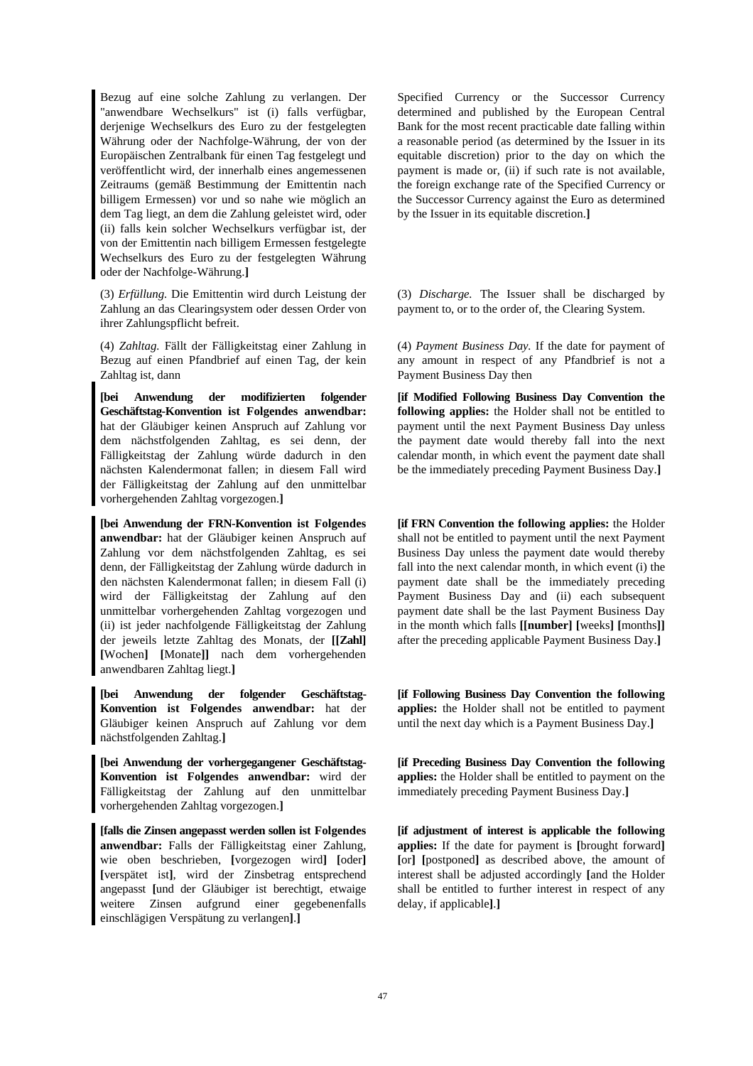Bezug auf eine solche Zahlung zu verlangen. Der "anwendbare Wechselkurs" ist (i) falls verfügbar, derjenige Wechselkurs des Euro zu der festgelegten Währung oder der Nachfolge-Währung, der von der Europäischen Zentralbank für einen Tag festgelegt und veröffentlicht wird, der innerhalb eines angemessenen Zeitraums (gemäß Bestimmung der Emittentin nach billigem Ermessen) vor und so nahe wie möglich an dem Tag liegt, an dem die Zahlung geleistet wird, oder (ii) falls kein solcher Wechselkurs verfügbar ist, der von der Emittentin nach billigem Ermessen festgelegte Wechselkurs des Euro zu der festgelegten Währung oder der Nachfolge-Währung.**]**

(3) *Erfüllung.* Die Emittentin wird durch Leistung der Zahlung an das Clearingsystem oder dessen Order von ihrer Zahlungspflicht befreit.

(4) *Zahltag.* Fällt der Fälligkeitstag einer Zahlung in Bezug auf einen Pfandbrief auf einen Tag, der kein Zahltag ist, dann

**[bei Anwendung der modifizierten folgender Geschäftstag-Konvention ist Folgendes anwendbar:** hat der Gläubiger keinen Anspruch auf Zahlung vor dem nächstfolgenden Zahltag, es sei denn, der Fälligkeitstag der Zahlung würde dadurch in den nächsten Kalendermonat fallen; in diesem Fall wird der Fälligkeitstag der Zahlung auf den unmittelbar vorhergehenden Zahltag vorgezogen.**]**

**[bei Anwendung der FRN-Konvention ist Folgendes anwendbar:** hat der Gläubiger keinen Anspruch auf Zahlung vor dem nächstfolgenden Zahltag, es sei denn, der Fälligkeitstag der Zahlung würde dadurch in den nächsten Kalendermonat fallen; in diesem Fall (i) wird der Fälligkeitstag der Zahlung auf den unmittelbar vorhergehenden Zahltag vorgezogen und (ii) ist jeder nachfolgende Fälligkeitstag der Zahlung der jeweils letzte Zahltag des Monats, der **[[Zahl] [**Wochen**] [**Monate**]]** nach dem vorhergehenden anwendbaren Zahltag liegt.**]**

**[bei Anwendung der folgender Geschäftstag-Konvention ist Folgendes anwendbar:** hat der Gläubiger keinen Anspruch auf Zahlung vor dem nächstfolgenden Zahltag.**]**

**[bei Anwendung der vorhergegangener Geschäftstag-Konvention ist Folgendes anwendbar:** wird der Fälligkeitstag der Zahlung auf den unmittelbar vorhergehenden Zahltag vorgezogen.**]**

**[falls die Zinsen angepasst werden sollen ist Folgendes anwendbar:** Falls der Fälligkeitstag einer Zahlung, wie oben beschrieben, **[**vorgezogen wird**] [**oder**] [**verspätet ist**]**, wird der Zinsbetrag entsprechend angepasst **[**und der Gläubiger ist berechtigt, etwaige weitere Zinsen aufgrund einer gegebenenfalls einschlägigen Verspätung zu verlangen**]**.**]** 

Specified Currency or the Successor Currency determined and published by the European Central Bank for the most recent practicable date falling within a reasonable period (as determined by the Issuer in its equitable discretion) prior to the day on which the payment is made or, (ii) if such rate is not available, the foreign exchange rate of the Specified Currency or the Successor Currency against the Euro as determined by the Issuer in its equitable discretion.**]**

 (3) *Discharge.* The Issuer shall be discharged by payment to, or to the order of, the Clearing System.

 (4) *Payment Business Day.* If the date for payment of any amount in respect of any Pfandbrief is not a Payment Business Day then

 **[if Modified Following Business Day Convention the following applies:** the Holder shall not be entitled to payment until the next Payment Business Day unless the payment date would thereby fall into the next calendar month, in which event the payment date shall be the immediately preceding Payment Business Day.**]**

**[if FRN Convention the following applies:** the Holder shall not be entitled to payment until the next Payment Business Day unless the payment date would thereby fall into the next calendar month, in which event (i) the payment date shall be the immediately preceding Payment Business Day and (ii) each subsequent payment date shall be the last Payment Business Day in the month which falls **[[number] [**weeks**] [**months**]]**  after the preceding applicable Payment Business Day.**]**

 **[if Following Business Day Convention the following applies:** the Holder shall not be entitled to payment until the next day which is a Payment Business Day.**]**

 **[if Preceding Business Day Convention the following applies:** the Holder shall be entitled to payment on the immediately preceding Payment Business Day.**]**

 **[if adjustment of interest is applicable the following applies:** If the date for payment is **[**brought forward**] [**or**] [**postponed**]** as described above, the amount of interest shall be adjusted accordingly **[**and the Holder shall be entitled to further interest in respect of any delay, if applicable**]**.**]**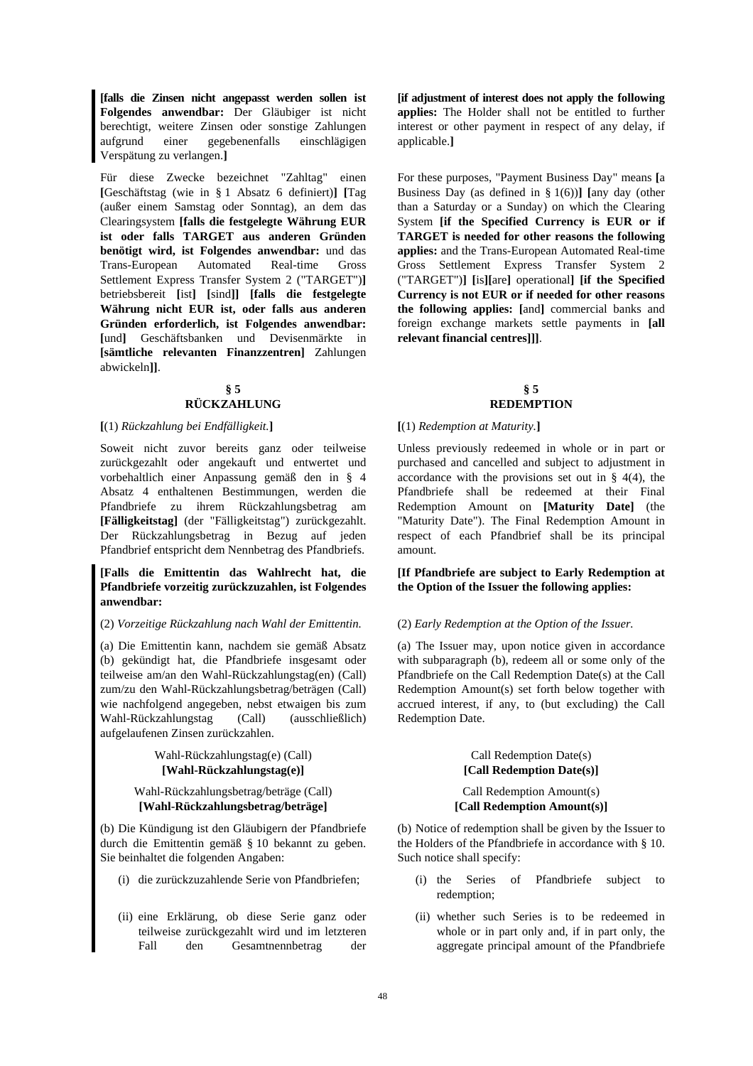**[falls die Zinsen nicht angepasst werden sollen ist Folgendes anwendbar:** Der Gläubiger ist nicht berechtigt, weitere Zinsen oder sonstige Zahlungen aufgrund einer gegebenenfalls einschlägigen Verspätung zu verlangen.**]** 

Für diese Zwecke bezeichnet "Zahltag" einen **[**Geschäftstag (wie in § 1 Absatz 6 definiert)**] [**Tag (außer einem Samstag oder Sonntag), an dem das Clearingsystem **[falls die festgelegte Währung EUR ist oder falls TARGET aus anderen Gründen benötigt wird, ist Folgendes anwendbar:** und das Trans-European Automated Real-time Gross Settlement Express Transfer System 2 ("TARGET")**]** betriebsbereit **[**ist**] [**sind**]] [falls die festgelegte Währung nicht EUR ist, oder falls aus anderen Gründen erforderlich, ist Folgendes anwendbar: [**und**]** Geschäftsbanken und Devisenmärkte in **[sämtliche relevanten Finanzzentren]** Zahlungen abwickeln**]]**.

## **§ 5 RÜCKZAHLUNG**

#### **[**(1) *Rückzahlung bei Endfälligkeit.***] [**(1) *Redemption at Maturity.***]**

Soweit nicht zuvor bereits ganz oder teilweise zurückgezahlt oder angekauft und entwertet und vorbehaltlich einer Anpassung gemäß den in § 4 Absatz 4 enthaltenen Bestimmungen, werden die Pfandbriefe zu ihrem Rückzahlungsbetrag am **[Fälligkeitstag]** (der "Fälligkeitstag") zurückgezahlt. Der Rückzahlungsbetrag in Bezug auf jeden Pfandbrief entspricht dem Nennbetrag des Pfandbriefs.

## **[Falls die Emittentin das Wahlrecht hat, die Pfandbriefe vorzeitig zurückzuzahlen, ist Folgendes anwendbar:**

## (2) *Vorzeitige Rückzahlung nach Wahl der Emittentin.* (2) *Early Redemption at the Option of the Issuer.*

(a) Die Emittentin kann, nachdem sie gemäß Absatz (b) gekündigt hat, die Pfandbriefe insgesamt oder teilweise am/an den Wahl-Rückzahlungstag(en) (Call) zum/zu den Wahl-Rückzahlungsbetrag/beträgen (Call) wie nachfolgend angegeben, nebst etwaigen bis zum Wahl-Rückzahlungstag (Call) (ausschließlich) aufgelaufenen Zinsen zurückzahlen.

## Wahl-Rückzahlungstag(e) (Call) **[Wahl-Rückzahlungstag(e)]**

## Wahl-Rückzahlungsbetrag/beträge (Call) **[Wahl-Rückzahlungsbetrag/beträge]**

(b) Die Kündigung ist den Gläubigern der Pfandbriefe durch die Emittentin gemäß § 10 bekannt zu geben. Sie beinhaltet die folgenden Angaben:

- 
- (ii) eine Erklärung, ob diese Serie ganz oder teilweise zurückgezahlt wird und im letzteren Fall den Gesamtnennbetrag der

 **[if adjustment of interest does not apply the following applies:** The Holder shall not be entitled to further interest or other payment in respect of any delay, if applicable.**]**

 For these purposes, "Payment Business Day" means **[**a Business Day (as defined in § 1(6))**] [**any day (other than a Saturday or a Sunday) on which the Clearing System **[if the Specified Currency is EUR or if TARGET is needed for other reasons the following applies:** and the Trans-European Automated Real-time Gross Settlement Express Transfer System 2 ("TARGET")**] [**is**][**are**]** operational**] [if the Specified Currency is not EUR or if needed for other reasons the following applies: [**and**]** commercial banks and foreign exchange markets settle payments in **[all relevant financial centres]]]**.

## **§ 5 REDEMPTION**

 Unless previously redeemed in whole or in part or purchased and cancelled and subject to adjustment in accordance with the provisions set out in  $\S$  4(4), the Pfandbriefe shall be redeemed at their Final Redemption Amount on **[Maturity Date]** (the "Maturity Date"). The Final Redemption Amount in respect of each Pfandbrief shall be its principal amount.

## **[If Pfandbriefe are subject to Early Redemption at the Option of the Issuer the following applies:**

 (a) The Issuer may, upon notice given in accordance with subparagraph (b), redeem all or some only of the Pfandbriefe on the Call Redemption Date(s) at the Call Redemption Amount(s) set forth below together with accrued interest, if any, to (but excluding) the Call Redemption Date.

## Call Redemption Date(s) **[Call Redemption Date(s)]**

## Call Redemption Amount(s) **[Call Redemption Amount(s)]**

 (b) Notice of redemption shall be given by the Issuer to the Holders of the Pfandbriefe in accordance with § 10. Such notice shall specify:

- (i) die zurückzuzahlende Serie von Pfandbriefen; (i) the Series of Pfandbriefe subject to redemption;
	- (ii) whether such Series is to be redeemed in whole or in part only and, if in part only, the aggregate principal amount of the Pfandbriefe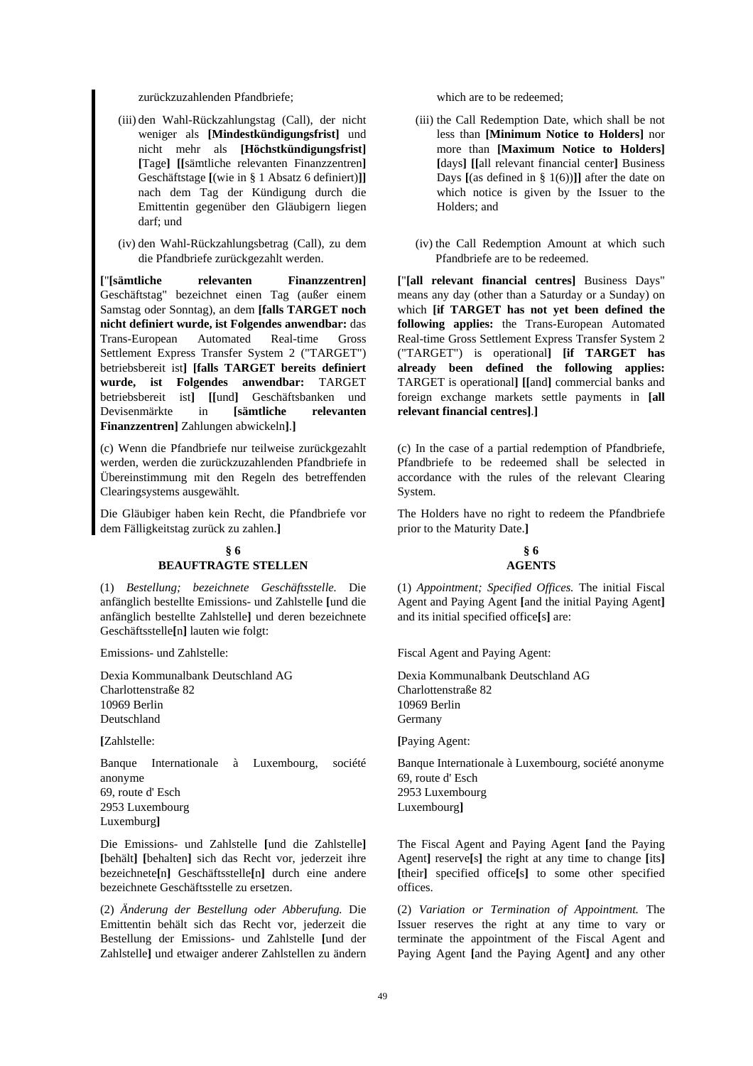zurückzuzahlenden Pfandbriefe: which are to be redeemed:

- (iii) den Wahl-Rückzahlungstag (Call), der nicht weniger als **[Mindestkündigungsfrist]** und nicht mehr als **[Höchstkündigungsfrist] [**Tage**] [[**sämtliche relevanten Finanzzentren**]** Geschäftstage **[**(wie in § 1 Absatz 6 definiert)**]]** nach dem Tag der Kündigung durch die Emittentin gegenüber den Gläubigern liegen darf; und
- (iv) den Wahl-Rückzahlungsbetrag (Call), zu dem die Pfandbriefe zurückgezahlt werden.

**[**"**[sämtliche relevanten Finanzzentren]** Geschäftstag" bezeichnet einen Tag (außer einem Samstag oder Sonntag), an dem **[falls TARGET noch nicht definiert wurde, ist Folgendes anwendbar:** das Trans-European Automated Real-time Gross Settlement Express Transfer System 2 ("TARGET") betriebsbereit ist**] [falls TARGET bereits definiert wurde, ist Folgendes anwendbar:** TARGET betriebsbereit ist**] [[**und**]** Geschäftsbanken und Devisenmärkte in **[sämtliche relevanten Finanzzentren]** Zahlungen abwickeln**]**.**]**

(c) Wenn die Pfandbriefe nur teilweise zurückgezahlt werden, werden die zurückzuzahlenden Pfandbriefe in Übereinstimmung mit den Regeln des betreffenden Clearingsystems ausgewählt.

Die Gläubiger haben kein Recht, die Pfandbriefe vor dem Fälligkeitstag zurück zu zahlen.**]** 

## **§ 6 BEAUFTRAGTE STELLEN**

(1) *Bestellung; bezeichnete Geschäftsstelle.* Die anfänglich bestellte Emissions- und Zahlstelle **[**und die anfänglich bestellte Zahlstelle**]** und deren bezeichnete Geschäftsstelle**[**n**]** lauten wie folgt:

Emissions- und Zahlstelle:

Dexia Kommunalbank Deutschland AG Charlottenstraße 82 10969 Berlin Deutschland

**[**Zahlstelle:

Banque Internationale à Luxembourg, société anonyme 69, route d' Esch 2953 Luxembourg Luxemburg**]**

Die Emissions- und Zahlstelle **[**und die Zahlstelle**] [**behält**] [**behalten**]** sich das Recht vor, jederzeit ihre bezeichnete**[**n**]** Geschäftsstelle**[**n**]** durch eine andere bezeichnete Geschäftsstelle zu ersetzen.

(2) *Änderung der Bestellung oder Abberufung.* Die Emittentin behält sich das Recht vor, jederzeit die Bestellung der Emissions- und Zahlstelle **[**und der Zahlstelle**]** und etwaiger anderer Zahlstellen zu ändern

- (iii) the Call Redemption Date, which shall be not less than **[Minimum Notice to Holders]** nor more than **[Maximum Notice to Holders] [**days**] [[**all relevant financial center**]** Business Days **[**(as defined in § 1(6))**]]** after the date on which notice is given by the Issuer to the Holders; and
- (iv) the Call Redemption Amount at which such Pfandbriefe are to be redeemed.

**[**"**[all relevant financial centres]** Business Days" means any day (other than a Saturday or a Sunday) on which **[if TARGET has not yet been defined the following applies:** the Trans-European Automated Real-time Gross Settlement Express Transfer System 2 ("TARGET") is operational**] [if TARGET has already been defined the following applies:**  TARGET is operational**] [[**and**]** commercial banks and foreign exchange markets settle payments in **[all relevant financial centres]**.**]**

 (c) In the case of a partial redemption of Pfandbriefe, Pfandbriefe to be redeemed shall be selected in accordance with the rules of the relevant Clearing System.

The Holders have no right to redeem the Pfandbriefe prior to the Maturity Date.**]** 

## **§ 6 AGENTS**

 (1) *Appointment; Specified Offices.* The initial Fiscal Agent and Paying Agent **[**and the initial Paying Agent**]** and its initial specified office**[**s**]** are:

Fiscal Agent and Paying Agent:

Dexia Kommunalbank Deutschland AG Charlottenstraße 82 10969 Berlin Germany

**[**Paying Agent:

Banque Internationale à Luxembourg, société anonyme 69, route d' Esch 2953 Luxembourg Luxembourg**]**

 The Fiscal Agent and Paying Agent **[**and the Paying Agent**]** reserve**[**s**]** the right at any time to change **[**its**] [**their**]** specified office**[**s**]** to some other specified offices.

 (2) *Variation or Termination of Appointment.* The Issuer reserves the right at any time to vary or terminate the appointment of the Fiscal Agent and Paying Agent **[**and the Paying Agent**]** and any other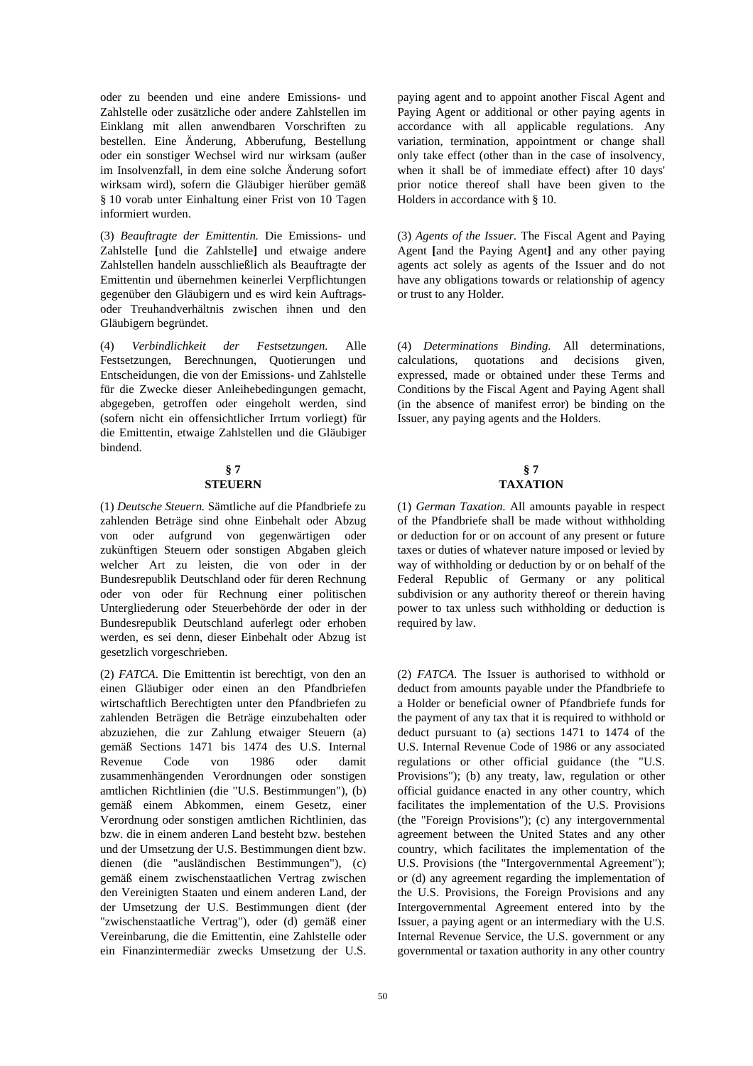oder zu beenden und eine andere Emissions- und Zahlstelle oder zusätzliche oder andere Zahlstellen im Einklang mit allen anwendbaren Vorschriften zu bestellen. Eine Änderung, Abberufung, Bestellung oder ein sonstiger Wechsel wird nur wirksam (außer im Insolvenzfall, in dem eine solche Änderung sofort wirksam wird), sofern die Gläubiger hierüber gemäß § 10 vorab unter Einhaltung einer Frist von 10 Tagen informiert wurden.

(3) *Beauftragte der Emittentin.* Die Emissions- und Zahlstelle **[**und die Zahlstelle**]** und etwaige andere Zahlstellen handeln ausschließlich als Beauftragte der Emittentin und übernehmen keinerlei Verpflichtungen gegenüber den Gläubigern und es wird kein Auftragsoder Treuhandverhältnis zwischen ihnen und den Gläubigern begründet.

(4) *Verbindlichkeit der Festsetzungen.* Alle Festsetzungen, Berechnungen, Quotierungen und Entscheidungen, die von der Emissions- und Zahlstelle für die Zwecke dieser Anleihebedingungen gemacht, abgegeben, getroffen oder eingeholt werden, sind (sofern nicht ein offensichtlicher Irrtum vorliegt) für die Emittentin, etwaige Zahlstellen und die Gläubiger bindend.

## **§ 7 STEUERN**

(1) *Deutsche Steuern.* Sämtliche auf die Pfandbriefe zu zahlenden Beträge sind ohne Einbehalt oder Abzug von oder aufgrund von gegenwärtigen oder zukünftigen Steuern oder sonstigen Abgaben gleich welcher Art zu leisten, die von oder in der Bundesrepublik Deutschland oder für deren Rechnung oder von oder für Rechnung einer politischen Untergliederung oder Steuerbehörde der oder in der Bundesrepublik Deutschland auferlegt oder erhoben werden, es sei denn, dieser Einbehalt oder Abzug ist gesetzlich vorgeschrieben.

(2) *FATCA*. Die Emittentin ist berechtigt, von den an einen Gläubiger oder einen an den Pfandbriefen wirtschaftlich Berechtigten unter den Pfandbriefen zu zahlenden Beträgen die Beträge einzubehalten oder abzuziehen, die zur Zahlung etwaiger Steuern (a) gemäß Sections 1471 bis 1474 des U.S. Internal Revenue Code von 1986 oder damit zusammenhängenden Verordnungen oder sonstigen amtlichen Richtlinien (die "U.S. Bestimmungen"), (b) gemäß einem Abkommen, einem Gesetz, einer Verordnung oder sonstigen amtlichen Richtlinien, das bzw. die in einem anderen Land besteht bzw. bestehen und der Umsetzung der U.S. Bestimmungen dient bzw. dienen (die "ausländischen Bestimmungen"), (c) gemäß einem zwischenstaatlichen Vertrag zwischen den Vereinigten Staaten und einem anderen Land, der der Umsetzung der U.S. Bestimmungen dient (der "zwischenstaatliche Vertrag"), oder (d) gemäß einer Vereinbarung, die die Emittentin, eine Zahlstelle oder ein Finanzintermediär zwecks Umsetzung der U.S.

paying agent and to appoint another Fiscal Agent and Paying Agent or additional or other paying agents in accordance with all applicable regulations. Any variation, termination, appointment or change shall only take effect (other than in the case of insolvency, when it shall be of immediate effect) after 10 days' prior notice thereof shall have been given to the Holders in accordance with § 10.

 (3) *Agents of the Issuer.* The Fiscal Agent and Paying Agent **[**and the Paying Agent**]** and any other paying agents act solely as agents of the Issuer and do not have any obligations towards or relationship of agency or trust to any Holder.

 (4) *Determinations Binding.* All determinations, calculations, quotations and decisions given, expressed, made or obtained under these Terms and Conditions by the Fiscal Agent and Paying Agent shall (in the absence of manifest error) be binding on the Issuer, any paying agents and the Holders.

## **• s** 7 **TAXATION**

 (1) *German Taxation*. All amounts payable in respect of the Pfandbriefe shall be made without withholding or deduction for or on account of any present or future taxes or duties of whatever nature imposed or levied by way of withholding or deduction by or on behalf of the Federal Republic of Germany or any political subdivision or any authority thereof or therein having power to tax unless such withholding or deduction is required by law.

 (2) *FATCA*. The Issuer is authorised to withhold or deduct from amounts payable under the Pfandbriefe to a Holder or beneficial owner of Pfandbriefe funds for the payment of any tax that it is required to withhold or deduct pursuant to (a) sections 1471 to 1474 of the U.S. Internal Revenue Code of 1986 or any associated regulations or other official guidance (the "U.S. Provisions"); (b) any treaty, law, regulation or other official guidance enacted in any other country, which facilitates the implementation of the U.S. Provisions (the "Foreign Provisions"); (c) any intergovernmental agreement between the United States and any other country, which facilitates the implementation of the U.S. Provisions (the "Intergovernmental Agreement"); or (d) any agreement regarding the implementation of the U.S. Provisions, the Foreign Provisions and any Intergovernmental Agreement entered into by the Issuer, a paying agent or an intermediary with the U.S. Internal Revenue Service, the U.S. government or any governmental or taxation authority in any other country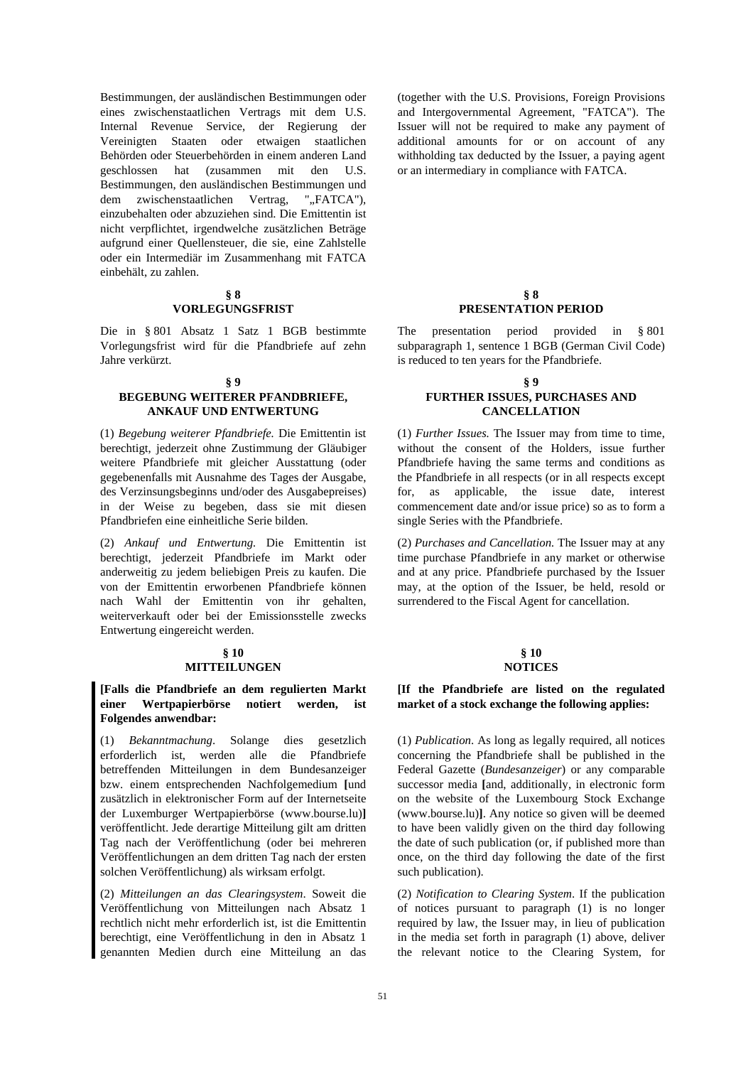Bestimmungen, der ausländischen Bestimmungen oder eines zwischenstaatlichen Vertrags mit dem U.S. Internal Revenue Service, der Regierung der Vereinigten Staaten oder etwaigen staatlichen Behörden oder Steuerbehörden in einem anderen Land geschlossen hat (zusammen mit den U.S. Bestimmungen, den ausländischen Bestimmungen und dem zwischenstaatlichen Vertrag, "..FATCA"), einzubehalten oder abzuziehen sind. Die Emittentin ist nicht verpflichtet, irgendwelche zusätzlichen Beträge aufgrund einer Quellensteuer, die sie, eine Zahlstelle oder ein Intermediär im Zusammenhang mit FATCA einbehält, zu zahlen.

#### **§ 8**

## **VORLEGUNGSFRIST**

Die in § 801 Absatz 1 Satz 1 BGB bestimmte Vorlegungsfrist wird für die Pfandbriefe auf zehn Jahre verkürzt.

#### **§ 9**

## **BEGEBUNG WEITERER PFANDBRIEFE, ANKAUF UND ENTWERTUNG**

(1) *Begebung weiterer Pfandbriefe.* Die Emittentin ist berechtigt, jederzeit ohne Zustimmung der Gläubiger weitere Pfandbriefe mit gleicher Ausstattung (oder gegebenenfalls mit Ausnahme des Tages der Ausgabe, des Verzinsungsbeginns und/oder des Ausgabepreises) in der Weise zu begeben, dass sie mit diesen Pfandbriefen eine einheitliche Serie bilden.

(2) *Ankauf und Entwertung.* Die Emittentin ist berechtigt, jederzeit Pfandbriefe im Markt oder anderweitig zu jedem beliebigen Preis zu kaufen. Die von der Emittentin erworbenen Pfandbriefe können nach Wahl der Emittentin von ihr gehalten, weiterverkauft oder bei der Emissionsstelle zwecks Entwertung eingereicht werden.

## **§ 10 MITTEILUNGEN**

## **[Falls die Pfandbriefe an dem regulierten Markt einer Wertpapierbörse notiert werden, ist Folgendes anwendbar:**

(1) *Bekanntmachung*. Solange dies gesetzlich erforderlich ist, werden alle die Pfandbriefe betreffenden Mitteilungen in dem Bundesanzeiger bzw. einem entsprechenden Nachfolgemedium **[**und zusätzlich in elektronischer Form auf der Internetseite der Luxemburger Wertpapierbörse (www.bourse.lu)**]** veröffentlicht. Jede derartige Mitteilung gilt am dritten Tag nach der Veröffentlichung (oder bei mehreren Veröffentlichungen an dem dritten Tag nach der ersten solchen Veröffentlichung) als wirksam erfolgt.

(2) *Mitteilungen an das Clearingsystem*. Soweit die Veröffentlichung von Mitteilungen nach Absatz 1 rechtlich nicht mehr erforderlich ist, ist die Emittentin berechtigt, eine Veröffentlichung in den in Absatz 1 genannten Medien durch eine Mitteilung an das (together with the U.S. Provisions, Foreign Provisions and Intergovernmental Agreement, "FATCA"). The Issuer will not be required to make any payment of additional amounts for or on account of any withholding tax deducted by the Issuer, a paying agent or an intermediary in compliance with FATCA.

## **§ 8 PRESENTATION PERIOD**

 The presentation period provided in § 801 subparagraph 1, sentence 1 BGB (German Civil Code) is reduced to ten years for the Pfandbriefe.

### **§ 9 FURTHER ISSUES, PURCHASES AND CANCELLATION**

 (1) *Further Issues.* The Issuer may from time to time, without the consent of the Holders, issue further Pfandbriefe having the same terms and conditions as the Pfandbriefe in all respects (or in all respects except for, as applicable, the issue date, interest commencement date and/or issue price) so as to form a single Series with the Pfandbriefe.

 (2) *Purchases and Cancellation.* The Issuer may at any time purchase Pfandbriefe in any market or otherwise and at any price. Pfandbriefe purchased by the Issuer may, at the option of the Issuer, be held, resold or surrendered to the Fiscal Agent for cancellation.

## **§ 10 NOTICES**

 **[If the Pfandbriefe are listed on the regulated market of a stock exchange the following applies:** 

 (1) *Publication*. As long as legally required, all notices concerning the Pfandbriefe shall be published in the Federal Gazette (*Bundesanzeiger*) or any comparable successor media **[**and, additionally, in electronic form on the website of the Luxembourg Stock Exchange (www.bourse.lu)**]**. Any notice so given will be deemed to have been validly given on the third day following the date of such publication (or, if published more than once, on the third day following the date of the first such publication).

 (2) *Notification to Clearing System*. If the publication of notices pursuant to paragraph (1) is no longer required by law, the Issuer may, in lieu of publication in the media set forth in paragraph (1) above, deliver the relevant notice to the Clearing System, for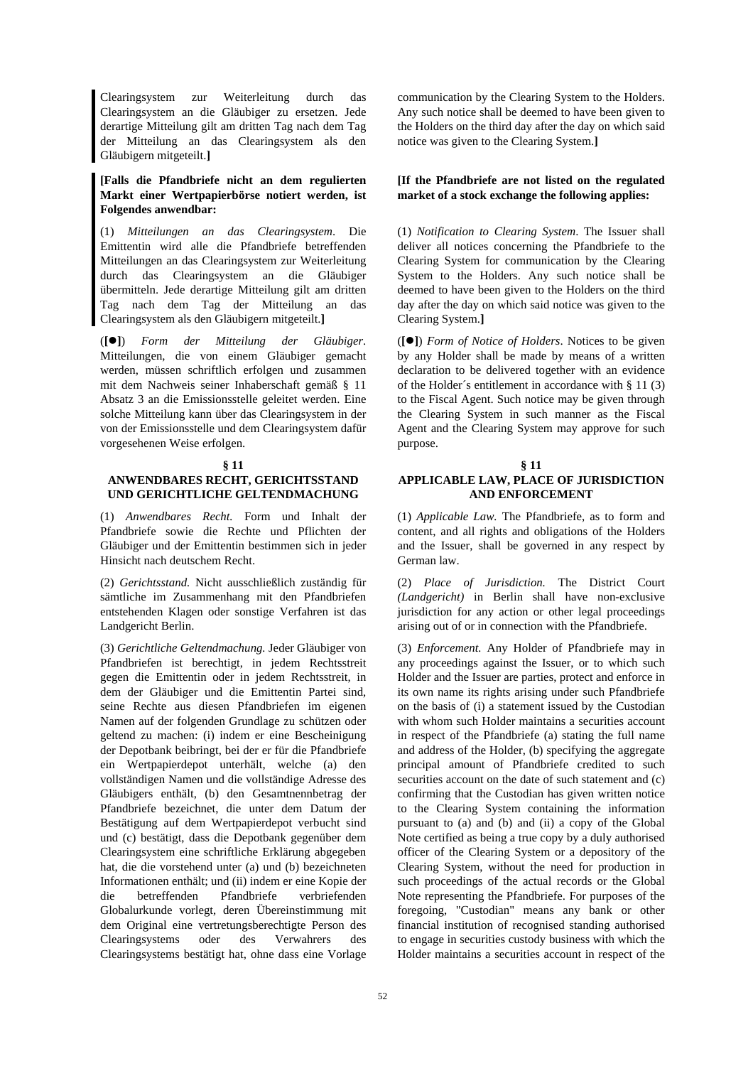Clearingsystem zur Weiterleitung durch das Clearingsystem an die Gläubiger zu ersetzen. Jede derartige Mitteilung gilt am dritten Tag nach dem Tag der Mitteilung an das Clearingsystem als den Gläubigern mitgeteilt.**]**

## **[Falls die Pfandbriefe nicht an dem regulierten Markt einer Wertpapierbörse notiert werden, ist Folgendes anwendbar:**

(1) *Mitteilungen an das Clearingsystem*. Die Emittentin wird alle die Pfandbriefe betreffenden Mitteilungen an das Clearingsystem zur Weiterleitung durch das Clearingsystem an die Gläubiger übermitteln. Jede derartige Mitteilung gilt am dritten Tag nach dem Tag der Mitteilung an das Clearingsystem als den Gläubigern mitgeteilt.**]** 

(**[]**) *Form der Mitteilung der Gläubiger*. Mitteilungen, die von einem Gläubiger gemacht werden, müssen schriftlich erfolgen und zusammen mit dem Nachweis seiner Inhaberschaft gemäß § 11 Absatz 3 an die Emissionsstelle geleitet werden. Eine solche Mitteilung kann über das Clearingsystem in der von der Emissionsstelle und dem Clearingsystem dafür vorgesehenen Weise erfolgen.

#### **§ 11**

## **ANWENDBARES RECHT, GERICHTSSTAND UND GERICHTLICHE GELTENDMACHUNG**

(1) *Anwendbares Recht.* Form und Inhalt der Pfandbriefe sowie die Rechte und Pflichten der Gläubiger und der Emittentin bestimmen sich in jeder Hinsicht nach deutschem Recht.

(2) *Gerichtsstand.* Nicht ausschließlich zuständig für sämtliche im Zusammenhang mit den Pfandbriefen entstehenden Klagen oder sonstige Verfahren ist das Landgericht Berlin.

(3) *Gerichtliche Geltendmachung.* Jeder Gläubiger von Pfandbriefen ist berechtigt, in jedem Rechtsstreit gegen die Emittentin oder in jedem Rechtsstreit, in dem der Gläubiger und die Emittentin Partei sind, seine Rechte aus diesen Pfandbriefen im eigenen Namen auf der folgenden Grundlage zu schützen oder geltend zu machen: (i) indem er eine Bescheinigung der Depotbank beibringt, bei der er für die Pfandbriefe ein Wertpapierdepot unterhält, welche (a) den vollständigen Namen und die vollständige Adresse des Gläubigers enthält, (b) den Gesamtnennbetrag der Pfandbriefe bezeichnet, die unter dem Datum der Bestätigung auf dem Wertpapierdepot verbucht sind und (c) bestätigt, dass die Depotbank gegenüber dem Clearingsystem eine schriftliche Erklärung abgegeben hat, die die vorstehend unter (a) und (b) bezeichneten Informationen enthält; und (ii) indem er eine Kopie der die betreffenden Pfandbriefe verbriefenden Globalurkunde vorlegt, deren Übereinstimmung mit dem Original eine vertretungsberechtigte Person des Clearingsystems oder des Verwahrers des Clearingsystems bestätigt hat, ohne dass eine Vorlage

communication by the Clearing System to the Holders. Any such notice shall be deemed to have been given to the Holders on the third day after the day on which said notice was given to the Clearing System.**]**

## **[If the Pfandbriefe are not listed on the regulated market of a stock exchange the following applies:**

 (1) *Notification to Clearing System*. The Issuer shall deliver all notices concerning the Pfandbriefe to the Clearing System for communication by the Clearing System to the Holders. Any such notice shall be deemed to have been given to the Holders on the third day after the day on which said notice was given to the Clearing System.**]** 

 (**[]**) *Form of Notice of Holders*. Notices to be given by any Holder shall be made by means of a written declaration to be delivered together with an evidence of the Holder´s entitlement in accordance with § 11 (3) to the Fiscal Agent. Such notice may be given through the Clearing System in such manner as the Fiscal Agent and the Clearing System may approve for such purpose.

 **§ 11** 

## **APPLICABLE LAW, PLACE OF JURISDICTION AND ENFORCEMENT**

 (1) *Applicable Law.* The Pfandbriefe, as to form and content, and all rights and obligations of the Holders and the Issuer, shall be governed in any respect by German law.

 (2) *Place of Jurisdiction.* The District Court *(Landgericht)* in Berlin shall have non-exclusive jurisdiction for any action or other legal proceedings arising out of or in connection with the Pfandbriefe.

 (3) *Enforcement.* Any Holder of Pfandbriefe may in any proceedings against the Issuer, or to which such Holder and the Issuer are parties, protect and enforce in its own name its rights arising under such Pfandbriefe on the basis of (i) a statement issued by the Custodian with whom such Holder maintains a securities account in respect of the Pfandbriefe (a) stating the full name and address of the Holder, (b) specifying the aggregate principal amount of Pfandbriefe credited to such securities account on the date of such statement and (c) confirming that the Custodian has given written notice to the Clearing System containing the information pursuant to (a) and (b) and (ii) a copy of the Global Note certified as being a true copy by a duly authorised officer of the Clearing System or a depository of the Clearing System, without the need for production in such proceedings of the actual records or the Global Note representing the Pfandbriefe. For purposes of the foregoing, "Custodian" means any bank or other financial institution of recognised standing authorised to engage in securities custody business with which the Holder maintains a securities account in respect of the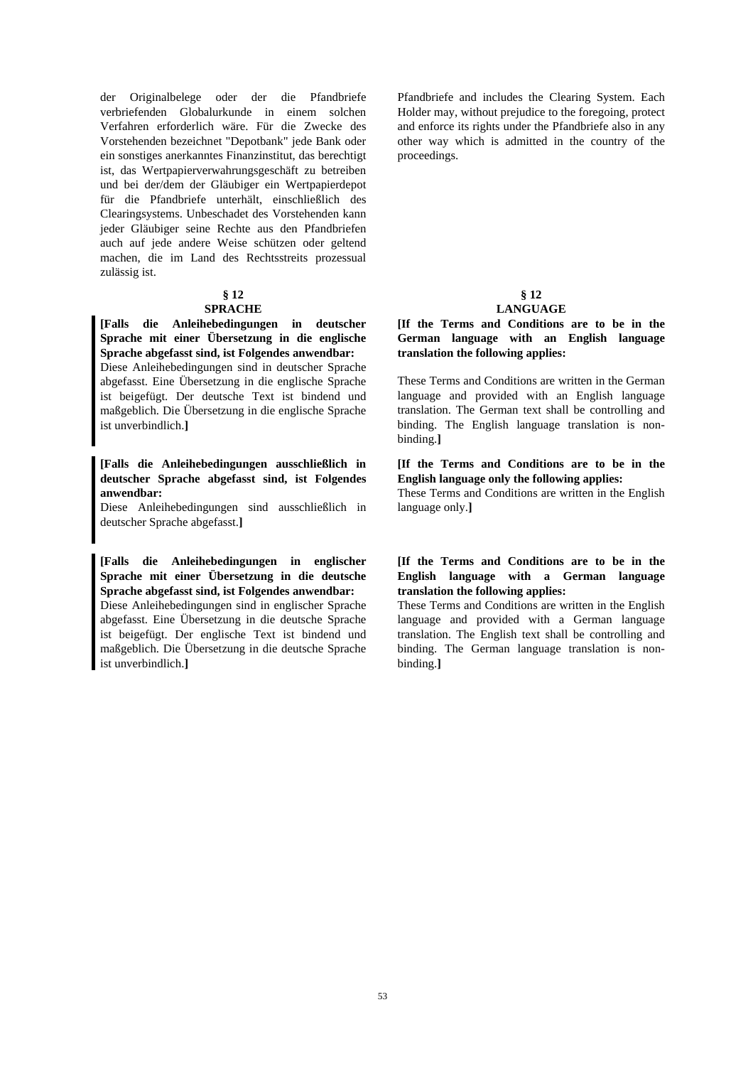der Originalbelege oder der die Pfandbriefe verbriefenden Globalurkunde in einem solchen Verfahren erforderlich wäre. Für die Zwecke des Vorstehenden bezeichnet "Depotbank" jede Bank oder ein sonstiges anerkanntes Finanzinstitut, das berechtigt ist, das Wertpapierverwahrungsgeschäft zu betreiben und bei der/dem der Gläubiger ein Wertpapierdepot für die Pfandbriefe unterhält, einschließlich des Clearingsystems. Unbeschadet des Vorstehenden kann jeder Gläubiger seine Rechte aus den Pfandbriefen auch auf jede andere Weise schützen oder geltend machen, die im Land des Rechtsstreits prozessual zulässig ist.

## **§ 12**

## **SPRACHE**

**[Falls die Anleihebedingungen in deutscher Sprache mit einer Übersetzung in die englische Sprache abgefasst sind, ist Folgendes anwendbar:**  Diese Anleihebedingungen sind in deutscher Sprache

abgefasst. Eine Übersetzung in die englische Sprache ist beigefügt. Der deutsche Text ist bindend und maßgeblich. Die Übersetzung in die englische Sprache ist unverbindlich.**]** 

## **[Falls die Anleihebedingungen ausschließlich in deutscher Sprache abgefasst sind, ist Folgendes anwendbar:**

Diese Anleihebedingungen sind ausschließlich in deutscher Sprache abgefasst.**]**

**[Falls die Anleihebedingungen in englischer Sprache mit einer Übersetzung in die deutsche Sprache abgefasst sind, ist Folgendes anwendbar:**  Diese Anleihebedingungen sind in englischer Sprache

abgefasst. Eine Übersetzung in die deutsche Sprache ist beigefügt. Der englische Text ist bindend und maßgeblich. Die Übersetzung in die deutsche Sprache ist unverbindlich.**]** 

Pfandbriefe and includes the Clearing System. Each Holder may, without prejudice to the foregoing, protect and enforce its rights under the Pfandbriefe also in any other way which is admitted in the country of the proceedings.

## **§ 12**

## **LANGUAGE**

 **[If the Terms and Conditions are to be in the German language with an English language translation the following applies:** 

These Terms and Conditions are written in the German language and provided with an English language translation. The German text shall be controlling and binding. The English language translation is nonbinding.**]** 

## **[If the Terms and Conditions are to be in the English language only the following applies:**

These Terms and Conditions are written in the English language only.**]** 

## **[If the Terms and Conditions are to be in the English language with a German language translation the following applies:**

These Terms and Conditions are written in the English language and provided with a German language translation. The English text shall be controlling and binding. The German language translation is nonbinding.**]**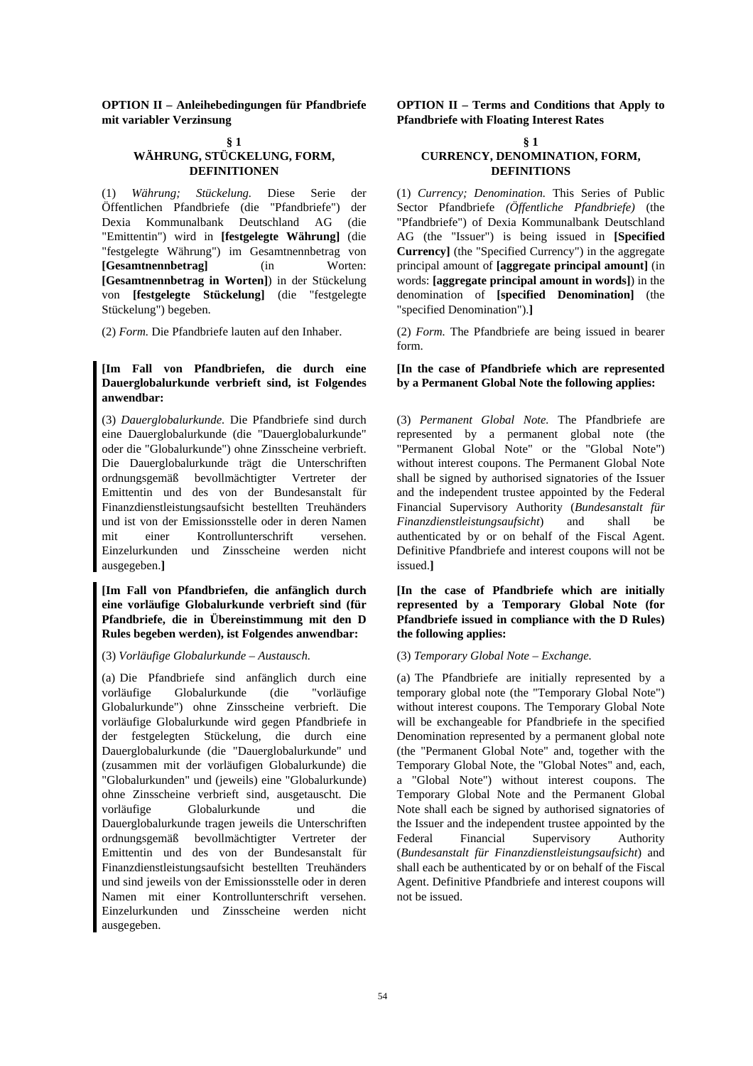**OPTION II – Anleihebedingungen für Pfandbriefe mit variabler Verzinsung**

#### **§ 1**

## **WÄHRUNG, STÜCKELUNG, FORM, DEFINITIONEN**

(1) *Währung; Stückelung.* Diese Serie der Öffentlichen Pfandbriefe (die "Pfandbriefe") der Dexia Kommunalbank Deutschland AG (die "Emittentin") wird in **[festgelegte Währung]** (die "festgelegte Währung") im Gesamtnennbetrag von **[Gesamtnennbetrag]** (in Worten: **[Gesamtnennbetrag in Worten]**) in der Stückelung von **[festgelegte Stückelung]** (die "festgelegte Stückelung") begeben.

## **[Im Fall von Pfandbriefen, die durch eine Dauerglobalurkunde verbrieft sind, ist Folgendes anwendbar:**

(3) *Dauerglobalurkunde.* Die Pfandbriefe sind durch eine Dauerglobalurkunde (die "Dauerglobalurkunde" oder die "Globalurkunde") ohne Zinsscheine verbrieft. Die Dauerglobalurkunde trägt die Unterschriften ordnungsgemäß bevollmächtigter Vertreter der Emittentin und des von der Bundesanstalt für Finanzdienstleistungsaufsicht bestellten Treuhänders und ist von der Emissionsstelle oder in deren Namen mit einer Kontrollunterschrift versehen. Einzelurkunden und Zinsscheine werden nicht ausgegeben.**]** 

**[Im Fall von Pfandbriefen, die anfänglich durch eine vorläufige Globalurkunde verbrieft sind (für Pfandbriefe, die in Übereinstimmung mit den D Rules begeben werden), ist Folgendes anwendbar:** 

## (3) *Vorläufige Globalurkunde – Austausch.* (3) *Temporary Global Note – Exchange.*

(a) Die Pfandbriefe sind anfänglich durch eine vorläufige Globalurkunde (die "vorläufige Globalurkunde") ohne Zinsscheine verbrieft. Die vorläufige Globalurkunde wird gegen Pfandbriefe in der festgelegten Stückelung, die durch eine Dauerglobalurkunde (die "Dauerglobalurkunde" und (zusammen mit der vorläufigen Globalurkunde) die "Globalurkunden" und (jeweils) eine "Globalurkunde) ohne Zinsscheine verbrieft sind, ausgetauscht. Die vorläufige Globalurkunde und die Dauerglobalurkunde tragen jeweils die Unterschriften ordnungsgemäß bevollmächtigter Vertreter der Emittentin und des von der Bundesanstalt für Finanzdienstleistungsaufsicht bestellten Treuhänders und sind jeweils von der Emissionsstelle oder in deren Namen mit einer Kontrollunterschrift versehen. Einzelurkunden und Zinsscheine werden nicht ausgegeben.

 **OPTION II – Terms and Conditions that Apply to Pfandbriefe with Floating Interest Rates**

#### **• s** 1 **CURRENCY, DENOMINATION, FORM, DEFINITIONS**

 (1) *Currency; Denomination.* This Series of Public Sector Pfandbriefe *(Öffentliche Pfandbriefe)* (the "Pfandbriefe") of Dexia Kommunalbank Deutschland AG (the "Issuer") is being issued in **[Specified Currency]** (the "Specified Currency") in the aggregate principal amount of **[aggregate principal amount]** (in words: **[aggregate principal amount in words]**) in the denomination of **[specified Denomination]** (the "specified Denomination").**]** 

(2) *Form.* Die Pfandbriefe lauten auf den Inhaber. (2) *Form.* The Pfandbriefe are being issued in bearer form.

## **[In the case of Pfandbriefe which are represented by a Permanent Global Note the following applies:**

 (3) *Permanent Global Note.* The Pfandbriefe are represented by a permanent global note (the "Permanent Global Note" or the "Global Note") without interest coupons. The Permanent Global Note shall be signed by authorised signatories of the Issuer and the independent trustee appointed by the Federal Financial Supervisory Authority (*Bundesanstalt für Finanzdienstleistungsaufsicht*) and shall be authenticated by or on behalf of the Fiscal Agent. Definitive Pfandbriefe and interest coupons will not be issued.**]** 

 **[In the case of Pfandbriefe which are initially represented by a Temporary Global Note (for Pfandbriefe issued in compliance with the D Rules) the following applies:** 

 (a) The Pfandbriefe are initially represented by a temporary global note (the "Temporary Global Note") without interest coupons. The Temporary Global Note will be exchangeable for Pfandbriefe in the specified Denomination represented by a permanent global note (the "Permanent Global Note" and, together with the Temporary Global Note, the "Global Notes" and, each, a "Global Note") without interest coupons. The Temporary Global Note and the Permanent Global Note shall each be signed by authorised signatories of the Issuer and the independent trustee appointed by the Federal Financial Supervisory Authority (*Bundesanstalt für Finanzdienstleistungsaufsicht*) and shall each be authenticated by or on behalf of the Fiscal Agent. Definitive Pfandbriefe and interest coupons will not be issued.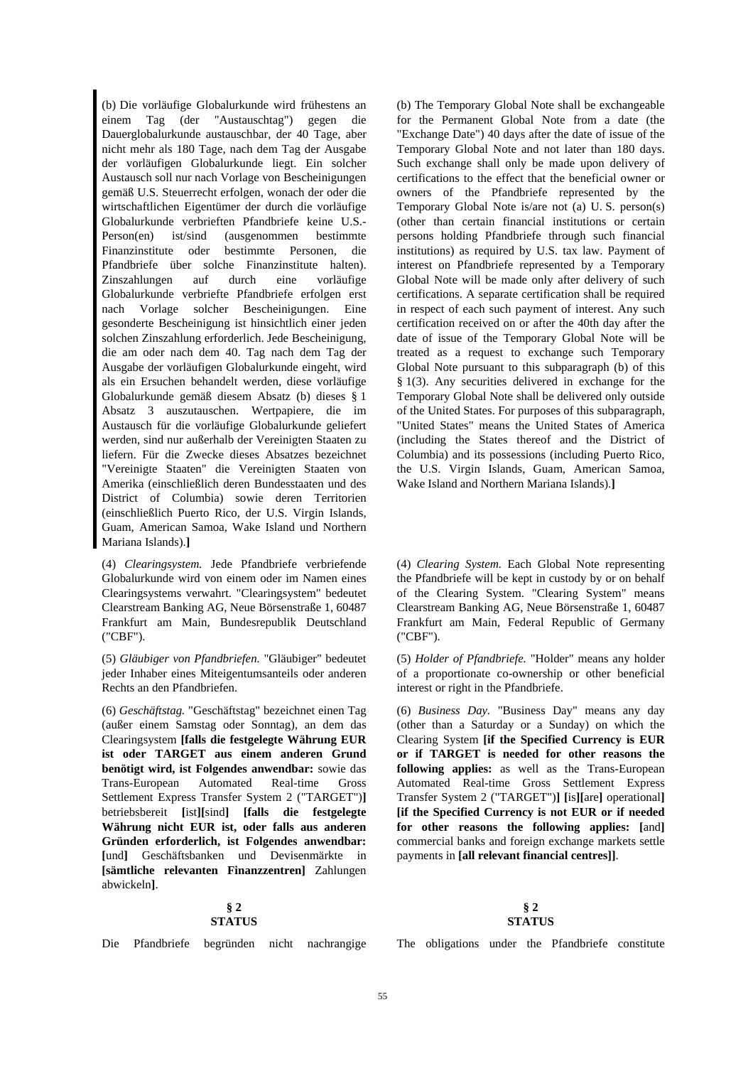(b) Die vorläufige Globalurkunde wird frühestens an einem Tag (der "Austauschtag") gegen die Dauerglobalurkunde austauschbar, der 40 Tage, aber nicht mehr als 180 Tage, nach dem Tag der Ausgabe der vorläufigen Globalurkunde liegt. Ein solcher Austausch soll nur nach Vorlage von Bescheinigungen gemäß U.S. Steuerrecht erfolgen, wonach der oder die wirtschaftlichen Eigentümer der durch die vorläufige Globalurkunde verbrieften Pfandbriefe keine U.S.- Person(en) ist/sind (ausgenommen bestimmte Finanzinstitute oder bestimmte Personen, die Pfandbriefe über solche Finanzinstitute halten). Zinszahlungen auf durch eine vorläufige Globalurkunde verbriefte Pfandbriefe erfolgen erst nach Vorlage solcher Bescheinigungen. Eine gesonderte Bescheinigung ist hinsichtlich einer jeden solchen Zinszahlung erforderlich. Jede Bescheinigung, die am oder nach dem 40. Tag nach dem Tag der Ausgabe der vorläufigen Globalurkunde eingeht, wird als ein Ersuchen behandelt werden, diese vorläufige Globalurkunde gemäß diesem Absatz (b) dieses § 1 Absatz 3 auszutauschen. Wertpapiere, die im Austausch für die vorläufige Globalurkunde geliefert werden, sind nur außerhalb der Vereinigten Staaten zu liefern. Für die Zwecke dieses Absatzes bezeichnet "Vereinigte Staaten" die Vereinigten Staaten von Amerika (einschließlich deren Bundesstaaten und des District of Columbia) sowie deren Territorien (einschließlich Puerto Rico, der U.S. Virgin Islands, Guam, American Samoa, Wake Island und Northern Mariana Islands).**]** 

(4) *Clearingsystem.* Jede Pfandbriefe verbriefende Globalurkunde wird von einem oder im Namen eines Clearingsystems verwahrt. "Clearingsystem" bedeutet Clearstream Banking AG, Neue Börsenstraße 1, 60487 Frankfurt am Main, Bundesrepublik Deutschland ("CBF").

(5) *Gläubiger von Pfandbriefen.* "Gläubiger" bedeutet jeder Inhaber eines Miteigentumsanteils oder anderen Rechts an den Pfandbriefen.

(6) *Geschäftstag.* "Geschäftstag" bezeichnet einen Tag (außer einem Samstag oder Sonntag), an dem das Clearingsystem **[falls die festgelegte Währung EUR ist oder TARGET aus einem anderen Grund benötigt wird, ist Folgendes anwendbar:** sowie das Trans-European Automated Real-time Gross Settlement Express Transfer System 2 ("TARGET")**]** betriebsbereit **[**ist**][**sind**] [falls die festgelegte Währung nicht EUR ist, oder falls aus anderen Gründen erforderlich, ist Folgendes anwendbar: [**und**]** Geschäftsbanken und Devisenmärkte in **[sämtliche relevanten Finanzzentren]** Zahlungen abwickeln**]**.

## **§ 2 STATUS**

 (b) The Temporary Global Note shall be exchangeable for the Permanent Global Note from a date (the "Exchange Date") 40 days after the date of issue of the Temporary Global Note and not later than 180 days. Such exchange shall only be made upon delivery of certifications to the effect that the beneficial owner or owners of the Pfandbriefe represented by the Temporary Global Note is/are not (a) U. S. person(s) (other than certain financial institutions or certain persons holding Pfandbriefe through such financial institutions) as required by U.S. tax law. Payment of interest on Pfandbriefe represented by a Temporary Global Note will be made only after delivery of such certifications. A separate certification shall be required in respect of each such payment of interest. Any such certification received on or after the 40th day after the date of issue of the Temporary Global Note will be treated as a request to exchange such Temporary Global Note pursuant to this subparagraph (b) of this § 1(3). Any securities delivered in exchange for the Temporary Global Note shall be delivered only outside of the United States. For purposes of this subparagraph, "United States" means the United States of America (including the States thereof and the District of Columbia) and its possessions (including Puerto Rico, the U.S. Virgin Islands, Guam, American Samoa, Wake Island and Northern Mariana Islands).**]** 

 (4) *Clearing System.* Each Global Note representing the Pfandbriefe will be kept in custody by or on behalf of the Clearing System. "Clearing System" means Clearstream Banking AG, Neue Börsenstraße 1, 60487 Frankfurt am Main, Federal Republic of Germany ("CBF").

 (5) *Holder of Pfandbriefe.* "Holder" means any holder of a proportionate co-ownership or other beneficial interest or right in the Pfandbriefe.

 (6) *Business Day.* "Business Day" means any day (other than a Saturday or a Sunday) on which the Clearing System **[if the Specified Currency is EUR or if TARGET is needed for other reasons the following applies:** as well as the Trans-European Automated Real-time Gross Settlement Express Transfer System 2 ("TARGET")**] [**is**][**are**]** operational**] [if the Specified Currency is not EUR or if needed for other reasons the following applies: [**and**]** commercial banks and foreign exchange markets settle payments in **[all relevant financial centres]]**.

## **§ 2 STATUS**

Die Pfandbriefe begründen nicht nachrangige The obligations under the Pfandbriefe constitute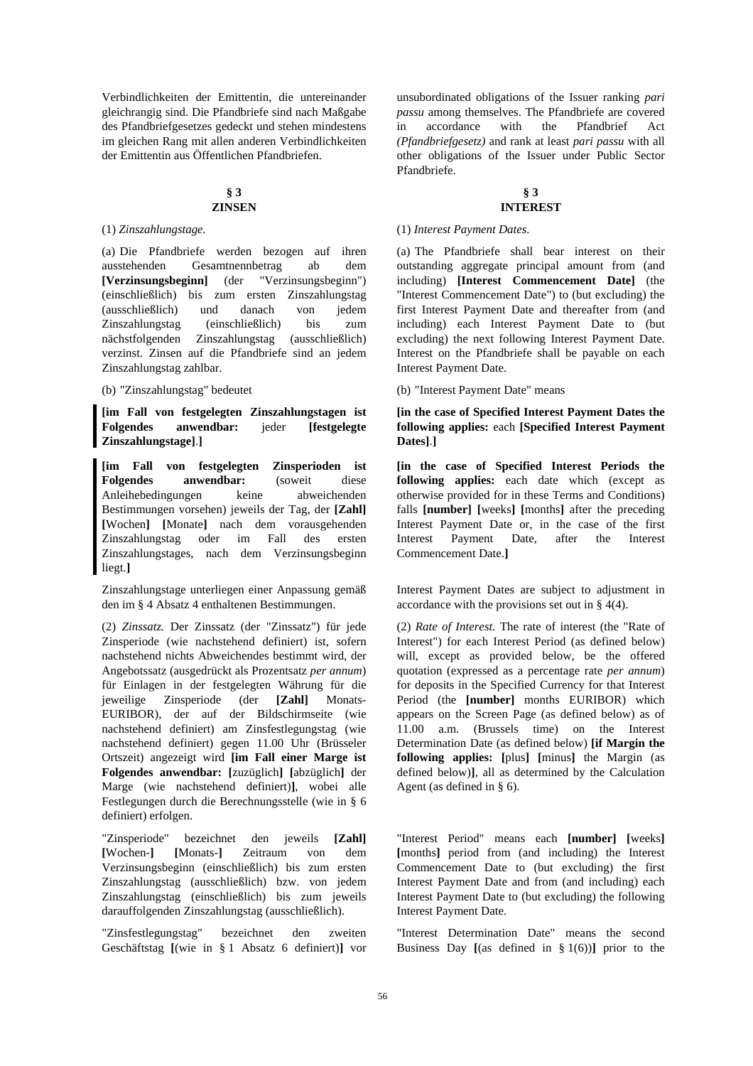Verbindlichkeiten der Emittentin, die untereinander gleichrangig sind. Die Pfandbriefe sind nach Maßgabe des Pfandbriefgesetzes gedeckt und stehen mindestens im gleichen Rang mit allen anderen Verbindlichkeiten der Emittentin aus Öffentlichen Pfandbriefen.

## **§ 3 ZINSEN**

(a) Die Pfandbriefe werden bezogen auf ihren ausstehenden Gesamtnennbetrag ab dem **[Verzinsungsbeginn]** (der "Verzinsungsbeginn") (einschließlich) bis zum ersten Zinszahlungstag (ausschließlich) und danach von jedem Zinszahlungstag (einschließlich) bis zum nächstfolgenden Zinszahlungstag (ausschließlich) verzinst. Zinsen auf die Pfandbriefe sind an jedem Zinszahlungstag zahlbar.

**[im Fall von festgelegten Zinszahlungstagen ist Folgendes anwendbar:** jeder **[festgelegte Zinszahlungstage]**.**]** 

**[im Fall von festgelegten Zinsperioden ist Folgendes anwendbar:** (soweit diese Anleihebedingungen keine abweichenden Bestimmungen vorsehen) jeweils der Tag, der **[Zahl] [**Wochen**] [**Monate**]** nach dem vorausgehenden Zinszahlungstag oder im Fall des ersten Zinszahlungstages, nach dem Verzinsungsbeginn liegt.**]** 

Zinszahlungstage unterliegen einer Anpassung gemäß den im § 4 Absatz 4 enthaltenen Bestimmungen.

(2) *Zinssatz.* Der Zinssatz (der "Zinssatz") für jede Zinsperiode (wie nachstehend definiert) ist, sofern nachstehend nichts Abweichendes bestimmt wird, der Angebotssatz (ausgedrückt als Prozentsatz *per annum*) für Einlagen in der festgelegten Währung für die jeweilige Zinsperiode (der **[Zahl]** Monats-EURIBOR), der auf der Bildschirmseite (wie nachstehend definiert) am Zinsfestlegungstag (wie nachstehend definiert) gegen 11.00 Uhr (Brüsseler Ortszeit) angezeigt wird **[im Fall einer Marge ist Folgendes anwendbar: [**zuzüglich**] [**abzüglich**]** der Marge (wie nachstehend definiert)**]**, wobei alle Festlegungen durch die Berechnungsstelle (wie in § 6 definiert) erfolgen.

"Zinsperiode" bezeichnet den jeweils **[Zahl] [**Wochen-**] [**Monats-**]** Zeitraum von dem Verzinsungsbeginn (einschließlich) bis zum ersten Zinszahlungstag (ausschließlich) bzw. von jedem Zinszahlungstag (einschließlich) bis zum jeweils darauffolgenden Zinszahlungstag (ausschließlich).

"Zinsfestlegungstag" bezeichnet den zweiten Geschäftstag **[**(wie in § 1 Absatz 6 definiert)**]** vor

unsubordinated obligations of the Issuer ranking *pari passu* among themselves. The Pfandbriefe are covered in accordance with the Pfandbrief Act *(Pfandbriefgesetz)* and rank at least *pari passu* with all other obligations of the Issuer under Public Sector Pfandbriefe.

## **§ 3 INTEREST**

## (1) *Zinszahlungstage.* (1) *Interest Payment Dates.*

 (a) The Pfandbriefe shall bear interest on their outstanding aggregate principal amount from (and including) **[Interest Commencement Date]** (the "Interest Commencement Date") to (but excluding) the first Interest Payment Date and thereafter from (and including) each Interest Payment Date to (but excluding) the next following Interest Payment Date. Interest on the Pfandbriefe shall be payable on each Interest Payment Date.

(b) "Zinszahlungstag" bedeutet (b) "Interest Payment Date" means

 **[in the case of Specified Interest Payment Dates the following applies:** each **[Specified Interest Payment Dates]**.**]** 

 **[in the case of Specified Interest Periods the following applies:** each date which (except as otherwise provided for in these Terms and Conditions) falls **[number] [**weeks**] [**months**]** after the preceding Interest Payment Date or, in the case of the first Interest Payment Date, after the Interest Commencement Date.**]** 

 Interest Payment Dates are subject to adjustment in accordance with the provisions set out in § 4(4).

 (2) *Rate of Interest.* The rate of interest (the "Rate of Interest") for each Interest Period (as defined below) will, except as provided below, be the offered quotation (expressed as a percentage rate *per annum*) for deposits in the Specified Currency for that Interest Period (the **[number]** months EURIBOR) which appears on the Screen Page (as defined below) as of 11.00 a.m. (Brussels time) on the Interest Determination Date (as defined below) **[if Margin the following applies: [**plus**] [**minus**]** the Margin (as defined below)**]**, all as determined by the Calculation Agent (as defined in § 6).

 "Interest Period" means each **[number] [**weeks**] [**months**]** period from (and including) the Interest Commencement Date to (but excluding) the first Interest Payment Date and from (and including) each Interest Payment Date to (but excluding) the following Interest Payment Date.

 "Interest Determination Date" means the second Business Day **[**(as defined in § 1(6))**]** prior to the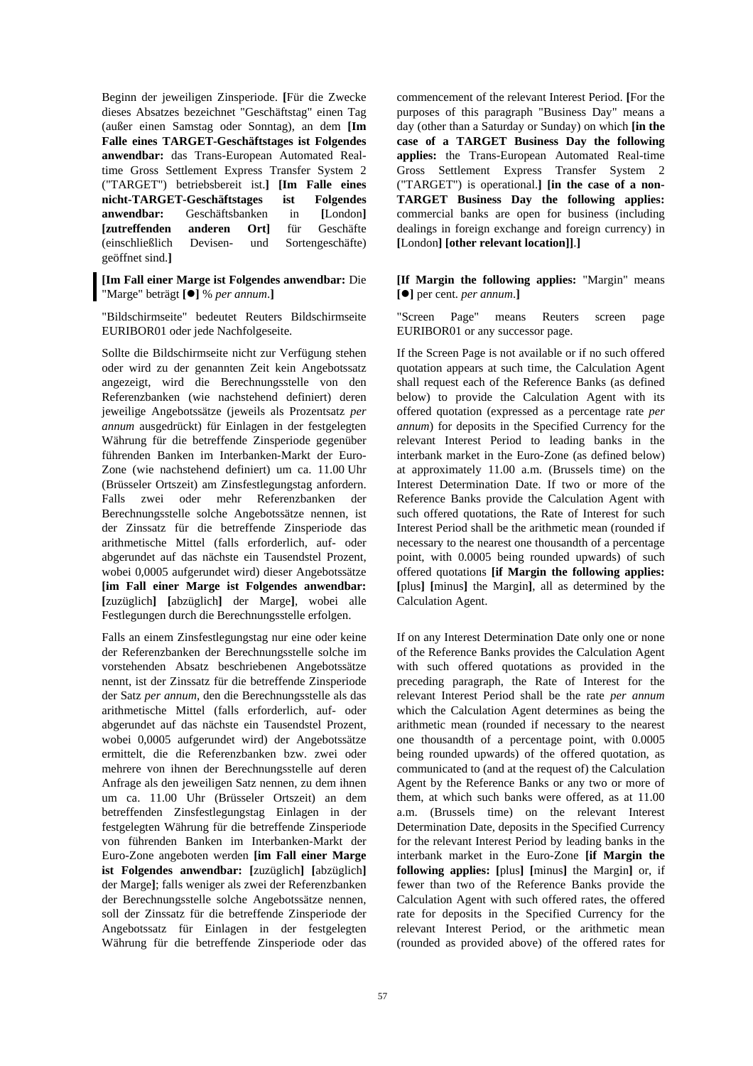Beginn der jeweiligen Zinsperiode. **[**Für die Zwecke dieses Absatzes bezeichnet "Geschäftstag" einen Tag (außer einen Samstag oder Sonntag), an dem **[Im Falle eines TARGET-Geschäftstages ist Folgendes anwendbar:** das Trans-European Automated Realtime Gross Settlement Express Transfer System 2 ("TARGET") betriebsbereit ist.**] [Im Falle eines nicht-TARGET-Geschäftstages ist Folgendes anwendbar:** Geschäftsbanken in **[**London**] [zutreffenden anderen Ort]** für Geschäfte (einschließlich Devisen- und Sortengeschäfte) geöffnet sind.**]**

**[Im Fall einer Marge ist Folgendes anwendbar:** Die "Marge" beträgt **[]** % *per annum*.**]** 

"Bildschirmseite" bedeutet Reuters Bildschirmseite EURIBOR01 oder jede Nachfolgeseite.

Sollte die Bildschirmseite nicht zur Verfügung stehen oder wird zu der genannten Zeit kein Angebotssatz angezeigt, wird die Berechnungsstelle von den Referenzbanken (wie nachstehend definiert) deren jeweilige Angebotssätze (jeweils als Prozentsatz *per annum* ausgedrückt) für Einlagen in der festgelegten Währung für die betreffende Zinsperiode gegenüber führenden Banken im Interbanken-Markt der Euro-Zone (wie nachstehend definiert) um ca. 11.00 Uhr (Brüsseler Ortszeit) am Zinsfestlegungstag anfordern. Falls zwei oder mehr Referenzbanken der Berechnungsstelle solche Angebotssätze nennen, ist der Zinssatz für die betreffende Zinsperiode das arithmetische Mittel (falls erforderlich, auf- oder abgerundet auf das nächste ein Tausendstel Prozent, wobei 0,0005 aufgerundet wird) dieser Angebotssätze **[im Fall einer Marge ist Folgendes anwendbar: [**zuzüglich**] [**abzüglich**]** der Marge**]**, wobei alle Festlegungen durch die Berechnungsstelle erfolgen.

Falls an einem Zinsfestlegungstag nur eine oder keine der Referenzbanken der Berechnungsstelle solche im vorstehenden Absatz beschriebenen Angebotssätze nennt, ist der Zinssatz für die betreffende Zinsperiode der Satz *per annum*, den die Berechnungsstelle als das arithmetische Mittel (falls erforderlich, auf- oder abgerundet auf das nächste ein Tausendstel Prozent, wobei 0,0005 aufgerundet wird) der Angebotssätze ermittelt, die die Referenzbanken bzw. zwei oder mehrere von ihnen der Berechnungsstelle auf deren Anfrage als den jeweiligen Satz nennen, zu dem ihnen um ca. 11.00 Uhr (Brüsseler Ortszeit) an dem betreffenden Zinsfestlegungstag Einlagen in der festgelegten Währung für die betreffende Zinsperiode von führenden Banken im Interbanken-Markt der Euro-Zone angeboten werden **[im Fall einer Marge ist Folgendes anwendbar: [**zuzüglich**] [**abzüglich**]** der Marge**]**; falls weniger als zwei der Referenzbanken der Berechnungsstelle solche Angebotssätze nennen, soll der Zinssatz für die betreffende Zinsperiode der Angebotssatz für Einlagen in der festgelegten Währung für die betreffende Zinsperiode oder das commencement of the relevant Interest Period. **[**For the purposes of this paragraph "Business Day" means a day (other than a Saturday or Sunday) on which **[in the case of a TARGET Business Day the following applies:** the Trans-European Automated Real-time Gross Settlement Express Transfer System 2 ("TARGET") is operational.**] [in the case of a non-TARGET Business Day the following applies:** commercial banks are open for business (including dealings in foreign exchange and foreign currency) in **[**London**] [other relevant location]]**.**]** 

**[If Margin the following applies:** "Margin" means **[]** per cent. *per annum*.**]** 

 "Screen Page" means Reuters screen page EURIBOR01 or any successor page.

 If the Screen Page is not available or if no such offered quotation appears at such time, the Calculation Agent shall request each of the Reference Banks (as defined below) to provide the Calculation Agent with its offered quotation (expressed as a percentage rate *per annum*) for deposits in the Specified Currency for the relevant Interest Period to leading banks in the interbank market in the Euro-Zone (as defined below) at approximately 11.00 a.m. (Brussels time) on the Interest Determination Date. If two or more of the Reference Banks provide the Calculation Agent with such offered quotations, the Rate of Interest for such Interest Period shall be the arithmetic mean (rounded if necessary to the nearest one thousandth of a percentage point, with 0.0005 being rounded upwards) of such offered quotations **[if Margin the following applies: [**plus**] [**minus**]** the Margin**]**, all as determined by the Calculation Agent.

 If on any Interest Determination Date only one or none of the Reference Banks provides the Calculation Agent with such offered quotations as provided in the preceding paragraph, the Rate of Interest for the relevant Interest Period shall be the rate *per annum* which the Calculation Agent determines as being the arithmetic mean (rounded if necessary to the nearest one thousandth of a percentage point, with 0.0005 being rounded upwards) of the offered quotation, as communicated to (and at the request of) the Calculation Agent by the Reference Banks or any two or more of them, at which such banks were offered, as at 11.00 a.m. (Brussels time) on the relevant Interest Determination Date, deposits in the Specified Currency for the relevant Interest Period by leading banks in the interbank market in the Euro-Zone **[if Margin the following applies: [**plus**] [**minus**]** the Margin**]** or, if fewer than two of the Reference Banks provide the Calculation Agent with such offered rates, the offered rate for deposits in the Specified Currency for the relevant Interest Period, or the arithmetic mean (rounded as provided above) of the offered rates for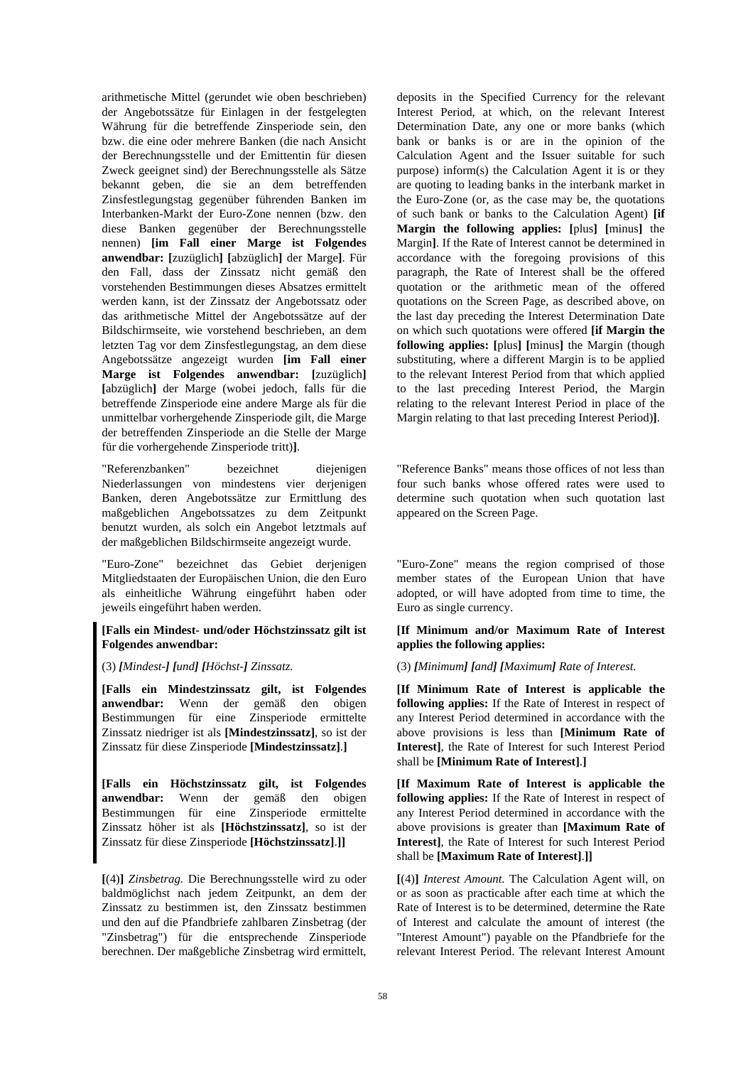arithmetische Mittel (gerundet wie oben beschrieben) der Angebotssätze für Einlagen in der festgelegten Währung für die betreffende Zinsperiode sein, den bzw. die eine oder mehrere Banken (die nach Ansicht der Berechnungsstelle und der Emittentin für diesen Zweck geeignet sind) der Berechnungsstelle als Sätze bekannt geben, die sie an dem betreffenden Zinsfestlegungstag gegenüber führenden Banken im Interbanken-Markt der Euro-Zone nennen (bzw. den diese Banken gegenüber der Berechnungsstelle nennen) **[im Fall einer Marge ist Folgendes anwendbar: [**zuzüglich**] [**abzüglich**]** der Marge**]**. Für den Fall, dass der Zinssatz nicht gemäß den vorstehenden Bestimmungen dieses Absatzes ermittelt werden kann, ist der Zinssatz der Angebotssatz oder das arithmetische Mittel der Angebotssätze auf der Bildschirmseite, wie vorstehend beschrieben, an dem letzten Tag vor dem Zinsfestlegungstag, an dem diese Angebotssätze angezeigt wurden **[im Fall einer Marge ist Folgendes anwendbar: [**zuzüglich**] [**abzüglich**]** der Marge (wobei jedoch, falls für die betreffende Zinsperiode eine andere Marge als für die unmittelbar vorhergehende Zinsperiode gilt, die Marge der betreffenden Zinsperiode an die Stelle der Marge für die vorhergehende Zinsperiode tritt)**]**.

"Referenzbanken" bezeichnet diejenigen Niederlassungen von mindestens vier derjenigen Banken, deren Angebotssätze zur Ermittlung des maßgeblichen Angebotssatzes zu dem Zeitpunkt benutzt wurden, als solch ein Angebot letztmals auf der maßgeblichen Bildschirmseite angezeigt wurde.

"Euro-Zone" bezeichnet das Gebiet derjenigen Mitgliedstaaten der Europäischen Union, die den Euro als einheitliche Währung eingeführt haben oder jeweils eingeführt haben werden.

## **[Falls ein Mindest- und/oder Höchstzinssatz gilt ist Folgendes anwendbar:**

**[Falls ein Mindestzinssatz gilt, ist Folgendes anwendbar:** Wenn der gemäß den obigen Bestimmungen für eine Zinsperiode ermittelte Zinssatz niedriger ist als **[Mindestzinssatz]**, so ist der Zinssatz für diese Zinsperiode **[Mindestzinssatz]**.**]** 

**[Falls ein Höchstzinssatz gilt, ist Folgendes anwendbar:** Wenn der gemäß den obigen Bestimmungen für eine Zinsperiode ermittelte Zinssatz höher ist als **[Höchstzinssatz]**, so ist der Zinssatz für diese Zinsperiode **[Höchstzinssatz]**.**]]** 

**[**(4)**]** *Zinsbetrag.* Die Berechnungsstelle wird zu oder baldmöglichst nach jedem Zeitpunkt, an dem der Zinssatz zu bestimmen ist, den Zinssatz bestimmen und den auf die Pfandbriefe zahlbaren Zinsbetrag (der "Zinsbetrag") für die entsprechende Zinsperiode berechnen. Der maßgebliche Zinsbetrag wird ermittelt,

deposits in the Specified Currency for the relevant Interest Period, at which, on the relevant Interest Determination Date, any one or more banks (which bank or banks is or are in the opinion of the Calculation Agent and the Issuer suitable for such purpose) inform(s) the Calculation Agent it is or they are quoting to leading banks in the interbank market in the Euro-Zone (or, as the case may be, the quotations of such bank or banks to the Calculation Agent) **[if Margin the following applies: [**plus**] [**minus**]** the Margin**]**. If the Rate of Interest cannot be determined in accordance with the foregoing provisions of this paragraph, the Rate of Interest shall be the offered quotation or the arithmetic mean of the offered quotations on the Screen Page, as described above, on the last day preceding the Interest Determination Date on which such quotations were offered **[if Margin the following applies: [**plus**] [**minus**]** the Margin (though substituting, where a different Margin is to be applied to the relevant Interest Period from that which applied to the last preceding Interest Period, the Margin relating to the relevant Interest Period in place of the Margin relating to that last preceding Interest Period)**]**.

 "Reference Banks" means those offices of not less than four such banks whose offered rates were used to determine such quotation when such quotation last appeared on the Screen Page.

 "Euro-Zone" means the region comprised of those member states of the European Union that have adopted, or will have adopted from time to time, the Euro as single currency.

## **[If Minimum and/or Maximum Rate of Interest applies the following applies:**

(3) [Mindest-] [und] [Höchst-] Zinssatz. (3) [Minimum] [and] [Maximum] Rate of Interest.

 **[If Minimum Rate of Interest is applicable the following applies:** If the Rate of Interest in respect of any Interest Period determined in accordance with the above provisions is less than **[Minimum Rate of Interest]**, the Rate of Interest for such Interest Period shall be **[Minimum Rate of Interest]**.**]** 

 **[If Maximum Rate of Interest is applicable the following applies:** If the Rate of Interest in respect of any Interest Period determined in accordance with the above provisions is greater than **[Maximum Rate of Interest]**, the Rate of Interest for such Interest Period shall be **[Maximum Rate of Interest]**.**]]** 

**[**(4)**]** *Interest Amount.* The Calculation Agent will, on or as soon as practicable after each time at which the Rate of Interest is to be determined, determine the Rate of Interest and calculate the amount of interest (the "Interest Amount") payable on the Pfandbriefe for the relevant Interest Period. The relevant Interest Amount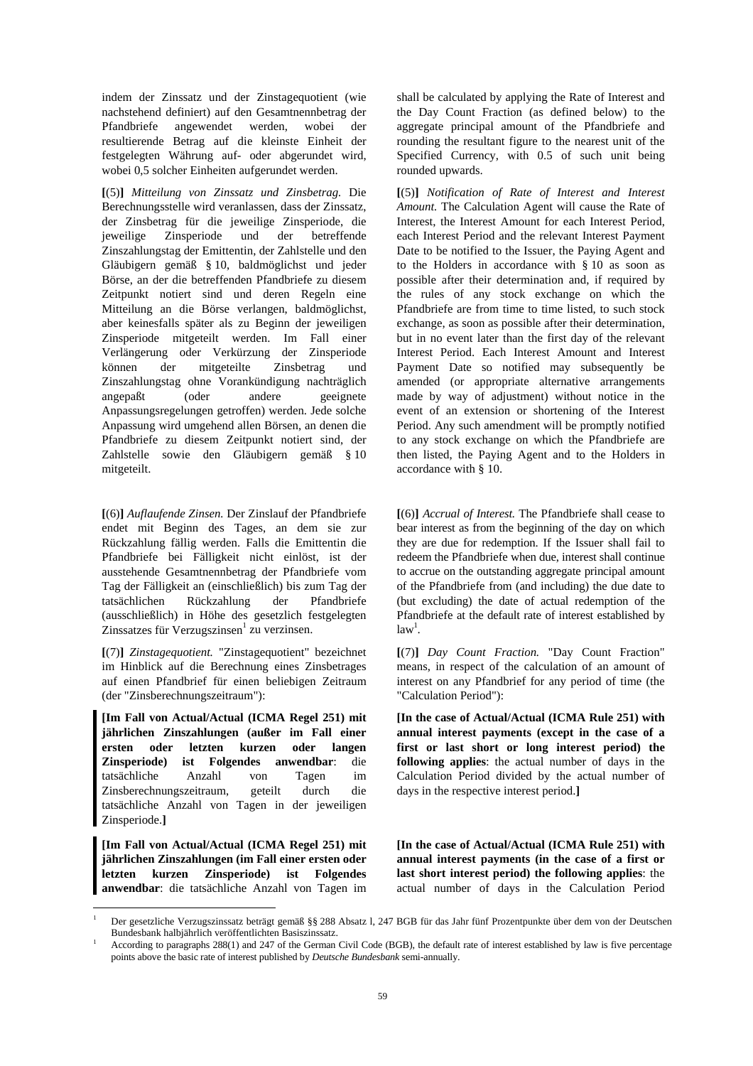indem der Zinssatz und der Zinstagequotient (wie nachstehend definiert) auf den Gesamtnennbetrag der Pfandbriefe angewendet werden, wobei der resultierende Betrag auf die kleinste Einheit der festgelegten Währung auf- oder abgerundet wird, wobei 0,5 solcher Einheiten aufgerundet werden.

**[**(5)**]** *Mitteilung von Zinssatz und Zinsbetrag.* Die Berechnungsstelle wird veranlassen, dass der Zinssatz, der Zinsbetrag für die jeweilige Zinsperiode, die jeweilige Zinsperiode und der betreffende Zinszahlungstag der Emittentin, der Zahlstelle und den Gläubigern gemäß § 10, baldmöglichst und jeder Börse, an der die betreffenden Pfandbriefe zu diesem Zeitpunkt notiert sind und deren Regeln eine Mitteilung an die Börse verlangen, baldmöglichst, aber keinesfalls später als zu Beginn der jeweiligen Zinsperiode mitgeteilt werden. Im Fall einer Verlängerung oder Verkürzung der Zinsperiode können der mitgeteilte Zinsbetrag und Zinszahlungstag ohne Vorankündigung nachträglich angepaßt (oder andere geeignete Anpassungsregelungen getroffen) werden. Jede solche Anpassung wird umgehend allen Börsen, an denen die Pfandbriefe zu diesem Zeitpunkt notiert sind, der Zahlstelle sowie den Gläubigern gemäß § 10 mitgeteilt.

**[**(6)**]** *Auflaufende Zinsen.* Der Zinslauf der Pfandbriefe endet mit Beginn des Tages, an dem sie zur Rückzahlung fällig werden. Falls die Emittentin die Pfandbriefe bei Fälligkeit nicht einlöst, ist der ausstehende Gesamtnennbetrag der Pfandbriefe vom Tag der Fälligkeit an (einschließlich) bis zum Tag der tatsächlichen Rückzahlung der Pfandbriefe (ausschließlich) in Höhe des gesetzlich festgelegten Zinssatzes für Verzugszinsen<sup>1</sup> zu verzinsen.

**[**(7)**]** *Zinstagequotient.* "Zinstagequotient" bezeichnet im Hinblick auf die Berechnung eines Zinsbetrages auf einen Pfandbrief für einen beliebigen Zeitraum (der "Zinsberechnungszeitraum"):

**[Im Fall von Actual/Actual (ICMA Regel 251) mit jährlichen Zinszahlungen (außer im Fall einer ersten oder letzten kurzen oder langen Zinsperiode) ist Folgendes anwendbar**: die tatsächliche Anzahl von Tagen im Zinsberechnungszeitraum, geteilt durch die tatsächliche Anzahl von Tagen in der jeweiligen Zinsperiode.**]** 

**[Im Fall von Actual/Actual (ICMA Regel 251) mit jährlichen Zinszahlungen (im Fall einer ersten oder letzten kurzen Zinsperiode) ist Folgendes anwendbar**: die tatsächliche Anzahl von Tagen im

 $\overline{a}$ 

shall be calculated by applying the Rate of Interest and the Day Count Fraction (as defined below) to the aggregate principal amount of the Pfandbriefe and rounding the resultant figure to the nearest unit of the Specified Currency, with 0.5 of such unit being rounded upwards.

**[**(5)**]** *Notification of Rate of Interest and Interest Amount.* The Calculation Agent will cause the Rate of Interest, the Interest Amount for each Interest Period, each Interest Period and the relevant Interest Payment Date to be notified to the Issuer, the Paying Agent and to the Holders in accordance with § 10 as soon as possible after their determination and, if required by the rules of any stock exchange on which the Pfandbriefe are from time to time listed, to such stock exchange, as soon as possible after their determination, but in no event later than the first day of the relevant Interest Period. Each Interest Amount and Interest Payment Date so notified may subsequently be amended (or appropriate alternative arrangements made by way of adjustment) without notice in the event of an extension or shortening of the Interest Period. Any such amendment will be promptly notified to any stock exchange on which the Pfandbriefe are then listed, the Paying Agent and to the Holders in accordance with § 10.

**[**(6)**]** *Accrual of Interest.* The Pfandbriefe shall cease to bear interest as from the beginning of the day on which they are due for redemption. If the Issuer shall fail to redeem the Pfandbriefe when due, interest shall continue to accrue on the outstanding aggregate principal amount of the Pfandbriefe from (and including) the due date to (but excluding) the date of actual redemption of the Pfandbriefe at the default rate of interest established by  $law<sup>1</sup>$ .

**[**(7)**]** *Day Count Fraction.* "Day Count Fraction" means, in respect of the calculation of an amount of interest on any Pfandbrief for any period of time (the "Calculation Period"):

 **[In the case of Actual/Actual (ICMA Rule 251) with annual interest payments (except in the case of a first or last short or long interest period) the following applies**: the actual number of days in the Calculation Period divided by the actual number of days in the respective interest period.**]** 

 **[In the case of Actual/Actual (ICMA Rule 251) with annual interest payments (in the case of a first or last short interest period) the following applies**: the actual number of days in the Calculation Period

<sup>1</sup> Der gesetzliche Verzugszinssatz beträgt gemäß §§ 288 Absatz l, 247 BGB für das Jahr fünf Prozentpunkte über dem von der Deutschen Bundesbank halbjährlich veröffentlichten Basiszinssatz. 1

According to paragraphs 288(1) and 247 of the German Civil Code (BGB), the default rate of interest established by law is five percentage points above the basic rate of interest published by *Deutsche Bundesbank* semi-annually.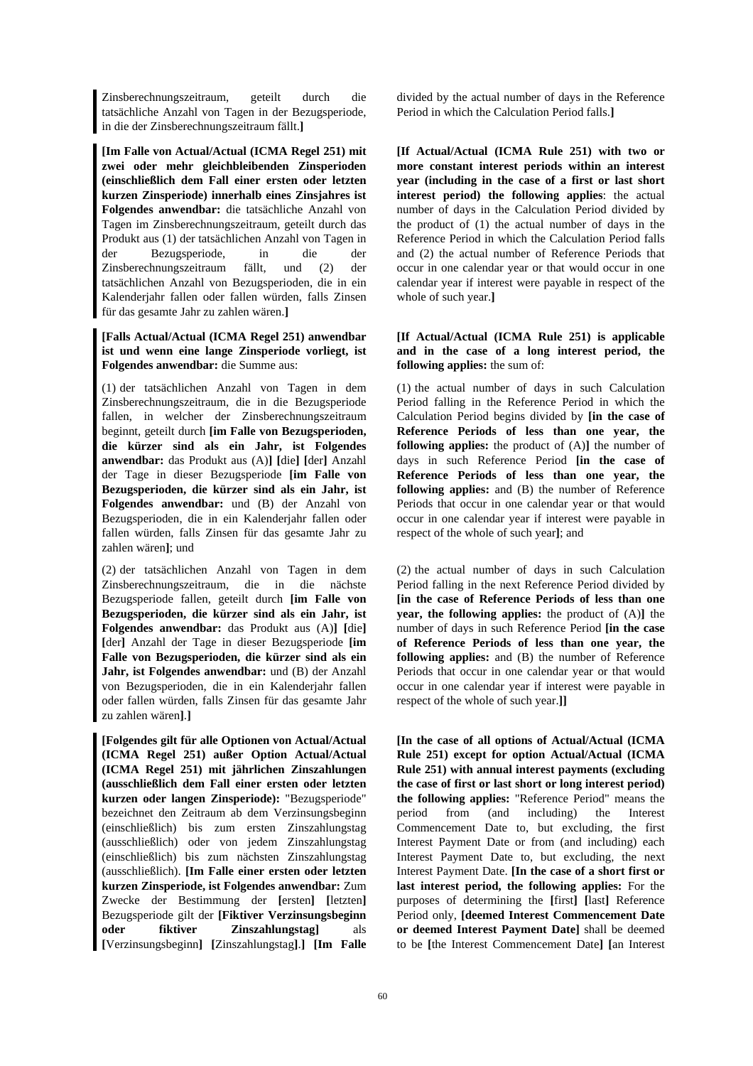Zinsberechnungszeitraum, geteilt durch die tatsächliche Anzahl von Tagen in der Bezugsperiode, in die der Zinsberechnungszeitraum fällt.**]** 

**[Im Falle von Actual/Actual (ICMA Regel 251) mit zwei oder mehr gleichbleibenden Zinsperioden (einschließlich dem Fall einer ersten oder letzten kurzen Zinsperiode) innerhalb eines Zinsjahres ist Folgendes anwendbar:** die tatsächliche Anzahl von Tagen im Zinsberechnungszeitraum, geteilt durch das Produkt aus (1) der tatsächlichen Anzahl von Tagen in der Bezugsperiode, in die der Zinsberechnungszeitraum fällt, und (2) der tatsächlichen Anzahl von Bezugsperioden, die in ein Kalenderjahr fallen oder fallen würden, falls Zinsen für das gesamte Jahr zu zahlen wären.**]** 

**[Falls Actual/Actual (ICMA Regel 251) anwendbar ist und wenn eine lange Zinsperiode vorliegt, ist Folgendes anwendbar:** die Summe aus:

(1) der tatsächlichen Anzahl von Tagen in dem Zinsberechnungszeitraum, die in die Bezugsperiode fallen, in welcher der Zinsberechnungszeitraum beginnt, geteilt durch **[im Falle von Bezugsperioden, die kürzer sind als ein Jahr, ist Folgendes anwendbar:** das Produkt aus (A)**] [**die**] [**der**]** Anzahl der Tage in dieser Bezugsperiode **[im Falle von Bezugsperioden, die kürzer sind als ein Jahr, ist Folgendes anwendbar:** und (B) der Anzahl von Bezugsperioden, die in ein Kalenderjahr fallen oder fallen würden, falls Zinsen für das gesamte Jahr zu zahlen wären**]**; und

(2) der tatsächlichen Anzahl von Tagen in dem Zinsberechnungszeitraum, die in die nächste Bezugsperiode fallen, geteilt durch **[im Falle von Bezugsperioden, die kürzer sind als ein Jahr, ist Folgendes anwendbar:** das Produkt aus (A)**] [**die**] [**der**]** Anzahl der Tage in dieser Bezugsperiode **[im Falle von Bezugsperioden, die kürzer sind als ein Jahr, ist Folgendes anwendbar:** und (B) der Anzahl von Bezugsperioden, die in ein Kalenderjahr fallen oder fallen würden, falls Zinsen für das gesamte Jahr zu zahlen wären**]**.**]** 

**[Folgendes gilt für alle Optionen von Actual/Actual (ICMA Regel 251) außer Option Actual/Actual (ICMA Regel 251) mit jährlichen Zinszahlungen (ausschließlich dem Fall einer ersten oder letzten kurzen oder langen Zinsperiode):** "Bezugsperiode" bezeichnet den Zeitraum ab dem Verzinsungsbeginn (einschließlich) bis zum ersten Zinszahlungstag (ausschließlich) oder von jedem Zinszahlungstag (einschließlich) bis zum nächsten Zinszahlungstag (ausschließlich). **[Im Falle einer ersten oder letzten kurzen Zinsperiode, ist Folgendes anwendbar:** Zum Zwecke der Bestimmung der **[**ersten**] [**letzten**]** Bezugsperiode gilt der **[Fiktiver Verzinsungsbeginn oder fiktiver Zinszahlungstag]** als **[**Verzinsungsbeginn**] [**Zinszahlungstag**]**.**] [Im Falle** 

divided by the actual number of days in the Reference Period in which the Calculation Period falls.**]** 

 **[If Actual/Actual (ICMA Rule 251) with two or more constant interest periods within an interest year (including in the case of a first or last short interest period) the following applies**: the actual number of days in the Calculation Period divided by the product of (1) the actual number of days in the Reference Period in which the Calculation Period falls and (2) the actual number of Reference Periods that occur in one calendar year or that would occur in one calendar year if interest were payable in respect of the whole of such year.**]** 

## **[If Actual/Actual (ICMA Rule 251) is applicable and in the case of a long interest period, the following applies:** the sum of:

 (1) the actual number of days in such Calculation Period falling in the Reference Period in which the Calculation Period begins divided by **[in the case of Reference Periods of less than one year, the following applies:** the product of (A)**]** the number of days in such Reference Period **[in the case of Reference Periods of less than one year, the following applies:** and (B) the number of Reference Periods that occur in one calendar year or that would occur in one calendar year if interest were payable in respect of the whole of such year**]**; and

 (2) the actual number of days in such Calculation Period falling in the next Reference Period divided by **[in the case of Reference Periods of less than one year, the following applies:** the product of (A)**]** the number of days in such Reference Period **[in the case of Reference Periods of less than one year, the following applies:** and (B) the number of Reference Periods that occur in one calendar year or that would occur in one calendar year if interest were payable in respect of the whole of such year.**]]** 

 **[In the case of all options of Actual/Actual (ICMA Rule 251) except for option Actual/Actual (ICMA Rule 251) with annual interest payments (excluding the case of first or last short or long interest period) the following applies:** "Reference Period" means the period from (and including) the Interest Commencement Date to, but excluding, the first Interest Payment Date or from (and including) each Interest Payment Date to, but excluding, the next Interest Payment Date. **[In the case of a short first or last interest period, the following applies:** For the purposes of determining the **[**first**] [**last**]** Reference Period only, **[deemed Interest Commencement Date or deemed Interest Payment Date]** shall be deemed to be **[**the Interest Commencement Date**] [**an Interest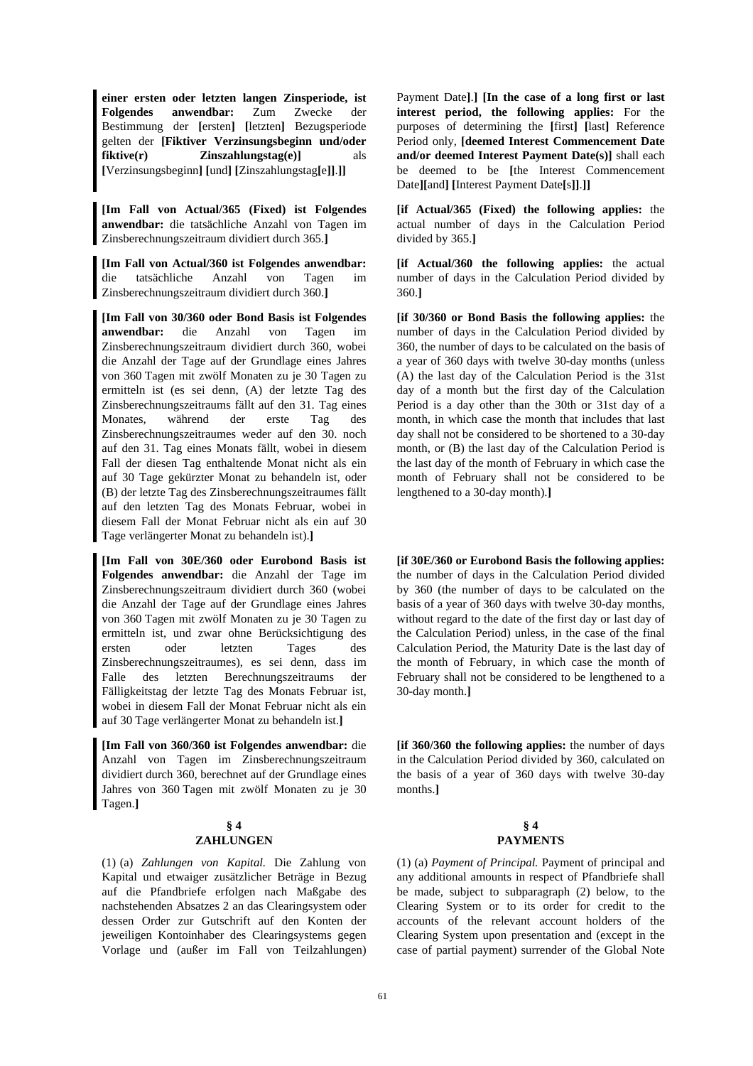**einer ersten oder letzten langen Zinsperiode, ist Folgendes anwendbar:** Zum Zwecke der Bestimmung der **[**ersten**] [**letzten**]** Bezugsperiode gelten der **[Fiktiver Verzinsungsbeginn und/oder fiktive(r) Zinszahlungstag(e)]** als **[**Verzinsungsbeginn**] [**und**] [**Zinszahlungstag**[**e**]]**.**]]** 

**[Im Fall von Actual/365 (Fixed) ist Folgendes anwendbar:** die tatsächliche Anzahl von Tagen im Zinsberechnungszeitraum dividiert durch 365.**]** 

**[Im Fall von Actual/360 ist Folgendes anwendbar:** die tatsächliche Anzahl von Tagen im Zinsberechnungszeitraum dividiert durch 360.**]** 

**[Im Fall von 30/360 oder Bond Basis ist Folgendes anwendbar:** die Anzahl von Tagen im Zinsberechnungszeitraum dividiert durch 360, wobei die Anzahl der Tage auf der Grundlage eines Jahres von 360 Tagen mit zwölf Monaten zu je 30 Tagen zu ermitteln ist (es sei denn, (A) der letzte Tag des Zinsberechnungszeitraums fällt auf den 31. Tag eines Monates, während der erste Tag des Zinsberechnungszeitraumes weder auf den 30. noch auf den 31. Tag eines Monats fällt, wobei in diesem Fall der diesen Tag enthaltende Monat nicht als ein auf 30 Tage gekürzter Monat zu behandeln ist, oder (B) der letzte Tag des Zinsberechnungszeitraumes fällt auf den letzten Tag des Monats Februar, wobei in diesem Fall der Monat Februar nicht als ein auf 30 Tage verlängerter Monat zu behandeln ist).**]** 

**[Im Fall von 30E/360 oder Eurobond Basis ist Folgendes anwendbar:** die Anzahl der Tage im Zinsberechnungszeitraum dividiert durch 360 (wobei die Anzahl der Tage auf der Grundlage eines Jahres von 360 Tagen mit zwölf Monaten zu je 30 Tagen zu ermitteln ist, und zwar ohne Berücksichtigung des ersten oder letzten Tages des Zinsberechnungszeitraumes), es sei denn, dass im Falle des letzten Berechnungszeitraums der Fälligkeitstag der letzte Tag des Monats Februar ist, wobei in diesem Fall der Monat Februar nicht als ein auf 30 Tage verlängerter Monat zu behandeln ist.**]** 

**[Im Fall von 360/360 ist Folgendes anwendbar:** die Anzahl von Tagen im Zinsberechnungszeitraum dividiert durch 360, berechnet auf der Grundlage eines Jahres von 360 Tagen mit zwölf Monaten zu je 30 Tagen.**]** 

# **§ 4**

## **ZAHLUNGEN**

(1) (a) *Zahlungen von Kapital.* Die Zahlung von Kapital und etwaiger zusätzlicher Beträge in Bezug auf die Pfandbriefe erfolgen nach Maßgabe des nachstehenden Absatzes 2 an das Clearingsystem oder dessen Order zur Gutschrift auf den Konten der jeweiligen Kontoinhaber des Clearingsystems gegen Vorlage und (außer im Fall von Teilzahlungen) Payment Date**]**.**] [In the case of a long first or last interest period, the following applies:** For the purposes of determining the **[**first**] [**last**]** Reference Period only, **[deemed Interest Commencement Date and/or deemed Interest Payment Date(s)]** shall each be deemed to be **[**the Interest Commencement Date**][**and**] [**Interest Payment Date**[**s**]]**.**]]** 

**[if Actual/365 (Fixed) the following applies:** the actual number of days in the Calculation Period divided by 365.**]** 

**[if Actual/360 the following applies:** the actual number of days in the Calculation Period divided by 360.**]** 

**[if 30/360 or Bond Basis the following applies:** the number of days in the Calculation Period divided by 360, the number of days to be calculated on the basis of a year of 360 days with twelve 30-day months (unless (A) the last day of the Calculation Period is the 31st day of a month but the first day of the Calculation Period is a day other than the 30th or 31st day of a month, in which case the month that includes that last day shall not be considered to be shortened to a 30-day month, or (B) the last day of the Calculation Period is the last day of the month of February in which case the month of February shall not be considered to be lengthened to a 30-day month).**]** 

 **[if 30E/360 or Eurobond Basis the following applies:** the number of days in the Calculation Period divided by 360 (the number of days to be calculated on the basis of a year of 360 days with twelve 30-day months, without regard to the date of the first day or last day of the Calculation Period) unless, in the case of the final Calculation Period, the Maturity Date is the last day of the month of February, in which case the month of February shall not be considered to be lengthened to a 30-day month.**]** 

**[if 360/360 the following applies:** the number of days in the Calculation Period divided by 360, calculated on the basis of a year of 360 days with twelve 30-day months.**]** 

## **§ 4 PAYMENTS**

 (1) (a) *Payment of Principal.* Payment of principal and any additional amounts in respect of Pfandbriefe shall be made, subject to subparagraph (2) below, to the Clearing System or to its order for credit to the accounts of the relevant account holders of the Clearing System upon presentation and (except in the case of partial payment) surrender of the Global Note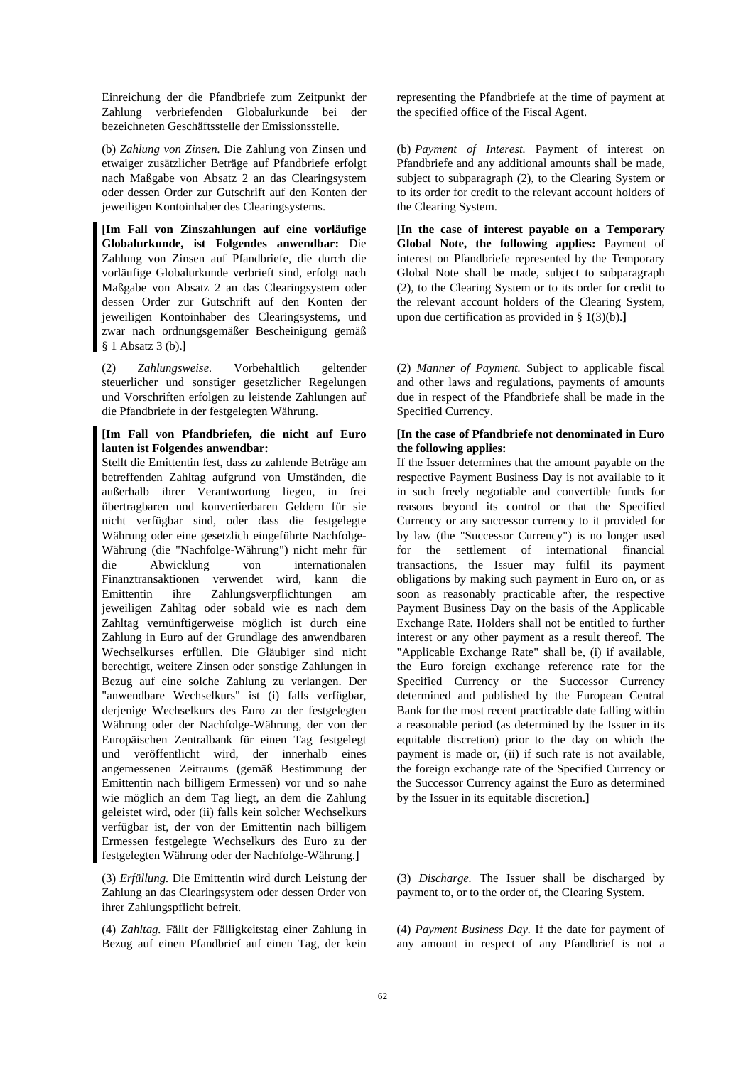Einreichung der die Pfandbriefe zum Zeitpunkt der Zahlung verbriefenden Globalurkunde bei der bezeichneten Geschäftsstelle der Emissionsstelle.

(b) *Zahlung von Zinsen.* Die Zahlung von Zinsen und etwaiger zusätzlicher Beträge auf Pfandbriefe erfolgt nach Maßgabe von Absatz 2 an das Clearingsystem oder dessen Order zur Gutschrift auf den Konten der jeweiligen Kontoinhaber des Clearingsystems.

**[Im Fall von Zinszahlungen auf eine vorläufige Globalurkunde, ist Folgendes anwendbar:** Die Zahlung von Zinsen auf Pfandbriefe, die durch die vorläufige Globalurkunde verbrieft sind, erfolgt nach Maßgabe von Absatz 2 an das Clearingsystem oder dessen Order zur Gutschrift auf den Konten der jeweiligen Kontoinhaber des Clearingsystems, und zwar nach ordnungsgemäßer Bescheinigung gemäß § 1 Absatz 3 (b).**]** 

(2) *Zahlungsweise.* Vorbehaltlich geltender steuerlicher und sonstiger gesetzlicher Regelungen und Vorschriften erfolgen zu leistende Zahlungen auf die Pfandbriefe in der festgelegten Währung.

## **[Im Fall von Pfandbriefen, die nicht auf Euro lauten ist Folgendes anwendbar:**

Stellt die Emittentin fest, dass zu zahlende Beträge am betreffenden Zahltag aufgrund von Umständen, die außerhalb ihrer Verantwortung liegen, in frei übertragbaren und konvertierbaren Geldern für sie nicht verfügbar sind, oder dass die festgelegte Währung oder eine gesetzlich eingeführte Nachfolge-Währung (die "Nachfolge-Währung") nicht mehr für die Abwicklung von internationalen Finanztransaktionen verwendet wird, kann die Emittentin ihre Zahlungsverpflichtungen am jeweiligen Zahltag oder sobald wie es nach dem Zahltag vernünftigerweise möglich ist durch eine Zahlung in Euro auf der Grundlage des anwendbaren Wechselkurses erfüllen. Die Gläubiger sind nicht berechtigt, weitere Zinsen oder sonstige Zahlungen in Bezug auf eine solche Zahlung zu verlangen. Der "anwendbare Wechselkurs" ist (i) falls verfügbar, derjenige Wechselkurs des Euro zu der festgelegten Währung oder der Nachfolge-Währung, der von der Europäischen Zentralbank für einen Tag festgelegt und veröffentlicht wird, der innerhalb eines angemessenen Zeitraums (gemäß Bestimmung der Emittentin nach billigem Ermessen) vor und so nahe wie möglich an dem Tag liegt, an dem die Zahlung geleistet wird, oder (ii) falls kein solcher Wechselkurs verfügbar ist, der von der Emittentin nach billigem Ermessen festgelegte Wechselkurs des Euro zu der festgelegten Währung oder der Nachfolge-Währung.**]**

(3) *Erfüllung.* Die Emittentin wird durch Leistung der Zahlung an das Clearingsystem oder dessen Order von ihrer Zahlungspflicht befreit.

(4) *Zahltag.* Fällt der Fälligkeitstag einer Zahlung in Bezug auf einen Pfandbrief auf einen Tag, der kein representing the Pfandbriefe at the time of payment at the specified office of the Fiscal Agent.

 (b) *Payment of Interest.* Payment of interest on Pfandbriefe and any additional amounts shall be made, subject to subparagraph (2), to the Clearing System or to its order for credit to the relevant account holders of the Clearing System.

 **[In the case of interest payable on a Temporary Global Note, the following applies:** Payment of interest on Pfandbriefe represented by the Temporary Global Note shall be made, subject to subparagraph (2), to the Clearing System or to its order for credit to the relevant account holders of the Clearing System, upon due certification as provided in § 1(3)(b).**]** 

 (2) *Manner of Payment.* Subject to applicable fiscal and other laws and regulations, payments of amounts due in respect of the Pfandbriefe shall be made in the Specified Currency.

## **[In the case of Pfandbriefe not denominated in Euro the following applies:**

If the Issuer determines that the amount payable on the respective Payment Business Day is not available to it in such freely negotiable and convertible funds for reasons beyond its control or that the Specified Currency or any successor currency to it provided for by law (the "Successor Currency") is no longer used for the settlement of international financial transactions, the Issuer may fulfil its payment obligations by making such payment in Euro on, or as soon as reasonably practicable after, the respective Payment Business Day on the basis of the Applicable Exchange Rate. Holders shall not be entitled to further interest or any other payment as a result thereof. The "Applicable Exchange Rate" shall be, (i) if available, the Euro foreign exchange reference rate for the Specified Currency or the Successor Currency determined and published by the European Central Bank for the most recent practicable date falling within a reasonable period (as determined by the Issuer in its equitable discretion) prior to the day on which the payment is made or, (ii) if such rate is not available, the foreign exchange rate of the Specified Currency or the Successor Currency against the Euro as determined by the Issuer in its equitable discretion.**]**

 (3) *Discharge.* The Issuer shall be discharged by payment to, or to the order of, the Clearing System.

 (4) *Payment Business Day.* If the date for payment of any amount in respect of any Pfandbrief is not a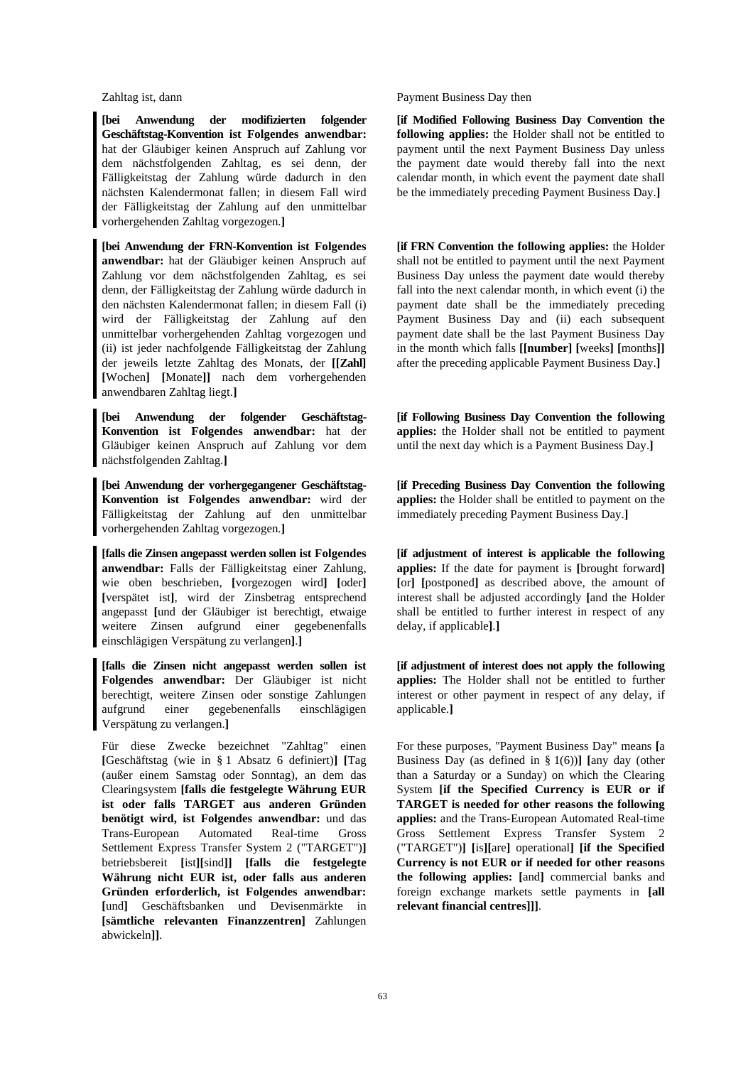**[bei Anwendung der modifizierten folgender Geschäftstag-Konvention ist Folgendes anwendbar:** hat der Gläubiger keinen Anspruch auf Zahlung vor dem nächstfolgenden Zahltag, es sei denn, der Fälligkeitstag der Zahlung würde dadurch in den nächsten Kalendermonat fallen; in diesem Fall wird der Fälligkeitstag der Zahlung auf den unmittelbar vorhergehenden Zahltag vorgezogen.**]**

**[bei Anwendung der FRN-Konvention ist Folgendes anwendbar:** hat der Gläubiger keinen Anspruch auf Zahlung vor dem nächstfolgenden Zahltag, es sei denn, der Fälligkeitstag der Zahlung würde dadurch in den nächsten Kalendermonat fallen; in diesem Fall (i) wird der Fälligkeitstag der Zahlung auf den unmittelbar vorhergehenden Zahltag vorgezogen und (ii) ist jeder nachfolgende Fälligkeitstag der Zahlung der jeweils letzte Zahltag des Monats, der **[[Zahl] [**Wochen**] [**Monate**]]** nach dem vorhergehenden anwendbaren Zahltag liegt.**]**

**[bei Anwendung der folgender Geschäftstag-Konvention ist Folgendes anwendbar:** hat der Gläubiger keinen Anspruch auf Zahlung vor dem nächstfolgenden Zahltag.**]**

**[bei Anwendung der vorhergegangener Geschäftstag-Konvention ist Folgendes anwendbar:** wird der Fälligkeitstag der Zahlung auf den unmittelbar vorhergehenden Zahltag vorgezogen.**]**

**[falls die Zinsen angepasst werden sollen ist Folgendes anwendbar:** Falls der Fälligkeitstag einer Zahlung, wie oben beschrieben, **[**vorgezogen wird**] [**oder**] [**verspätet ist**]**, wird der Zinsbetrag entsprechend angepasst **[**und der Gläubiger ist berechtigt, etwaige weitere Zinsen aufgrund einer gegebenenfalls einschlägigen Verspätung zu verlangen**]**.**]** 

**[falls die Zinsen nicht angepasst werden sollen ist Folgendes anwendbar:** Der Gläubiger ist nicht berechtigt, weitere Zinsen oder sonstige Zahlungen aufgrund einer gegebenenfalls einschlägigen Verspätung zu verlangen.**]** 

Für diese Zwecke bezeichnet "Zahltag" einen **[**Geschäftstag (wie in § 1 Absatz 6 definiert)**] [**Tag (außer einem Samstag oder Sonntag), an dem das Clearingsystem **[falls die festgelegte Währung EUR ist oder falls TARGET aus anderen Gründen benötigt wird, ist Folgendes anwendbar:** und das Trans-European Automated Real-time Gross Settlement Express Transfer System 2 ("TARGET")**]** betriebsbereit **[**ist**][**sind**]] [falls die festgelegte Währung nicht EUR ist, oder falls aus anderen Gründen erforderlich, ist Folgendes anwendbar: [**und**]** Geschäftsbanken und Devisenmärkte in **[sämtliche relevanten Finanzzentren]** Zahlungen abwickeln**]]**.

Zahltag ist, dann Payment Business Day then

 **[if Modified Following Business Day Convention the following applies:** the Holder shall not be entitled to payment until the next Payment Business Day unless the payment date would thereby fall into the next calendar month, in which event the payment date shall be the immediately preceding Payment Business Day.**]**

**[if FRN Convention the following applies:** the Holder shall not be entitled to payment until the next Payment Business Day unless the payment date would thereby fall into the next calendar month, in which event (i) the payment date shall be the immediately preceding Payment Business Day and (ii) each subsequent payment date shall be the last Payment Business Day in the month which falls **[[number] [**weeks**] [**months**]]**  after the preceding applicable Payment Business Day.**]**

 **[if Following Business Day Convention the following applies:** the Holder shall not be entitled to payment until the next day which is a Payment Business Day.**]**

 **[if Preceding Business Day Convention the following applies:** the Holder shall be entitled to payment on the immediately preceding Payment Business Day.**]**

 **[if adjustment of interest is applicable the following applies:** If the date for payment is **[**brought forward**] [**or**] [**postponed**]** as described above, the amount of interest shall be adjusted accordingly **[**and the Holder shall be entitled to further interest in respect of any delay, if applicable**]**.**]**

 **[if adjustment of interest does not apply the following applies:** The Holder shall not be entitled to further interest or other payment in respect of any delay, if applicable.**]**

 For these purposes, "Payment Business Day" means **[**a Business Day (as defined in § 1(6))**] [**any day (other than a Saturday or a Sunday) on which the Clearing System **[if the Specified Currency is EUR or if TARGET is needed for other reasons the following applies:** and the Trans-European Automated Real-time Gross Settlement Express Transfer System 2 ("TARGET")**] [**is**][**are**]** operational**] [if the Specified Currency is not EUR or if needed for other reasons the following applies: [**and**]** commercial banks and foreign exchange markets settle payments in **[all relevant financial centres]]]**.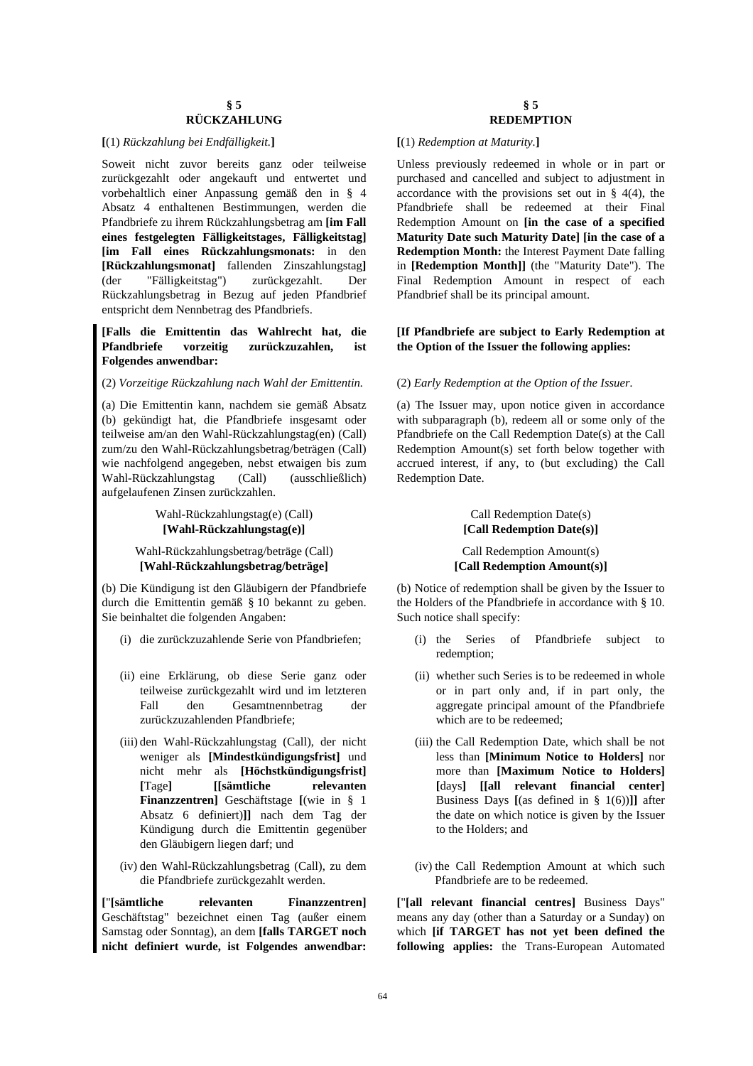#### **[**(1) *Rückzahlung bei Endfälligkeit.***] [**(1) *Redemption at Maturity.***]**

Soweit nicht zuvor bereits ganz oder teilweise zurückgezahlt oder angekauft und entwertet und vorbehaltlich einer Anpassung gemäß den in § 4 Absatz 4 enthaltenen Bestimmungen, werden die Pfandbriefe zu ihrem Rückzahlungsbetrag am **[im Fall eines festgelegten Fälligkeitstages, Fälligkeitstag] [im Fall eines Rückzahlungsmonats:** in den **[Rückzahlungsmonat]** fallenden Zinszahlungstag**]** (der "Fälligkeitstag") zurückgezahlt. Der Rückzahlungsbetrag in Bezug auf jeden Pfandbrief entspricht dem Nennbetrag des Pfandbriefs.

## **[Falls die Emittentin das Wahlrecht hat, die Pfandbriefe vorzeitig zurückzuzahlen, ist Folgendes anwendbar:**

## (2) *Vorzeitige Rückzahlung nach Wahl der Emittentin.* (2) *Early Redemption at the Option of the Issuer.*

(a) Die Emittentin kann, nachdem sie gemäß Absatz (b) gekündigt hat, die Pfandbriefe insgesamt oder teilweise am/an den Wahl-Rückzahlungstag(en) (Call) zum/zu den Wahl-Rückzahlungsbetrag/beträgen (Call) wie nachfolgend angegeben, nebst etwaigen bis zum Wahl-Rückzahlungstag (Call) (ausschließlich) aufgelaufenen Zinsen zurückzahlen.

## Wahl-Rückzahlungstag(e) (Call) **[Wahl-Rückzahlungstag(e)]**

## Wahl-Rückzahlungsbetrag/beträge (Call) **[Wahl-Rückzahlungsbetrag/beträge]**

(b) Die Kündigung ist den Gläubigern der Pfandbriefe durch die Emittentin gemäß § 10 bekannt zu geben. Sie beinhaltet die folgenden Angaben:

- (i) die zurückzuzahlende Serie von Pfandbriefen; (i) the Series of Pfandbriefe subject to
- (ii) eine Erklärung, ob diese Serie ganz oder teilweise zurückgezahlt wird und im letzteren Fall den Gesamtnennbetrag der zurückzuzahlenden Pfandbriefe;
- (iii) den Wahl-Rückzahlungstag (Call), der nicht weniger als **[Mindestkündigungsfrist]** und nicht mehr als **[Höchstkündigungsfrist] [**Tage**] [[sämtliche relevanten Finanzzentren]** Geschäftstage **[**(wie in § 1 Absatz 6 definiert)**]]** nach dem Tag der Kündigung durch die Emittentin gegenüber den Gläubigern liegen darf; und
- (iv) den Wahl-Rückzahlungsbetrag (Call), zu dem die Pfandbriefe zurückgezahlt werden.

**[**"**[sämtliche relevanten Finanzzentren]** Geschäftstag" bezeichnet einen Tag (außer einem Samstag oder Sonntag), an dem **[falls TARGET noch nicht definiert wurde, ist Folgendes anwendbar:** 

## **§ 5 REDEMPTION**

 Unless previously redeemed in whole or in part or purchased and cancelled and subject to adjustment in accordance with the provisions set out in  $\S$  4(4), the Pfandbriefe shall be redeemed at their Final Redemption Amount on **[in the case of a specified Maturity Date such Maturity Date] [in the case of a Redemption Month:** the Interest Payment Date falling in **[Redemption Month]]** (the "Maturity Date"). The Final Redemption Amount in respect of each Pfandbrief shall be its principal amount.

## **[If Pfandbriefe are subject to Early Redemption at the Option of the Issuer the following applies:**

 (a) The Issuer may, upon notice given in accordance with subparagraph (b), redeem all or some only of the Pfandbriefe on the Call Redemption Date(s) at the Call Redemption Amount(s) set forth below together with accrued interest, if any, to (but excluding) the Call Redemption Date.

## Call Redemption Date(s) **[Call Redemption Date(s)]**

## Call Redemption Amount(s) **[Call Redemption Amount(s)]**

 (b) Notice of redemption shall be given by the Issuer to the Holders of the Pfandbriefe in accordance with § 10. Such notice shall specify:

- redemption;
- (ii) whether such Series is to be redeemed in whole or in part only and, if in part only, the aggregate principal amount of the Pfandbriefe which are to be redeemed;
- (iii) the Call Redemption Date, which shall be not less than **[Minimum Notice to Holders]** nor more than **[Maximum Notice to Holders] [**days**] [[all relevant financial center]** Business Days **[**(as defined in § 1(6))**]]** after the date on which notice is given by the Issuer to the Holders; and
- (iv) the Call Redemption Amount at which such Pfandbriefe are to be redeemed.

**[**"**[all relevant financial centres]** Business Days" means any day (other than a Saturday or a Sunday) on which **[if TARGET has not yet been defined the following applies:** the Trans-European Automated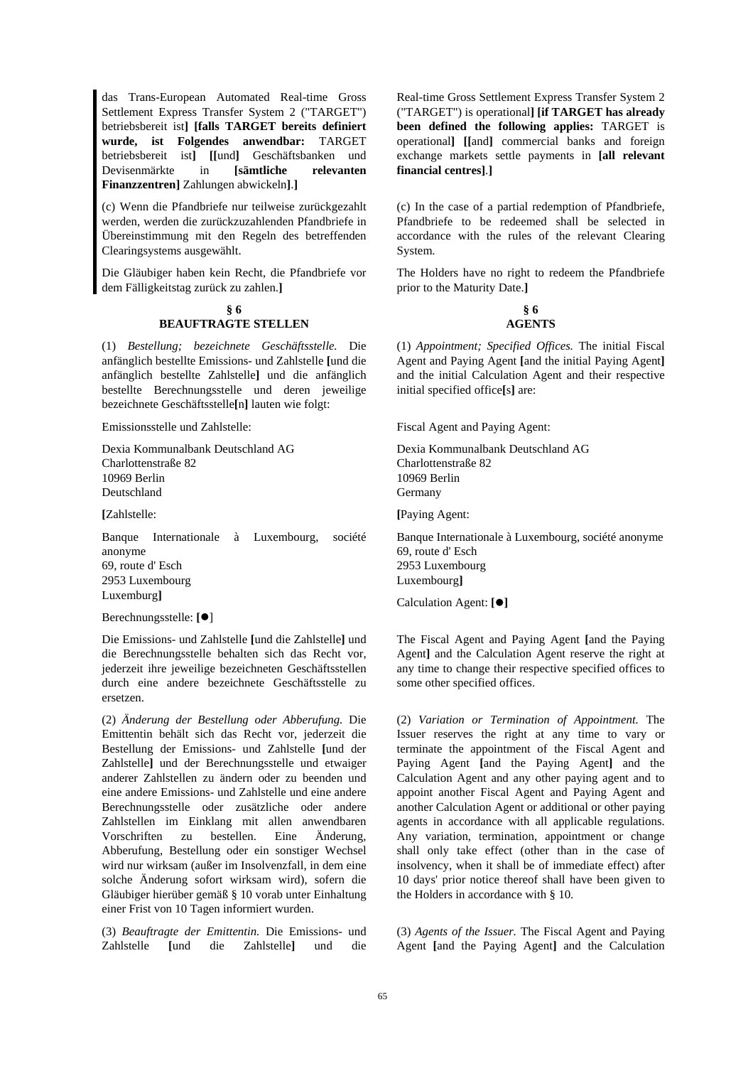das Trans-European Automated Real-time Gross Settlement Express Transfer System 2 ("TARGET") betriebsbereit ist**] [falls TARGET bereits definiert wurde, ist Folgendes anwendbar:** TARGET betriebsbereit ist**] [[**und**]** Geschäftsbanken und Devisenmärkte in **[sämtliche relevanten Finanzzentren]** Zahlungen abwickeln**]**.**]**

(c) Wenn die Pfandbriefe nur teilweise zurückgezahlt werden, werden die zurückzuzahlenden Pfandbriefe in Übereinstimmung mit den Regeln des betreffenden Clearingsystems ausgewählt.

Die Gläubiger haben kein Recht, die Pfandbriefe vor dem Fälligkeitstag zurück zu zahlen.**]** 

## **§ 6**

## **BEAUFTRAGTE STELLEN**

(1) *Bestellung; bezeichnete Geschäftsstelle.* Die anfänglich bestellte Emissions- und Zahlstelle **[**und die anfänglich bestellte Zahlstelle**]** und die anfänglich bestellte Berechnungsstelle und deren jeweilige bezeichnete Geschäftsstelle**[**n**]** lauten wie folgt:

Emissionsstelle und Zahlstelle:

Dexia Kommunalbank Deutschland AG Charlottenstraße 82 10969 Berlin Deutschland

**[**Zahlstelle:

Banque Internationale à Luxembourg, société anonyme 69, route d' Esch 2953 Luxembourg Luxemburg**]** 

Berechnungsstelle: **[**]

Die Emissions- und Zahlstelle **[**und die Zahlstelle**]** und die Berechnungsstelle behalten sich das Recht vor, jederzeit ihre jeweilige bezeichneten Geschäftsstellen durch eine andere bezeichnete Geschäftsstelle zu ersetzen.

(2) *Änderung der Bestellung oder Abberufung.* Die Emittentin behält sich das Recht vor, jederzeit die Bestellung der Emissions- und Zahlstelle **[**und der Zahlstelle**]** und der Berechnungsstelle und etwaiger anderer Zahlstellen zu ändern oder zu beenden und eine andere Emissions- und Zahlstelle und eine andere Berechnungsstelle oder zusätzliche oder andere Zahlstellen im Einklang mit allen anwendbaren Vorschriften zu bestellen. Eine Änderung, Abberufung, Bestellung oder ein sonstiger Wechsel wird nur wirksam (außer im Insolvenzfall, in dem eine solche Änderung sofort wirksam wird), sofern die Gläubiger hierüber gemäß § 10 vorab unter Einhaltung einer Frist von 10 Tagen informiert wurden.

(3) *Beauftragte der Emittentin.* Die Emissions- und Zahlstelle **[**und die Zahlstelle**]** und die

Real-time Gross Settlement Express Transfer System 2 ("TARGET") is operational**] [if TARGET has already been defined the following applies:** TARGET is operational**] [[**and**]** commercial banks and foreign exchange markets settle payments in **[all relevant financial centres]**.**]**

 (c) In the case of a partial redemption of Pfandbriefe, Pfandbriefe to be redeemed shall be selected in accordance with the rules of the relevant Clearing System.

The Holders have no right to redeem the Pfandbriefe prior to the Maturity Date.**]** 

## **§ 6 AGENTS**

 (1) *Appointment; Specified Offices.* The initial Fiscal Agent and Paying Agent **[**and the initial Paying Agent**]**  and the initial Calculation Agent and their respective initial specified office**[**s**]** are:

Fiscal Agent and Paying Agent:

Dexia Kommunalbank Deutschland AG Charlottenstraße 82 10969 Berlin Germany

**[**Paying Agent:

Banque Internationale à Luxembourg, société anonyme 69, route d' Esch 2953 Luxembourg Luxembourg**]** 

Calculation Agent: **[]**

 The Fiscal Agent and Paying Agent **[**and the Paying Agent**]** and the Calculation Agent reserve the right at any time to change their respective specified offices to some other specified offices.

 (2) *Variation or Termination of Appointment.* The Issuer reserves the right at any time to vary or terminate the appointment of the Fiscal Agent and Paying Agent **[**and the Paying Agent**]** and the Calculation Agent and any other paying agent and to appoint another Fiscal Agent and Paying Agent and another Calculation Agent or additional or other paying agents in accordance with all applicable regulations. Any variation, termination, appointment or change shall only take effect (other than in the case of insolvency, when it shall be of immediate effect) after 10 days' prior notice thereof shall have been given to the Holders in accordance with § 10.

 (3) *Agents of the Issuer.* The Fiscal Agent and Paying Agent **[**and the Paying Agent**]** and the Calculation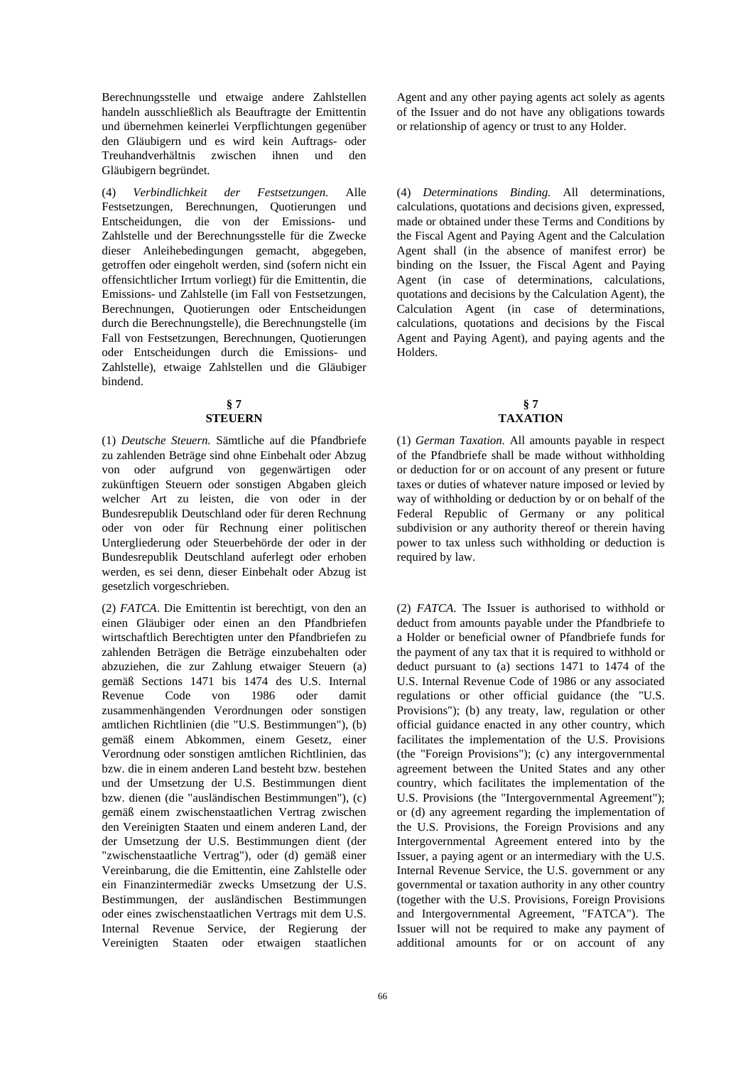Berechnungsstelle und etwaige andere Zahlstellen handeln ausschließlich als Beauftragte der Emittentin und übernehmen keinerlei Verpflichtungen gegenüber den Gläubigern und es wird kein Auftrags- oder Treuhandverhältnis zwischen ihnen und den Gläubigern begründet.

(4) *Verbindlichkeit der Festsetzungen.* Alle Festsetzungen, Berechnungen, Quotierungen und Entscheidungen, die von der Emissions- und Zahlstelle und der Berechnungsstelle für die Zwecke dieser Anleihebedingungen gemacht, abgegeben, getroffen oder eingeholt werden, sind (sofern nicht ein offensichtlicher Irrtum vorliegt) für die Emittentin, die Emissions- und Zahlstelle (im Fall von Festsetzungen, Berechnungen, Quotierungen oder Entscheidungen durch die Berechnungstelle), die Berechnungstelle (im Fall von Festsetzungen, Berechnungen, Quotierungen oder Entscheidungen durch die Emissions- und Zahlstelle), etwaige Zahlstellen und die Gläubiger bindend.

#### **§ 7 STEUERN**

(1) *Deutsche Steuern.* Sämtliche auf die Pfandbriefe zu zahlenden Beträge sind ohne Einbehalt oder Abzug von oder aufgrund von gegenwärtigen oder zukünftigen Steuern oder sonstigen Abgaben gleich welcher Art zu leisten, die von oder in der Bundesrepublik Deutschland oder für deren Rechnung oder von oder für Rechnung einer politischen Untergliederung oder Steuerbehörde der oder in der Bundesrepublik Deutschland auferlegt oder erhoben werden, es sei denn, dieser Einbehalt oder Abzug ist gesetzlich vorgeschrieben.

(2) *FATCA*. Die Emittentin ist berechtigt, von den an einen Gläubiger oder einen an den Pfandbriefen wirtschaftlich Berechtigten unter den Pfandbriefen zu zahlenden Beträgen die Beträge einzubehalten oder abzuziehen, die zur Zahlung etwaiger Steuern (a) gemäß Sections 1471 bis 1474 des U.S. Internal Revenue Code von 1986 oder damit zusammenhängenden Verordnungen oder sonstigen amtlichen Richtlinien (die "U.S. Bestimmungen"), (b) gemäß einem Abkommen, einem Gesetz, einer Verordnung oder sonstigen amtlichen Richtlinien, das bzw. die in einem anderen Land besteht bzw. bestehen und der Umsetzung der U.S. Bestimmungen dient bzw. dienen (die "ausländischen Bestimmungen"), (c) gemäß einem zwischenstaatlichen Vertrag zwischen den Vereinigten Staaten und einem anderen Land, der der Umsetzung der U.S. Bestimmungen dient (der "zwischenstaatliche Vertrag"), oder (d) gemäß einer Vereinbarung, die die Emittentin, eine Zahlstelle oder ein Finanzintermediär zwecks Umsetzung der U.S. Bestimmungen, der ausländischen Bestimmungen oder eines zwischenstaatlichen Vertrags mit dem U.S. Internal Revenue Service, der Regierung der Vereinigten Staaten oder etwaigen staatlichen Agent and any other paying agents act solely as agents of the Issuer and do not have any obligations towards or relationship of agency or trust to any Holder.

 (4) *Determinations Binding.* All determinations, calculations, quotations and decisions given, expressed, made or obtained under these Terms and Conditions by the Fiscal Agent and Paying Agent and the Calculation Agent shall (in the absence of manifest error) be binding on the Issuer, the Fiscal Agent and Paying Agent (in case of determinations, calculations, quotations and decisions by the Calculation Agent), the Calculation Agent (in case of determinations, calculations, quotations and decisions by the Fiscal Agent and Paying Agent), and paying agents and the Holders.

## **§ 7 TAXATION**

 (1) *German Taxation.* All amounts payable in respect of the Pfandbriefe shall be made without withholding or deduction for or on account of any present or future taxes or duties of whatever nature imposed or levied by way of withholding or deduction by or on behalf of the Federal Republic of Germany or any political subdivision or any authority thereof or therein having power to tax unless such withholding or deduction is required by law.

 (2) *FATCA*. The Issuer is authorised to withhold or deduct from amounts payable under the Pfandbriefe to a Holder or beneficial owner of Pfandbriefe funds for the payment of any tax that it is required to withhold or deduct pursuant to (a) sections 1471 to 1474 of the U.S. Internal Revenue Code of 1986 or any associated regulations or other official guidance (the "U.S. Provisions"); (b) any treaty, law, regulation or other official guidance enacted in any other country, which facilitates the implementation of the U.S. Provisions (the "Foreign Provisions"); (c) any intergovernmental agreement between the United States and any other country, which facilitates the implementation of the U.S. Provisions (the "Intergovernmental Agreement"); or (d) any agreement regarding the implementation of the U.S. Provisions, the Foreign Provisions and any Intergovernmental Agreement entered into by the Issuer, a paying agent or an intermediary with the U.S. Internal Revenue Service, the U.S. government or any governmental or taxation authority in any other country (together with the U.S. Provisions, Foreign Provisions and Intergovernmental Agreement, "FATCA"). The Issuer will not be required to make any payment of additional amounts for or on account of any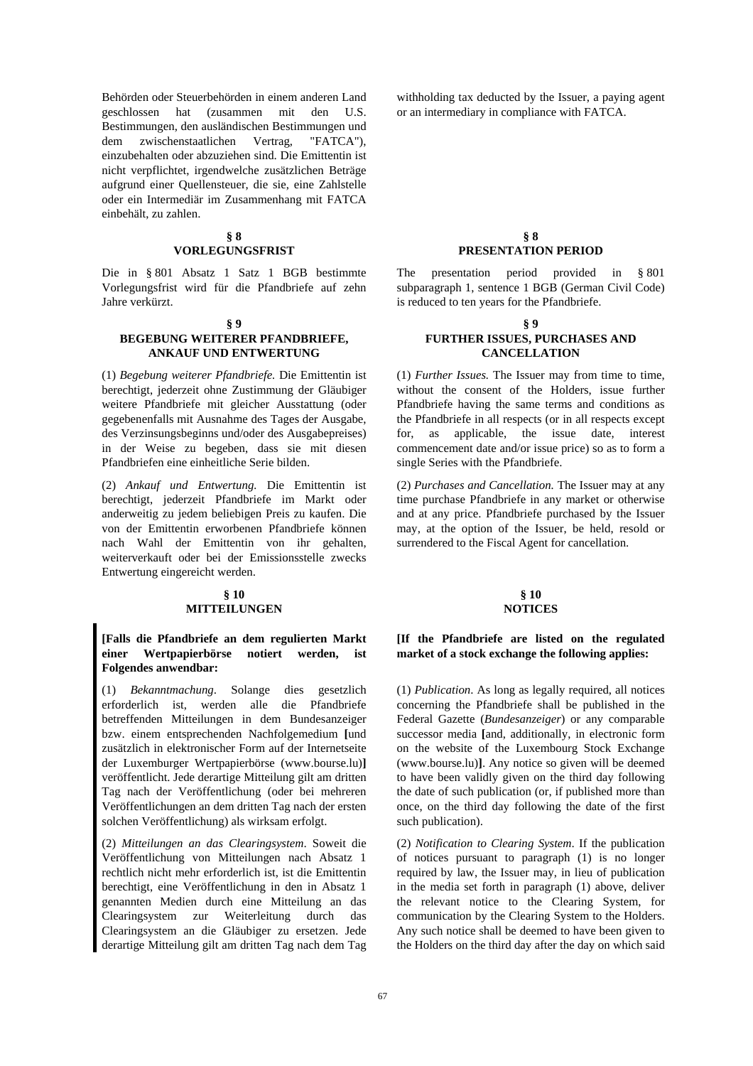Behörden oder Steuerbehörden in einem anderen Land geschlossen hat (zusammen mit den U.S. Bestimmungen, den ausländischen Bestimmungen und dem zwischenstaatlichen Vertrag, "FATCA"), einzubehalten oder abzuziehen sind. Die Emittentin ist nicht verpflichtet, irgendwelche zusätzlichen Beträge aufgrund einer Quellensteuer, die sie, eine Zahlstelle oder ein Intermediär im Zusammenhang mit FATCA einbehält, zu zahlen.

## **§ 8 VORLEGUNGSFRIST**

Die in § 801 Absatz 1 Satz 1 BGB bestimmte Vorlegungsfrist wird für die Pfandbriefe auf zehn Jahre verkürzt.

#### **§ 9**

## **BEGEBUNG WEITERER PFANDBRIEFE, ANKAUF UND ENTWERTUNG**

(1) *Begebung weiterer Pfandbriefe.* Die Emittentin ist berechtigt, jederzeit ohne Zustimmung der Gläubiger weitere Pfandbriefe mit gleicher Ausstattung (oder gegebenenfalls mit Ausnahme des Tages der Ausgabe, des Verzinsungsbeginns und/oder des Ausgabepreises) in der Weise zu begeben, dass sie mit diesen Pfandbriefen eine einheitliche Serie bilden.

(2) *Ankauf und Entwertung.* Die Emittentin ist berechtigt, jederzeit Pfandbriefe im Markt oder anderweitig zu jedem beliebigen Preis zu kaufen. Die von der Emittentin erworbenen Pfandbriefe können nach Wahl der Emittentin von ihr gehalten, weiterverkauft oder bei der Emissionsstelle zwecks Entwertung eingereicht werden.

## **§ 10 MITTEILUNGEN**

## **[Falls die Pfandbriefe an dem regulierten Markt einer Wertpapierbörse notiert werden, ist Folgendes anwendbar:**

(1) *Bekanntmachung*. Solange dies gesetzlich erforderlich ist, werden alle die Pfandbriefe betreffenden Mitteilungen in dem Bundesanzeiger bzw. einem entsprechenden Nachfolgemedium **[**und zusätzlich in elektronischer Form auf der Internetseite der Luxemburger Wertpapierbörse (www.bourse.lu)**]** veröffentlicht. Jede derartige Mitteilung gilt am dritten Tag nach der Veröffentlichung (oder bei mehreren Veröffentlichungen an dem dritten Tag nach der ersten solchen Veröffentlichung) als wirksam erfolgt.

(2) *Mitteilungen an das Clearingsystem*. Soweit die Veröffentlichung von Mitteilungen nach Absatz 1 rechtlich nicht mehr erforderlich ist, ist die Emittentin berechtigt, eine Veröffentlichung in den in Absatz 1 genannten Medien durch eine Mitteilung an das Clearingsystem zur Weiterleitung durch das Clearingsystem an die Gläubiger zu ersetzen. Jede derartige Mitteilung gilt am dritten Tag nach dem Tag withholding tax deducted by the Issuer, a paying agent or an intermediary in compliance with FATCA.

#### **§ 8 PRESENTATION PERIOD**

 The presentation period provided in § 801 subparagraph 1, sentence 1 BGB (German Civil Code) is reduced to ten years for the Pfandbriefe.

## **§ 9 FURTHER ISSUES, PURCHASES AND CANCELLATION**

 (1) *Further Issues.* The Issuer may from time to time, without the consent of the Holders, issue further Pfandbriefe having the same terms and conditions as the Pfandbriefe in all respects (or in all respects except for, as applicable, the issue date, interest commencement date and/or issue price) so as to form a single Series with the Pfandbriefe.

 (2) *Purchases and Cancellation.* The Issuer may at any time purchase Pfandbriefe in any market or otherwise and at any price. Pfandbriefe purchased by the Issuer may, at the option of the Issuer, be held, resold or surrendered to the Fiscal Agent for cancellation.

## **§ 10 NOTICES**

## **[If the Pfandbriefe are listed on the regulated market of a stock exchange the following applies:**

 (1) *Publication*. As long as legally required, all notices concerning the Pfandbriefe shall be published in the Federal Gazette (*Bundesanzeiger*) or any comparable successor media **[**and, additionally, in electronic form on the website of the Luxembourg Stock Exchange (www.bourse.lu)**]**. Any notice so given will be deemed to have been validly given on the third day following the date of such publication (or, if published more than once, on the third day following the date of the first such publication).

 (2) *Notification to Clearing System*. If the publication of notices pursuant to paragraph (1) is no longer required by law, the Issuer may, in lieu of publication in the media set forth in paragraph (1) above, deliver the relevant notice to the Clearing System, for communication by the Clearing System to the Holders. Any such notice shall be deemed to have been given to the Holders on the third day after the day on which said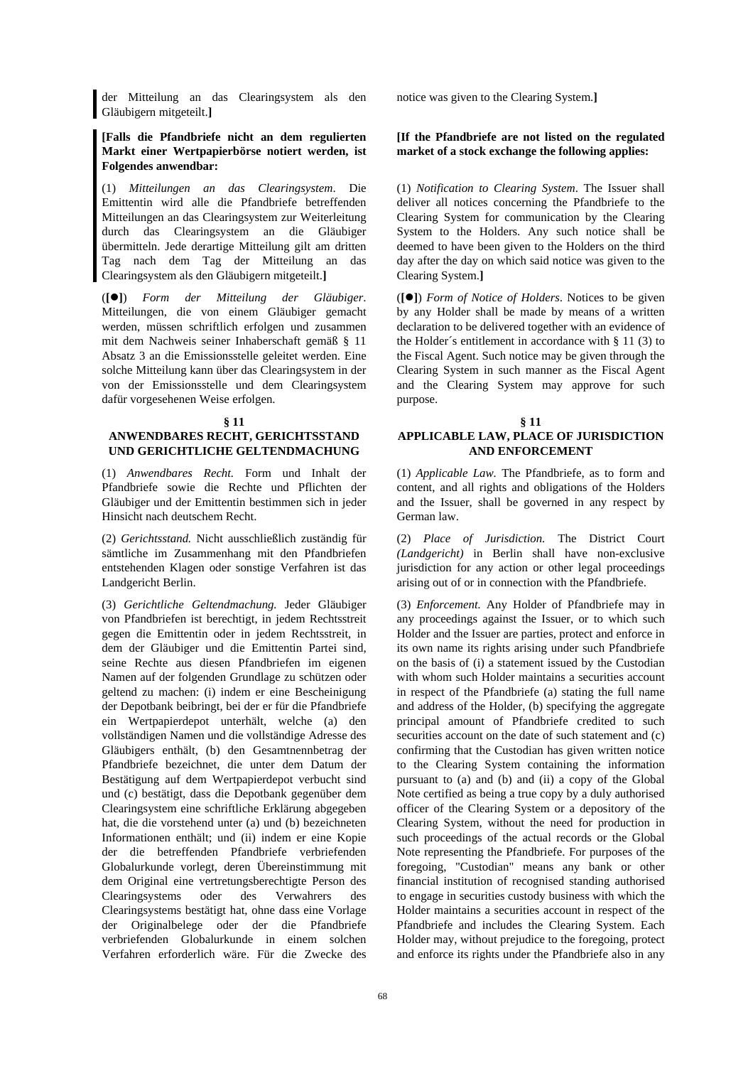der Mitteilung an das Clearingsystem als den Gläubigern mitgeteilt.**]**

## **[Falls die Pfandbriefe nicht an dem regulierten Markt einer Wertpapierbörse notiert werden, ist Folgendes anwendbar:**

(1) *Mitteilungen an das Clearingsystem*. Die Emittentin wird alle die Pfandbriefe betreffenden Mitteilungen an das Clearingsystem zur Weiterleitung durch das Clearingsystem an die Gläubiger übermitteln. Jede derartige Mitteilung gilt am dritten Tag nach dem Tag der Mitteilung an das Clearingsystem als den Gläubigern mitgeteilt.**]** 

(**[]**) *Form der Mitteilung der Gläubiger*. Mitteilungen, die von einem Gläubiger gemacht werden, müssen schriftlich erfolgen und zusammen mit dem Nachweis seiner Inhaberschaft gemäß § 11 Absatz 3 an die Emissionsstelle geleitet werden. Eine solche Mitteilung kann über das Clearingsystem in der von der Emissionsstelle und dem Clearingsystem dafür vorgesehenen Weise erfolgen.

#### **§ 11**

## **ANWENDBARES RECHT, GERICHTSSTAND UND GERICHTLICHE GELTENDMACHUNG**

(1) *Anwendbares Recht.* Form und Inhalt der Pfandbriefe sowie die Rechte und Pflichten der Gläubiger und der Emittentin bestimmen sich in jeder Hinsicht nach deutschem Recht.

(2) *Gerichtsstand.* Nicht ausschließlich zuständig für sämtliche im Zusammenhang mit den Pfandbriefen entstehenden Klagen oder sonstige Verfahren ist das Landgericht Berlin.

(3) *Gerichtliche Geltendmachung.* Jeder Gläubiger von Pfandbriefen ist berechtigt, in jedem Rechtsstreit gegen die Emittentin oder in jedem Rechtsstreit, in dem der Gläubiger und die Emittentin Partei sind, seine Rechte aus diesen Pfandbriefen im eigenen Namen auf der folgenden Grundlage zu schützen oder geltend zu machen: (i) indem er eine Bescheinigung der Depotbank beibringt, bei der er für die Pfandbriefe ein Wertpapierdepot unterhält, welche (a) den vollständigen Namen und die vollständige Adresse des Gläubigers enthält, (b) den Gesamtnennbetrag der Pfandbriefe bezeichnet, die unter dem Datum der Bestätigung auf dem Wertpapierdepot verbucht sind und (c) bestätigt, dass die Depotbank gegenüber dem Clearingsystem eine schriftliche Erklärung abgegeben hat, die die vorstehend unter (a) und (b) bezeichneten Informationen enthält; und (ii) indem er eine Kopie der die betreffenden Pfandbriefe verbriefenden Globalurkunde vorlegt, deren Übereinstimmung mit dem Original eine vertretungsberechtigte Person des Clearingsystems oder des Verwahrers des Clearingsystems bestätigt hat, ohne dass eine Vorlage der Originalbelege oder der die Pfandbriefe verbriefenden Globalurkunde in einem solchen Verfahren erforderlich wäre. Für die Zwecke des

notice was given to the Clearing System.**]**

## **[If the Pfandbriefe are not listed on the regulated market of a stock exchange the following applies:**

 (1) *Notification to Clearing System*. The Issuer shall deliver all notices concerning the Pfandbriefe to the Clearing System for communication by the Clearing System to the Holders. Any such notice shall be deemed to have been given to the Holders on the third day after the day on which said notice was given to the Clearing System.**]** 

 (**[]**) *Form of Notice of Holders*. Notices to be given by any Holder shall be made by means of a written declaration to be delivered together with an evidence of the Holder´s entitlement in accordance with § 11 (3) to the Fiscal Agent. Such notice may be given through the Clearing System in such manner as the Fiscal Agent and the Clearing System may approve for such purpose.

## **§ 11 APPLICABLE LAW, PLACE OF JURISDICTION AND ENFORCEMENT**

 (1) *Applicable Law.* The Pfandbriefe, as to form and content, and all rights and obligations of the Holders and the Issuer, shall be governed in any respect by German law.

 (2) *Place of Jurisdiction.* The District Court *(Landgericht)* in Berlin shall have non-exclusive jurisdiction for any action or other legal proceedings arising out of or in connection with the Pfandbriefe.

 (3) *Enforcement.* Any Holder of Pfandbriefe may in any proceedings against the Issuer, or to which such Holder and the Issuer are parties, protect and enforce in its own name its rights arising under such Pfandbriefe on the basis of (i) a statement issued by the Custodian with whom such Holder maintains a securities account in respect of the Pfandbriefe (a) stating the full name and address of the Holder, (b) specifying the aggregate principal amount of Pfandbriefe credited to such securities account on the date of such statement and (c) confirming that the Custodian has given written notice to the Clearing System containing the information pursuant to (a) and (b) and (ii) a copy of the Global Note certified as being a true copy by a duly authorised officer of the Clearing System or a depository of the Clearing System, without the need for production in such proceedings of the actual records or the Global Note representing the Pfandbriefe. For purposes of the foregoing, "Custodian" means any bank or other financial institution of recognised standing authorised to engage in securities custody business with which the Holder maintains a securities account in respect of the Pfandbriefe and includes the Clearing System. Each Holder may, without prejudice to the foregoing, protect and enforce its rights under the Pfandbriefe also in any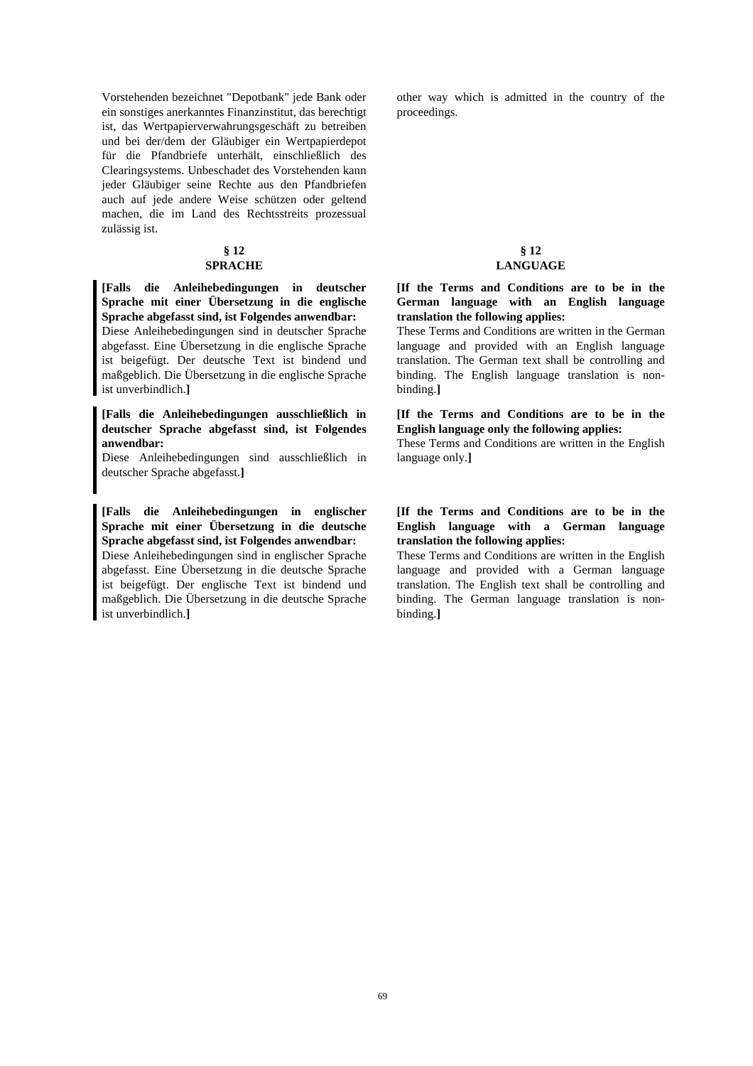Vorstehenden bezeichnet "Depotbank" jede Bank oder ein sonstiges anerkanntes Finanzinstitut, das berechtigt ist, das Wertpapierverwahrungsgeschäft zu betreiben und bei der/dem der Gläubiger ein Wertpapierdepot für die Pfandbriefe unterhält, einschließlich des Clearingsystems. Unbeschadet des Vorstehenden kann jeder Gläubiger seine Rechte aus den Pfandbriefen auch auf jede andere Weise schützen oder geltend machen, die im Land des Rechtsstreits prozessual zulässig ist.

## **§ 12**

## **SPRACHE**

**[Falls die Anleihebedingungen in deutscher Sprache mit einer Übersetzung in die englische Sprache abgefasst sind, ist Folgendes anwendbar:** 

Diese Anleihebedingungen sind in deutscher Sprache abgefasst. Eine Übersetzung in die englische Sprache ist beigefügt. Der deutsche Text ist bindend und maßgeblich. Die Übersetzung in die englische Sprache ist unverbindlich.**]** 

## **[Falls die Anleihebedingungen ausschließlich in deutscher Sprache abgefasst sind, ist Folgendes anwendbar:**

Diese Anleihebedingungen sind ausschließlich in deutscher Sprache abgefasst.**]**

**[Falls die Anleihebedingungen in englischer Sprache mit einer Übersetzung in die deutsche Sprache abgefasst sind, ist Folgendes anwendbar:** 

Diese Anleihebedingungen sind in englischer Sprache abgefasst. Eine Übersetzung in die deutsche Sprache ist beigefügt. Der englische Text ist bindend und maßgeblich. Die Übersetzung in die deutsche Sprache ist unverbindlich.**]** 

other way which is admitted in the country of the proceedings.

## **§ 12 LANGUAGE**

## **[If the Terms and Conditions are to be in the German language with an English language translation the following applies:**

These Terms and Conditions are written in the German language and provided with an English language translation. The German text shall be controlling and binding. The English language translation is nonbinding.**]** 

## **[If the Terms and Conditions are to be in the English language only the following applies:**

These Terms and Conditions are written in the English language only.**]** 

## **[If the Terms and Conditions are to be in the English language with a German language translation the following applies:**

These Terms and Conditions are written in the English language and provided with a German language translation. The English text shall be controlling and binding. The German language translation is nonbinding.**]**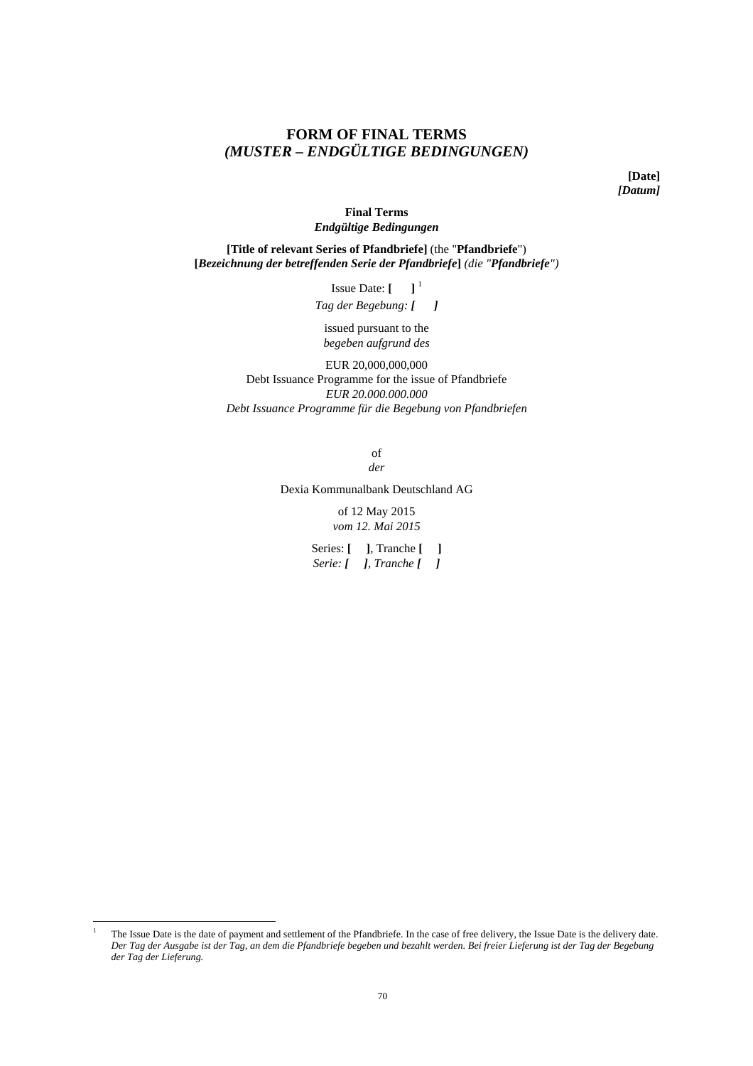## **FORM OF FINAL TERMS**  *(MUSTER – ENDGÜLTIGE BEDINGUNGEN)*

**[Date]**  *[Datum]*

## **Final Terms**  *Endgültige Bedingungen*

**[Title of relevant Series of Pfandbriefe]** (the "**Pfandbriefe**") **[***Bezeichnung der betreffenden Serie der Pfandbriefe***]** *(die "Pfandbriefe")*

> Issue Date:  $\begin{bmatrix} 1 \end{bmatrix}^1$ *Tag der Begebung: [**]*

issued pursuant to the *begeben aufgrund des* 

EUR 20,000,000,000 Debt Issuance Programme for the issue of Pfandbriefe *EUR 20.000.000.000 Debt Issuance Programme für die Begebung von Pfandbriefen* 

> of *der*

Dexia Kommunalbank Deutschland AG

of 12 May 2015 *vom 12. Mai 2015* 

Series: **[ ]**, Tranche **[ ]** *Serie: [ ], Tranche [ ]*

 $\overline{a}$ 

<sup>1</sup> The Issue Date is the date of payment and settlement of the Pfandbriefe. In the case of free delivery, the Issue Date is the delivery date. *Der Tag der Ausgabe ist der Tag, an dem die Pfandbriefe begeben und bezahlt werden. Bei freier Lieferung ist der Tag der Begebung der Tag der Lieferung.*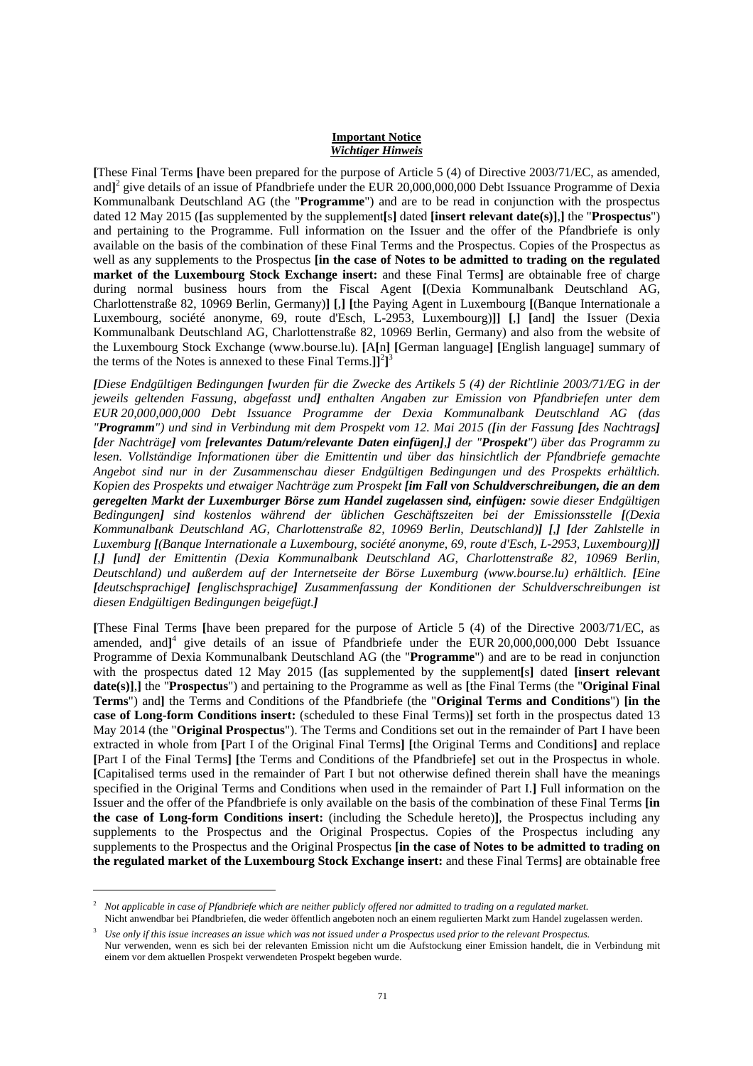#### **Important Notice** *Wichtiger Hinweis*

**[**These Final Terms **[**have been prepared for the purpose of Article 5 (4) of Directive 2003/71/EC, as amended, and**]** 2 give details of an issue of Pfandbriefe under the EUR 20,000,000,000 Debt Issuance Programme of Dexia Kommunalbank Deutschland AG (the "**Programme**") and are to be read in conjunction with the prospectus dated 12 May 2015 (**[**as supplemented by the supplement**[**s**]** dated **[insert relevant date(s)]**,**]** the "**Prospectus**") and pertaining to the Programme. Full information on the Issuer and the offer of the Pfandbriefe is only available on the basis of the combination of these Final Terms and the Prospectus. Copies of the Prospectus as well as any supplements to the Prospectus **[in the case of Notes to be admitted to trading on the regulated market of the Luxembourg Stock Exchange insert:** and these Final Terms**]** are obtainable free of charge during normal business hours from the Fiscal Agent **[**(Dexia Kommunalbank Deutschland AG, Charlottenstraße 82, 10969 Berlin, Germany)**] [**,**] [**the Paying Agent in Luxembourg **[**(Banque Internationale a Luxembourg, société anonyme, 69, route d'Esch, L-2953, Luxembourg)**]] [**,**] [**and**]** the Issuer (Dexia Kommunalbank Deutschland AG, Charlottenstraße 82, 10969 Berlin, Germany) and also from the website of the Luxembourg Stock Exchange (www.bourse.lu). **[**A**[**n**] [**German language**] [**English language**]** summary of the terms of the Notes is annexed to these Final Terms.] $]^{2}$ <sup>3</sup>

*[Diese Endgültigen Bedingungen [wurden für die Zwecke des Artikels 5 (4) der Richtlinie 2003/71/EG in der jeweils geltenden Fassung, abgefasst und] enthalten Angaben zur Emission von Pfandbriefen unter dem EUR 20,000,000,000 Debt Issuance Programme der Dexia Kommunalbank Deutschland AG (das "Programm") und sind in Verbindung mit dem Prospekt vom 12. Mai 2015 ([in der Fassung [des Nachtrags] [der Nachträge] vom [relevantes Datum/relevante Daten einfügen],] der "Prospekt") über das Programm zu lesen. Vollständige Informationen über die Emittentin und über das hinsichtlich der Pfandbriefe gemachte Angebot sind nur in der Zusammenschau dieser Endgültigen Bedingungen und des Prospekts erhältlich. Kopien des Prospekts und etwaiger Nachträge zum Prospekt [im Fall von Schuldverschreibungen, die an dem geregelten Markt der Luxemburger Börse zum Handel zugelassen sind, einfügen: sowie dieser Endgültigen Bedingungen] sind kostenlos während der üblichen Geschäftszeiten bei der Emissionsstelle [(Dexia Kommunalbank Deutschland AG, Charlottenstraße 82, 10969 Berlin, Deutschland)] [,] [der Zahlstelle in Luxemburg [(Banque Internationale a Luxembourg, société anonyme, 69, route d'Esch, L-2953, Luxembourg)]] [,] [und] der Emittentin (Dexia Kommunalbank Deutschland AG, Charlottenstraße 82, 10969 Berlin, Deutschland) und außerdem auf der Internetseite der Börse Luxemburg (www.bourse.lu) erhältlich. [Eine [deutschsprachige] [englischsprachige] Zusammenfassung der Konditionen der Schuldverschreibungen ist diesen Endgültigen Bedingungen beigefügt.]*

**[**These Final Terms **[**have been prepared for the purpose of Article 5 (4) of the Directive 2003/71/EC, as amended, and<sup>14</sup> give details of an issue of Pfandbriefe under the EUR 20,000,000,000 Debt Issuance Programme of Dexia Kommunalbank Deutschland AG (the "**Programme**") and are to be read in conjunction with the prospectus dated 12 May 2015 (**[**as supplemented by the supplement**[**s**]** dated **[insert relevant date(s)]**,**]** the "**Prospectus**") and pertaining to the Programme as well as **[**the Final Terms (the "**Original Final Terms**") and**]** the Terms and Conditions of the Pfandbriefe (the "**Original Terms and Conditions**") **[in the case of Long-form Conditions insert:** (scheduled to these Final Terms)**]** set forth in the prospectus dated 13 May 2014 (the "**Original Prospectus**"). The Terms and Conditions set out in the remainder of Part I have been extracted in whole from **[**Part I of the Original Final Terms**] [**the Original Terms and Conditions**]** and replace **[**Part I of the Final Terms**] [**the Terms and Conditions of the Pfandbriefe**]** set out in the Prospectus in whole. **[**Capitalised terms used in the remainder of Part I but not otherwise defined therein shall have the meanings specified in the Original Terms and Conditions when used in the remainder of Part I.**]** Full information on the Issuer and the offer of the Pfandbriefe is only available on the basis of the combination of these Final Terms **[in the case of Long-form Conditions insert:** (including the Schedule hereto)**]**, the Prospectus including any supplements to the Prospectus and the Original Prospectus. Copies of the Prospectus including any supplements to the Prospectus and the Original Prospectus **[in the case of Notes to be admitted to trading on the regulated market of the Luxembourg Stock Exchange insert:** and these Final Terms**]** are obtainable free

 $\overline{a}$ 

<sup>2</sup> *Not applicable in case of Pfandbriefe which are neither publicly offered nor admitted to trading on a regulated market.* Nicht anwendbar bei Pfandbriefen, die weder öffentlich angeboten noch an einem regulierten Markt zum Handel zugelassen werden.

<sup>3</sup> *Use only if this issue increases an issue which was not issued under a Prospectus used prior to the relevant Prospectus.* Nur verwenden, wenn es sich bei der relevanten Emission nicht um die Aufstockung einer Emission handelt, die in Verbindung mit einem vor dem aktuellen Prospekt verwendeten Prospekt begeben wurde.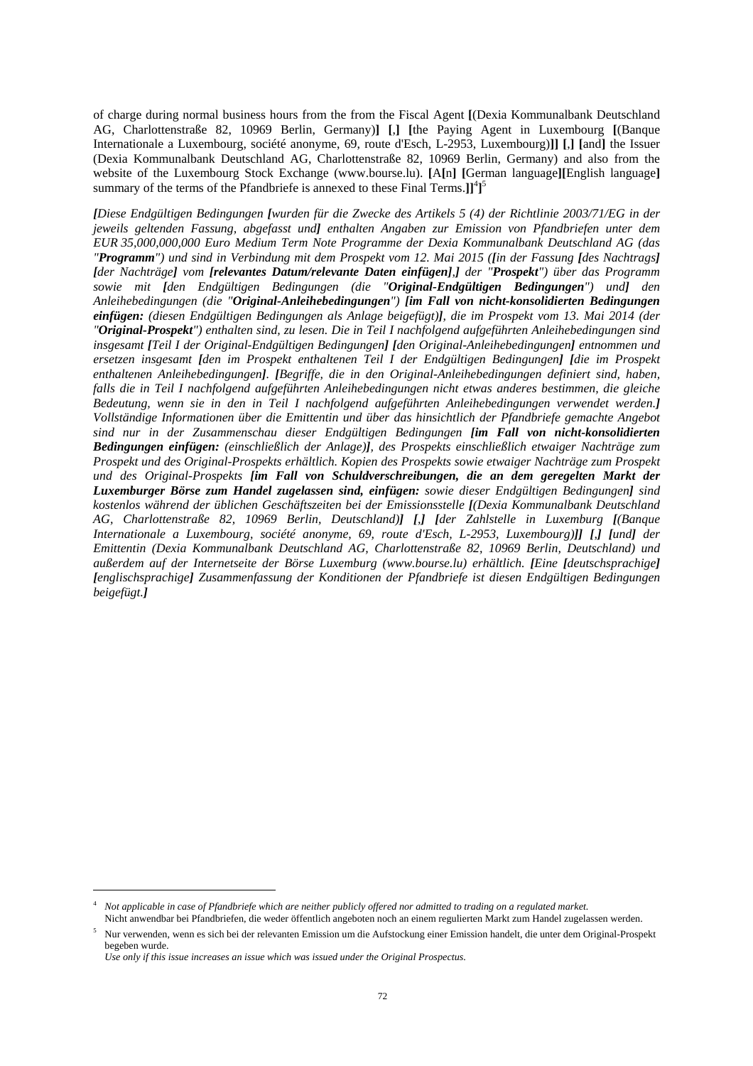of charge during normal business hours from the from the Fiscal Agent **[**(Dexia Kommunalbank Deutschland AG, Charlottenstraße 82, 10969 Berlin, Germany)**] [**,**] [**the Paying Agent in Luxembourg **[**(Banque Internationale a Luxembourg, société anonyme, 69, route d'Esch, L-2953, Luxembourg)**]] [**,**] [**and**]** the Issuer (Dexia Kommunalbank Deutschland AG, Charlottenstraße 82, 10969 Berlin, Germany) and also from the website of the Luxembourg Stock Exchange (www.bourse.lu). **[**A**[**n**] [**German language**][**English language**]**  summary of the terms of the Pfandbriefe is annexed to these Final Terms.]<sup>[4</sup>]<sup>5</sup>

*[Diese Endgültigen Bedingungen [wurden für die Zwecke des Artikels 5 (4) der Richtlinie 2003/71/EG in der jeweils geltenden Fassung, abgefasst und] enthalten Angaben zur Emission von Pfandbriefen unter dem EUR 35,000,000,000 Euro Medium Term Note Programme der Dexia Kommunalbank Deutschland AG (das "Programm") und sind in Verbindung mit dem Prospekt vom 12. Mai 2015 ([in der Fassung [des Nachtrags] [der Nachträge] vom [relevantes Datum/relevante Daten einfügen],] der "Prospekt") über das Programm sowie mit [den Endgültigen Bedingungen (die "Original-Endgültigen Bedingungen") und] den Anleihebedingungen (die "Original-Anleihebedingungen") [im Fall von nicht-konsolidierten Bedingungen einfügen: (diesen Endgültigen Bedingungen als Anlage beigefügt)], die im Prospekt vom 13. Mai 2014 (der "Original-Prospekt") enthalten sind, zu lesen. Die in Teil I nachfolgend aufgeführten Anleihebedingungen sind insgesamt [Teil I der Original-Endgültigen Bedingungen] [den Original-Anleihebedingungen] entnommen und ersetzen insgesamt [den im Prospekt enthaltenen Teil I der Endgültigen Bedingungen] [die im Prospekt enthaltenen Anleihebedingungen]. [Begriffe, die in den Original-Anleihebedingungen definiert sind, haben, falls die in Teil I nachfolgend aufgeführten Anleihebedingungen nicht etwas anderes bestimmen, die gleiche Bedeutung, wenn sie in den in Teil I nachfolgend aufgeführten Anleihebedingungen verwendet werden.] Vollständige Informationen über die Emittentin und über das hinsichtlich der Pfandbriefe gemachte Angebot sind nur in der Zusammenschau dieser Endgültigen Bedingungen [im Fall von nicht-konsolidierten Bedingungen einfügen: (einschließlich der Anlage)], des Prospekts einschließlich etwaiger Nachträge zum Prospekt und des Original-Prospekts erhältlich. Kopien des Prospekts sowie etwaiger Nachträge zum Prospekt und des Original-Prospekts [im Fall von Schuldverschreibungen, die an dem geregelten Markt der Luxemburger Börse zum Handel zugelassen sind, einfügen: sowie dieser Endgültigen Bedingungen] sind kostenlos während der üblichen Geschäftszeiten bei der Emissionsstelle [(Dexia Kommunalbank Deutschland AG, Charlottenstraße 82, 10969 Berlin, Deutschland)] [,] [der Zahlstelle in Luxemburg [(Banque Internationale a Luxembourg, société anonyme, 69, route d'Esch, L-2953, Luxembourg)]] [,] [und] der Emittentin (Dexia Kommunalbank Deutschland AG, Charlottenstraße 82, 10969 Berlin, Deutschland) und außerdem auf der Internetseite der Börse Luxemburg (www.bourse.lu) erhältlich. [Eine [deutschsprachige] [englischsprachige] Zusammenfassung der Konditionen der Pfandbriefe ist diesen Endgültigen Bedingungen beigefügt.]*

 $\overline{a}$ 

<sup>4</sup> *Not applicable in case of Pfandbriefe which are neither publicly offered nor admitted to trading on a regulated market.* Nicht anwendbar bei Pfandbriefen, die weder öffentlich angeboten noch an einem regulierten Markt zum Handel zugelassen werden.

<sup>5</sup> Nur verwenden, wenn es sich bei der relevanten Emission um die Aufstockung einer Emission handelt, die unter dem Original-Prospekt begeben wurde.

*Use only if this issue increases an issue which was issued under the Original Prospectus.*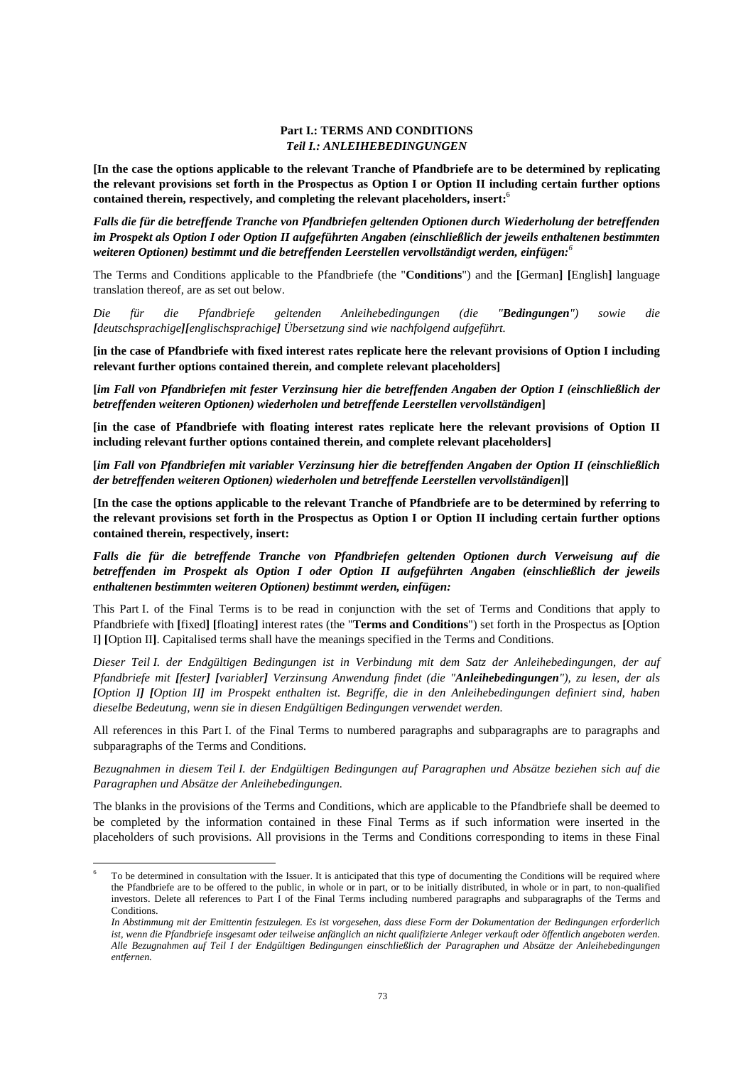### **Part I.: TERMS AND CONDITIONS**  *Teil I.: ANLEIHEBEDINGUNGEN*

**[In the case the options applicable to the relevant Tranche of Pfandbriefe are to be determined by replicating the relevant provisions set forth in the Prospectus as Option I or Option II including certain further options contained therein, respectively, and completing the relevant placeholders, insert:**<sup>6</sup>

*Falls die für die betreffende Tranche von Pfandbriefen geltenden Optionen durch Wiederholung der betreffenden im Prospekt als Option I oder Option II aufgeführten Angaben (einschließlich der jeweils enthaltenen bestimmten weiteren Optionen) bestimmt und die betreffenden Leerstellen vervollständigt werden, einfügen:<sup>6</sup>*

The Terms and Conditions applicable to the Pfandbriefe (the "**Conditions**") and the **[**German**] [**English**]** language translation thereof, are as set out below.

*Die für die Pfandbriefe geltenden Anleihebedingungen (die "Bedingungen") sowie die [deutschsprachige][englischsprachige] Übersetzung sind wie nachfolgend aufgeführt.*

**[in the case of Pfandbriefe with fixed interest rates replicate here the relevant provisions of Option I including relevant further options contained therein, and complete relevant placeholders]** 

**[***im Fall von Pfandbriefen mit fester Verzinsung hier die betreffenden Angaben der Option I (einschließlich der betreffenden weiteren Optionen) wiederholen und betreffende Leerstellen vervollständigen***]** 

**[in the case of Pfandbriefe with floating interest rates replicate here the relevant provisions of Option II including relevant further options contained therein, and complete relevant placeholders]** 

**[***im Fall von Pfandbriefen mit variabler Verzinsung hier die betreffenden Angaben der Option II (einschließlich der betreffenden weiteren Optionen) wiederholen und betreffende Leerstellen vervollständigen***]]** 

**[In the case the options applicable to the relevant Tranche of Pfandbriefe are to be determined by referring to the relevant provisions set forth in the Prospectus as Option I or Option II including certain further options contained therein, respectively, insert:** 

*Falls die für die betreffende Tranche von Pfandbriefen geltenden Optionen durch Verweisung auf die betreffenden im Prospekt als Option I oder Option II aufgeführten Angaben (einschließlich der jeweils enthaltenen bestimmten weiteren Optionen) bestimmt werden, einfügen:*

This Part I. of the Final Terms is to be read in conjunction with the set of Terms and Conditions that apply to Pfandbriefe with **[**fixed**] [**floating**]** interest rates (the "**Terms and Conditions**") set forth in the Prospectus as **[**Option I**] [**Option II**]**. Capitalised terms shall have the meanings specified in the Terms and Conditions.

*Dieser Teil I. der Endgültigen Bedingungen ist in Verbindung mit dem Satz der Anleihebedingungen, der auf Pfandbriefe mit [fester] [variabler] Verzinsung Anwendung findet (die "Anleihebedingungen"), zu lesen, der als [Option I] [Option II] im Prospekt enthalten ist. Begriffe, die in den Anleihebedingungen definiert sind, haben dieselbe Bedeutung, wenn sie in diesen Endgültigen Bedingungen verwendet werden.* 

All references in this Part I. of the Final Terms to numbered paragraphs and subparagraphs are to paragraphs and subparagraphs of the Terms and Conditions.

*Bezugnahmen in diesem Teil I. der Endgültigen Bedingungen auf Paragraphen und Absätze beziehen sich auf die Paragraphen und Absätze der Anleihebedingungen.* 

The blanks in the provisions of the Terms and Conditions, which are applicable to the Pfandbriefe shall be deemed to be completed by the information contained in these Final Terms as if such information were inserted in the placeholders of such provisions. All provisions in the Terms and Conditions corresponding to items in these Final

 $\overline{a}$ 

<sup>6</sup> To be determined in consultation with the Issuer. It is anticipated that this type of documenting the Conditions will be required where the Pfandbriefe are to be offered to the public, in whole or in part, or to be initially distributed, in whole or in part, to non-qualified investors. Delete all references to Part I of the Final Terms including numbered paragraphs and subparagraphs of the Terms and **Conditions** 

*In Abstimmung mit der Emittentin festzulegen. Es ist vorgesehen, dass diese Form der Dokumentation der Bedingungen erforderlich ist, wenn die Pfandbriefe insgesamt oder teilweise anfänglich an nicht qualifizierte Anleger verkauft oder öffentlich angeboten werden. Alle Bezugnahmen auf Teil I der Endgültigen Bedingungen einschließlich der Paragraphen und Absätze der Anleihebedingungen entfernen.*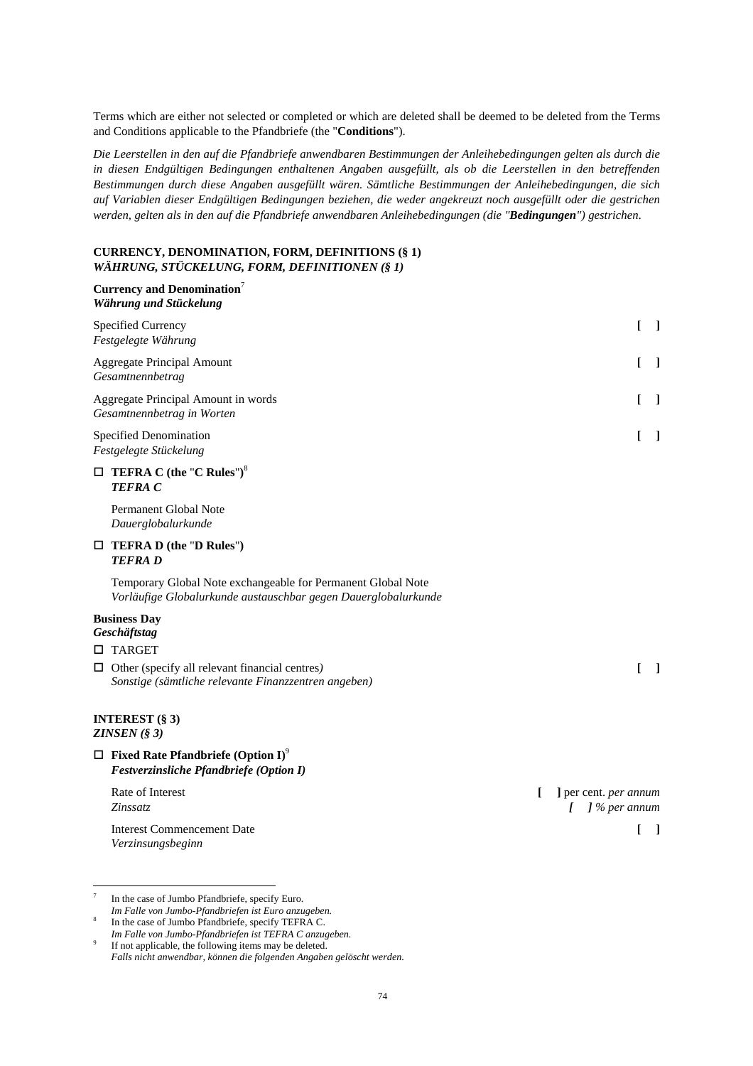Terms which are either not selected or completed or which are deleted shall be deemed to be deleted from the Terms and Conditions applicable to the Pfandbriefe (the "**Conditions**").

*Die Leerstellen in den auf die Pfandbriefe anwendbaren Bestimmungen der Anleihebedingungen gelten als durch die in diesen Endgültigen Bedingungen enthaltenen Angaben ausgefüllt, als ob die Leerstellen in den betreffenden Bestimmungen durch diese Angaben ausgefüllt wären. Sämtliche Bestimmungen der Anleihebedingungen, die sich auf Variablen dieser Endgültigen Bedingungen beziehen, die weder angekreuzt noch ausgefüllt oder die gestrichen werden, gelten als in den auf die Pfandbriefe anwendbaren Anleihebedingungen (die "Bedingungen") gestrichen*.

# **CURRENCY, DENOMINATION, FORM, DEFINITIONS (§ 1)**  *WÄHRUNG, STÜCKELUNG, FORM, DEFINITIONEN (§ 1)*

| Currency and Denomination <sup>7</sup><br>Währung und Stückelung                                                               |                                                      |                                   |
|--------------------------------------------------------------------------------------------------------------------------------|------------------------------------------------------|-----------------------------------|
| Specified Currency<br>Festgelegte Währung                                                                                      |                                                      | $\begin{bmatrix} 1 \end{bmatrix}$ |
| <b>Aggregate Principal Amount</b><br>Gesamtnennbetrag                                                                          |                                                      | $\Box$                            |
| Aggregate Principal Amount in words<br>Gesamtnennbetrag in Worten                                                              |                                                      | $\Box$                            |
| <b>Specified Denomination</b><br>Festgelegte Stückelung                                                                        | L                                                    | - 1                               |
| $\Box$ TEFRA C (the "C Rules") <sup>8</sup><br><b>TEFRAC</b>                                                                   |                                                      |                                   |
| Permanent Global Note<br>Dauerglobalurkunde                                                                                    |                                                      |                                   |
| $\Box$ TEFRA D (the "D Rules")<br><b>TEFRAD</b>                                                                                |                                                      |                                   |
| Temporary Global Note exchangeable for Permanent Global Note<br>Vorläufige Globalurkunde austauschbar gegen Dauerglobalurkunde |                                                      |                                   |
| <b>Business Day</b><br>Geschäftstag                                                                                            |                                                      |                                   |
| $\Box$ TARGET                                                                                                                  |                                                      |                                   |
| $\Box$ Other (specify all relevant financial centres)<br>Sonstige (sämtliche relevante Finanzzentren angeben)                  | L                                                    | - 1                               |
| <b>INTEREST (§ 3)</b><br>ZINSEN (§ 3)                                                                                          |                                                      |                                   |
| $\Box$ Fixed Rate Pfandbriefe (Option I) <sup>9</sup><br>Festverzinsliche Pfandbriefe (Option I)                               |                                                      |                                   |
| Rate of Interest<br>Zinssatz                                                                                                   | ] per cent. <i>per annum</i><br>$\int$ ] % per annum |                                   |

Interest Commencement Date **[ ]**

*Verzinsungsbeginn* 

<sup>-&</sup>lt;br>7 In the case of Jumbo Pfandbriefe, specify Euro.

*Im Falle von Jumbo-Pfandbriefen ist Euro anzugeben.*  8 In the case of Jumbo Pfandbriefe, specify TEFRA C.

*Im Falle von Jumbo-Pfandbriefen ist TEFRA C anzugeben.*

<sup>9</sup> If not applicable, the following items may be deleted. *Falls nicht anwendbar, können die folgenden Angaben gelöscht werden.*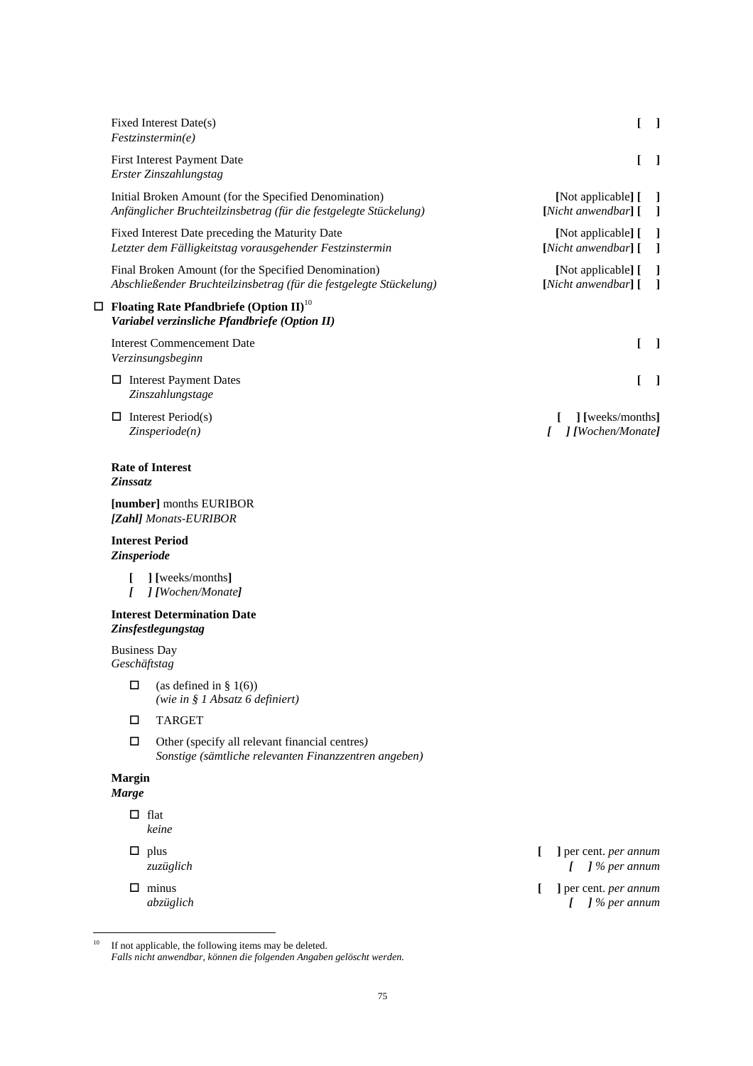| Fixed Interest Date(s)<br>Festzinstein.                                                                                     | L                                                      | - 1                      |
|-----------------------------------------------------------------------------------------------------------------------------|--------------------------------------------------------|--------------------------|
| First Interest Payment Date<br>Erster Zinszahlungstag                                                                       |                                                        | - 1                      |
| Initial Broken Amount (for the Specified Denomination)<br>Anfänglicher Bruchteilzinsbetrag (für die festgelegte Stückelung) | [Not applicable] [ ]<br>[Nicht anwendbar] [            | $\blacksquare$           |
| Fixed Interest Date preceding the Maturity Date<br>Letzter dem Fälligkeitstag vorausgehender Festzinstermin                 | [Not applicable] [<br>[Nicht anwendbar] [              | $\blacksquare$           |
| Final Broken Amount (for the Specified Denomination)<br>Abschließender Bruchteilzinsbetrag (für die festgelegte Stückelung) | [Not applicable] [<br>$[Nicht$ anwendbar $]$ $[$ $]$   | -1                       |
| $\Box$ Floating Rate Pfandbriefe (Option II) <sup>10</sup><br>Variabel verzinsliche Pfandbriefe (Option II)                 |                                                        |                          |
| <b>Interest Commencement Date</b><br>Verzinsungsbeginn                                                                      |                                                        | $\overline{\phantom{a}}$ |
| $\Box$ Interest Payment Dates<br>Zinszahlungstage                                                                           |                                                        | $\blacksquare$           |
| Interest Period(s)<br>□<br>$Z$ <i>insperiode</i> $(n)$                                                                      | ] [weeks/months]<br>] [Wochen/Monate]<br>$\mathcal{L}$ |                          |
| <b>Rate of Interest</b><br>Zinssatz                                                                                         |                                                        |                          |
| [number] months EURIBOR<br>[Zahl] Monats-EURIBOR                                                                            |                                                        |                          |
| <b>Interest Period</b><br>Zinsperiode                                                                                       |                                                        |                          |
| ] [weeks/months]<br>$I = I I W \nabla^{\alpha} M \nabla^{\alpha} A$                                                         |                                                        |                          |

*[ ] [Wochen/Monate]*

# **Interest Determination Date**  *Zinsfestlegungstag*

Business Day *Geschäftstag* 

- $\Box$  (as defined in § 1(6))  *(wie in § 1 Absatz 6 definiert)*
- TARGET
- Other (specify all relevant financial centres*) Sonstige (sämtliche relevanten Finanzzentren angeben)*

# **Margin**

*Marge* 

- $\Box$  flat *keine*
- 
- 
- plus **[ ]** per cent. *per annum zuzüglich [ ] % per annum*
- minus **[ ]** per cent. *per annum abzüglich [ ] % per annum*

 $10\,$  $10$  If not applicable, the following items may be deleted.  *Falls nicht anwendbar, können die folgenden Angaben gelöscht werden.*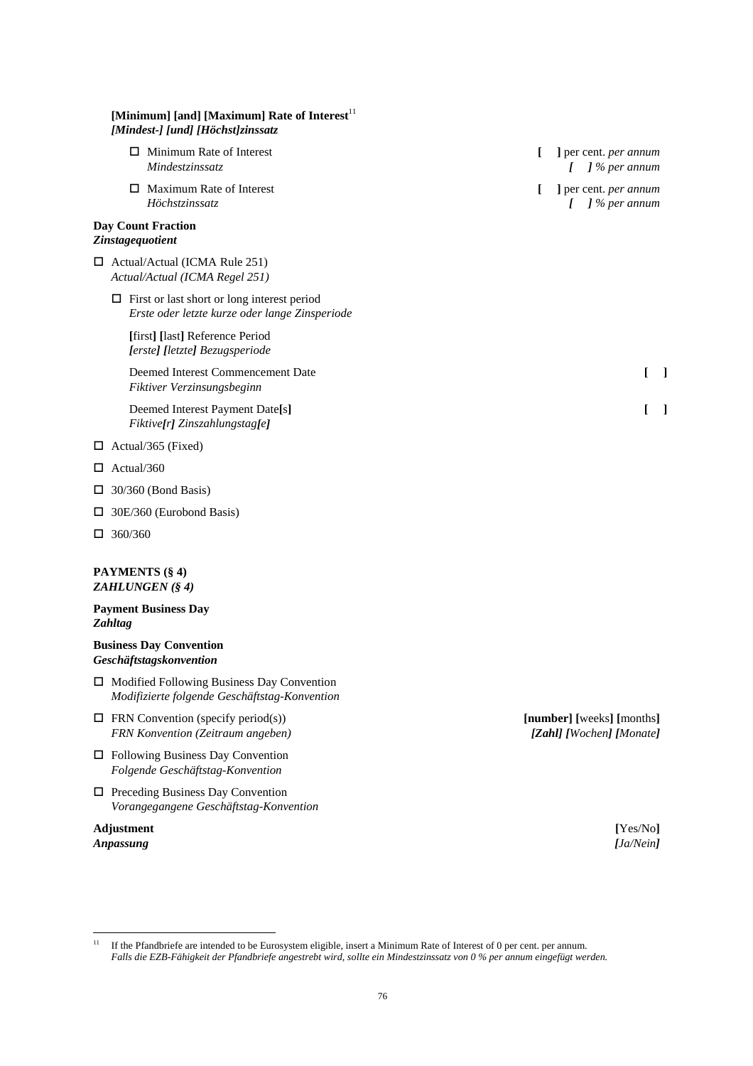# [Minimum] [and] [Maximum] Rate of Interest<sup>11</sup> *[Mindest-] [und] [Höchst]zinssatz*  Minimum Rate of Interest **[ ]** per cent. *per annum Mindestzinssatz [ ] % per annum*  Maximum Rate of Interest **[ ]** per cent. *per annum Höchstzinssatz [ ] % per annum*  **Day Count Fraction**  *Zinstagequotient*  □ Actual/Actual (ICMA Rule 251) *Actual/Actual (ICMA Regel 251)*   $\Box$  First or last short or long interest period *Erste oder letzte kurze oder lange Zinsperiode*  **[**first**] [**last**]** Reference Period  *[erste] [letzte] Bezugsperiode*  Deemed Interest Commencement Date **[ ]**  *Fiktiver Verzinsungsbeginn*  Deemed Interest Payment Date**[**s**] [ ]** *Fiktive[r] Zinszahlungstag[e]*  $\Box$  Actual/365 (Fixed)  $\Box$  Actual/360  $\Box$  30/360 (Bond Basis) 30E/360 (Eurobond Basis)  $\Box$  360/360 **PAYMENTS (§ 4)**  *ZAHLUNGEN (§ 4)*  **Payment Business Day**  *Zahltag*  **Business Day Convention**  *Geschäftstagskonvention*  □ Modified Following Business Day Convention *Modifizierte folgende Geschäftstag-Konvention*  FRN Convention (specify period(s)) **[number] [**weeks**] [**months**]**

- *FRN Konvention (Zeitraum angeben) [Zahl] [Wochen] [Monate]*
- □ Following Business Day Convention *Folgende Geschäftstag-Konvention*
- $\Box$  Preceding Business Day Convention *Vorangegangene Geschäftstag-Konvention*

# **Adjustment [**Yes/No**]** *Anpassung [Ja/Nein]*

 $11$ 11 If the Pfandbriefe are intended to be Eurosystem eligible, insert a Minimum Rate of Interest of 0 per cent. per annum.  *Falls die EZB-Fähigkeit der Pfandbriefe angestrebt wird, sollte ein Mindestzinssatz von 0 % per annum eingefügt werden.*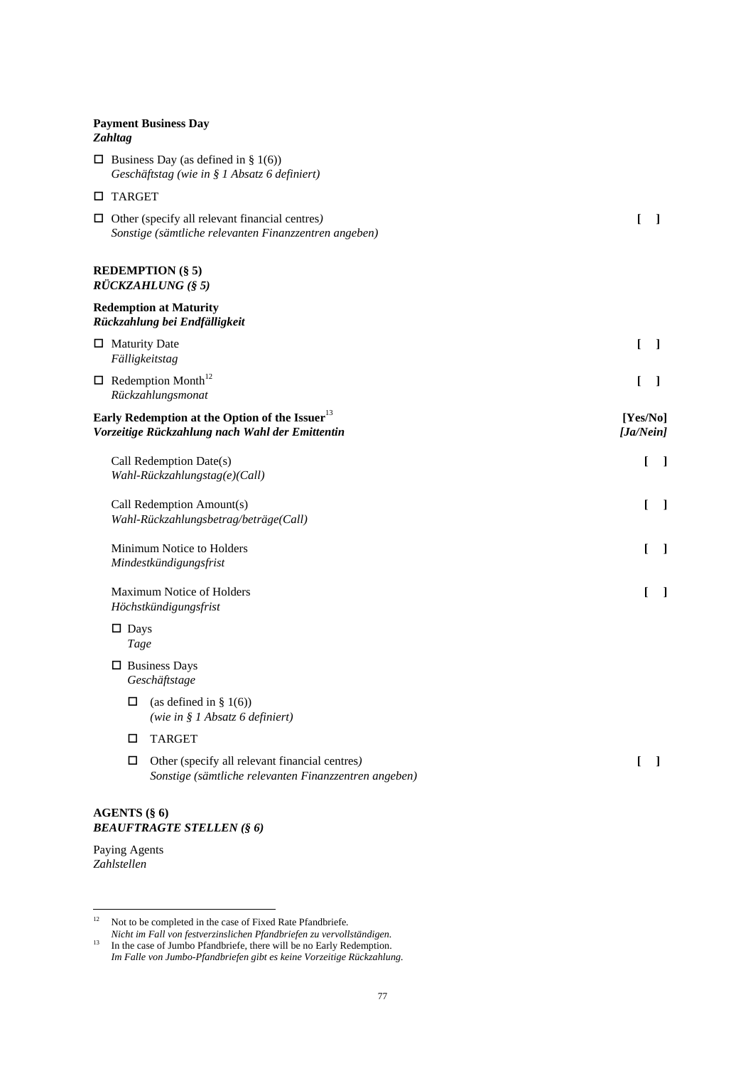# **Payment Business Day**  *Zahltag*

| $\Box$ Business Day (as defined in § 1(6))<br>Geschäftstag (wie in § 1 Absatz 6 definiert)                     |                                   |
|----------------------------------------------------------------------------------------------------------------|-----------------------------------|
| $\Box$ TARGET                                                                                                  |                                   |
| $\Box$ Other (specify all relevant financial centres)<br>Sonstige (sämtliche relevanten Finanzzentren angeben) | $\Gamma$<br>- 1                   |
| <b>REDEMPTION (§ 5)</b><br>RÜCKZAHLUNG (§ 5)                                                                   |                                   |
| <b>Redemption at Maturity</b><br>Rückzahlung bei Endfälligkeit                                                 |                                   |
| $\Box$ Maturity Date<br>Fälligkeitstag                                                                         | $\mathbf{I}$<br>$\lceil$          |
| $\Box$ Redemption Month <sup>12</sup><br>Rückzahlungsmonat                                                     | L<br>1                            |
| Early Redemption at the Option of the Issuer $^{13}$<br>Vorzeitige Rückzahlung nach Wahl der Emittentin        | [Yes/No]<br>[Ja/Nein]             |
| Call Redemption Date(s)<br>Wahl-Rückzahlungstag(e)(Call)                                                       | $\begin{bmatrix} 1 \end{bmatrix}$ |
| Call Redemption Amount(s)<br>Wahl-Rückzahlungsbetrag/beträge(Call)                                             | L<br>$\Box$                       |
| Minimum Notice to Holders<br>Mindestkündigungsfrist                                                            | L<br>$\Box$                       |
| Maximum Notice of Holders<br>Höchstkündigungsfrist                                                             | $\overline{\phantom{a}}$<br>L     |
| $\square$ Days<br>Tage                                                                                         |                                   |
| $\Box$ Business Days<br>Geschäftstage                                                                          |                                   |
| (as defined in $\S$ 1(6))<br>$\Box$<br>(wie in § 1 Absatz 6 definiert)                                         |                                   |
| <b>TARGET</b><br>□                                                                                             |                                   |
| Other (specify all relevant financial centres)<br>□<br>Sonstige (sämtliche relevanten Finanzzentren angeben)   | $\perp$<br>L                      |
| <b>AGENTS (§ 6)</b>                                                                                            |                                   |

Paying Agents *Zahlstellen* 

*BEAUFTRAGTE STELLEN (§ 6)* 

 $12\,$ 12 Not to be completed in the case of Fixed Rate Pfandbriefe*.* 

*Nicht im Fall von festverzinslichen Pfandbriefen zu vervollständigen.* <sup>13</sup> In the case of Jumbo Pfandbriefe, there will be no Early Redemption.  *Im Falle von Jumbo-Pfandbriefen gibt es keine Vorzeitige Rückzahlung.*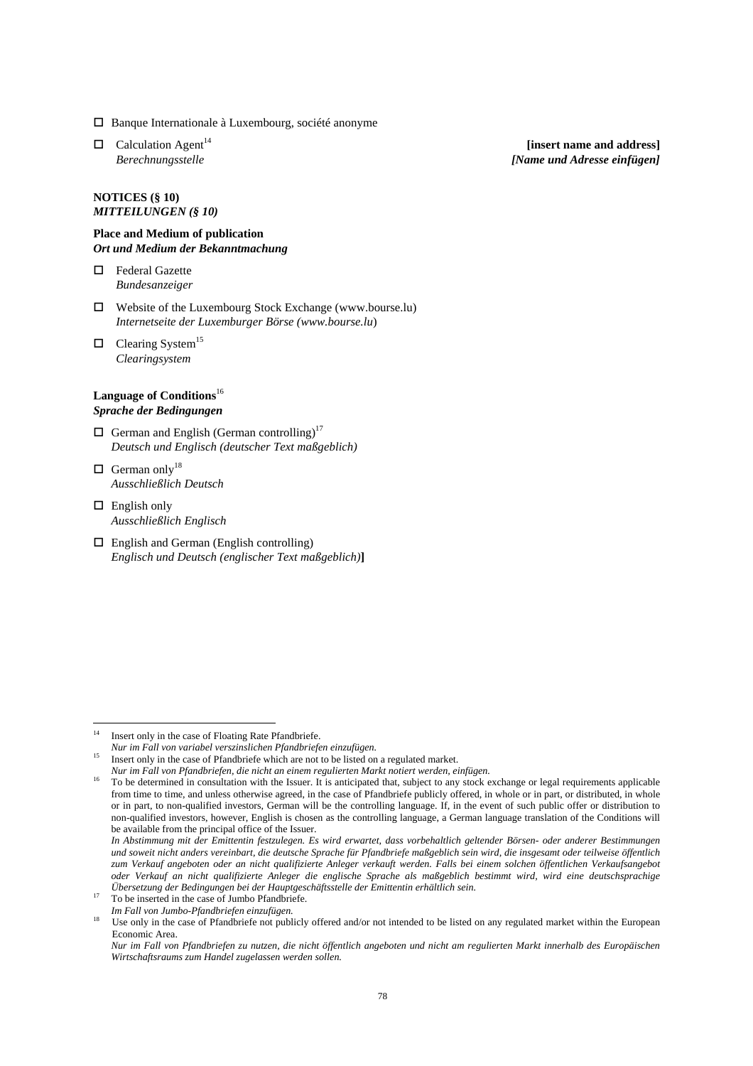- $\square$  Banque Internationale à Luxembourg, société anonyme
- 

### **NOTICES (§ 10)** *MITTEILUNGEN (§ 10)*

### **Place and Medium of publication**  *Ort und Medium der Bekanntmachung*

 Federal Gazette *Bundesanzeiger*

- Website of the Luxembourg Stock Exchange (www.bourse.lu) *Internetseite der Luxemburger Börse (www.bourse.lu*)
- $\Box$  Clearing System<sup>15</sup> *Clearingsystem*

# **Language of Conditions**<sup>16</sup> *Sprache der Bedingungen*

- $\Box$  German and English (German controlling)<sup>17</sup> *Deutsch und Englisch (deutscher Text maßgeblich)*
- $\Box$  German only<sup>18</sup> *Ausschließlich Deutsch*
- $\Box$  English only *Ausschließlich Englisch*
- English and German (English controlling) *Englisch und Deutsch (englischer Text maßgeblich)***]**

 $\Box$  Calculation Agent<sup>14</sup> [insert name and address] *Berechnungsstelle [Name und Adresse einfügen]* 

 $14$ Insert only in the case of Floating Rate Pfandbriefe.

*Nur im Fall von variabel verszinslichen Pfandbriefen einzufügen.* 

Insert only in the case of Pfandbriefe which are not to be listed on a regulated market.

*Nur im Fall von Pfandbriefen, die nicht an einem regulierten Markt notiert werden, einfügen.* 

<sup>16</sup> To be determined in consultation with the Issuer. It is anticipated that, subject to any stock exchange or legal requirements applicable from time to time, and unless otherwise agreed, in the case of Pfandbriefe publicly offered, in whole or in part, or distributed, in whole or in part, to non-qualified investors, German will be the controlling language. If, in the event of such public offer or distribution to non-qualified investors, however, English is chosen as the controlling language, a German language translation of the Conditions will be available from the principal office of the Issuer.

*In Abstimmung mit der Emittentin festzulegen. Es wird erwartet, dass vorbehaltlich geltender Börsen- oder anderer Bestimmungen und soweit nicht anders vereinbart, die deutsche Sprache für Pfandbriefe maßgeblich sein wird, die insgesamt oder teilweise öffentlich zum Verkauf angeboten oder an nicht qualifizierte Anleger verkauft werden. Falls bei einem solchen öffentlichen Verkaufsangebot oder Verkauf an nicht qualifizierte Anleger die englische Sprache als maßgeblich bestimmt wird, wird eine deutschsprachige Übersetzung der Bedingungen bei der Hauptgeschäftsstelle der Emittentin erhältlich sein.*

<sup>&</sup>lt;sup>17</sup> To be inserted in the case of Jumbo Pfandbriefe.

*Im Fall von Jumbo-Pfandbriefen einzufügen.*

<sup>&</sup>lt;sup>18</sup> Use only in the case of Pfandbriefe not publicly offered and/or not intended to be listed on any regulated market within the European Economic Area.

*Nur im Fall von Pfandbriefen zu nutzen, die nicht öffentlich angeboten und nicht am regulierten Markt innerhalb des Europäischen Wirtschaftsraums zum Handel zugelassen werden sollen.*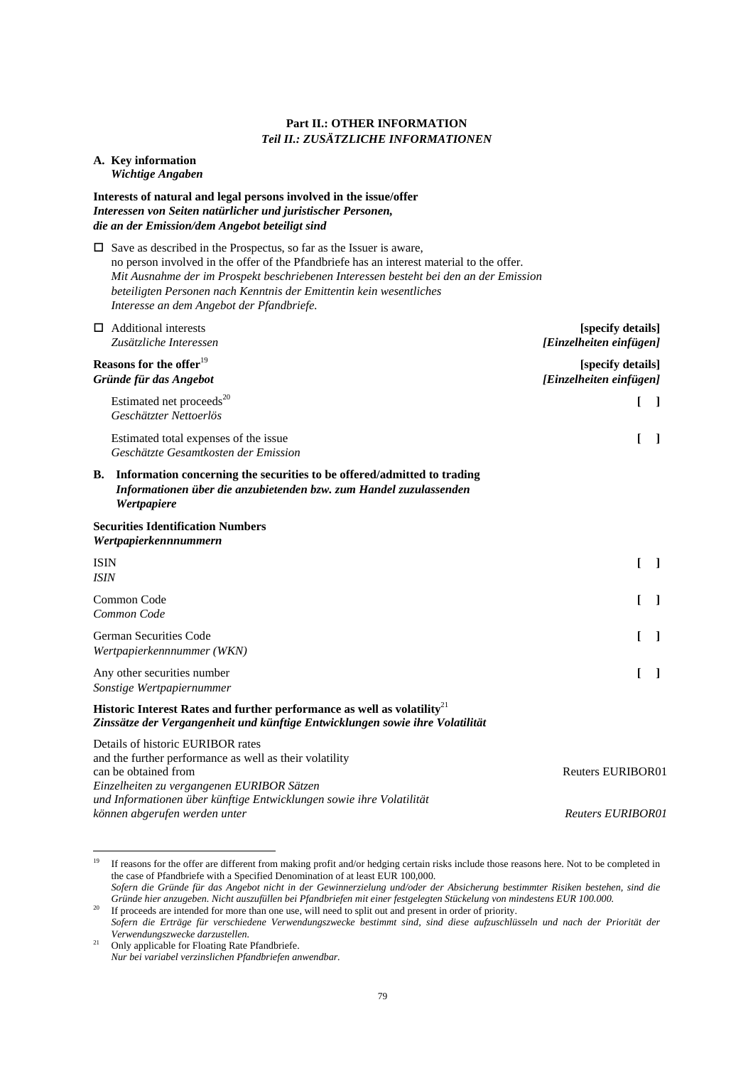# **Part II.: OTHER INFORMATION** *Teil II.: ZUSÄTZLICHE INFORMATIONEN*

### **A. Key information**   *Wichtige Angaben*

# **Interests of natural and legal persons involved in the issue/offer**  *Interessen von Seiten natürlicher und juristischer Personen, die an der Emission/dem Angebot beteiligt sind*

 $\square$  Save as described in the Prospectus, so far as the Issuer is aware, no person involved in the offer of the Pfandbriefe has an interest material to the offer. *Mit Ausnahme der im Prospekt beschriebenen Interessen besteht bei den an der Emission beteiligten Personen nach Kenntnis der Emittentin kein wesentliches Interesse an dem Angebot der Pfandbriefe.* 

|                            | $\Box$ Additional interests<br>Zusätzliche Interessen                                                                                                                                                                                      | [specify details]<br>[Einzelheiten einfügen] |  |
|----------------------------|--------------------------------------------------------------------------------------------------------------------------------------------------------------------------------------------------------------------------------------------|----------------------------------------------|--|
|                            | Reasons for the offer <sup>19</sup><br>Gründe für das Angebot                                                                                                                                                                              | [specify details]<br>[Einzelheiten einfügen] |  |
|                            | Estimated net proceeds <sup>20</sup><br>Geschätzter Nettoerlös                                                                                                                                                                             |                                              |  |
|                            | Estimated total expenses of the issue<br>Geschätzte Gesamtkosten der Emission                                                                                                                                                              |                                              |  |
| В.                         | Information concerning the securities to be offered/admitted to trading<br>Informationen über die anzubietenden bzw. zum Handel zuzulassenden<br>Wertpapiere                                                                               |                                              |  |
|                            | <b>Securities Identification Numbers</b><br>Wertpapierkennnummern                                                                                                                                                                          |                                              |  |
| <b>ISIN</b><br><b>ISIN</b> |                                                                                                                                                                                                                                            | L<br>$\mathbf{I}$                            |  |
|                            | Common Code<br>Common Code                                                                                                                                                                                                                 | L                                            |  |
|                            | German Securities Code<br>Wertpapierkennnummer (WKN)                                                                                                                                                                                       |                                              |  |
|                            | Any other securities number<br>Sonstige Wertpapiernummer                                                                                                                                                                                   |                                              |  |
|                            | Historic Interest Rates and further performance as well as volatility <sup>21</sup><br>Zinssätze der Vergangenheit und künftige Entwicklungen sowie ihre Volatilität                                                                       |                                              |  |
|                            | Details of historic EURIBOR rates<br>and the further performance as well as their volatility<br>can be obtained from<br>Einzelheiten zu vergangenen EURIBOR Sätzen<br>und Informationen über künftige Entwicklungen sowie ihre Volatilität | <b>Reuters EURIBOR01</b>                     |  |
|                            | können abgerufen werden unter                                                                                                                                                                                                              | <b>Reuters EURIBOR01</b>                     |  |

*Sofern die Gründe für das Angebot nicht in der Gewinnerzielung und/oder der Absicherung bestimmter Risiken bestehen, sind die Gründe hier anzugeben. Nicht auszufüllen bei Pfandbriefen mit einer festgelegten Stückelung von mindestens EUR 100.000.* <sup>20</sup> If proceeds are intended for more than one use, will need to split out and present in order of priority.

<sup>19</sup> 19 If reasons for the offer are different from making profit and/or hedging certain risks include those reasons here. Not to be completed in the case of Pfandbriefe with a Specified Denomination of at least EUR 100,000.

*Sofern die Erträge für verschiedene Verwendungszwecke bestimmt sind, sind diese aufzuschlüsseln und nach der Priorität der Verwendungszwecke darzustellen.*

<sup>&</sup>lt;sup>21</sup> Only applicable for Floating Rate Pfandbriefe. *Nur bei variabel verzinslichen Pfandbriefen anwendbar.*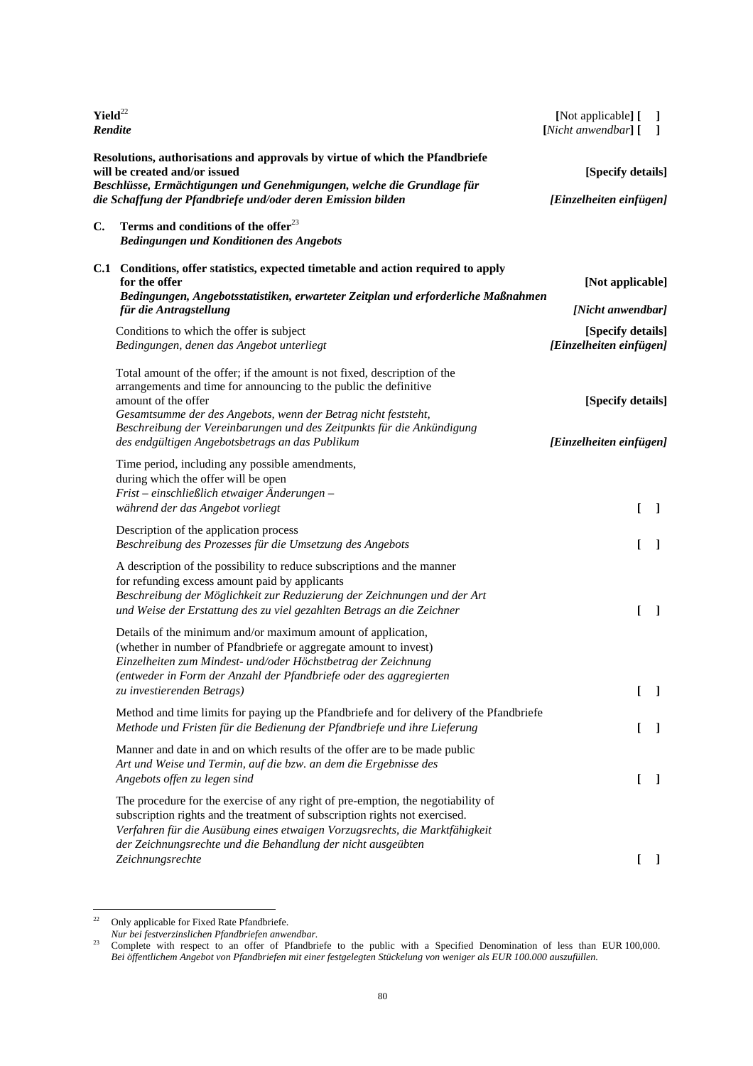| $Yield^{22}$<br>Rendite                                                                                                                                                                                                                                 |                                                                                                                                                                                                                                                                                                                                                                      | [Not applicable] [<br>[Nicht anwendbar] [                         | T<br>1       |
|---------------------------------------------------------------------------------------------------------------------------------------------------------------------------------------------------------------------------------------------------------|----------------------------------------------------------------------------------------------------------------------------------------------------------------------------------------------------------------------------------------------------------------------------------------------------------------------------------------------------------------------|-------------------------------------------------------------------|--------------|
| Resolutions, authorisations and approvals by virtue of which the Pfandbriefe<br>will be created and/or issued<br>Beschlüsse, Ermächtigungen und Genehmigungen, welche die Grundlage für<br>die Schaffung der Pfandbriefe und/oder deren Emission bilden |                                                                                                                                                                                                                                                                                                                                                                      | [Specify details]<br>[Einzelheiten einfügen]                      |              |
| C.                                                                                                                                                                                                                                                      | Terms and conditions of the offer $^{23}$<br>Bedingungen und Konditionen des Angebots                                                                                                                                                                                                                                                                                |                                                                   |              |
|                                                                                                                                                                                                                                                         | C.1 Conditions, offer statistics, expected timetable and action required to apply<br>for the offer<br>Bedingungen, Angebotsstatistiken, erwarteter Zeitplan und erforderliche Maßnahmen                                                                                                                                                                              | [Not applicable]                                                  |              |
|                                                                                                                                                                                                                                                         | für die Antragstellung<br>Conditions to which the offer is subject<br>Bedingungen, denen das Angebot unterliegt                                                                                                                                                                                                                                                      | [Nicht anwendbar]<br>[Specify details]<br>[Einzelheiten einfügen] |              |
|                                                                                                                                                                                                                                                         | Total amount of the offer; if the amount is not fixed, description of the<br>arrangements and time for announcing to the public the definitive<br>amount of the offer<br>Gesamtsumme der des Angebots, wenn der Betrag nicht feststeht,<br>Beschreibung der Vereinbarungen und des Zeitpunkts für die Ankündigung<br>des endgültigen Angebotsbetrags an das Publikum | [Specify details]<br>[Einzelheiten einfügen]                      |              |
|                                                                                                                                                                                                                                                         | Time period, including any possible amendments,<br>during which the offer will be open<br>$First$ – einschließlich etwaiger Änderungen –<br>während der das Angebot vorliegt                                                                                                                                                                                         | $\mathbf{I}$                                                      | $\mathbf{I}$ |
|                                                                                                                                                                                                                                                         | Description of the application process<br>Beschreibung des Prozesses für die Umsetzung des Angebots                                                                                                                                                                                                                                                                  | ſ                                                                 | 1            |
|                                                                                                                                                                                                                                                         | A description of the possibility to reduce subscriptions and the manner<br>for refunding excess amount paid by applicants<br>Beschreibung der Möglichkeit zur Reduzierung der Zeichnungen und der Art<br>und Weise der Erstattung des zu viel gezahlten Betrags an die Zeichner                                                                                      | f                                                                 | 1            |
|                                                                                                                                                                                                                                                         | Details of the minimum and/or maximum amount of application,<br>(whether in number of Pfandbriefe or aggregate amount to invest)<br>Einzelheiten zum Mindest- und/oder Höchstbetrag der Zeichnung<br>(entweder in Form der Anzahl der Pfandbriefe oder des aggregierten<br>zu investierenden Betrags)                                                                | L                                                                 | -1           |
|                                                                                                                                                                                                                                                         | Method and time limits for paying up the Pfandbriefe and for delivery of the Pfandbriefe<br>Methode und Fristen für die Bedienung der Pfandbriefe und ihre Lieferung                                                                                                                                                                                                 | T                                                                 | T            |
|                                                                                                                                                                                                                                                         | Manner and date in and on which results of the offer are to be made public<br>Art und Weise und Termin, auf die bzw. an dem die Ergebnisse des<br>Angebots offen zu legen sind                                                                                                                                                                                       | $\mathbf{I}$                                                      | $\mathbf{I}$ |
|                                                                                                                                                                                                                                                         | The procedure for the exercise of any right of pre-emption, the negotiability of<br>subscription rights and the treatment of subscription rights not exercised.<br>Verfahren für die Ausübung eines etwaigen Vorzugsrechts, die Marktfähigkeit<br>der Zeichnungsrechte und die Behandlung der nicht ausgeübten                                                       |                                                                   |              |
|                                                                                                                                                                                                                                                         | Zeichnungsrechte                                                                                                                                                                                                                                                                                                                                                     | $\mathbf{I}$                                                      | $\mathbf{I}$ |

 $22\,$ <sup>22</sup> Only applicable for Fixed Rate Pfandbriefe.

*Nur bei festverzinslichen Pfandbriefen anwendbar.*

<sup>&</sup>lt;sup>23</sup> Complete with respect to an offer of Pfandbriefe to the public with a Specified Denomination of less than EUR  $100,000$ . *Bei öffentlichem Angebot von Pfandbriefen mit einer festgelegten Stückelung von weniger als EUR 100.000 auszufüllen.*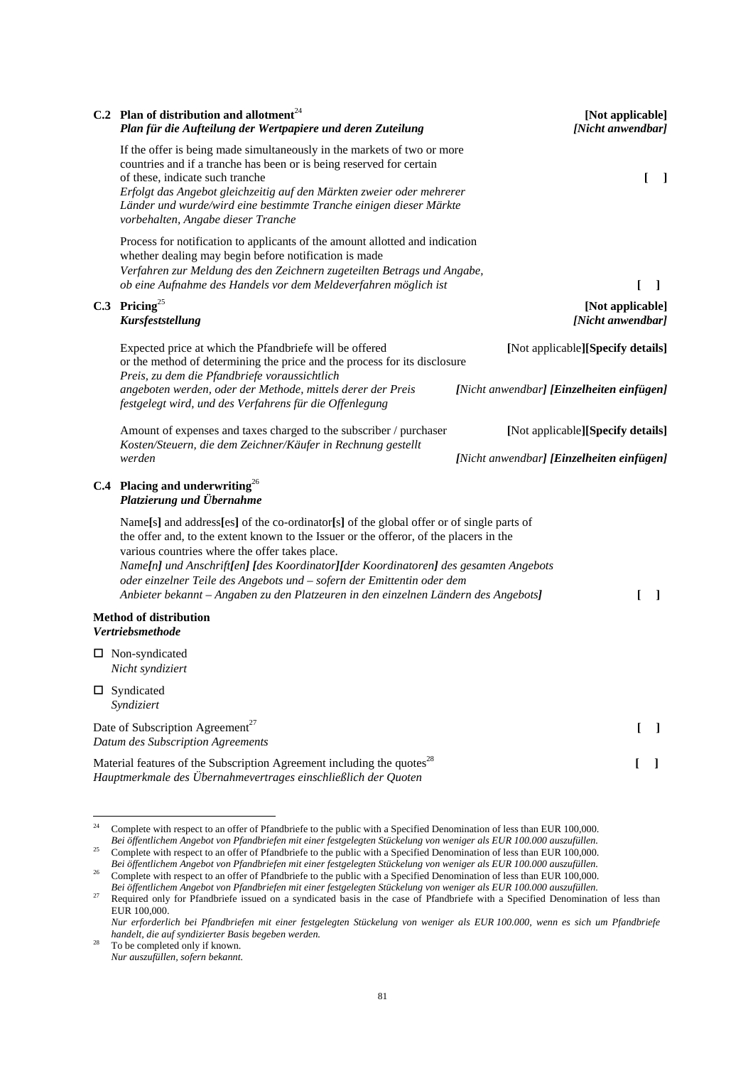| C.2 Plan of distribution and allotment <sup>24</sup><br>Plan für die Aufteilung der Wertpapiere und deren Zuteilung                                                                                                                                                                                                                                                                                                                                                                           | [Not applicable]<br>[Nicht anwendbar]                                          |
|-----------------------------------------------------------------------------------------------------------------------------------------------------------------------------------------------------------------------------------------------------------------------------------------------------------------------------------------------------------------------------------------------------------------------------------------------------------------------------------------------|--------------------------------------------------------------------------------|
| If the offer is being made simultaneously in the markets of two or more<br>countries and if a tranche has been or is being reserved for certain<br>of these, indicate such tranche<br>Erfolgt das Angebot gleichzeitig auf den Märkten zweier oder mehrerer<br>Länder und wurde/wird eine bestimmte Tranche einigen dieser Märkte<br>vorbehalten, Angabe dieser Tranche                                                                                                                       | ſ<br>$\blacksquare$                                                            |
| Process for notification to applicants of the amount allotted and indication<br>whether dealing may begin before notification is made<br>Verfahren zur Meldung des den Zeichnern zugeteilten Betrags und Angabe,<br>ob eine Aufnahme des Handels vor dem Meldeverfahren möglich ist                                                                                                                                                                                                           | ſ<br>$\overline{1}$                                                            |
| C.3 Pricing <sup>25</sup><br><b>Kursfeststellung</b>                                                                                                                                                                                                                                                                                                                                                                                                                                          | [Not applicable]<br>[Nicht anwendbar]                                          |
| Expected price at which the Pfandbriefe will be offered<br>or the method of determining the price and the process for its disclosure<br>Preis, zu dem die Pfandbriefe voraussichtlich<br>angeboten werden, oder der Methode, mittels derer der Preis<br>festgelegt wird, und des Verfahrens für die Offenlegung                                                                                                                                                                               | [Not applicable][Specify details]<br>[Nicht anwendbar] [Einzelheiten einfügen] |
| Amount of expenses and taxes charged to the subscriber / purchaser<br>Kosten/Steuern, die dem Zeichner/Käufer in Rechnung gestellt<br>werden                                                                                                                                                                                                                                                                                                                                                  | [Not applicable][Specify details]<br>[Nicht anwendbar] [Einzelheiten einfügen] |
| C.4 Placing and underwriting <sup>26</sup><br>Platzierung und Übernahme                                                                                                                                                                                                                                                                                                                                                                                                                       |                                                                                |
| Name[s] and address[es] of the co-ordinator[s] of the global offer or of single parts of<br>the offer and, to the extent known to the Issuer or the offeror, of the placers in the<br>various countries where the offer takes place.<br>Name[n] und Anschrift[en] [des Koordinator][der Koordinatoren] des gesamten Angebots<br>oder einzelner Teile des Angebots und - sofern der Emittentin oder dem<br>Anbieter bekannt – Angaben zu den Platzeuren in den einzelnen Ländern des Angebots] | $\mathsf{L}$<br>1                                                              |
| <b>Method of distribution</b><br><b>Vertriebsmethode</b>                                                                                                                                                                                                                                                                                                                                                                                                                                      |                                                                                |
| $\Box$ Non-syndicated<br>Nicht syndiziert                                                                                                                                                                                                                                                                                                                                                                                                                                                     |                                                                                |
| $\square$ Syndicated<br>Syndiziert                                                                                                                                                                                                                                                                                                                                                                                                                                                            |                                                                                |
| Date of Subscription Agreement <sup>27</sup><br>Datum des Subscription Agreements                                                                                                                                                                                                                                                                                                                                                                                                             | $\mathbf{L}$<br>$\perp$                                                        |
| Material features of the Subscription Agreement including the quotes <sup>28</sup><br>Hauptmerkmale des Übernahmevertrages einschließlich der Quoten                                                                                                                                                                                                                                                                                                                                          | $\mathbf{I}$                                                                   |

 $\overline{24}$ 24 Complete with respect to an offer of Pfandbriefe to the public with a Specified Denomination of less than EUR 100,000. *Bei öffentlichem Angebot von Pfandbriefen mit einer festgelegten Stückelung von weniger als EUR 100.000 auszufüllen.*<br>Bei öffentlichem Angebot von Pfandbriefen mit einer festgelegten Stückelung von weniger als EUR 100.000 25 Complete with respect to an offer of Pfandbriefe to the public with a Specified Denomination of less than EUR 100,000.

*Bei öffentlichem Angebot von Pfandbriefen mit einer festgelegten Stückelung von weniger als EUR 100.000 auszufüllen.* <sup>26</sup> Complete with respect to an offer of Pfandbriefe to the public with a Specified Denomination of less than EUR 100,000.

*Bei öffentlichem Angebot von Pfandbriefen mit einer festgelegten Stückelung von weniger als EUR 100.000 auszufüllen.*

<sup>&</sup>lt;sup>27</sup> Required only for Pfandbriefe issued on a syndicated basis in the case of Pfandbriefe with a Specified Denomination of less than EUR 100,000.

*Nur erforderlich bei Pfandbriefen mit einer festgelegten Stückelung von weniger als EUR 100.000, wenn es sich um Pfandbriefe handelt, die auf syndizierter Basis begeben werden.*

 $28$  To be completed only if known. *Nur auszufüllen, sofern bekannt.*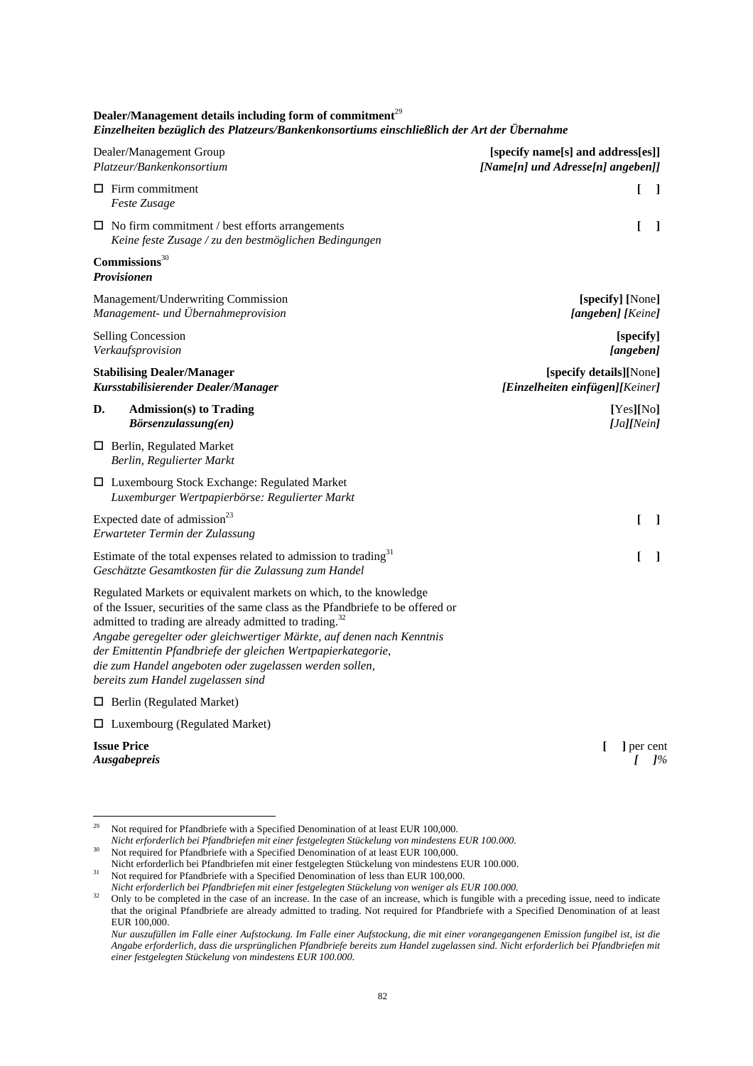**Dealer/Management details including form of commitment**<sup>29</sup> *Einzelheiten bezüglich des Platzeurs/Bankenkonsortiums einschließlich der Art der Übernahme* 

| Dealer/Management Group                                                                                                                                                                                                                                                                                                                                                                                                                                               | [specify name[s] and address[es]] |
|-----------------------------------------------------------------------------------------------------------------------------------------------------------------------------------------------------------------------------------------------------------------------------------------------------------------------------------------------------------------------------------------------------------------------------------------------------------------------|-----------------------------------|
| Platzeur/Bankenkonsortium                                                                                                                                                                                                                                                                                                                                                                                                                                             | [Name[n] und Adresse[n] angeben]] |
| $\Box$ Firm commitment                                                                                                                                                                                                                                                                                                                                                                                                                                                | L                                 |
| Feste Zusage                                                                                                                                                                                                                                                                                                                                                                                                                                                          | $\mathbf{I}$                      |
| $\Box$ No firm commitment / best efforts arrangements                                                                                                                                                                                                                                                                                                                                                                                                                 | ſ                                 |
| Keine feste Zusage / zu den bestmöglichen Bedingungen                                                                                                                                                                                                                                                                                                                                                                                                                 | $\perp$                           |
| Commission <sup>30</sup><br><b>Provisionen</b>                                                                                                                                                                                                                                                                                                                                                                                                                        |                                   |
| Management/Underwriting Commission                                                                                                                                                                                                                                                                                                                                                                                                                                    | [specify] [None]                  |
| Management- und Übernahmeprovision                                                                                                                                                                                                                                                                                                                                                                                                                                    | [angeben] [Keine]                 |
| <b>Selling Concession</b>                                                                                                                                                                                                                                                                                                                                                                                                                                             | [specify]                         |
| Verkaufsprovision                                                                                                                                                                                                                                                                                                                                                                                                                                                     | [angeben]                         |
| <b>Stabilising Dealer/Manager</b>                                                                                                                                                                                                                                                                                                                                                                                                                                     | [specify details][None]           |
| Kursstabilisierender Dealer/Manager                                                                                                                                                                                                                                                                                                                                                                                                                                   | [Einzelheiten einfügen][Keiner]   |
| D.<br><b>Admission(s)</b> to Trading<br>Börsenzulassung(en)                                                                                                                                                                                                                                                                                                                                                                                                           | [Yes][No]<br>[Ja][Nein]           |
| $\Box$ Berlin, Regulated Market<br>Berlin, Regulierter Markt                                                                                                                                                                                                                                                                                                                                                                                                          |                                   |
| □ Luxembourg Stock Exchange: Regulated Market<br>Luxemburger Wertpapierbörse: Regulierter Markt                                                                                                                                                                                                                                                                                                                                                                       |                                   |
| Expected date of admission <sup>23</sup>                                                                                                                                                                                                                                                                                                                                                                                                                              | L                                 |
| Erwarteter Termin der Zulassung                                                                                                                                                                                                                                                                                                                                                                                                                                       | $\Box$                            |
| Estimate of the total expenses related to admission to trading <sup>31</sup>                                                                                                                                                                                                                                                                                                                                                                                          | L                                 |
| Geschätzte Gesamtkosten für die Zulassung zum Handel                                                                                                                                                                                                                                                                                                                                                                                                                  | 1                                 |
| Regulated Markets or equivalent markets on which, to the knowledge<br>of the Issuer, securities of the same class as the Pfandbriefe to be offered or<br>admitted to trading are already admitted to trading. <sup>32</sup><br>Angabe geregelter oder gleichwertiger Märkte, auf denen nach Kenntnis<br>der Emittentin Pfandbriefe der gleichen Wertpapierkategorie,<br>die zum Handel angeboten oder zugelassen werden sollen,<br>bereits zum Handel zugelassen sind |                                   |
| $\Box$ Berlin (Regulated Market)                                                                                                                                                                                                                                                                                                                                                                                                                                      |                                   |
| $\Box$ Luxembourg (Regulated Market)                                                                                                                                                                                                                                                                                                                                                                                                                                  |                                   |
| <b>Issue Price</b><br><i><b>Ausgabepreis</b></i>                                                                                                                                                                                                                                                                                                                                                                                                                      | ] per cent<br>L<br>1%             |

<sup>29</sup> 29 Not required for Pfandbriefe with a Specified Denomination of at least EUR 100,000.

*Nicht erforderlich bei Pfandbriefen mit einer festgelegten Stückelung von mindestens EUR 100.000.*

<sup>30</sup> Not required for Pfandbriefe with a Specified Denomination of at least EUR 100,000.<br>Nicht erforderlich bei Pfandbriefen mit einer festgelegten Stückelung von mindestens EUR 100.000.

<sup>&</sup>lt;sup>31</sup> Not required for Pfandbriefe with a Specified Denomination of less than EUR 100,000.

*Nicht erforderlich bei Pfandbriefen mit einer festgelegten Stückelung von weniger als EUR 100.000.*

<sup>&</sup>lt;sup>32</sup> Only to be completed in the case of an increase. In the case of an increase, which is fungible with a preceding issue, need to indicate that the original Pfandbriefe are already admitted to trading. Not required for Pfandbriefe with a Specified Denomination of at least EUR 100,000.

*Nur auszufüllen im Falle einer Aufstockung. Im Falle einer Aufstockung, die mit einer vorangegangenen Emission fungibel ist, ist die Angabe erforderlich, dass die ursprünglichen Pfandbriefe bereits zum Handel zugelassen sind. Nicht erforderlich bei Pfandbriefen mit einer festgelegten Stückelung von mindestens EUR 100.000.*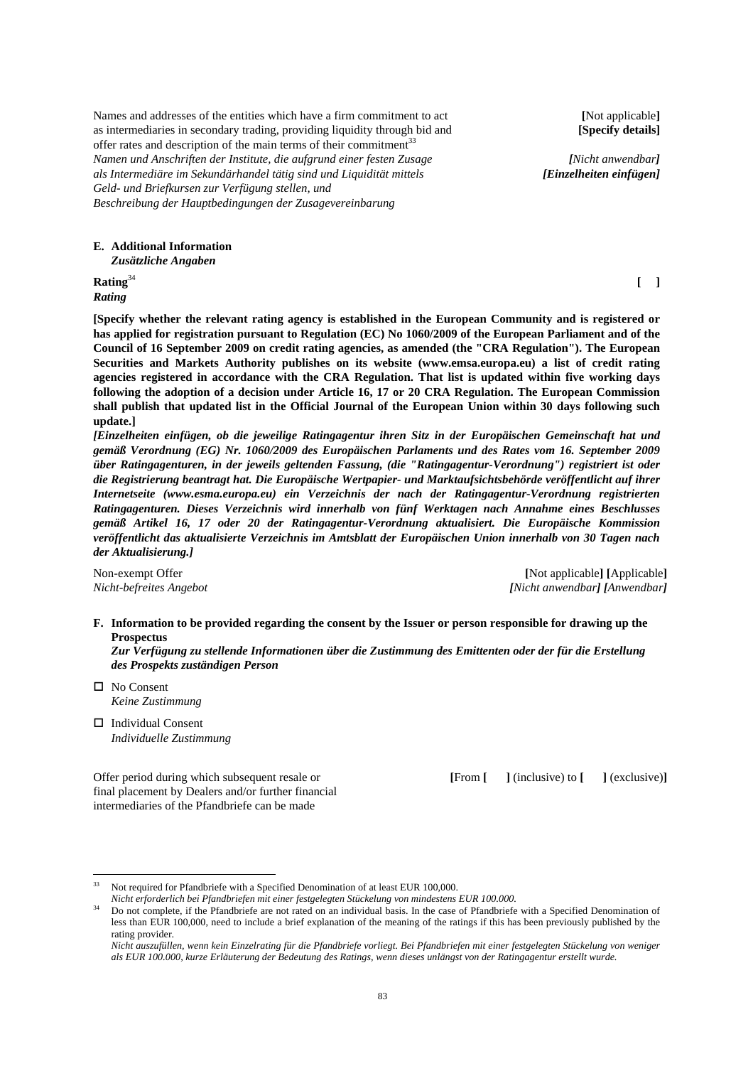Names and addresses of the entities which have a firm commitment to act **[**Not applicable**]** as intermediaries in secondary trading, providing liquidity through bid and **[Specify details]** offer rates and description of the main terms of their commitment<sup>33</sup> *Namen und Anschriften der Institute, die aufgrund einer festen Zusage [Nicht anwendbar] als Intermediäre im Sekundärhandel tätig sind und Liquidität mittels [Einzelheiten einfügen] Geld- und Briefkursen zur Verfügung stellen, und Beschreibung der Hauptbedingungen der Zusagevereinbarung* 

**E. Additional Information**  *Zusätzliche Angaben* 

**Rating**<sup>34</sup> [ ] *Rating* 

**[Specify whether the relevant rating agency is established in the European Community and is registered or has applied for registration pursuant to Regulation (EC) No 1060/2009 of the European Parliament and of the Council of 16 September 2009 on credit rating agencies, as amended (the "CRA Regulation"). The European Securities and Markets Authority publishes on its website (www.emsa.europa.eu) a list of credit rating agencies registered in accordance with the CRA Regulation. That list is updated within five working days following the adoption of a decision under Article 16, 17 or 20 CRA Regulation. The European Commission shall publish that updated list in the Official Journal of the European Union within 30 days following such update.]** 

*[Einzelheiten einfügen, ob die jeweilige Ratingagentur ihren Sitz in der Europäischen Gemeinschaft hat und gemäß Verordnung (EG) Nr. 1060/2009 des Europäischen Parlaments und des Rates vom 16. September 2009 über Ratingagenturen, in der jeweils geltenden Fassung, (die "Ratingagentur-Verordnung") registriert ist oder die Registrierung beantragt hat. Die Europäische Wertpapier- und Marktaufsichtsbehörde veröffentlicht auf ihrer Internetseite (www.esma.europa.eu) ein Verzeichnis der nach der Ratingagentur-Verordnung registrierten Ratingagenturen. Dieses Verzeichnis wird innerhalb von fünf Werktagen nach Annahme eines Beschlusses gemäß Artikel 16, 17 oder 20 der Ratingagentur-Verordnung aktualisiert. Die Europäische Kommission veröffentlicht das aktualisierte Verzeichnis im Amtsblatt der Europäischen Union innerhalb von 30 Tagen nach der Aktualisierung.]* 

Non-exempt Offer **[**Not applicable**] [**Applicable**]** *Nicht-befreites Angebot [Nicht anwendbar] [Anwendbar]*

**F. Information to be provided regarding the consent by the Issuer or person responsible for drawing up the Prospectus** 

 *Zur Verfügung zu stellende Informationen über die Zustimmung des Emittenten oder der für die Erstellung des Prospekts zuständigen Person* 

□ No Consent *Keine Zustimmung* 

 $\overline{a}$ 

□ Individual Consent *Individuelle Zustimmung* 

Offer period during which subsequent resale or **[**From **[ ]** (inclusive) to **[ ]** (exclusive)**]** final placement by Dealers and/or further financial intermediaries of the Pfandbriefe can be made

<sup>&</sup>lt;sup>33</sup> Not required for Pfandbriefe with a Specified Denomination of at least EUR 100,000.

*Nicht erforderlich bei Pfandbriefen mit einer festgelegten Stückelung von mindestens EUR 100.000.* 

<sup>34</sup> Do not complete, if the Pfandbriefe are not rated on an individual basis. In the case of Pfandbriefe with a Specified Denomination of less than EUR 100,000, need to include a brief explanation of the meaning of the ratings if this has been previously published by the rating provider.

*Nicht auszufüllen, wenn kein Einzelrating für die Pfandbriefe vorliegt. Bei Pfandbriefen mit einer festgelegten Stückelung von weniger als EUR 100.000, kurze Erläuterung der Bedeutung des Ratings, wenn dieses unlängst von der Ratingagentur erstellt wurde.*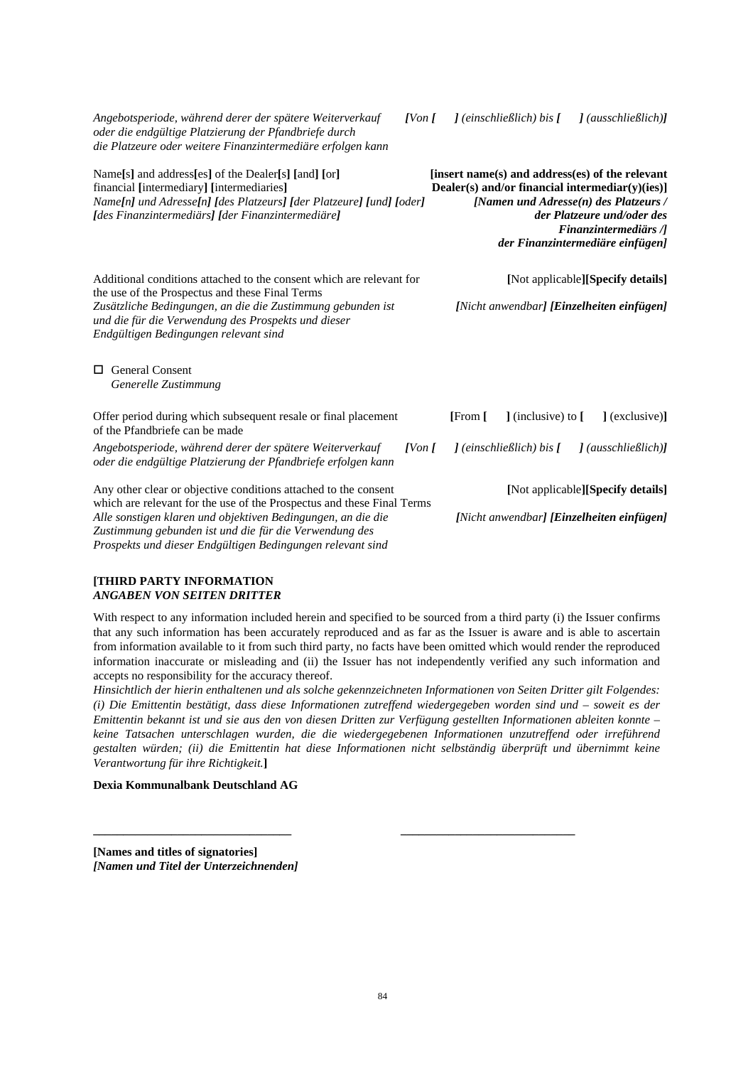*Angebotsperiode, während derer der spätere Weiterverkauf [Von [**] (einschließlich) bis [**] (ausschließlich)] oder die endgültige Platzierung der Pfandbriefe durch die Platzeure oder weitere Finanzintermediäre erfolgen kann*

| Name[s] and address[es] of the Dealer[s] [and] [or]<br>financial [intermediary] [intermediaries]<br>Name[n] und Adresse[n] [des Platzeurs] [der Platzeure] [und] [oder]<br>[des Finanzintermediärs] [der Finanzintermediäre]                                   | [insert name(s) and address(es) of the relevant<br>Dealer(s) and/or financial intermediar(y)(ies)]<br>[Namen und Adresse $(n)$ des Platzeurs /<br>der Platzeure und/oder des<br><b>Finanzintermediärs</b> /]<br>der Finanzintermediäre einfügen] |
|----------------------------------------------------------------------------------------------------------------------------------------------------------------------------------------------------------------------------------------------------------------|--------------------------------------------------------------------------------------------------------------------------------------------------------------------------------------------------------------------------------------------------|
| Additional conditions attached to the consent which are relevant for<br>the use of the Prospectus and these Final Terms                                                                                                                                        | [Not applicable][Specify details]                                                                                                                                                                                                                |
| Zusätzliche Bedingungen, an die die Zustimmung gebunden ist<br>und die für die Verwendung des Prospekts und dieser<br>Endgültigen Bedingungen relevant sind                                                                                                    | [Nicht anwendbar] [ <b>Einzelheiten einfügen</b> ]                                                                                                                                                                                               |
| <b>General Consent</b><br>П<br>Generelle Zustimmung                                                                                                                                                                                                            |                                                                                                                                                                                                                                                  |
| Offer period during which subsequent resale or final placement<br>of the Pfandbriefe can be made                                                                                                                                                               | ] (inclusive) to [<br>[From [<br>1(exclusive)1                                                                                                                                                                                                   |
| Angebotsperiode, während derer der spätere Weiterverkauf<br>$[V \circ n]$<br>oder die endgültige Platzierung der Pfandbriefe erfolgen kann                                                                                                                     | $\int$ (einschließlich) bis $\int$<br>$l$ (ausschließlich) $l$                                                                                                                                                                                   |
| Any other clear or objective conditions attached to the consent                                                                                                                                                                                                | [Not applicable][Specify details]                                                                                                                                                                                                                |
| which are relevant for the use of the Prospectus and these Final Terms<br>Alle sonstigen klaren und objektiven Bedingungen, an die die<br>Zustimmung gebunden ist und die für die Verwendung des<br>Prospekts und dieser Endgültigen Bedingungen relevant sind | [Nicht anwendbar] [Einzelheiten einfügen]                                                                                                                                                                                                        |

### **[THIRD PARTY INFORMATION**  *ANGABEN VON SEITEN DRITTER*

With respect to any information included herein and specified to be sourced from a third party (i) the Issuer confirms that any such information has been accurately reproduced and as far as the Issuer is aware and is able to ascertain from information available to it from such third party, no facts have been omitted which would render the reproduced information inaccurate or misleading and (ii) the Issuer has not independently verified any such information and accepts no responsibility for the accuracy thereof.

*Hinsichtlich der hierin enthaltenen und als solche gekennzeichneten Informationen von Seiten Dritter gilt Folgendes: (i) Die Emittentin bestätigt, dass diese Informationen zutreffend wiedergegeben worden sind und – soweit es der Emittentin bekannt ist und sie aus den von diesen Dritten zur Verfügung gestellten Informationen ableiten konnte – keine Tatsachen unterschlagen wurden, die die wiedergegebenen Informationen unzutreffend oder irreführend gestalten würden; (ii) die Emittentin hat diese Informationen nicht selbständig überprüft und übernimmt keine Verantwortung für ihre Richtigkeit.***]**

**\_\_\_\_\_\_\_\_\_\_\_\_\_\_\_\_\_\_\_\_\_\_\_\_\_\_\_\_\_\_\_\_\_ \_\_\_\_\_\_\_\_\_\_\_\_\_\_\_\_\_\_\_\_\_\_\_\_\_\_\_\_\_** 

# **Dexia Kommunalbank Deutschland AG**

**[Names and titles of signatories]** *[Namen und Titel der Unterzeichnenden]*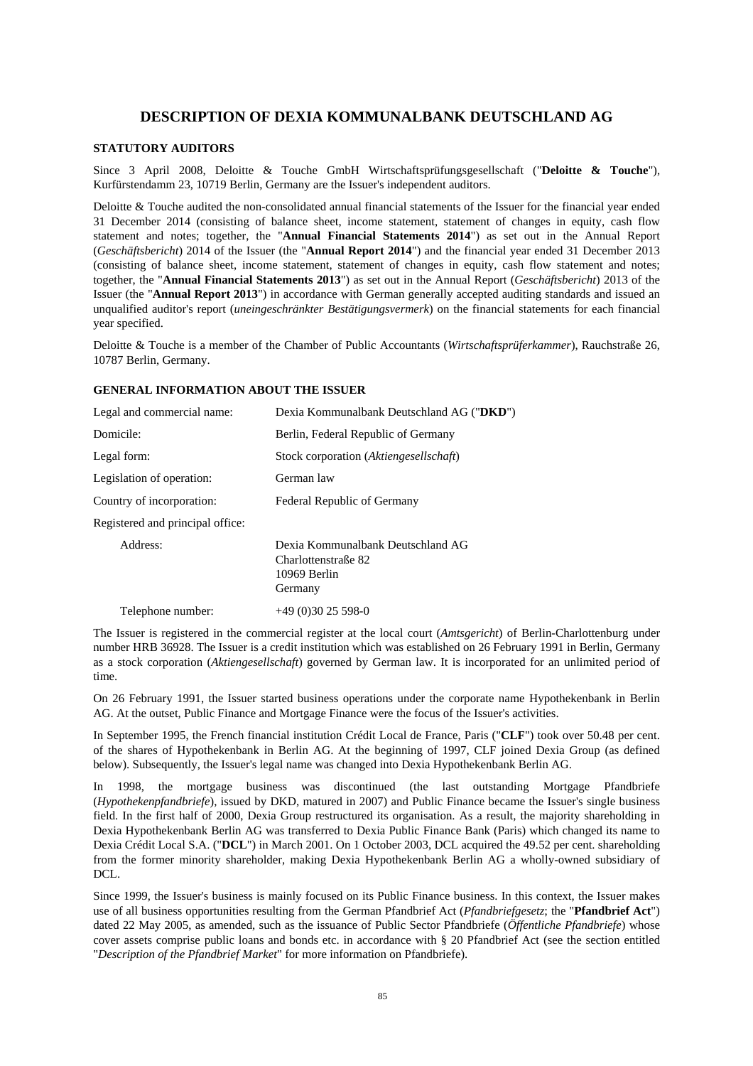# **DESCRIPTION OF DEXIA KOMMUNALBANK DEUTSCHLAND AG**

# **STATUTORY AUDITORS**

Since 3 April 2008, Deloitte & Touche GmbH Wirtschaftsprüfungsgesellschaft ("**Deloitte & Touche**"), Kurfürstendamm 23, 10719 Berlin, Germany are the Issuer's independent auditors.

Deloitte & Touche audited the non-consolidated annual financial statements of the Issuer for the financial year ended 31 December 2014 (consisting of balance sheet, income statement, statement of changes in equity, cash flow statement and notes; together, the "**Annual Financial Statements 2014**") as set out in the Annual Report (*Geschäftsbericht*) 2014 of the Issuer (the "**Annual Report 2014**") and the financial year ended 31 December 2013 (consisting of balance sheet, income statement, statement of changes in equity, cash flow statement and notes; together, the "**Annual Financial Statements 2013**") as set out in the Annual Report (*Geschäftsbericht*) 2013 of the Issuer (the "**Annual Report 2013**") in accordance with German generally accepted auditing standards and issued an unqualified auditor's report (*uneingeschränkter Bestätigungsvermerk*) on the financial statements for each financial year specified.

Deloitte & Touche is a member of the Chamber of Public Accountants (*Wirtschaftsprüferkammer*), Rauchstraße 26, 10787 Berlin, Germany.

## **GENERAL INFORMATION ABOUT THE ISSUER**

| Legal and commercial name:       | Dexia Kommunalbank Deutschland AG ("DKD")                                           |
|----------------------------------|-------------------------------------------------------------------------------------|
| Domicile:                        | Berlin, Federal Republic of Germany                                                 |
| Legal form:                      | Stock corporation (Aktiengesellschaft)                                              |
| Legislation of operation:        | German law                                                                          |
| Country of incorporation:        | <b>Federal Republic of Germany</b>                                                  |
| Registered and principal office: |                                                                                     |
| Address:                         | Dexia Kommunalbank Deutschland AG<br>Charlottenstraße 82<br>10969 Berlin<br>Germany |
| Telephone number:                | $+49(0)3025598-0$                                                                   |

The Issuer is registered in the commercial register at the local court (*Amtsgericht*) of Berlin-Charlottenburg under number HRB 36928. The Issuer is a credit institution which was established on 26 February 1991 in Berlin, Germany as a stock corporation (*Aktiengesellschaft*) governed by German law. It is incorporated for an unlimited period of time.

On 26 February 1991, the Issuer started business operations under the corporate name Hypothekenbank in Berlin AG. At the outset, Public Finance and Mortgage Finance were the focus of the Issuer's activities.

In September 1995, the French financial institution Crédit Local de France, Paris ("**CLF**") took over 50.48 per cent. of the shares of Hypothekenbank in Berlin AG. At the beginning of 1997, CLF joined Dexia Group (as defined below). Subsequently, the Issuer's legal name was changed into Dexia Hypothekenbank Berlin AG.

In 1998, the mortgage business was discontinued (the last outstanding Mortgage Pfandbriefe (*Hypothekenpfandbriefe*), issued by DKD, matured in 2007) and Public Finance became the Issuer's single business field. In the first half of 2000, Dexia Group restructured its organisation. As a result, the majority shareholding in Dexia Hypothekenbank Berlin AG was transferred to Dexia Public Finance Bank (Paris) which changed its name to Dexia Crédit Local S.A. ("**DCL**") in March 2001. On 1 October 2003, DCL acquired the 49.52 per cent. shareholding from the former minority shareholder, making Dexia Hypothekenbank Berlin AG a wholly-owned subsidiary of DCL.

Since 1999, the Issuer's business is mainly focused on its Public Finance business. In this context, the Issuer makes use of all business opportunities resulting from the German Pfandbrief Act (*Pfandbriefgesetz*; the "**Pfandbrief Act**") dated 22 May 2005, as amended, such as the issuance of Public Sector Pfandbriefe (*Öffentliche Pfandbriefe*) whose cover assets comprise public loans and bonds etc. in accordance with § 20 Pfandbrief Act (see the section entitled "*Description of the Pfandbrief Market*" for more information on Pfandbriefe).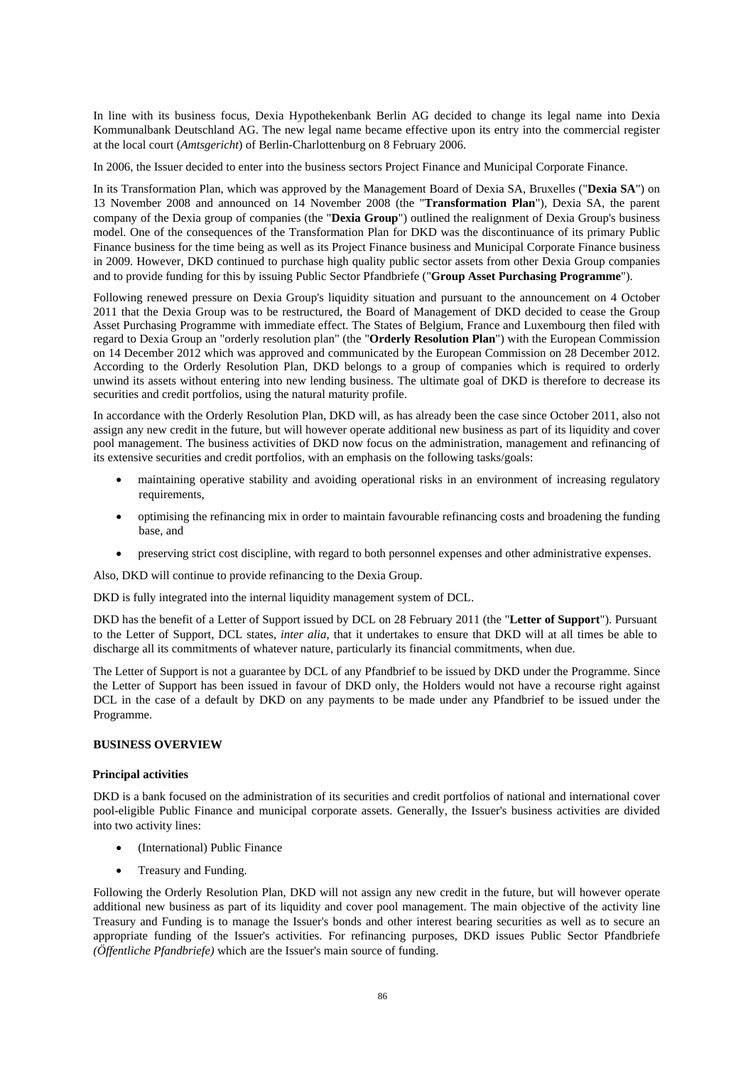In line with its business focus, Dexia Hypothekenbank Berlin AG decided to change its legal name into Dexia Kommunalbank Deutschland AG. The new legal name became effective upon its entry into the commercial register at the local court (*Amtsgericht*) of Berlin-Charlottenburg on 8 February 2006.

In 2006, the Issuer decided to enter into the business sectors Project Finance and Municipal Corporate Finance.

In its Transformation Plan, which was approved by the Management Board of Dexia SA, Bruxelles ("**Dexia SA**") on 13 November 2008 and announced on 14 November 2008 (the "**Transformation Plan**"), Dexia SA, the parent company of the Dexia group of companies (the "**Dexia Group**") outlined the realignment of Dexia Group's business model. One of the consequences of the Transformation Plan for DKD was the discontinuance of its primary Public Finance business for the time being as well as its Project Finance business and Municipal Corporate Finance business in 2009. However, DKD continued to purchase high quality public sector assets from other Dexia Group companies and to provide funding for this by issuing Public Sector Pfandbriefe ("**Group Asset Purchasing Programme**").

Following renewed pressure on Dexia Group's liquidity situation and pursuant to the announcement on 4 October 2011 that the Dexia Group was to be restructured, the Board of Management of DKD decided to cease the Group Asset Purchasing Programme with immediate effect. The States of Belgium, France and Luxembourg then filed with regard to Dexia Group an "orderly resolution plan" (the "**Orderly Resolution Plan**") with the European Commission on 14 December 2012 which was approved and communicated by the European Commission on 28 December 2012. According to the Orderly Resolution Plan, DKD belongs to a group of companies which is required to orderly unwind its assets without entering into new lending business. The ultimate goal of DKD is therefore to decrease its securities and credit portfolios, using the natural maturity profile.

In accordance with the Orderly Resolution Plan, DKD will, as has already been the case since October 2011, also not assign any new credit in the future, but will however operate additional new business as part of its liquidity and cover pool management. The business activities of DKD now focus on the administration, management and refinancing of its extensive securities and credit portfolios, with an emphasis on the following tasks/goals:

- maintaining operative stability and avoiding operational risks in an environment of increasing regulatory requirements.
- optimising the refinancing mix in order to maintain favourable refinancing costs and broadening the funding base, and
- preserving strict cost discipline, with regard to both personnel expenses and other administrative expenses.

Also, DKD will continue to provide refinancing to the Dexia Group.

DKD is fully integrated into the internal liquidity management system of DCL.

DKD has the benefit of a Letter of Support issued by DCL on 28 February 2011 (the "**Letter of Support**"). Pursuant to the Letter of Support, DCL states, *inter alia*, that it undertakes to ensure that DKD will at all times be able to discharge all its commitments of whatever nature, particularly its financial commitments, when due.

The Letter of Support is not a guarantee by DCL of any Pfandbrief to be issued by DKD under the Programme. Since the Letter of Support has been issued in favour of DKD only, the Holders would not have a recourse right against DCL in the case of a default by DKD on any payments to be made under any Pfandbrief to be issued under the Programme.

# **BUSINESS OVERVIEW**

#### **Principal activities**

DKD is a bank focused on the administration of its securities and credit portfolios of national and international cover pool-eligible Public Finance and municipal corporate assets. Generally, the Issuer's business activities are divided into two activity lines:

- (International) Public Finance
- Treasury and Funding.

Following the Orderly Resolution Plan, DKD will not assign any new credit in the future, but will however operate additional new business as part of its liquidity and cover pool management. The main objective of the activity line Treasury and Funding is to manage the Issuer's bonds and other interest bearing securities as well as to secure an appropriate funding of the Issuer's activities. For refinancing purposes, DKD issues Public Sector Pfandbriefe *(Öffentliche Pfandbriefe)* which are the Issuer's main source of funding.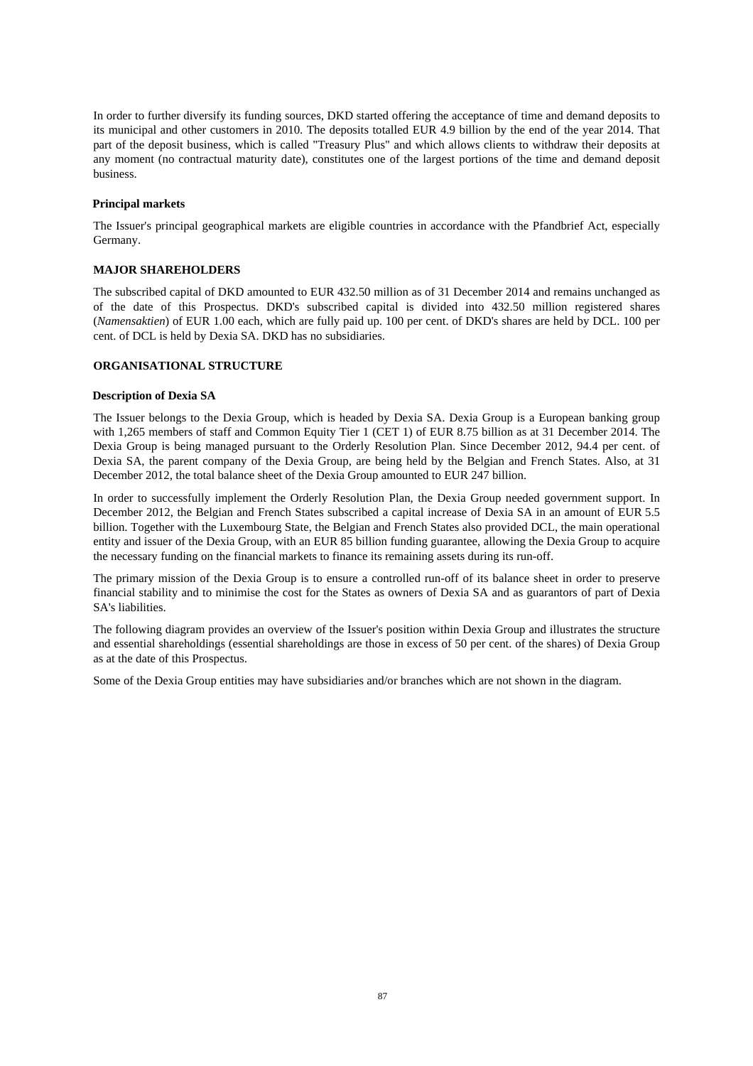In order to further diversify its funding sources, DKD started offering the acceptance of time and demand deposits to its municipal and other customers in 2010. The deposits totalled EUR 4.9 billion by the end of the year 2014. That part of the deposit business, which is called "Treasury Plus" and which allows clients to withdraw their deposits at any moment (no contractual maturity date), constitutes one of the largest portions of the time and demand deposit business.

### **Principal markets**

The Issuer's principal geographical markets are eligible countries in accordance with the Pfandbrief Act, especially Germany.

# **MAJOR SHAREHOLDERS**

The subscribed capital of DKD amounted to EUR 432.50 million as of 31 December 2014 and remains unchanged as of the date of this Prospectus. DKD's subscribed capital is divided into 432.50 million registered shares (*Namensaktien*) of EUR 1.00 each, which are fully paid up. 100 per cent. of DKD's shares are held by DCL. 100 per cent. of DCL is held by Dexia SA. DKD has no subsidiaries.

## **ORGANISATIONAL STRUCTURE**

### **Description of Dexia SA**

The Issuer belongs to the Dexia Group, which is headed by Dexia SA. Dexia Group is a European banking group with 1,265 members of staff and Common Equity Tier 1 (CET 1) of EUR 8.75 billion as at 31 December 2014. The Dexia Group is being managed pursuant to the Orderly Resolution Plan. Since December 2012, 94.4 per cent. of Dexia SA, the parent company of the Dexia Group, are being held by the Belgian and French States. Also, at 31 December 2012, the total balance sheet of the Dexia Group amounted to EUR 247 billion.

In order to successfully implement the Orderly Resolution Plan, the Dexia Group needed government support. In December 2012, the Belgian and French States subscribed a capital increase of Dexia SA in an amount of EUR 5.5 billion. Together with the Luxembourg State, the Belgian and French States also provided DCL, the main operational entity and issuer of the Dexia Group, with an EUR 85 billion funding guarantee, allowing the Dexia Group to acquire the necessary funding on the financial markets to finance its remaining assets during its run-off.

The primary mission of the Dexia Group is to ensure a controlled run-off of its balance sheet in order to preserve financial stability and to minimise the cost for the States as owners of Dexia SA and as guarantors of part of Dexia SA's liabilities.

The following diagram provides an overview of the Issuer's position within Dexia Group and illustrates the structure and essential shareholdings (essential shareholdings are those in excess of 50 per cent. of the shares) of Dexia Group as at the date of this Prospectus.

Some of the Dexia Group entities may have subsidiaries and/or branches which are not shown in the diagram.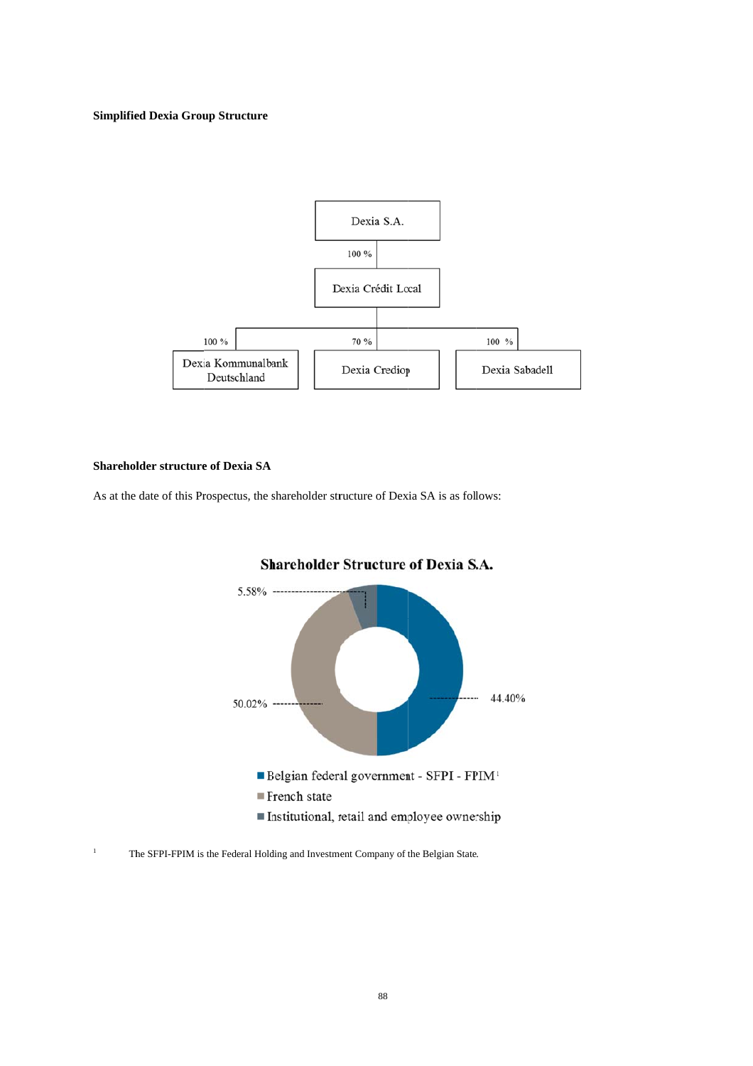### **Simplified Dexia Group Structure**



#### **Shareholder structure of Dexia SA**

As at the date of this Prospectus, the shareholder structure of Dexia SA is as follows:



# **Shareholder Structure of Dexia S.A.**

<sup>1</sup> The SFPI-FPIM is the Federal Holding and Investment Company of the Belgian State.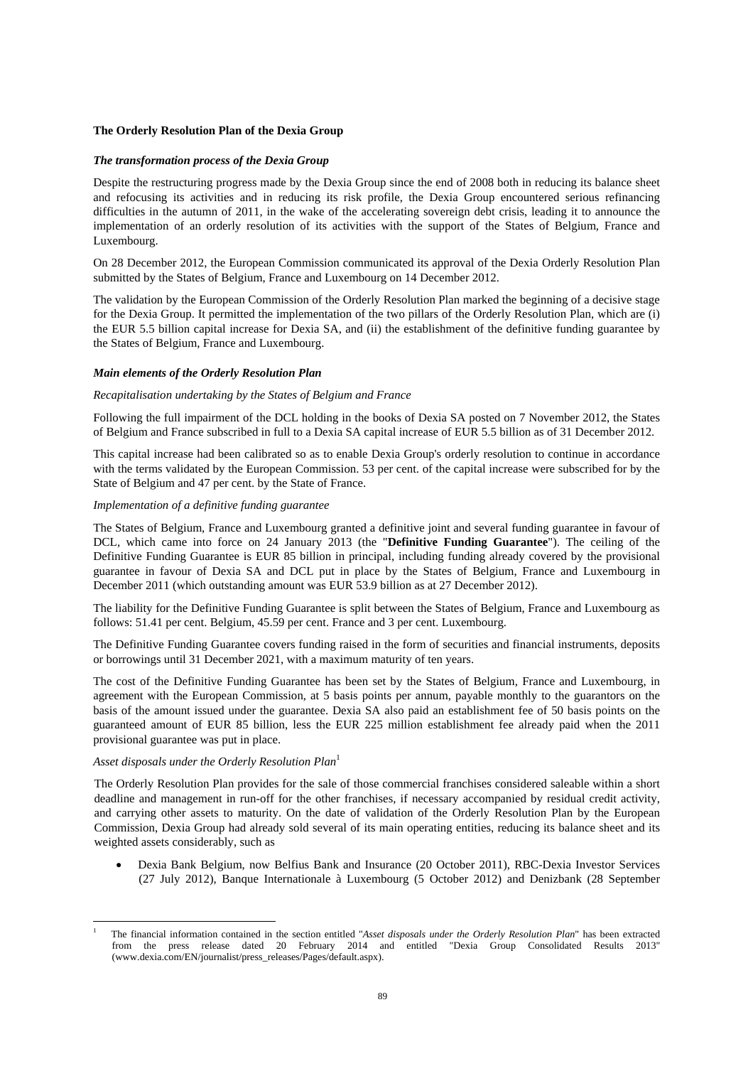### **The Orderly Resolution Plan of the Dexia Group**

### *The transformation process of the Dexia Group*

Despite the restructuring progress made by the Dexia Group since the end of 2008 both in reducing its balance sheet and refocusing its activities and in reducing its risk profile, the Dexia Group encountered serious refinancing difficulties in the autumn of 2011, in the wake of the accelerating sovereign debt crisis, leading it to announce the implementation of an orderly resolution of its activities with the support of the States of Belgium, France and Luxembourg.

On 28 December 2012, the European Commission communicated its approval of the Dexia Orderly Resolution Plan submitted by the States of Belgium, France and Luxembourg on 14 December 2012.

The validation by the European Commission of the Orderly Resolution Plan marked the beginning of a decisive stage for the Dexia Group. It permitted the implementation of the two pillars of the Orderly Resolution Plan, which are (i) the EUR 5.5 billion capital increase for Dexia SA, and (ii) the establishment of the definitive funding guarantee by the States of Belgium, France and Luxembourg.

### *Main elements of the Orderly Resolution Plan*

### *Recapitalisation undertaking by the States of Belgium and France*

Following the full impairment of the DCL holding in the books of Dexia SA posted on 7 November 2012, the States of Belgium and France subscribed in full to a Dexia SA capital increase of EUR 5.5 billion as of 31 December 2012.

This capital increase had been calibrated so as to enable Dexia Group's orderly resolution to continue in accordance with the terms validated by the European Commission. 53 per cent. of the capital increase were subscribed for by the State of Belgium and 47 per cent. by the State of France.

## *Implementation of a definitive funding guarantee*

The States of Belgium, France and Luxembourg granted a definitive joint and several funding guarantee in favour of DCL, which came into force on 24 January 2013 (the "**Definitive Funding Guarantee**"). The ceiling of the Definitive Funding Guarantee is EUR 85 billion in principal, including funding already covered by the provisional guarantee in favour of Dexia SA and DCL put in place by the States of Belgium, France and Luxembourg in December 2011 (which outstanding amount was EUR 53.9 billion as at 27 December 2012).

The liability for the Definitive Funding Guarantee is split between the States of Belgium, France and Luxembourg as follows: 51.41 per cent. Belgium, 45.59 per cent. France and 3 per cent. Luxembourg.

The Definitive Funding Guarantee covers funding raised in the form of securities and financial instruments, deposits or borrowings until 31 December 2021, with a maximum maturity of ten years.

The cost of the Definitive Funding Guarantee has been set by the States of Belgium, France and Luxembourg, in agreement with the European Commission, at 5 basis points per annum, payable monthly to the guarantors on the basis of the amount issued under the guarantee. Dexia SA also paid an establishment fee of 50 basis points on the guaranteed amount of EUR 85 billion, less the EUR 225 million establishment fee already paid when the 2011 provisional guarantee was put in place.

# *Asset disposals under the Orderly Resolution Plan*<sup>1</sup>

The Orderly Resolution Plan provides for the sale of those commercial franchises considered saleable within a short deadline and management in run-off for the other franchises, if necessary accompanied by residual credit activity, and carrying other assets to maturity. On the date of validation of the Orderly Resolution Plan by the European Commission, Dexia Group had already sold several of its main operating entities, reducing its balance sheet and its weighted assets considerably, such as

 Dexia Bank Belgium, now Belfius Bank and Insurance (20 October 2011), RBC-Dexia Investor Services (27 July 2012), Banque Internationale à Luxembourg (5 October 2012) and Denizbank (28 September

 $\overline{a}$ 1 The financial information contained in the section entitled "*Asset disposals under the Orderly Resolution Plan*" has been extracted from the press release dated 20 February 2014 and entitled "Dexia Group Consolidated Results 2013" (www.dexia.com/EN/journalist/press\_releases/Pages/default.aspx).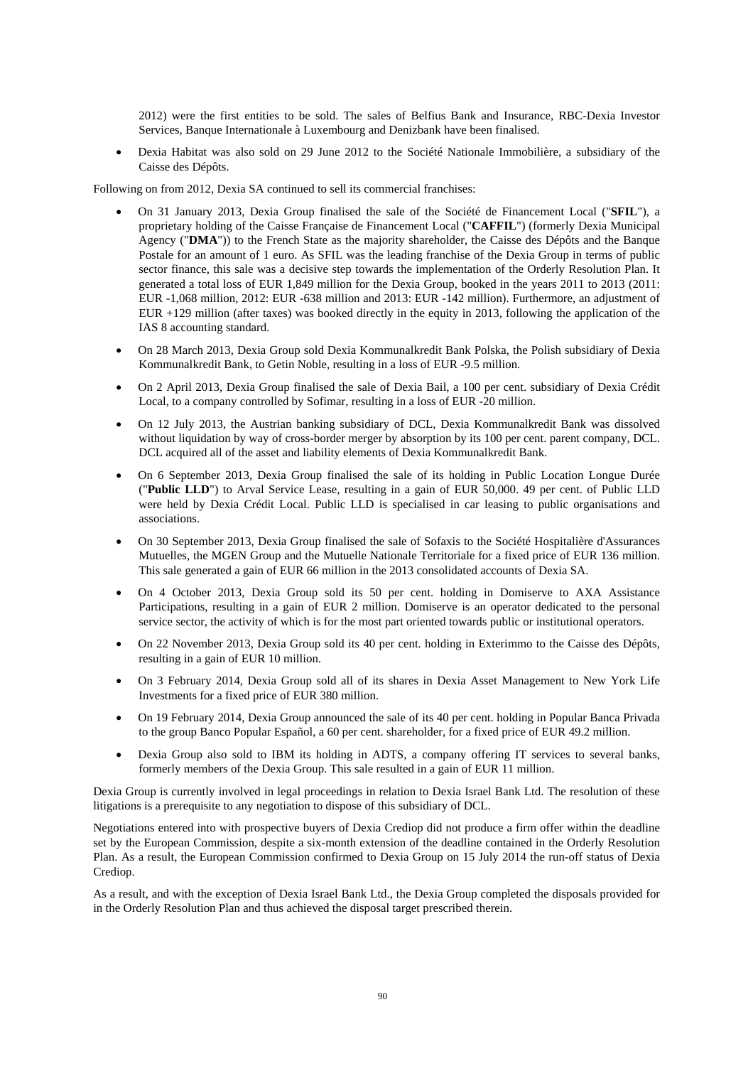2012) were the first entities to be sold. The sales of Belfius Bank and Insurance, RBC-Dexia Investor Services, Banque Internationale à Luxembourg and Denizbank have been finalised.

 Dexia Habitat was also sold on 29 June 2012 to the Société Nationale Immobilière, a subsidiary of the Caisse des Dépôts.

Following on from 2012, Dexia SA continued to sell its commercial franchises:

- On 31 January 2013, Dexia Group finalised the sale of the Société de Financement Local ("**SFIL**"), a proprietary holding of the Caisse Française de Financement Local ("**CAFFIL**") (formerly Dexia Municipal Agency ("**DMA**")) to the French State as the majority shareholder, the Caisse des Dépôts and the Banque Postale for an amount of 1 euro. As SFIL was the leading franchise of the Dexia Group in terms of public sector finance, this sale was a decisive step towards the implementation of the Orderly Resolution Plan. It generated a total loss of EUR 1,849 million for the Dexia Group, booked in the years 2011 to 2013 (2011: EUR -1,068 million, 2012: EUR -638 million and 2013: EUR -142 million). Furthermore, an adjustment of EUR +129 million (after taxes) was booked directly in the equity in 2013, following the application of the IAS 8 accounting standard.
- On 28 March 2013, Dexia Group sold Dexia Kommunalkredit Bank Polska, the Polish subsidiary of Dexia Kommunalkredit Bank, to Getin Noble, resulting in a loss of EUR -9.5 million.
- On 2 April 2013, Dexia Group finalised the sale of Dexia Bail, a 100 per cent. subsidiary of Dexia Crédit Local, to a company controlled by Sofimar, resulting in a loss of EUR -20 million.
- On 12 July 2013, the Austrian banking subsidiary of DCL, Dexia Kommunalkredit Bank was dissolved without liquidation by way of cross-border merger by absorption by its 100 per cent. parent company, DCL. DCL acquired all of the asset and liability elements of Dexia Kommunalkredit Bank.
- On 6 September 2013, Dexia Group finalised the sale of its holding in Public Location Longue Durée ("**Public LLD**") to Arval Service Lease, resulting in a gain of EUR 50,000. 49 per cent. of Public LLD were held by Dexia Crédit Local. Public LLD is specialised in car leasing to public organisations and associations.
- On 30 September 2013, Dexia Group finalised the sale of Sofaxis to the Société Hospitalière d'Assurances Mutuelles, the MGEN Group and the Mutuelle Nationale Territoriale for a fixed price of EUR 136 million. This sale generated a gain of EUR 66 million in the 2013 consolidated accounts of Dexia SA.
- On 4 October 2013, Dexia Group sold its 50 per cent. holding in Domiserve to AXA Assistance Participations, resulting in a gain of EUR 2 million. Domiserve is an operator dedicated to the personal service sector, the activity of which is for the most part oriented towards public or institutional operators.
- On 22 November 2013, Dexia Group sold its 40 per cent. holding in Exterimmo to the Caisse des Dépôts, resulting in a gain of EUR 10 million.
- On 3 February 2014, Dexia Group sold all of its shares in Dexia Asset Management to New York Life Investments for a fixed price of EUR 380 million.
- On 19 February 2014, Dexia Group announced the sale of its 40 per cent. holding in Popular Banca Privada to the group Banco Popular Español, a 60 per cent. shareholder, for a fixed price of EUR 49.2 million.
- Dexia Group also sold to IBM its holding in ADTS, a company offering IT services to several banks, formerly members of the Dexia Group. This sale resulted in a gain of EUR 11 million.

Dexia Group is currently involved in legal proceedings in relation to Dexia Israel Bank Ltd. The resolution of these litigations is a prerequisite to any negotiation to dispose of this subsidiary of DCL.

Negotiations entered into with prospective buyers of Dexia Crediop did not produce a firm offer within the deadline set by the European Commission, despite a six-month extension of the deadline contained in the Orderly Resolution Plan. As a result, the European Commission confirmed to Dexia Group on 15 July 2014 the run-off status of Dexia Crediop.

As a result, and with the exception of Dexia Israel Bank Ltd., the Dexia Group completed the disposals provided for in the Orderly Resolution Plan and thus achieved the disposal target prescribed therein.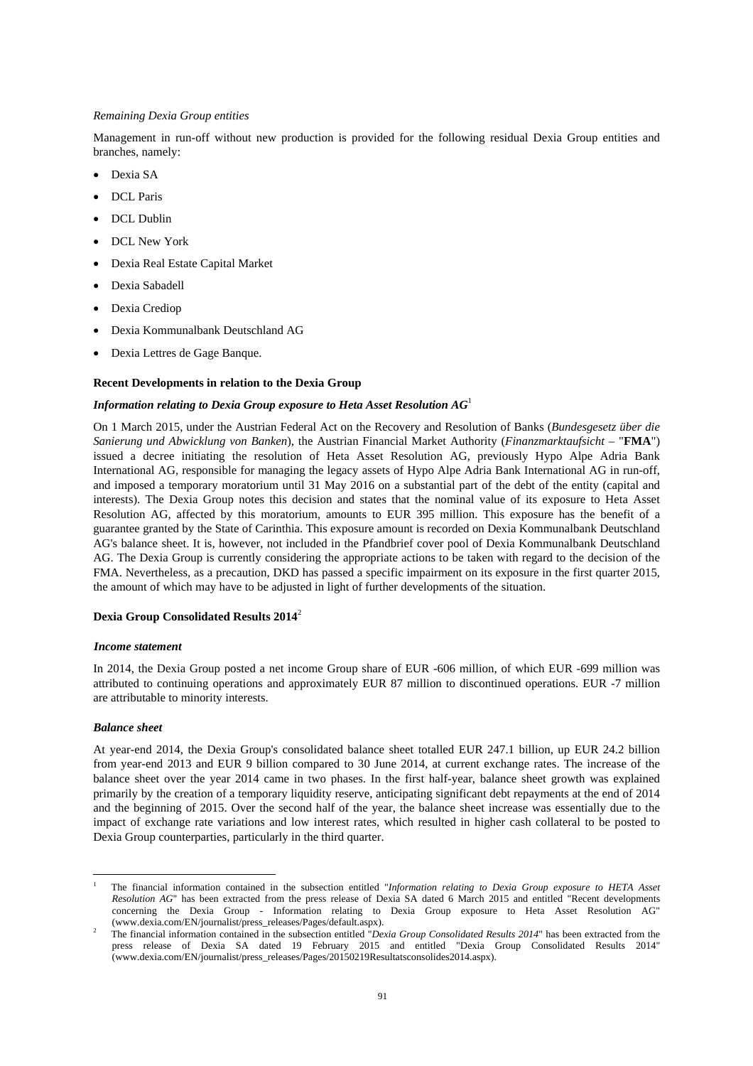### *Remaining Dexia Group entities*

Management in run-off without new production is provided for the following residual Dexia Group entities and branches, namely:

- Dexia SA
- DCL Paris
- DCL Dublin
- DCL New York
- Dexia Real Estate Capital Market
- Dexia Sabadell
- Dexia Crediop
- Dexia Kommunalbank Deutschland AG
- Dexia Lettres de Gage Banque.

### **Recent Developments in relation to the Dexia Group**

### *Information relating to Dexia Group exposure to Heta Asset Resolution AG*<sup>1</sup>

On 1 March 2015, under the Austrian Federal Act on the Recovery and Resolution of Banks (*Bundesgesetz über die Sanierung und Abwicklung von Banken*), the Austrian Financial Market Authority (*Finanzmarktaufsicht* – "**FMA**") issued a decree initiating the resolution of Heta Asset Resolution AG, previously Hypo Alpe Adria Bank International AG, responsible for managing the legacy assets of Hypo Alpe Adria Bank International AG in run-off, and imposed a temporary moratorium until 31 May 2016 on a substantial part of the debt of the entity (capital and interests). The Dexia Group notes this decision and states that the nominal value of its exposure to Heta Asset Resolution AG, affected by this moratorium, amounts to EUR 395 million. This exposure has the benefit of a guarantee granted by the State of Carinthia. This exposure amount is recorded on Dexia Kommunalbank Deutschland AG's balance sheet. It is, however, not included in the Pfandbrief cover pool of Dexia Kommunalbank Deutschland AG. The Dexia Group is currently considering the appropriate actions to be taken with regard to the decision of the FMA. Nevertheless, as a precaution, DKD has passed a specific impairment on its exposure in the first quarter 2015, the amount of which may have to be adjusted in light of further developments of the situation.

### **Dexia Group Consolidated Results 2014**<sup>2</sup>

### *Income statement*

In 2014, the Dexia Group posted a net income Group share of EUR -606 million, of which EUR -699 million was attributed to continuing operations and approximately EUR 87 million to discontinued operations. EUR -7 million are attributable to minority interests.

#### *Balance sheet*

 $\overline{a}$ 

At year-end 2014, the Dexia Group's consolidated balance sheet totalled EUR 247.1 billion, up EUR 24.2 billion from year-end 2013 and EUR 9 billion compared to 30 June 2014, at current exchange rates. The increase of the balance sheet over the year 2014 came in two phases. In the first half-year, balance sheet growth was explained primarily by the creation of a temporary liquidity reserve, anticipating significant debt repayments at the end of 2014 and the beginning of 2015. Over the second half of the year, the balance sheet increase was essentially due to the impact of exchange rate variations and low interest rates, which resulted in higher cash collateral to be posted to Dexia Group counterparties, particularly in the third quarter.

<sup>1</sup> The financial information contained in the subsection entitled "*Information relating to Dexia Group exposure to HETA Asset Resolution AG*" has been extracted from the press release of Dexia SA dated 6 March 2015 and entitled "Recent developments concerning the Dexia Group - Information relating to Dexia Group exposure to Heta Asset Resolution AG" (www.dexia.com/EN/journalist/press\_releases/Pages/default.aspx).

<sup>2</sup> The financial information contained in the subsection entitled "*Dexia Group Consolidated Results 2014*" has been extracted from the press release of Dexia SA dated 19 February 2015 and entitled "Dexia Group Consolidated Results 2014" (www.dexia.com/EN/journalist/press\_releases/Pages/20150219Resultatsconsolides2014.aspx).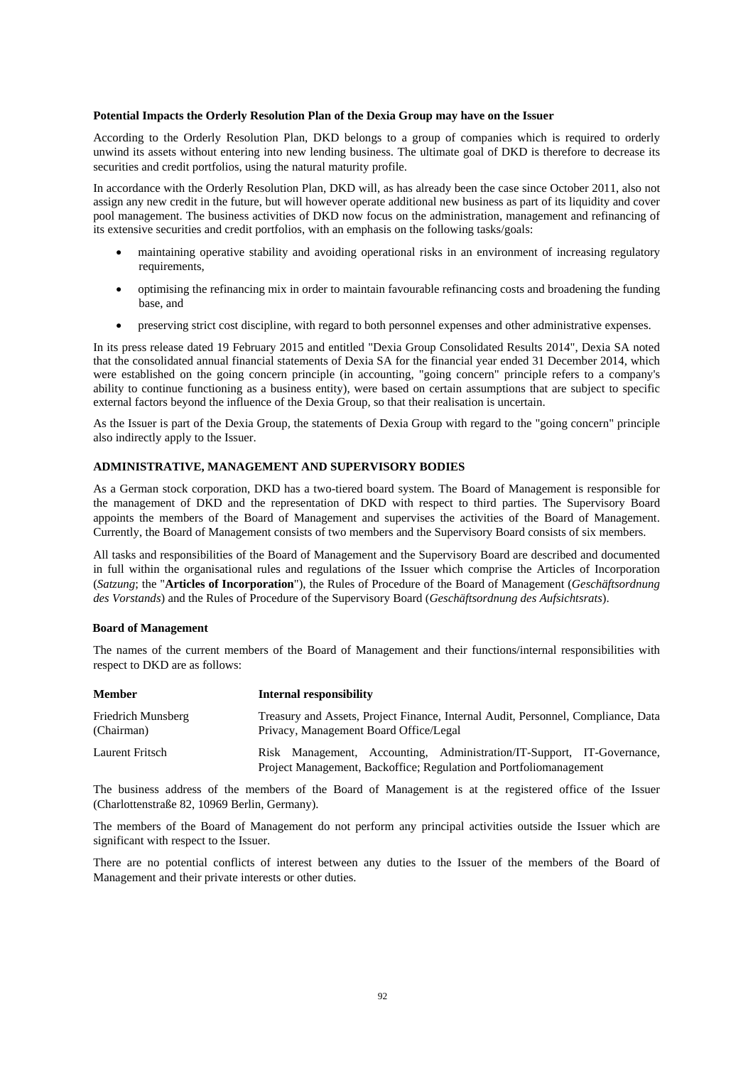### **Potential Impacts the Orderly Resolution Plan of the Dexia Group may have on the Issuer**

According to the Orderly Resolution Plan, DKD belongs to a group of companies which is required to orderly unwind its assets without entering into new lending business. The ultimate goal of DKD is therefore to decrease its securities and credit portfolios, using the natural maturity profile.

In accordance with the Orderly Resolution Plan, DKD will, as has already been the case since October 2011, also not assign any new credit in the future, but will however operate additional new business as part of its liquidity and cover pool management. The business activities of DKD now focus on the administration, management and refinancing of its extensive securities and credit portfolios, with an emphasis on the following tasks/goals:

- maintaining operative stability and avoiding operational risks in an environment of increasing regulatory requirements,
- optimising the refinancing mix in order to maintain favourable refinancing costs and broadening the funding base, and
- preserving strict cost discipline, with regard to both personnel expenses and other administrative expenses.

In its press release dated 19 February 2015 and entitled "Dexia Group Consolidated Results 2014", Dexia SA noted that the consolidated annual financial statements of Dexia SA for the financial year ended 31 December 2014, which were established on the going concern principle (in accounting, "going concern" principle refers to a company's ability to continue functioning as a business entity), were based on certain assumptions that are subject to specific external factors beyond the influence of the Dexia Group, so that their realisation is uncertain.

As the Issuer is part of the Dexia Group, the statements of Dexia Group with regard to the "going concern" principle also indirectly apply to the Issuer.

### **ADMINISTRATIVE, MANAGEMENT AND SUPERVISORY BODIES**

As a German stock corporation, DKD has a two-tiered board system. The Board of Management is responsible for the management of DKD and the representation of DKD with respect to third parties. The Supervisory Board appoints the members of the Board of Management and supervises the activities of the Board of Management. Currently, the Board of Management consists of two members and the Supervisory Board consists of six members.

All tasks and responsibilities of the Board of Management and the Supervisory Board are described and documented in full within the organisational rules and regulations of the Issuer which comprise the Articles of Incorporation (*Satzung*; the "**Articles of Incorporation**"), the Rules of Procedure of the Board of Management (*Geschäftsordnung des Vorstands*) and the Rules of Procedure of the Supervisory Board (*Geschäftsordnung des Aufsichtsrats*).

#### **Board of Management**

The names of the current members of the Board of Management and their functions/internal responsibilities with respect to DKD are as follows:

| <b>Member</b>                    | Internal responsibility                                                                                                                      |
|----------------------------------|----------------------------------------------------------------------------------------------------------------------------------------------|
| Friedrich Munsberg<br>(Chairman) | Treasury and Assets, Project Finance, Internal Audit, Personnel, Compliance, Data<br>Privacy, Management Board Office/Legal                  |
| Laurent Fritsch                  | Risk Management, Accounting, Administration/IT-Support, IT-Governance,<br>Project Management, Backoffice; Regulation and Portfoliomanagement |

The business address of the members of the Board of Management is at the registered office of the Issuer (Charlottenstraße 82, 10969 Berlin, Germany).

The members of the Board of Management do not perform any principal activities outside the Issuer which are significant with respect to the Issuer.

There are no potential conflicts of interest between any duties to the Issuer of the members of the Board of Management and their private interests or other duties.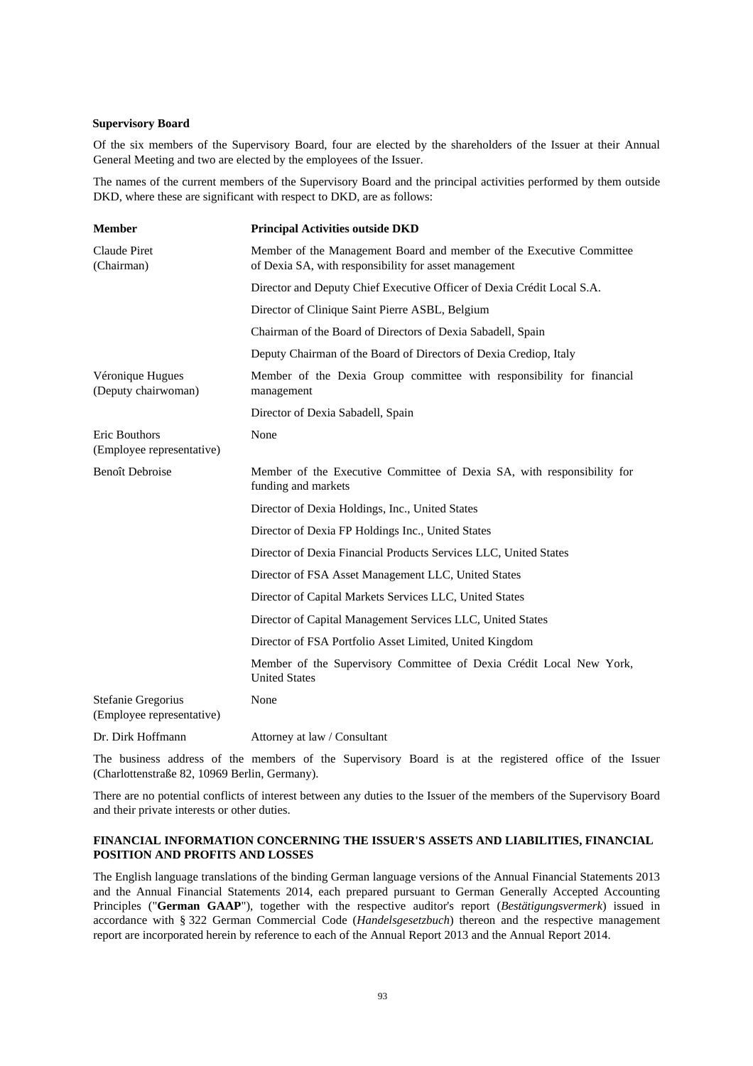### **Supervisory Board**

Of the six members of the Supervisory Board, four are elected by the shareholders of the Issuer at their Annual General Meeting and two are elected by the employees of the Issuer.

The names of the current members of the Supervisory Board and the principal activities performed by them outside DKD, where these are significant with respect to DKD, are as follows:

| <b>Member</b>                                   | <b>Principal Activities outside DKD</b>                                                                                       |
|-------------------------------------------------|-------------------------------------------------------------------------------------------------------------------------------|
| Claude Piret<br>(Chairman)                      | Member of the Management Board and member of the Executive Committee<br>of Dexia SA, with responsibility for asset management |
|                                                 | Director and Deputy Chief Executive Officer of Dexia Crédit Local S.A.                                                        |
|                                                 | Director of Clinique Saint Pierre ASBL, Belgium                                                                               |
|                                                 | Chairman of the Board of Directors of Dexia Sabadell, Spain                                                                   |
|                                                 | Deputy Chairman of the Board of Directors of Dexia Crediop, Italy                                                             |
| Véronique Hugues<br>(Deputy chairwoman)         | Member of the Dexia Group committee with responsibility for financial<br>management                                           |
|                                                 | Director of Dexia Sabadell, Spain                                                                                             |
| Eric Bouthors<br>(Employee representative)      | None                                                                                                                          |
| <b>Benoît Debroise</b>                          | Member of the Executive Committee of Dexia SA, with responsibility for<br>funding and markets                                 |
|                                                 | Director of Dexia Holdings, Inc., United States                                                                               |
|                                                 | Director of Dexia FP Holdings Inc., United States                                                                             |
|                                                 | Director of Dexia Financial Products Services LLC, United States                                                              |
|                                                 | Director of FSA Asset Management LLC, United States                                                                           |
|                                                 | Director of Capital Markets Services LLC, United States                                                                       |
|                                                 | Director of Capital Management Services LLC, United States                                                                    |
|                                                 | Director of FSA Portfolio Asset Limited, United Kingdom                                                                       |
|                                                 | Member of the Supervisory Committee of Dexia Crédit Local New York,<br><b>United States</b>                                   |
| Stefanie Gregorius<br>(Employee representative) | None                                                                                                                          |
| Dr. Dirk Hoffmann                               | Attorney at law / Consultant                                                                                                  |

The business address of the members of the Supervisory Board is at the registered office of the Issuer (Charlottenstraße 82, 10969 Berlin, Germany).

There are no potential conflicts of interest between any duties to the Issuer of the members of the Supervisory Board and their private interests or other duties.

# **FINANCIAL INFORMATION CONCERNING THE ISSUER'S ASSETS AND LIABILITIES, FINANCIAL POSITION AND PROFITS AND LOSSES**

The English language translations of the binding German language versions of the Annual Financial Statements 2013 and the Annual Financial Statements 2014, each prepared pursuant to German Generally Accepted Accounting Principles ("**German GAAP**"), together with the respective auditor's report (*Bestätigungsvermerk*) issued in accordance with § 322 German Commercial Code (*Handelsgesetzbuch*) thereon and the respective management report are incorporated herein by reference to each of the Annual Report 2013 and the Annual Report 2014.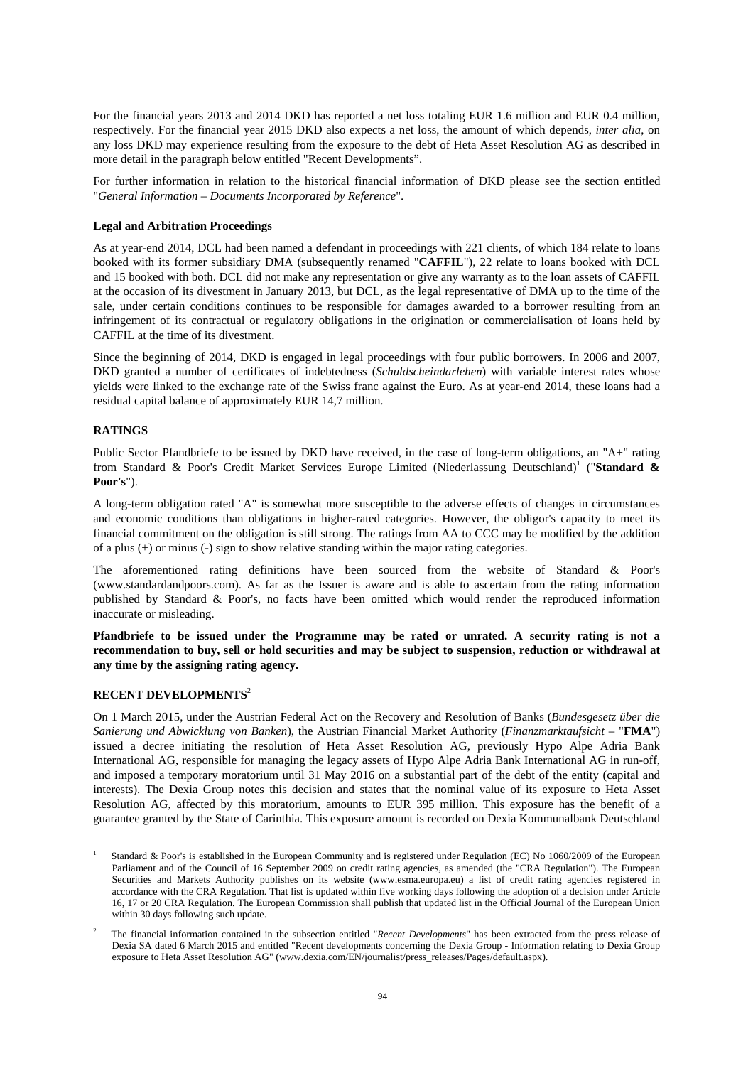For the financial years 2013 and 2014 DKD has reported a net loss totaling EUR 1.6 million and EUR 0.4 million, respectively. For the financial year 2015 DKD also expects a net loss, the amount of which depends, *inter alia*, on any loss DKD may experience resulting from the exposure to the debt of Heta Asset Resolution AG as described in more detail in the paragraph below entitled "Recent Developments".

For further information in relation to the historical financial information of DKD please see the section entitled "*General Information – Documents Incorporated by Reference*".

### **Legal and Arbitration Proceedings**

As at year-end 2014, DCL had been named a defendant in proceedings with 221 clients, of which 184 relate to loans booked with its former subsidiary DMA (subsequently renamed "**CAFFIL**"), 22 relate to loans booked with DCL and 15 booked with both. DCL did not make any representation or give any warranty as to the loan assets of CAFFIL at the occasion of its divestment in January 2013, but DCL, as the legal representative of DMA up to the time of the sale, under certain conditions continues to be responsible for damages awarded to a borrower resulting from an infringement of its contractual or regulatory obligations in the origination or commercialisation of loans held by CAFFIL at the time of its divestment.

Since the beginning of 2014, DKD is engaged in legal proceedings with four public borrowers. In 2006 and 2007, DKD granted a number of certificates of indebtedness (*Schuldscheindarlehen*) with variable interest rates whose yields were linked to the exchange rate of the Swiss franc against the Euro. As at year-end 2014, these loans had a residual capital balance of approximately EUR 14,7 million.

### **RATINGS**

Public Sector Pfandbriefe to be issued by DKD have received, in the case of long-term obligations, an "A+" rating from Standard & Poor's Credit Market Services Europe Limited (Niederlassung Deutschland)<sup>1</sup> ("Standard & **Poor's**").

A long-term obligation rated "A" is somewhat more susceptible to the adverse effects of changes in circumstances and economic conditions than obligations in higher-rated categories. However, the obligor's capacity to meet its financial commitment on the obligation is still strong. The ratings from AA to CCC may be modified by the addition of a plus (+) or minus (-) sign to show relative standing within the major rating categories.

The aforementioned rating definitions have been sourced from the website of Standard & Poor's (www.standardandpoors.com). As far as the Issuer is aware and is able to ascertain from the rating information published by Standard & Poor's, no facts have been omitted which would render the reproduced information inaccurate or misleading.

**Pfandbriefe to be issued under the Programme may be rated or unrated. A security rating is not a recommendation to buy, sell or hold securities and may be subject to suspension, reduction or withdrawal at any time by the assigning rating agency.**

# **RECENT DEVELOPMENTS**<sup>2</sup>

 $\overline{a}$ 

On 1 March 2015, under the Austrian Federal Act on the Recovery and Resolution of Banks (*Bundesgesetz über die Sanierung und Abwicklung von Banken*), the Austrian Financial Market Authority (*Finanzmarktaufsicht* – "**FMA**") issued a decree initiating the resolution of Heta Asset Resolution AG, previously Hypo Alpe Adria Bank International AG, responsible for managing the legacy assets of Hypo Alpe Adria Bank International AG in run-off, and imposed a temporary moratorium until 31 May 2016 on a substantial part of the debt of the entity (capital and interests). The Dexia Group notes this decision and states that the nominal value of its exposure to Heta Asset Resolution AG, affected by this moratorium, amounts to EUR 395 million. This exposure has the benefit of a guarantee granted by the State of Carinthia. This exposure amount is recorded on Dexia Kommunalbank Deutschland

<sup>1</sup> Standard & Poor's is established in the European Community and is registered under Regulation (EC) No 1060/2009 of the European Parliament and of the Council of 16 September 2009 on credit rating agencies, as amended (the "CRA Regulation"). The European Securities and Markets Authority publishes on its website (www.esma.europa.eu) a list of credit rating agencies registered in accordance with the CRA Regulation. That list is updated within five working days following the adoption of a decision under Article 16, 17 or 20 CRA Regulation. The European Commission shall publish that updated list in the Official Journal of the European Union within 30 days following such update.

<sup>2</sup> The financial information contained in the subsection entitled "*Recent Developments*" has been extracted from the press release of Dexia SA dated 6 March 2015 and entitled "Recent developments concerning the Dexia Group - Information relating to Dexia Group exposure to Heta Asset Resolution AG" (www.dexia.com/EN/journalist/press\_releases/Pages/default.aspx).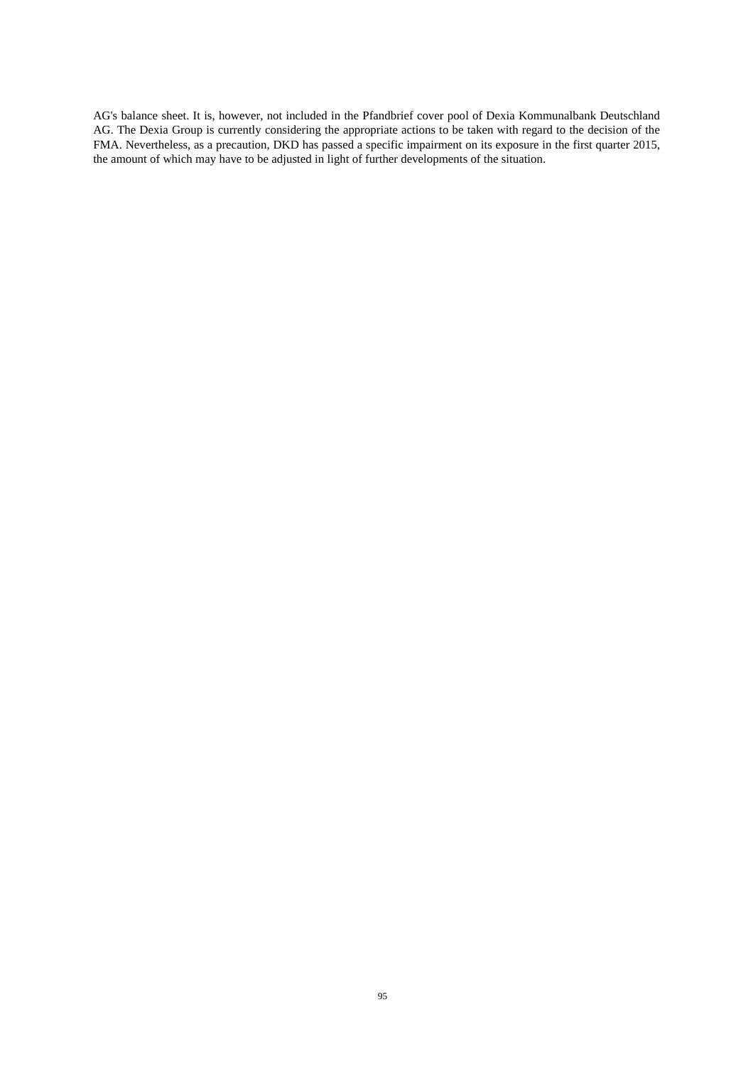AG's balance sheet. It is, however, not included in the Pfandbrief cover pool of Dexia Kommunalbank Deutschland AG. The Dexia Group is currently considering the appropriate actions to be taken with regard to the decision of the FMA. Nevertheless, as a precaution, DKD has passed a specific impairment on its exposure in the first quarter 2015, the amount of which may have to be adjusted in light of further developments of the situation.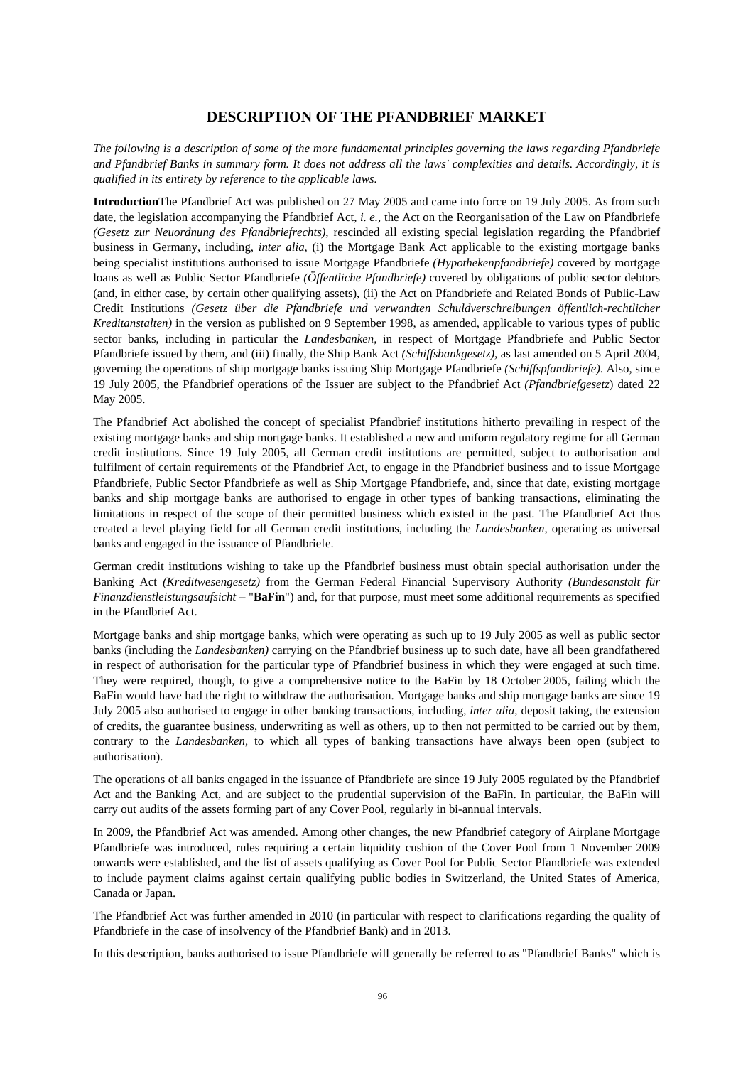# **DESCRIPTION OF THE PFANDBRIEF MARKET**

*The following is a description of some of the more fundamental principles governing the laws regarding Pfandbriefe and Pfandbrief Banks in summary form. It does not address all the laws' complexities and details. Accordingly, it is qualified in its entirety by reference to the applicable laws.* 

**Introduction**The Pfandbrief Act was published on 27 May 2005 and came into force on 19 July 2005. As from such date, the legislation accompanying the Pfandbrief Act, *i. e.*, the Act on the Reorganisation of the Law on Pfandbriefe *(Gesetz zur Neuordnung des Pfandbriefrechts)*, rescinded all existing special legislation regarding the Pfandbrief business in Germany, including, *inter alia*, (i) the Mortgage Bank Act applicable to the existing mortgage banks being specialist institutions authorised to issue Mortgage Pfandbriefe *(Hypothekenpfandbriefe)* covered by mortgage loans as well as Public Sector Pfandbriefe *(Öffentliche Pfandbriefe)* covered by obligations of public sector debtors (and, in either case, by certain other qualifying assets), (ii) the Act on Pfandbriefe and Related Bonds of Public-Law Credit Institutions *(Gesetz über die Pfandbriefe und verwandten Schuldverschreibungen öffentlich-rechtlicher Kreditanstalten)* in the version as published on 9 September 1998, as amended, applicable to various types of public sector banks, including in particular the *Landesbanken,* in respect of Mortgage Pfandbriefe and Public Sector Pfandbriefe issued by them, and (iii) finally, the Ship Bank Act *(Schiffsbankgesetz)*, as last amended on 5 April 2004, governing the operations of ship mortgage banks issuing Ship Mortgage Pfandbriefe *(Schiffspfandbriefe)*. Also, since 19 July 2005, the Pfandbrief operations of the Issuer are subject to the Pfandbrief Act *(Pfandbriefgesetz*) dated 22 May 2005.

The Pfandbrief Act abolished the concept of specialist Pfandbrief institutions hitherto prevailing in respect of the existing mortgage banks and ship mortgage banks. It established a new and uniform regulatory regime for all German credit institutions. Since 19 July 2005, all German credit institutions are permitted, subject to authorisation and fulfilment of certain requirements of the Pfandbrief Act, to engage in the Pfandbrief business and to issue Mortgage Pfandbriefe, Public Sector Pfandbriefe as well as Ship Mortgage Pfandbriefe, and, since that date, existing mortgage banks and ship mortgage banks are authorised to engage in other types of banking transactions, eliminating the limitations in respect of the scope of their permitted business which existed in the past. The Pfandbrief Act thus created a level playing field for all German credit institutions, including the *Landesbanken,* operating as universal banks and engaged in the issuance of Pfandbriefe.

German credit institutions wishing to take up the Pfandbrief business must obtain special authorisation under the Banking Act *(Kreditwesengesetz)* from the German Federal Financial Supervisory Authority *(Bundesanstalt für Finanzdienstleistungsaufsicht* – "**BaFin**") and, for that purpose, must meet some additional requirements as specified in the Pfandbrief Act.

Mortgage banks and ship mortgage banks, which were operating as such up to 19 July 2005 as well as public sector banks (including the *Landesbanken)* carrying on the Pfandbrief business up to such date, have all been grandfathered in respect of authorisation for the particular type of Pfandbrief business in which they were engaged at such time. They were required, though, to give a comprehensive notice to the BaFin by 18 October 2005, failing which the BaFin would have had the right to withdraw the authorisation. Mortgage banks and ship mortgage banks are since 19 July 2005 also authorised to engage in other banking transactions, including, *inter alia,* deposit taking, the extension of credits, the guarantee business, underwriting as well as others, up to then not permitted to be carried out by them, contrary to the *Landesbanken,* to which all types of banking transactions have always been open (subject to authorisation).

The operations of all banks engaged in the issuance of Pfandbriefe are since 19 July 2005 regulated by the Pfandbrief Act and the Banking Act, and are subject to the prudential supervision of the BaFin. In particular, the BaFin will carry out audits of the assets forming part of any Cover Pool, regularly in bi-annual intervals.

In 2009, the Pfandbrief Act was amended. Among other changes, the new Pfandbrief category of Airplane Mortgage Pfandbriefe was introduced, rules requiring a certain liquidity cushion of the Cover Pool from 1 November 2009 onwards were established, and the list of assets qualifying as Cover Pool for Public Sector Pfandbriefe was extended to include payment claims against certain qualifying public bodies in Switzerland, the United States of America, Canada or Japan.

The Pfandbrief Act was further amended in 2010 (in particular with respect to clarifications regarding the quality of Pfandbriefe in the case of insolvency of the Pfandbrief Bank) and in 2013.

In this description, banks authorised to issue Pfandbriefe will generally be referred to as "Pfandbrief Banks" which is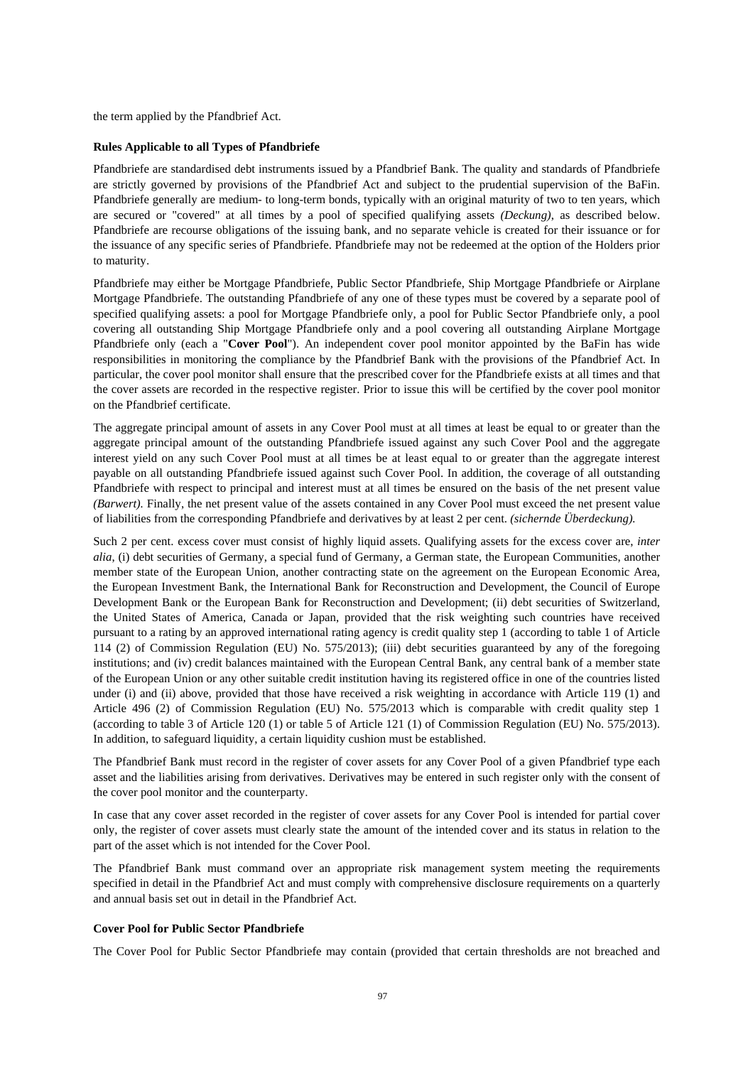the term applied by the Pfandbrief Act.

### **Rules Applicable to all Types of Pfandbriefe**

Pfandbriefe are standardised debt instruments issued by a Pfandbrief Bank. The quality and standards of Pfandbriefe are strictly governed by provisions of the Pfandbrief Act and subject to the prudential supervision of the BaFin. Pfandbriefe generally are medium- to long-term bonds, typically with an original maturity of two to ten years, which are secured or "covered" at all times by a pool of specified qualifying assets *(Deckung)*, as described below. Pfandbriefe are recourse obligations of the issuing bank, and no separate vehicle is created for their issuance or for the issuance of any specific series of Pfandbriefe. Pfandbriefe may not be redeemed at the option of the Holders prior to maturity.

Pfandbriefe may either be Mortgage Pfandbriefe, Public Sector Pfandbriefe, Ship Mortgage Pfandbriefe or Airplane Mortgage Pfandbriefe. The outstanding Pfandbriefe of any one of these types must be covered by a separate pool of specified qualifying assets: a pool for Mortgage Pfandbriefe only, a pool for Public Sector Pfandbriefe only, a pool covering all outstanding Ship Mortgage Pfandbriefe only and a pool covering all outstanding Airplane Mortgage Pfandbriefe only (each a "**Cover Pool**"). An independent cover pool monitor appointed by the BaFin has wide responsibilities in monitoring the compliance by the Pfandbrief Bank with the provisions of the Pfandbrief Act. In particular, the cover pool monitor shall ensure that the prescribed cover for the Pfandbriefe exists at all times and that the cover assets are recorded in the respective register. Prior to issue this will be certified by the cover pool monitor on the Pfandbrief certificate.

The aggregate principal amount of assets in any Cover Pool must at all times at least be equal to or greater than the aggregate principal amount of the outstanding Pfandbriefe issued against any such Cover Pool and the aggregate interest yield on any such Cover Pool must at all times be at least equal to or greater than the aggregate interest payable on all outstanding Pfandbriefe issued against such Cover Pool. In addition, the coverage of all outstanding Pfandbriefe with respect to principal and interest must at all times be ensured on the basis of the net present value *(Barwert).* Finally, the net present value of the assets contained in any Cover Pool must exceed the net present value of liabilities from the corresponding Pfandbriefe and derivatives by at least 2 per cent. *(sichernde Überdeckung).*

Such 2 per cent. excess cover must consist of highly liquid assets. Qualifying assets for the excess cover are, *inter alia*, (i) debt securities of Germany, a special fund of Germany, a German state, the European Communities, another member state of the European Union, another contracting state on the agreement on the European Economic Area, the European Investment Bank, the International Bank for Reconstruction and Development, the Council of Europe Development Bank or the European Bank for Reconstruction and Development; (ii) debt securities of Switzerland, the United States of America, Canada or Japan, provided that the risk weighting such countries have received pursuant to a rating by an approved international rating agency is credit quality step 1 (according to table 1 of Article 114 (2) of Commission Regulation (EU) No. 575/2013); (iii) debt securities guaranteed by any of the foregoing institutions; and (iv) credit balances maintained with the European Central Bank, any central bank of a member state of the European Union or any other suitable credit institution having its registered office in one of the countries listed under (i) and (ii) above, provided that those have received a risk weighting in accordance with Article 119 (1) and Article 496 (2) of Commission Regulation (EU) No. 575/2013 which is comparable with credit quality step 1 (according to table 3 of Article 120 (1) or table 5 of Article 121 (1) of Commission Regulation (EU) No. 575/2013). In addition, to safeguard liquidity, a certain liquidity cushion must be established.

The Pfandbrief Bank must record in the register of cover assets for any Cover Pool of a given Pfandbrief type each asset and the liabilities arising from derivatives. Derivatives may be entered in such register only with the consent of the cover pool monitor and the counterparty.

In case that any cover asset recorded in the register of cover assets for any Cover Pool is intended for partial cover only, the register of cover assets must clearly state the amount of the intended cover and its status in relation to the part of the asset which is not intended for the Cover Pool.

The Pfandbrief Bank must command over an appropriate risk management system meeting the requirements specified in detail in the Pfandbrief Act and must comply with comprehensive disclosure requirements on a quarterly and annual basis set out in detail in the Pfandbrief Act.

### **Cover Pool for Public Sector Pfandbriefe**

The Cover Pool for Public Sector Pfandbriefe may contain (provided that certain thresholds are not breached and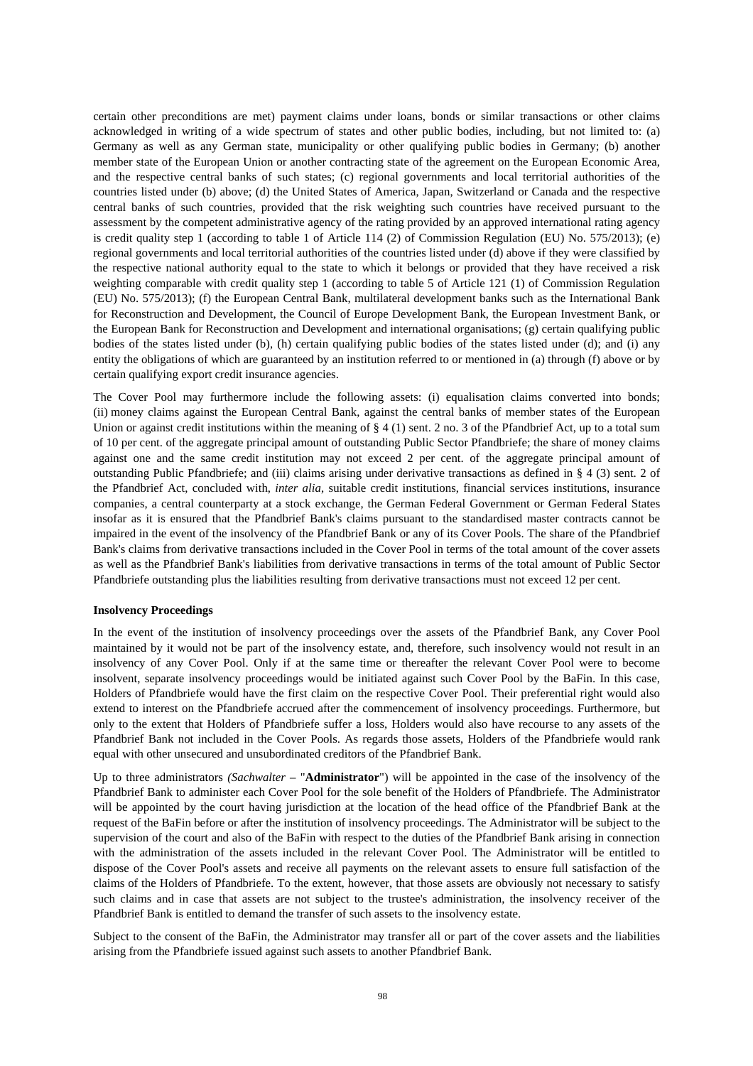certain other preconditions are met) payment claims under loans, bonds or similar transactions or other claims acknowledged in writing of a wide spectrum of states and other public bodies, including, but not limited to: (a) Germany as well as any German state, municipality or other qualifying public bodies in Germany; (b) another member state of the European Union or another contracting state of the agreement on the European Economic Area, and the respective central banks of such states; (c) regional governments and local territorial authorities of the countries listed under (b) above; (d) the United States of America, Japan, Switzerland or Canada and the respective central banks of such countries, provided that the risk weighting such countries have received pursuant to the assessment by the competent administrative agency of the rating provided by an approved international rating agency is credit quality step 1 (according to table 1 of Article 114 (2) of Commission Regulation (EU) No. 575/2013); (e) regional governments and local territorial authorities of the countries listed under (d) above if they were classified by the respective national authority equal to the state to which it belongs or provided that they have received a risk weighting comparable with credit quality step 1 (according to table 5 of Article 121 (1) of Commission Regulation (EU) No. 575/2013); (f) the European Central Bank, multilateral development banks such as the International Bank for Reconstruction and Development, the Council of Europe Development Bank, the European Investment Bank, or the European Bank for Reconstruction and Development and international organisations; (g) certain qualifying public bodies of the states listed under (b), (h) certain qualifying public bodies of the states listed under (d); and (i) any entity the obligations of which are guaranteed by an institution referred to or mentioned in (a) through (f) above or by certain qualifying export credit insurance agencies.

The Cover Pool may furthermore include the following assets: (i) equalisation claims converted into bonds; (ii) money claims against the European Central Bank, against the central banks of member states of the European Union or against credit institutions within the meaning of  $\S 4 (1)$  sent. 2 no. 3 of the Pfandbrief Act, up to a total sum of 10 per cent. of the aggregate principal amount of outstanding Public Sector Pfandbriefe; the share of money claims against one and the same credit institution may not exceed 2 per cent. of the aggregate principal amount of outstanding Public Pfandbriefe; and (iii) claims arising under derivative transactions as defined in § 4 (3) sent. 2 of the Pfandbrief Act, concluded with, *inter alia*, suitable credit institutions, financial services institutions, insurance companies, a central counterparty at a stock exchange, the German Federal Government or German Federal States insofar as it is ensured that the Pfandbrief Bank's claims pursuant to the standardised master contracts cannot be impaired in the event of the insolvency of the Pfandbrief Bank or any of its Cover Pools. The share of the Pfandbrief Bank's claims from derivative transactions included in the Cover Pool in terms of the total amount of the cover assets as well as the Pfandbrief Bank's liabilities from derivative transactions in terms of the total amount of Public Sector Pfandbriefe outstanding plus the liabilities resulting from derivative transactions must not exceed 12 per cent.

### **Insolvency Proceedings**

In the event of the institution of insolvency proceedings over the assets of the Pfandbrief Bank, any Cover Pool maintained by it would not be part of the insolvency estate, and, therefore, such insolvency would not result in an insolvency of any Cover Pool. Only if at the same time or thereafter the relevant Cover Pool were to become insolvent, separate insolvency proceedings would be initiated against such Cover Pool by the BaFin. In this case, Holders of Pfandbriefe would have the first claim on the respective Cover Pool. Their preferential right would also extend to interest on the Pfandbriefe accrued after the commencement of insolvency proceedings. Furthermore, but only to the extent that Holders of Pfandbriefe suffer a loss, Holders would also have recourse to any assets of the Pfandbrief Bank not included in the Cover Pools. As regards those assets, Holders of the Pfandbriefe would rank equal with other unsecured and unsubordinated creditors of the Pfandbrief Bank.

Up to three administrators *(Sachwalter* – "**Administrator**") will be appointed in the case of the insolvency of the Pfandbrief Bank to administer each Cover Pool for the sole benefit of the Holders of Pfandbriefe. The Administrator will be appointed by the court having jurisdiction at the location of the head office of the Pfandbrief Bank at the request of the BaFin before or after the institution of insolvency proceedings. The Administrator will be subject to the supervision of the court and also of the BaFin with respect to the duties of the Pfandbrief Bank arising in connection with the administration of the assets included in the relevant Cover Pool. The Administrator will be entitled to dispose of the Cover Pool's assets and receive all payments on the relevant assets to ensure full satisfaction of the claims of the Holders of Pfandbriefe. To the extent, however, that those assets are obviously not necessary to satisfy such claims and in case that assets are not subject to the trustee's administration, the insolvency receiver of the Pfandbrief Bank is entitled to demand the transfer of such assets to the insolvency estate.

Subject to the consent of the BaFin, the Administrator may transfer all or part of the cover assets and the liabilities arising from the Pfandbriefe issued against such assets to another Pfandbrief Bank.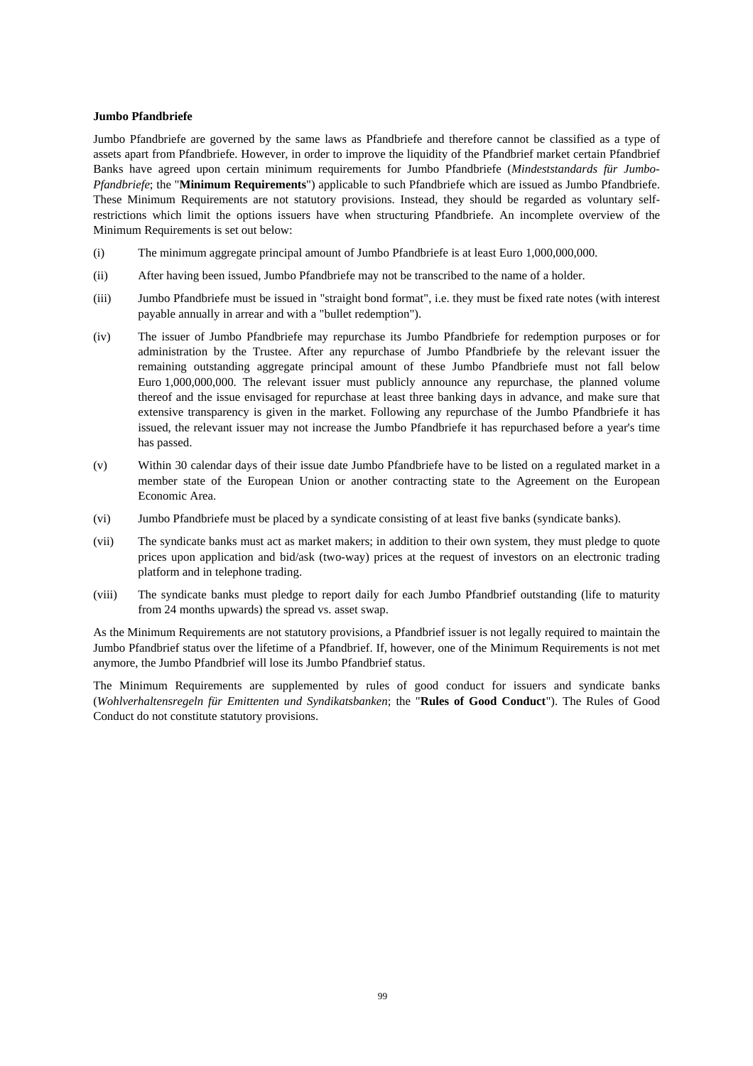### **Jumbo Pfandbriefe**

Jumbo Pfandbriefe are governed by the same laws as Pfandbriefe and therefore cannot be classified as a type of assets apart from Pfandbriefe. However, in order to improve the liquidity of the Pfandbrief market certain Pfandbrief Banks have agreed upon certain minimum requirements for Jumbo Pfandbriefe (*Mindeststandards für Jumbo-Pfandbriefe*; the "**Minimum Requirements**") applicable to such Pfandbriefe which are issued as Jumbo Pfandbriefe. These Minimum Requirements are not statutory provisions. Instead, they should be regarded as voluntary selfrestrictions which limit the options issuers have when structuring Pfandbriefe. An incomplete overview of the Minimum Requirements is set out below:

- (i) The minimum aggregate principal amount of Jumbo Pfandbriefe is at least Euro 1,000,000,000.
- (ii) After having been issued, Jumbo Pfandbriefe may not be transcribed to the name of a holder.
- (iii) Jumbo Pfandbriefe must be issued in "straight bond format", i.e. they must be fixed rate notes (with interest payable annually in arrear and with a "bullet redemption").
- (iv) The issuer of Jumbo Pfandbriefe may repurchase its Jumbo Pfandbriefe for redemption purposes or for administration by the Trustee. After any repurchase of Jumbo Pfandbriefe by the relevant issuer the remaining outstanding aggregate principal amount of these Jumbo Pfandbriefe must not fall below Euro 1,000,000,000. The relevant issuer must publicly announce any repurchase, the planned volume thereof and the issue envisaged for repurchase at least three banking days in advance, and make sure that extensive transparency is given in the market. Following any repurchase of the Jumbo Pfandbriefe it has issued, the relevant issuer may not increase the Jumbo Pfandbriefe it has repurchased before a year's time has passed.
- (v) Within 30 calendar days of their issue date Jumbo Pfandbriefe have to be listed on a regulated market in a member state of the European Union or another contracting state to the Agreement on the European Economic Area.
- (vi) Jumbo Pfandbriefe must be placed by a syndicate consisting of at least five banks (syndicate banks).
- (vii) The syndicate banks must act as market makers; in addition to their own system, they must pledge to quote prices upon application and bid/ask (two-way) prices at the request of investors on an electronic trading platform and in telephone trading.
- (viii) The syndicate banks must pledge to report daily for each Jumbo Pfandbrief outstanding (life to maturity from 24 months upwards) the spread vs. asset swap.

As the Minimum Requirements are not statutory provisions, a Pfandbrief issuer is not legally required to maintain the Jumbo Pfandbrief status over the lifetime of a Pfandbrief. If, however, one of the Minimum Requirements is not met anymore, the Jumbo Pfandbrief will lose its Jumbo Pfandbrief status.

The Minimum Requirements are supplemented by rules of good conduct for issuers and syndicate banks (*Wohlverhaltensregeln für Emittenten und Syndikatsbanken*; the "**Rules of Good Conduct**"). The Rules of Good Conduct do not constitute statutory provisions.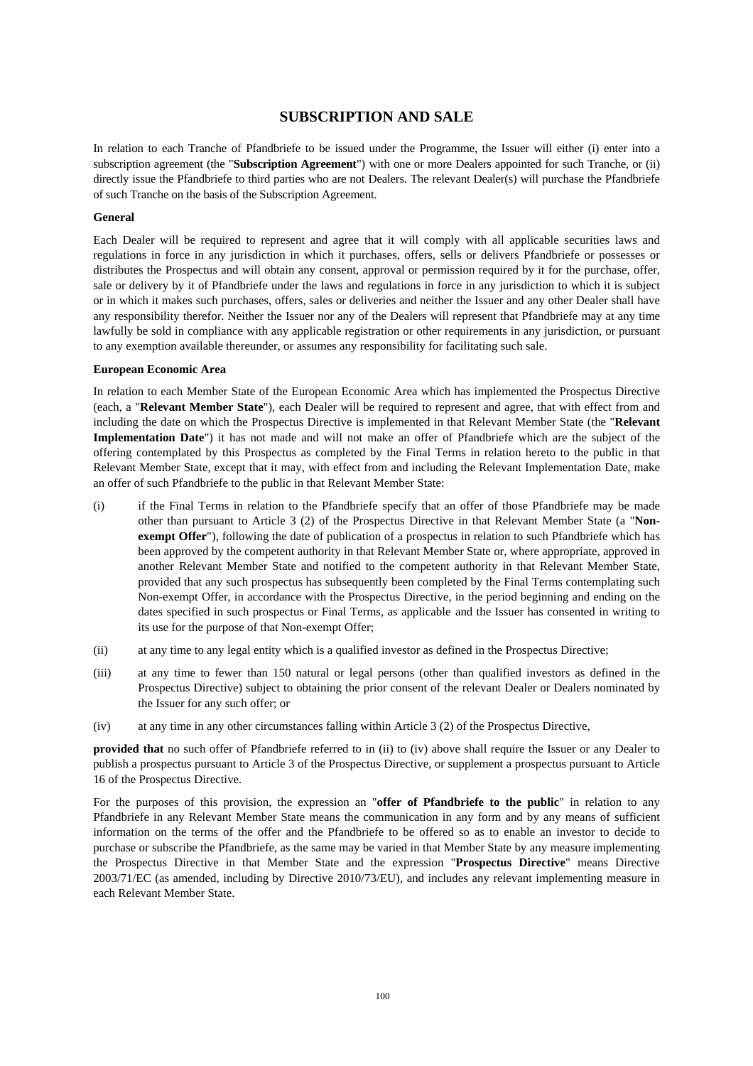# **SUBSCRIPTION AND SALE**

In relation to each Tranche of Pfandbriefe to be issued under the Programme, the Issuer will either (i) enter into a subscription agreement (the "**Subscription Agreement**") with one or more Dealers appointed for such Tranche, or (ii) directly issue the Pfandbriefe to third parties who are not Dealers. The relevant Dealer(s) will purchase the Pfandbriefe of such Tranche on the basis of the Subscription Agreement.

### **General**

Each Dealer will be required to represent and agree that it will comply with all applicable securities laws and regulations in force in any jurisdiction in which it purchases, offers, sells or delivers Pfandbriefe or possesses or distributes the Prospectus and will obtain any consent, approval or permission required by it for the purchase, offer, sale or delivery by it of Pfandbriefe under the laws and regulations in force in any jurisdiction to which it is subject or in which it makes such purchases, offers, sales or deliveries and neither the Issuer and any other Dealer shall have any responsibility therefor. Neither the Issuer nor any of the Dealers will represent that Pfandbriefe may at any time lawfully be sold in compliance with any applicable registration or other requirements in any jurisdiction, or pursuant to any exemption available thereunder, or assumes any responsibility for facilitating such sale.

#### **European Economic Area**

In relation to each Member State of the European Economic Area which has implemented the Prospectus Directive (each, a "**Relevant Member State**"), each Dealer will be required to represent and agree, that with effect from and including the date on which the Prospectus Directive is implemented in that Relevant Member State (the "**Relevant Implementation Date**") it has not made and will not make an offer of Pfandbriefe which are the subject of the offering contemplated by this Prospectus as completed by the Final Terms in relation hereto to the public in that Relevant Member State, except that it may, with effect from and including the Relevant Implementation Date, make an offer of such Pfandbriefe to the public in that Relevant Member State:

- (i) if the Final Terms in relation to the Pfandbriefe specify that an offer of those Pfandbriefe may be made other than pursuant to Article 3 (2) of the Prospectus Directive in that Relevant Member State (a "**Nonexempt Offer**"), following the date of publication of a prospectus in relation to such Pfandbriefe which has been approved by the competent authority in that Relevant Member State or, where appropriate, approved in another Relevant Member State and notified to the competent authority in that Relevant Member State, provided that any such prospectus has subsequently been completed by the Final Terms contemplating such Non-exempt Offer, in accordance with the Prospectus Directive, in the period beginning and ending on the dates specified in such prospectus or Final Terms, as applicable and the Issuer has consented in writing to its use for the purpose of that Non-exempt Offer;
- (ii) at any time to any legal entity which is a qualified investor as defined in the Prospectus Directive;
- (iii) at any time to fewer than 150 natural or legal persons (other than qualified investors as defined in the Prospectus Directive) subject to obtaining the prior consent of the relevant Dealer or Dealers nominated by the Issuer for any such offer; or
- (iv) at any time in any other circumstances falling within Article 3 (2) of the Prospectus Directive,

**provided that** no such offer of Pfandbriefe referred to in (ii) to (iv) above shall require the Issuer or any Dealer to publish a prospectus pursuant to Article 3 of the Prospectus Directive, or supplement a prospectus pursuant to Article 16 of the Prospectus Directive.

For the purposes of this provision, the expression an "**offer of Pfandbriefe to the public**" in relation to any Pfandbriefe in any Relevant Member State means the communication in any form and by any means of sufficient information on the terms of the offer and the Pfandbriefe to be offered so as to enable an investor to decide to purchase or subscribe the Pfandbriefe, as the same may be varied in that Member State by any measure implementing the Prospectus Directive in that Member State and the expression "**Prospectus Directive**" means Directive 2003/71/EC (as amended, including by Directive 2010/73/EU), and includes any relevant implementing measure in each Relevant Member State.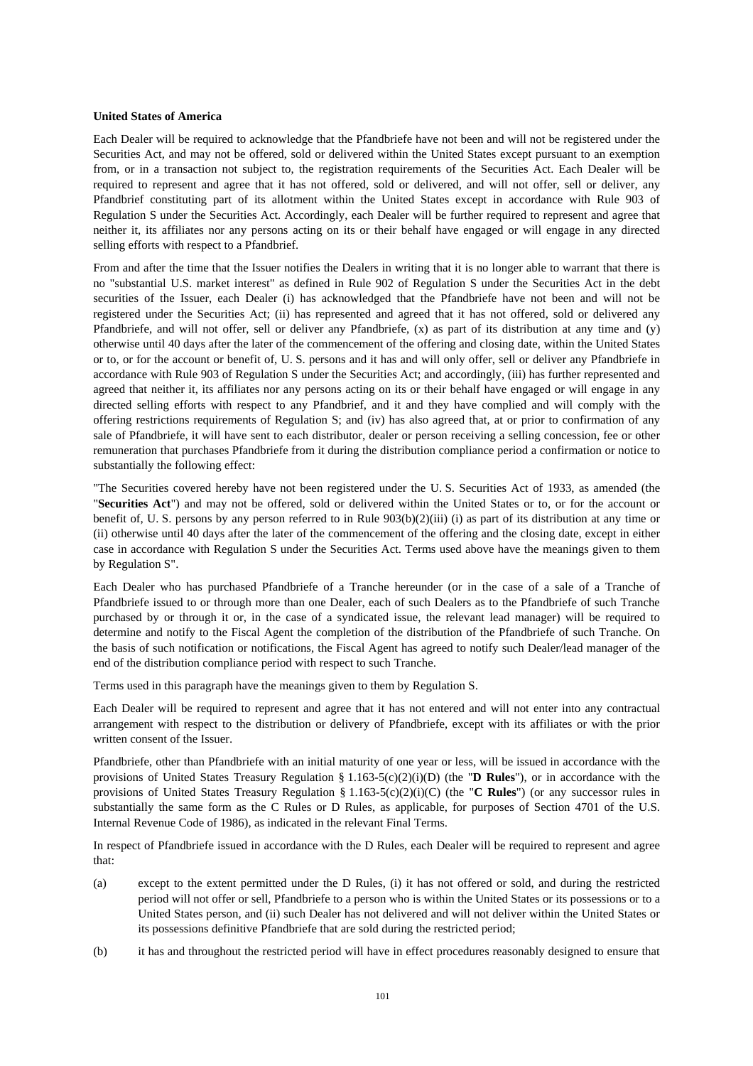#### **United States of America**

Each Dealer will be required to acknowledge that the Pfandbriefe have not been and will not be registered under the Securities Act, and may not be offered, sold or delivered within the United States except pursuant to an exemption from, or in a transaction not subject to, the registration requirements of the Securities Act. Each Dealer will be required to represent and agree that it has not offered, sold or delivered, and will not offer, sell or deliver, any Pfandbrief constituting part of its allotment within the United States except in accordance with Rule 903 of Regulation S under the Securities Act. Accordingly, each Dealer will be further required to represent and agree that neither it, its affiliates nor any persons acting on its or their behalf have engaged or will engage in any directed selling efforts with respect to a Pfandbrief.

From and after the time that the Issuer notifies the Dealers in writing that it is no longer able to warrant that there is no "substantial U.S. market interest" as defined in Rule 902 of Regulation S under the Securities Act in the debt securities of the Issuer, each Dealer (i) has acknowledged that the Pfandbriefe have not been and will not be registered under the Securities Act; (ii) has represented and agreed that it has not offered, sold or delivered any Pfandbriefe, and will not offer, sell or deliver any Pfandbriefe, (x) as part of its distribution at any time and (y) otherwise until 40 days after the later of the commencement of the offering and closing date, within the United States or to, or for the account or benefit of, U. S. persons and it has and will only offer, sell or deliver any Pfandbriefe in accordance with Rule 903 of Regulation S under the Securities Act; and accordingly, (iii) has further represented and agreed that neither it, its affiliates nor any persons acting on its or their behalf have engaged or will engage in any directed selling efforts with respect to any Pfandbrief, and it and they have complied and will comply with the offering restrictions requirements of Regulation S; and (iv) has also agreed that, at or prior to confirmation of any sale of Pfandbriefe, it will have sent to each distributor, dealer or person receiving a selling concession, fee or other remuneration that purchases Pfandbriefe from it during the distribution compliance period a confirmation or notice to substantially the following effect:

"The Securities covered hereby have not been registered under the U. S. Securities Act of 1933, as amended (the "**Securities Act**") and may not be offered, sold or delivered within the United States or to, or for the account or benefit of, U. S. persons by any person referred to in Rule 903(b)(2)(iii) (i) as part of its distribution at any time or (ii) otherwise until 40 days after the later of the commencement of the offering and the closing date, except in either case in accordance with Regulation S under the Securities Act. Terms used above have the meanings given to them by Regulation S".

Each Dealer who has purchased Pfandbriefe of a Tranche hereunder (or in the case of a sale of a Tranche of Pfandbriefe issued to or through more than one Dealer, each of such Dealers as to the Pfandbriefe of such Tranche purchased by or through it or, in the case of a syndicated issue, the relevant lead manager) will be required to determine and notify to the Fiscal Agent the completion of the distribution of the Pfandbriefe of such Tranche. On the basis of such notification or notifications, the Fiscal Agent has agreed to notify such Dealer/lead manager of the end of the distribution compliance period with respect to such Tranche.

Terms used in this paragraph have the meanings given to them by Regulation S.

Each Dealer will be required to represent and agree that it has not entered and will not enter into any contractual arrangement with respect to the distribution or delivery of Pfandbriefe, except with its affiliates or with the prior written consent of the Issuer.

Pfandbriefe, other than Pfandbriefe with an initial maturity of one year or less, will be issued in accordance with the provisions of United States Treasury Regulation § 1.163-5(c)(2)(i)(D) (the "**D Rules**"), or in accordance with the provisions of United States Treasury Regulation § 1.163-5(c)(2)(i)(C) (the "**C Rules**") (or any successor rules in substantially the same form as the C Rules or D Rules, as applicable, for purposes of Section 4701 of the U.S. Internal Revenue Code of 1986), as indicated in the relevant Final Terms.

In respect of Pfandbriefe issued in accordance with the D Rules, each Dealer will be required to represent and agree that:

- (a) except to the extent permitted under the D Rules, (i) it has not offered or sold, and during the restricted period will not offer or sell, Pfandbriefe to a person who is within the United States or its possessions or to a United States person, and (ii) such Dealer has not delivered and will not deliver within the United States or its possessions definitive Pfandbriefe that are sold during the restricted period;
- (b) it has and throughout the restricted period will have in effect procedures reasonably designed to ensure that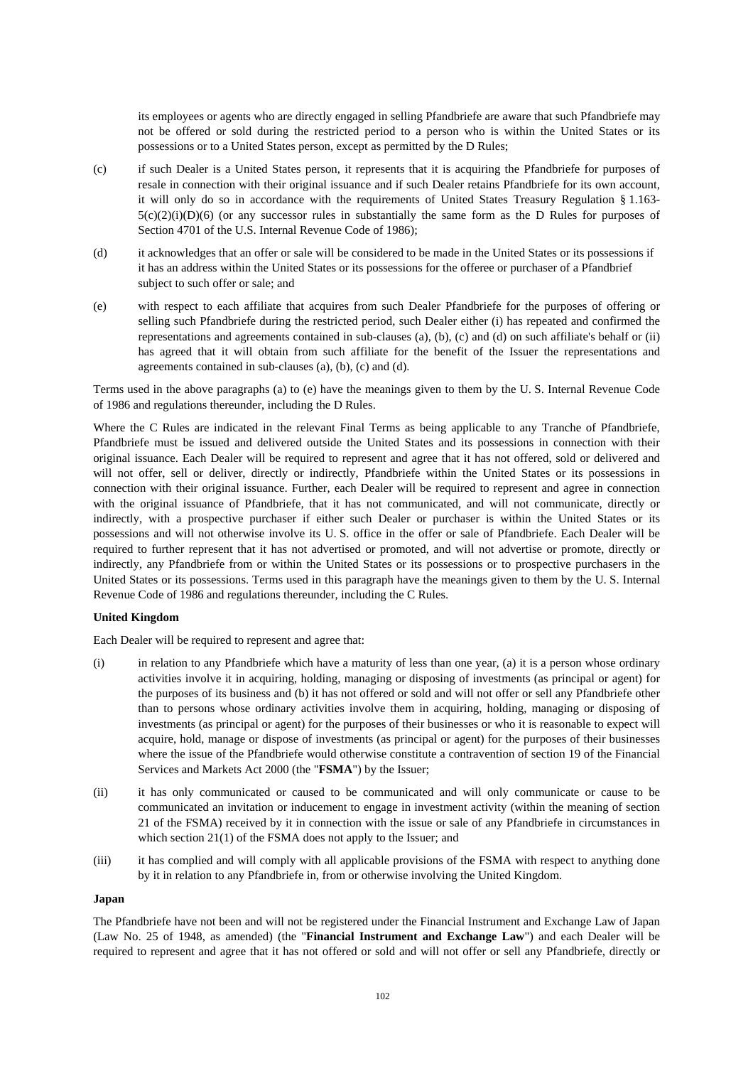its employees or agents who are directly engaged in selling Pfandbriefe are aware that such Pfandbriefe may not be offered or sold during the restricted period to a person who is within the United States or its possessions or to a United States person, except as permitted by the D Rules;

- (c) if such Dealer is a United States person, it represents that it is acquiring the Pfandbriefe for purposes of resale in connection with their original issuance and if such Dealer retains Pfandbriefe for its own account, it will only do so in accordance with the requirements of United States Treasury Regulation § 1.163-  $5(c)(2)(i)(D)(6)$  (or any successor rules in substantially the same form as the D Rules for purposes of Section 4701 of the U.S. Internal Revenue Code of 1986);
- (d) it acknowledges that an offer or sale will be considered to be made in the United States or its possessions if it has an address within the United States or its possessions for the offeree or purchaser of a Pfandbrief subject to such offer or sale; and
- (e) with respect to each affiliate that acquires from such Dealer Pfandbriefe for the purposes of offering or selling such Pfandbriefe during the restricted period, such Dealer either (i) has repeated and confirmed the representations and agreements contained in sub-clauses (a), (b), (c) and (d) on such affiliate's behalf or (ii) has agreed that it will obtain from such affiliate for the benefit of the Issuer the representations and agreements contained in sub-clauses (a), (b), (c) and (d).

Terms used in the above paragraphs (a) to (e) have the meanings given to them by the U. S. Internal Revenue Code of 1986 and regulations thereunder, including the D Rules.

Where the C Rules are indicated in the relevant Final Terms as being applicable to any Tranche of Pfandbriefe, Pfandbriefe must be issued and delivered outside the United States and its possessions in connection with their original issuance. Each Dealer will be required to represent and agree that it has not offered, sold or delivered and will not offer, sell or deliver, directly or indirectly, Pfandbriefe within the United States or its possessions in connection with their original issuance. Further, each Dealer will be required to represent and agree in connection with the original issuance of Pfandbriefe, that it has not communicated, and will not communicate, directly or indirectly, with a prospective purchaser if either such Dealer or purchaser is within the United States or its possessions and will not otherwise involve its U. S. office in the offer or sale of Pfandbriefe. Each Dealer will be required to further represent that it has not advertised or promoted, and will not advertise or promote, directly or indirectly, any Pfandbriefe from or within the United States or its possessions or to prospective purchasers in the United States or its possessions. Terms used in this paragraph have the meanings given to them by the U. S. Internal Revenue Code of 1986 and regulations thereunder, including the C Rules.

### **United Kingdom**

Each Dealer will be required to represent and agree that:

- (i) in relation to any Pfandbriefe which have a maturity of less than one year, (a) it is a person whose ordinary activities involve it in acquiring, holding, managing or disposing of investments (as principal or agent) for the purposes of its business and (b) it has not offered or sold and will not offer or sell any Pfandbriefe other than to persons whose ordinary activities involve them in acquiring, holding, managing or disposing of investments (as principal or agent) for the purposes of their businesses or who it is reasonable to expect will acquire, hold, manage or dispose of investments (as principal or agent) for the purposes of their businesses where the issue of the Pfandbriefe would otherwise constitute a contravention of section 19 of the Financial Services and Markets Act 2000 (the "**FSMA**") by the Issuer;
- (ii) it has only communicated or caused to be communicated and will only communicate or cause to be communicated an invitation or inducement to engage in investment activity (within the meaning of section 21 of the FSMA) received by it in connection with the issue or sale of any Pfandbriefe in circumstances in which section 21(1) of the FSMA does not apply to the Issuer; and
- (iii) it has complied and will comply with all applicable provisions of the FSMA with respect to anything done by it in relation to any Pfandbriefe in, from or otherwise involving the United Kingdom.

### **Japan**

The Pfandbriefe have not been and will not be registered under the Financial Instrument and Exchange Law of Japan (Law No. 25 of 1948, as amended) (the "**Financial Instrument and Exchange Law**") and each Dealer will be required to represent and agree that it has not offered or sold and will not offer or sell any Pfandbriefe, directly or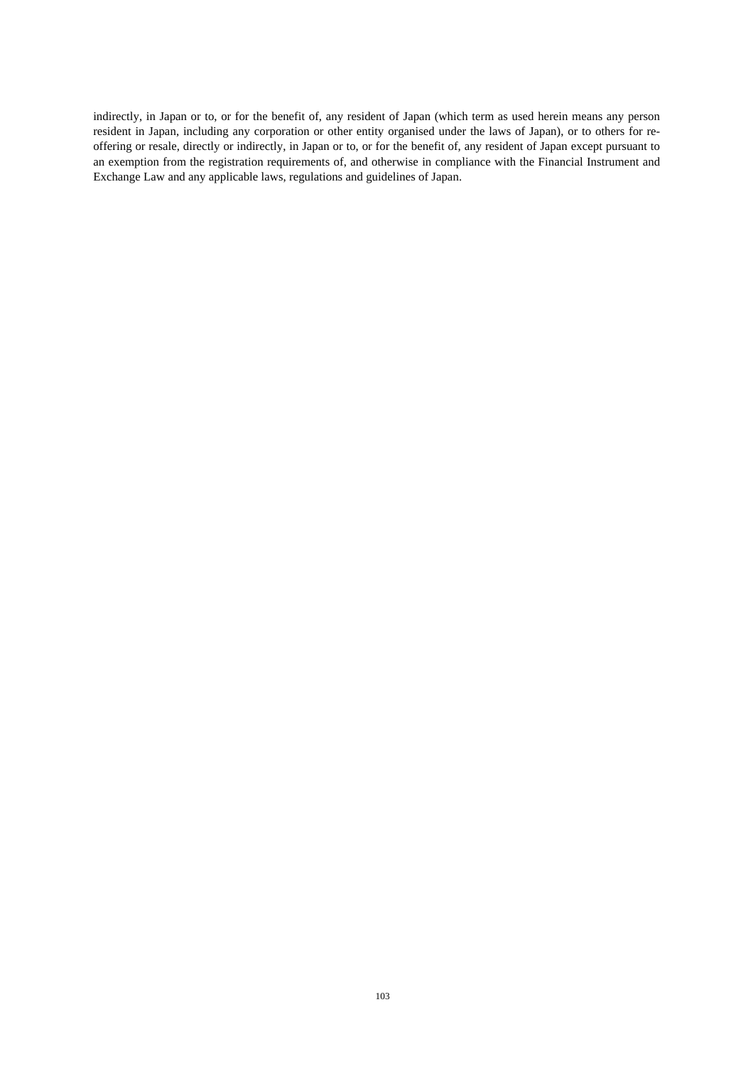indirectly, in Japan or to, or for the benefit of, any resident of Japan (which term as used herein means any person resident in Japan, including any corporation or other entity organised under the laws of Japan), or to others for reoffering or resale, directly or indirectly, in Japan or to, or for the benefit of, any resident of Japan except pursuant to an exemption from the registration requirements of, and otherwise in compliance with the Financial Instrument and Exchange Law and any applicable laws, regulations and guidelines of Japan.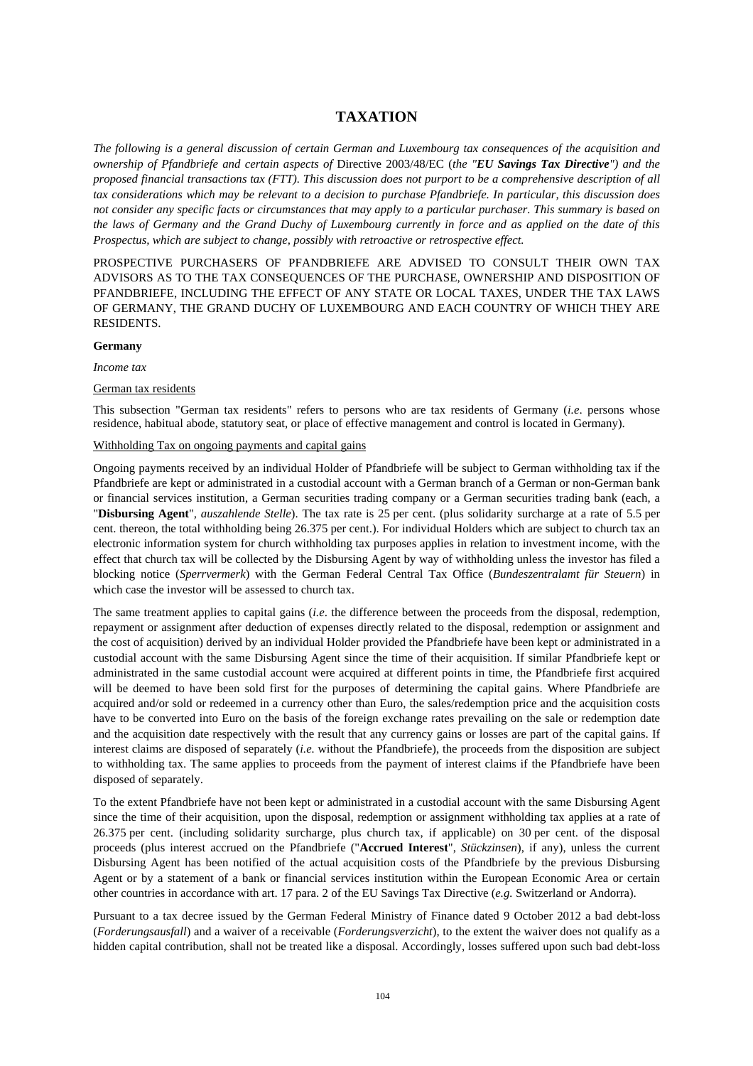# **TAXATION**

*The following is a general discussion of certain German and Luxembourg tax consequences of the acquisition and ownership of Pfandbriefe and certain aspects of* Directive 2003/48/EC (*the "EU Savings Tax Directive") and the proposed financial transactions tax (FTT). This discussion does not purport to be a comprehensive description of all tax considerations which may be relevant to a decision to purchase Pfandbriefe. In particular, this discussion does not consider any specific facts or circumstances that may apply to a particular purchaser. This summary is based on the laws of Germany and the Grand Duchy of Luxembourg currently in force and as applied on the date of this Prospectus, which are subject to change, possibly with retroactive or retrospective effect.* 

PROSPECTIVE PURCHASERS OF PFANDBRIEFE ARE ADVISED TO CONSULT THEIR OWN TAX ADVISORS AS TO THE TAX CONSEQUENCES OF THE PURCHASE, OWNERSHIP AND DISPOSITION OF PFANDBRIEFE, INCLUDING THE EFFECT OF ANY STATE OR LOCAL TAXES, UNDER THE TAX LAWS OF GERMANY, THE GRAND DUCHY OF LUXEMBOURG AND EACH COUNTRY OF WHICH THEY ARE RESIDENTS.

### **Germany**

*Income tax* 

### German tax residents

This subsection "German tax residents" refers to persons who are tax residents of Germany (*i.e*. persons whose residence, habitual abode, statutory seat, or place of effective management and control is located in Germany).

### Withholding Tax on ongoing payments and capital gains

Ongoing payments received by an individual Holder of Pfandbriefe will be subject to German withholding tax if the Pfandbriefe are kept or administrated in a custodial account with a German branch of a German or non-German bank or financial services institution, a German securities trading company or a German securities trading bank (each, a "**Disbursing Agent**"*, auszahlende Stelle*). The tax rate is 25 per cent. (plus solidarity surcharge at a rate of 5.5 per cent. thereon, the total withholding being 26.375 per cent.). For individual Holders which are subject to church tax an electronic information system for church withholding tax purposes applies in relation to investment income, with the effect that church tax will be collected by the Disbursing Agent by way of withholding unless the investor has filed a blocking notice (*Sperrvermerk*) with the German Federal Central Tax Office (*Bundeszentralamt für Steuern*) in which case the investor will be assessed to church tax.

The same treatment applies to capital gains (*i.e*. the difference between the proceeds from the disposal, redemption, repayment or assignment after deduction of expenses directly related to the disposal, redemption or assignment and the cost of acquisition) derived by an individual Holder provided the Pfandbriefe have been kept or administrated in a custodial account with the same Disbursing Agent since the time of their acquisition. If similar Pfandbriefe kept or administrated in the same custodial account were acquired at different points in time, the Pfandbriefe first acquired will be deemed to have been sold first for the purposes of determining the capital gains. Where Pfandbriefe are acquired and/or sold or redeemed in a currency other than Euro, the sales/redemption price and the acquisition costs have to be converted into Euro on the basis of the foreign exchange rates prevailing on the sale or redemption date and the acquisition date respectively with the result that any currency gains or losses are part of the capital gains. If interest claims are disposed of separately (*i.e.* without the Pfandbriefe), the proceeds from the disposition are subject to withholding tax. The same applies to proceeds from the payment of interest claims if the Pfandbriefe have been disposed of separately.

To the extent Pfandbriefe have not been kept or administrated in a custodial account with the same Disbursing Agent since the time of their acquisition, upon the disposal, redemption or assignment withholding tax applies at a rate of 26.375 per cent. (including solidarity surcharge, plus church tax, if applicable) on 30 per cent. of the disposal proceeds (plus interest accrued on the Pfandbriefe ("**Accrued Interest**", *Stückzinsen*), if any), unless the current Disbursing Agent has been notified of the actual acquisition costs of the Pfandbriefe by the previous Disbursing Agent or by a statement of a bank or financial services institution within the European Economic Area or certain other countries in accordance with art. 17 para. 2 of the EU Savings Tax Directive (*e.g.* Switzerland or Andorra).

Pursuant to a tax decree issued by the German Federal Ministry of Finance dated 9 October 2012 a bad debt-loss (*Forderungsausfall*) and a waiver of a receivable (*Forderungsverzicht*), to the extent the waiver does not qualify as a hidden capital contribution, shall not be treated like a disposal. Accordingly, losses suffered upon such bad debt-loss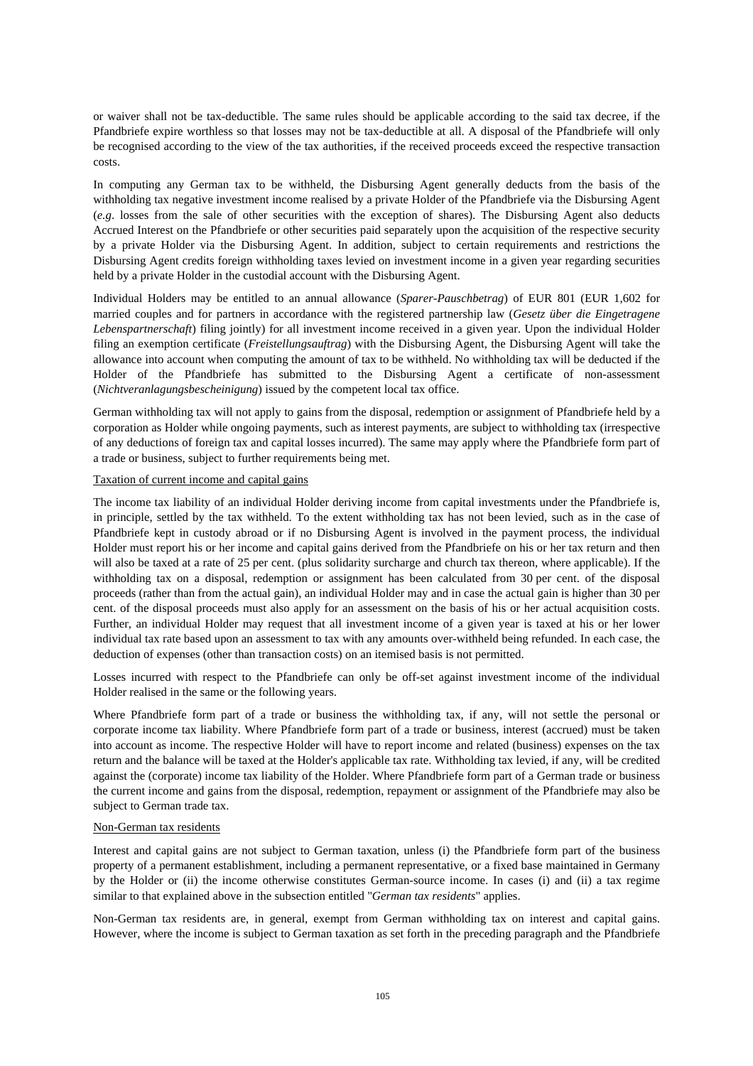or waiver shall not be tax-deductible. The same rules should be applicable according to the said tax decree, if the Pfandbriefe expire worthless so that losses may not be tax-deductible at all. A disposal of the Pfandbriefe will only be recognised according to the view of the tax authorities, if the received proceeds exceed the respective transaction costs.

In computing any German tax to be withheld, the Disbursing Agent generally deducts from the basis of the withholding tax negative investment income realised by a private Holder of the Pfandbriefe via the Disbursing Agent (*e.g*. losses from the sale of other securities with the exception of shares). The Disbursing Agent also deducts Accrued Interest on the Pfandbriefe or other securities paid separately upon the acquisition of the respective security by a private Holder via the Disbursing Agent. In addition, subject to certain requirements and restrictions the Disbursing Agent credits foreign withholding taxes levied on investment income in a given year regarding securities held by a private Holder in the custodial account with the Disbursing Agent.

Individual Holders may be entitled to an annual allowance (*Sparer-Pauschbetrag*) of EUR 801 (EUR 1,602 for married couples and for partners in accordance with the registered partnership law (*Gesetz über die Eingetragene Lebenspartnerschaft*) filing jointly) for all investment income received in a given year. Upon the individual Holder filing an exemption certificate (*Freistellungsauftrag*) with the Disbursing Agent, the Disbursing Agent will take the allowance into account when computing the amount of tax to be withheld. No withholding tax will be deducted if the Holder of the Pfandbriefe has submitted to the Disbursing Agent a certificate of non-assessment (*Nichtveranlagungsbescheinigung*) issued by the competent local tax office.

German withholding tax will not apply to gains from the disposal, redemption or assignment of Pfandbriefe held by a corporation as Holder while ongoing payments, such as interest payments, are subject to withholding tax (irrespective of any deductions of foreign tax and capital losses incurred). The same may apply where the Pfandbriefe form part of a trade or business, subject to further requirements being met.

### Taxation of current income and capital gains

The income tax liability of an individual Holder deriving income from capital investments under the Pfandbriefe is, in principle, settled by the tax withheld. To the extent withholding tax has not been levied, such as in the case of Pfandbriefe kept in custody abroad or if no Disbursing Agent is involved in the payment process, the individual Holder must report his or her income and capital gains derived from the Pfandbriefe on his or her tax return and then will also be taxed at a rate of 25 per cent. (plus solidarity surcharge and church tax thereon, where applicable). If the withholding tax on a disposal, redemption or assignment has been calculated from 30 per cent. of the disposal proceeds (rather than from the actual gain), an individual Holder may and in case the actual gain is higher than 30 per cent. of the disposal proceeds must also apply for an assessment on the basis of his or her actual acquisition costs. Further, an individual Holder may request that all investment income of a given year is taxed at his or her lower individual tax rate based upon an assessment to tax with any amounts over-withheld being refunded. In each case, the deduction of expenses (other than transaction costs) on an itemised basis is not permitted.

Losses incurred with respect to the Pfandbriefe can only be off-set against investment income of the individual Holder realised in the same or the following years.

Where Pfandbriefe form part of a trade or business the withholding tax, if any, will not settle the personal or corporate income tax liability. Where Pfandbriefe form part of a trade or business, interest (accrued) must be taken into account as income. The respective Holder will have to report income and related (business) expenses on the tax return and the balance will be taxed at the Holder's applicable tax rate. Withholding tax levied, if any, will be credited against the (corporate) income tax liability of the Holder. Where Pfandbriefe form part of a German trade or business the current income and gains from the disposal, redemption, repayment or assignment of the Pfandbriefe may also be subject to German trade tax.

### Non-German tax residents

Interest and capital gains are not subject to German taxation, unless (i) the Pfandbriefe form part of the business property of a permanent establishment, including a permanent representative, or a fixed base maintained in Germany by the Holder or (ii) the income otherwise constitutes German-source income. In cases (i) and (ii) a tax regime similar to that explained above in the subsection entitled "*German tax residents*" applies.

Non-German tax residents are, in general, exempt from German withholding tax on interest and capital gains. However, where the income is subject to German taxation as set forth in the preceding paragraph and the Pfandbriefe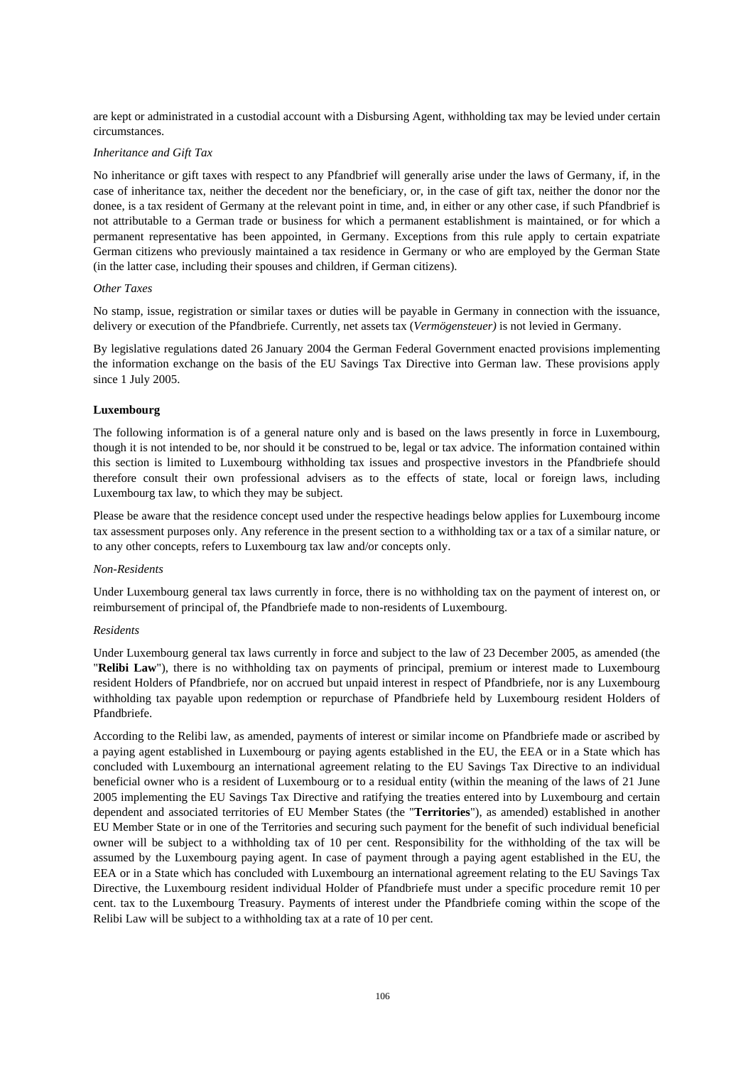are kept or administrated in a custodial account with a Disbursing Agent, withholding tax may be levied under certain circumstances.

### *Inheritance and Gift Tax*

No inheritance or gift taxes with respect to any Pfandbrief will generally arise under the laws of Germany, if, in the case of inheritance tax, neither the decedent nor the beneficiary, or, in the case of gift tax, neither the donor nor the donee, is a tax resident of Germany at the relevant point in time, and, in either or any other case, if such Pfandbrief is not attributable to a German trade or business for which a permanent establishment is maintained, or for which a permanent representative has been appointed, in Germany. Exceptions from this rule apply to certain expatriate German citizens who previously maintained a tax residence in Germany or who are employed by the German State (in the latter case, including their spouses and children, if German citizens).

#### *Other Taxes*

No stamp, issue, registration or similar taxes or duties will be payable in Germany in connection with the issuance, delivery or execution of the Pfandbriefe. Currently, net assets tax (*Vermögensteuer)* is not levied in Germany.

By legislative regulations dated 26 January 2004 the German Federal Government enacted provisions implementing the information exchange on the basis of the EU Savings Tax Directive into German law. These provisions apply since 1 July 2005.

### **Luxembourg**

The following information is of a general nature only and is based on the laws presently in force in Luxembourg, though it is not intended to be, nor should it be construed to be, legal or tax advice. The information contained within this section is limited to Luxembourg withholding tax issues and prospective investors in the Pfandbriefe should therefore consult their own professional advisers as to the effects of state, local or foreign laws, including Luxembourg tax law, to which they may be subject.

Please be aware that the residence concept used under the respective headings below applies for Luxembourg income tax assessment purposes only. Any reference in the present section to a withholding tax or a tax of a similar nature, or to any other concepts, refers to Luxembourg tax law and/or concepts only.

#### *Non-Residents*

Under Luxembourg general tax laws currently in force, there is no withholding tax on the payment of interest on, or reimbursement of principal of, the Pfandbriefe made to non-residents of Luxembourg.

### *Residents*

Under Luxembourg general tax laws currently in force and subject to the law of 23 December 2005, as amended (the "**Relibi Law**"), there is no withholding tax on payments of principal, premium or interest made to Luxembourg resident Holders of Pfandbriefe, nor on accrued but unpaid interest in respect of Pfandbriefe, nor is any Luxembourg withholding tax payable upon redemption or repurchase of Pfandbriefe held by Luxembourg resident Holders of Pfandbriefe.

According to the Relibi law, as amended, payments of interest or similar income on Pfandbriefe made or ascribed by a paying agent established in Luxembourg or paying agents established in the EU, the EEA or in a State which has concluded with Luxembourg an international agreement relating to the EU Savings Tax Directive to an individual beneficial owner who is a resident of Luxembourg or to a residual entity (within the meaning of the laws of 21 June 2005 implementing the EU Savings Tax Directive and ratifying the treaties entered into by Luxembourg and certain dependent and associated territories of EU Member States (the "**Territories**"), as amended) established in another EU Member State or in one of the Territories and securing such payment for the benefit of such individual beneficial owner will be subject to a withholding tax of 10 per cent. Responsibility for the withholding of the tax will be assumed by the Luxembourg paying agent. In case of payment through a paying agent established in the EU, the EEA or in a State which has concluded with Luxembourg an international agreement relating to the EU Savings Tax Directive, the Luxembourg resident individual Holder of Pfandbriefe must under a specific procedure remit 10 per cent. tax to the Luxembourg Treasury. Payments of interest under the Pfandbriefe coming within the scope of the Relibi Law will be subject to a withholding tax at a rate of 10 per cent.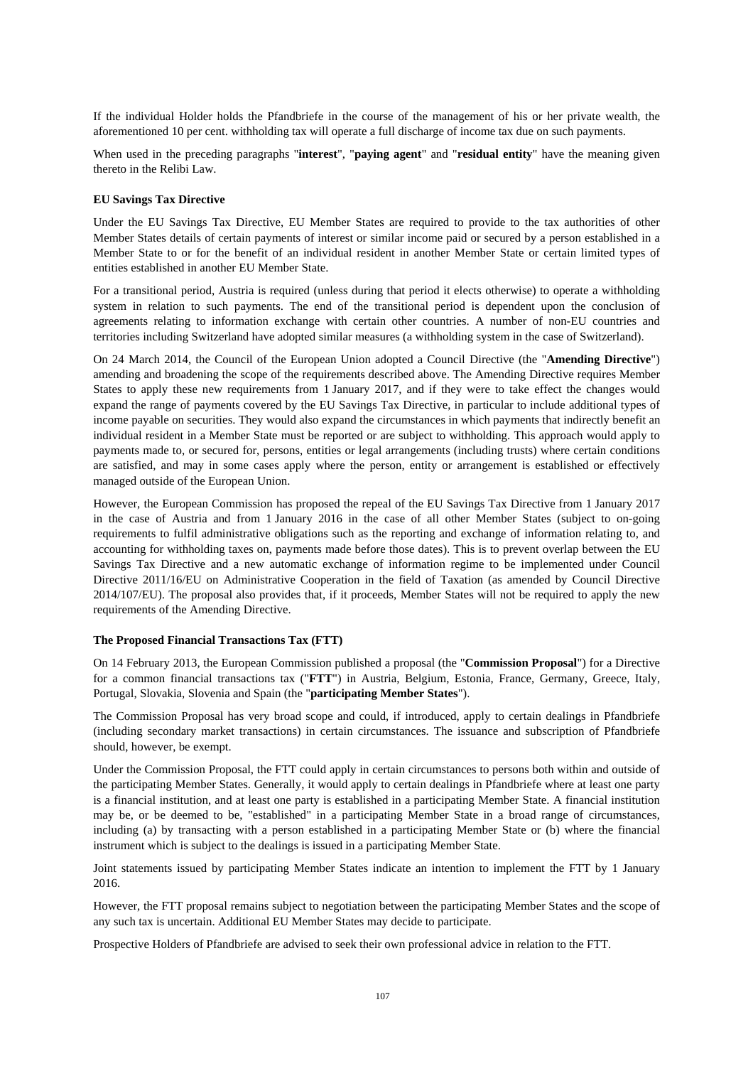If the individual Holder holds the Pfandbriefe in the course of the management of his or her private wealth, the aforementioned 10 per cent. withholding tax will operate a full discharge of income tax due on such payments.

When used in the preceding paragraphs "**interest**", "**paying agent**" and "**residual entity**" have the meaning given thereto in the Relibi Law.

### **EU Savings Tax Directive**

Under the EU Savings Tax Directive, EU Member States are required to provide to the tax authorities of other Member States details of certain payments of interest or similar income paid or secured by a person established in a Member State to or for the benefit of an individual resident in another Member State or certain limited types of entities established in another EU Member State.

For a transitional period, Austria is required (unless during that period it elects otherwise) to operate a withholding system in relation to such payments. The end of the transitional period is dependent upon the conclusion of agreements relating to information exchange with certain other countries. A number of non-EU countries and territories including Switzerland have adopted similar measures (a withholding system in the case of Switzerland).

On 24 March 2014, the Council of the European Union adopted a Council Directive (the "**Amending Directive**") amending and broadening the scope of the requirements described above. The Amending Directive requires Member States to apply these new requirements from 1 January 2017, and if they were to take effect the changes would expand the range of payments covered by the EU Savings Tax Directive, in particular to include additional types of income payable on securities. They would also expand the circumstances in which payments that indirectly benefit an individual resident in a Member State must be reported or are subject to withholding. This approach would apply to payments made to, or secured for, persons, entities or legal arrangements (including trusts) where certain conditions are satisfied, and may in some cases apply where the person, entity or arrangement is established or effectively managed outside of the European Union.

However, the European Commission has proposed the repeal of the EU Savings Tax Directive from 1 January 2017 in the case of Austria and from 1 January 2016 in the case of all other Member States (subject to on-going requirements to fulfil administrative obligations such as the reporting and exchange of information relating to, and accounting for withholding taxes on, payments made before those dates). This is to prevent overlap between the EU Savings Tax Directive and a new automatic exchange of information regime to be implemented under Council Directive 2011/16/EU on Administrative Cooperation in the field of Taxation (as amended by Council Directive 2014/107/EU). The proposal also provides that, if it proceeds, Member States will not be required to apply the new requirements of the Amending Directive.

### **The Proposed Financial Transactions Tax (FTT)**

On 14 February 2013, the European Commission published a proposal (the "**Commission Proposal**") for a Directive for a common financial transactions tax ("**FTT**") in Austria, Belgium, Estonia, France, Germany, Greece, Italy, Portugal, Slovakia, Slovenia and Spain (the "**participating Member States**").

The Commission Proposal has very broad scope and could, if introduced, apply to certain dealings in Pfandbriefe (including secondary market transactions) in certain circumstances. The issuance and subscription of Pfandbriefe should, however, be exempt.

Under the Commission Proposal, the FTT could apply in certain circumstances to persons both within and outside of the participating Member States. Generally, it would apply to certain dealings in Pfandbriefe where at least one party is a financial institution, and at least one party is established in a participating Member State. A financial institution may be, or be deemed to be, "established" in a participating Member State in a broad range of circumstances, including (a) by transacting with a person established in a participating Member State or (b) where the financial instrument which is subject to the dealings is issued in a participating Member State.

Joint statements issued by participating Member States indicate an intention to implement the FTT by 1 January 2016.

However, the FTT proposal remains subject to negotiation between the participating Member States and the scope of any such tax is uncertain. Additional EU Member States may decide to participate.

Prospective Holders of Pfandbriefe are advised to seek their own professional advice in relation to the FTT.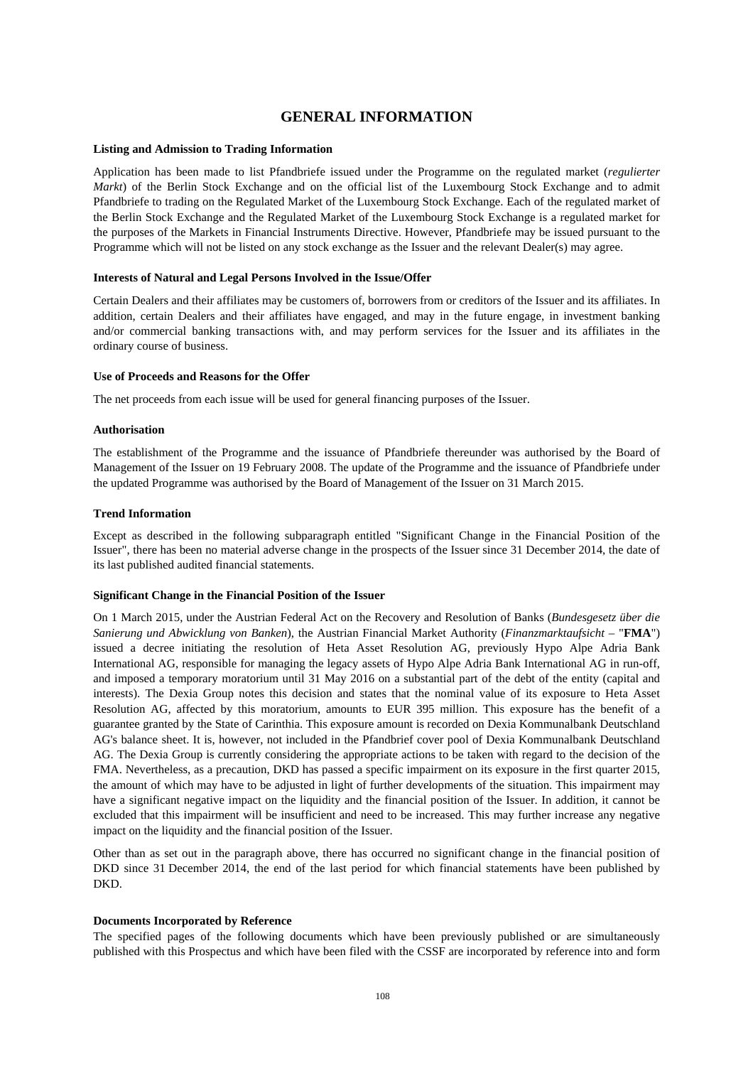# **GENERAL INFORMATION**

### **Listing and Admission to Trading Information**

Application has been made to list Pfandbriefe issued under the Programme on the regulated market (*regulierter Markt*) of the Berlin Stock Exchange and on the official list of the Luxembourg Stock Exchange and to admit Pfandbriefe to trading on the Regulated Market of the Luxembourg Stock Exchange. Each of the regulated market of the Berlin Stock Exchange and the Regulated Market of the Luxembourg Stock Exchange is a regulated market for the purposes of the Markets in Financial Instruments Directive. However, Pfandbriefe may be issued pursuant to the Programme which will not be listed on any stock exchange as the Issuer and the relevant Dealer(s) may agree.

### **Interests of Natural and Legal Persons Involved in the Issue/Offer**

Certain Dealers and their affiliates may be customers of, borrowers from or creditors of the Issuer and its affiliates. In addition, certain Dealers and their affiliates have engaged, and may in the future engage, in investment banking and/or commercial banking transactions with, and may perform services for the Issuer and its affiliates in the ordinary course of business.

### **Use of Proceeds and Reasons for the Offer**

The net proceeds from each issue will be used for general financing purposes of the Issuer.

### **Authorisation**

The establishment of the Programme and the issuance of Pfandbriefe thereunder was authorised by the Board of Management of the Issuer on 19 February 2008. The update of the Programme and the issuance of Pfandbriefe under the updated Programme was authorised by the Board of Management of the Issuer on 31 March 2015.

### **Trend Information**

Except as described in the following subparagraph entitled "Significant Change in the Financial Position of the Issuer", there has been no material adverse change in the prospects of the Issuer since 31 December 2014, the date of its last published audited financial statements.

#### **Significant Change in the Financial Position of the Issuer**

On 1 March 2015, under the Austrian Federal Act on the Recovery and Resolution of Banks (*Bundesgesetz über die Sanierung und Abwicklung von Banken*), the Austrian Financial Market Authority (*Finanzmarktaufsicht* – "**FMA**") issued a decree initiating the resolution of Heta Asset Resolution AG, previously Hypo Alpe Adria Bank International AG, responsible for managing the legacy assets of Hypo Alpe Adria Bank International AG in run-off, and imposed a temporary moratorium until 31 May 2016 on a substantial part of the debt of the entity (capital and interests). The Dexia Group notes this decision and states that the nominal value of its exposure to Heta Asset Resolution AG, affected by this moratorium, amounts to EUR 395 million. This exposure has the benefit of a guarantee granted by the State of Carinthia. This exposure amount is recorded on Dexia Kommunalbank Deutschland AG's balance sheet. It is, however, not included in the Pfandbrief cover pool of Dexia Kommunalbank Deutschland AG. The Dexia Group is currently considering the appropriate actions to be taken with regard to the decision of the FMA. Nevertheless, as a precaution, DKD has passed a specific impairment on its exposure in the first quarter 2015, the amount of which may have to be adjusted in light of further developments of the situation. This impairment may have a significant negative impact on the liquidity and the financial position of the Issuer. In addition, it cannot be excluded that this impairment will be insufficient and need to be increased. This may further increase any negative impact on the liquidity and the financial position of the Issuer.

Other than as set out in the paragraph above, there has occurred no significant change in the financial position of DKD since 31 December 2014, the end of the last period for which financial statements have been published by DKD.

#### **Documents Incorporated by Reference**

The specified pages of the following documents which have been previously published or are simultaneously published with this Prospectus and which have been filed with the CSSF are incorporated by reference into and form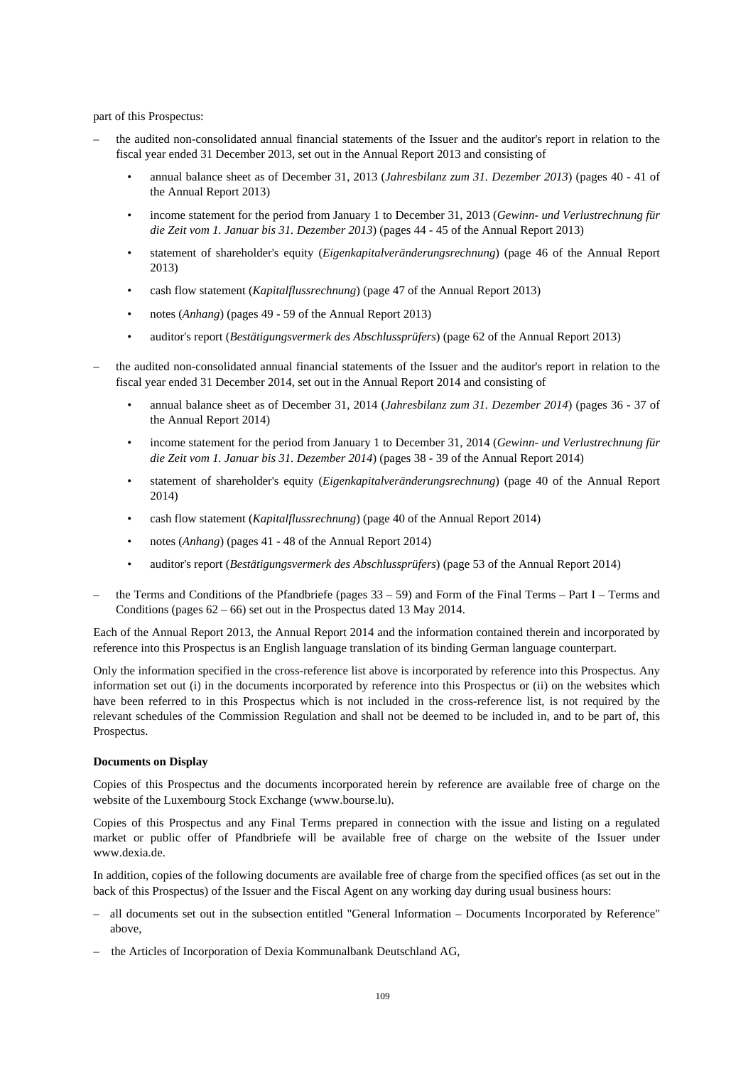part of this Prospectus:

- the audited non-consolidated annual financial statements of the Issuer and the auditor's report in relation to the fiscal year ended 31 December 2013, set out in the Annual Report 2013 and consisting of
	- annual balance sheet as of December 31, 2013 (*Jahresbilanz zum 31. Dezember 2013*) (pages 40 41 of the Annual Report 2013)
	- income statement for the period from January 1 to December 31, 2013 (*Gewinn- und Verlustrechnung für die Zeit vom 1. Januar bis 31. Dezember 2013*) (pages 44 - 45 of the Annual Report 2013)
	- statement of shareholder's equity (*Eigenkapitalveränderungsrechnung*) (page 46 of the Annual Report 2013)
	- cash flow statement (*Kapitalflussrechnung*) (page 47 of the Annual Report 2013)
	- notes (*Anhang*) (pages 49 59 of the Annual Report 2013)
	- auditor's report (*Bestätigungsvermerk des Abschlussprüfers*) (page 62 of the Annual Report 2013)
- the audited non-consolidated annual financial statements of the Issuer and the auditor's report in relation to the fiscal year ended 31 December 2014, set out in the Annual Report 2014 and consisting of
	- annual balance sheet as of December 31, 2014 (*Jahresbilanz zum 31. Dezember 2014*) (pages 36 37 of the Annual Report 2014)
	- income statement for the period from January 1 to December 31, 2014 (*Gewinn- und Verlustrechnung für die Zeit vom 1. Januar bis 31. Dezember 2014*) (pages 38 - 39 of the Annual Report 2014)
	- statement of shareholder's equity (*Eigenkapitalveränderungsrechnung*) (page 40 of the Annual Report 2014)
	- cash flow statement (*Kapitalflussrechnung*) (page 40 of the Annual Report 2014)
	- notes (*Anhang*) (pages 41 48 of the Annual Report 2014)
	- auditor's report (*Bestätigungsvermerk des Abschlussprüfers*) (page 53 of the Annual Report 2014)
- the Terms and Conditions of the Pfandbriefe (pages 33 59) and Form of the Final Terms Part I Terms and Conditions (pages 62 – 66) set out in the Prospectus dated 13 May 2014.

Each of the Annual Report 2013, the Annual Report 2014 and the information contained therein and incorporated by reference into this Prospectus is an English language translation of its binding German language counterpart.

Only the information specified in the cross-reference list above is incorporated by reference into this Prospectus. Any information set out (i) in the documents incorporated by reference into this Prospectus or (ii) on the websites which have been referred to in this Prospectus which is not included in the cross-reference list, is not required by the relevant schedules of the Commission Regulation and shall not be deemed to be included in, and to be part of, this Prospectus.

## **Documents on Display**

Copies of this Prospectus and the documents incorporated herein by reference are available free of charge on the website of the Luxembourg Stock Exchange (www.bourse.lu).

Copies of this Prospectus and any Final Terms prepared in connection with the issue and listing on a regulated market or public offer of Pfandbriefe will be available free of charge on the website of the Issuer under www.dexia.de.

In addition, copies of the following documents are available free of charge from the specified offices (as set out in the back of this Prospectus) of the Issuer and the Fiscal Agent on any working day during usual business hours:

- all documents set out in the subsection entitled "General Information Documents Incorporated by Reference" above,
- the Articles of Incorporation of Dexia Kommunalbank Deutschland AG,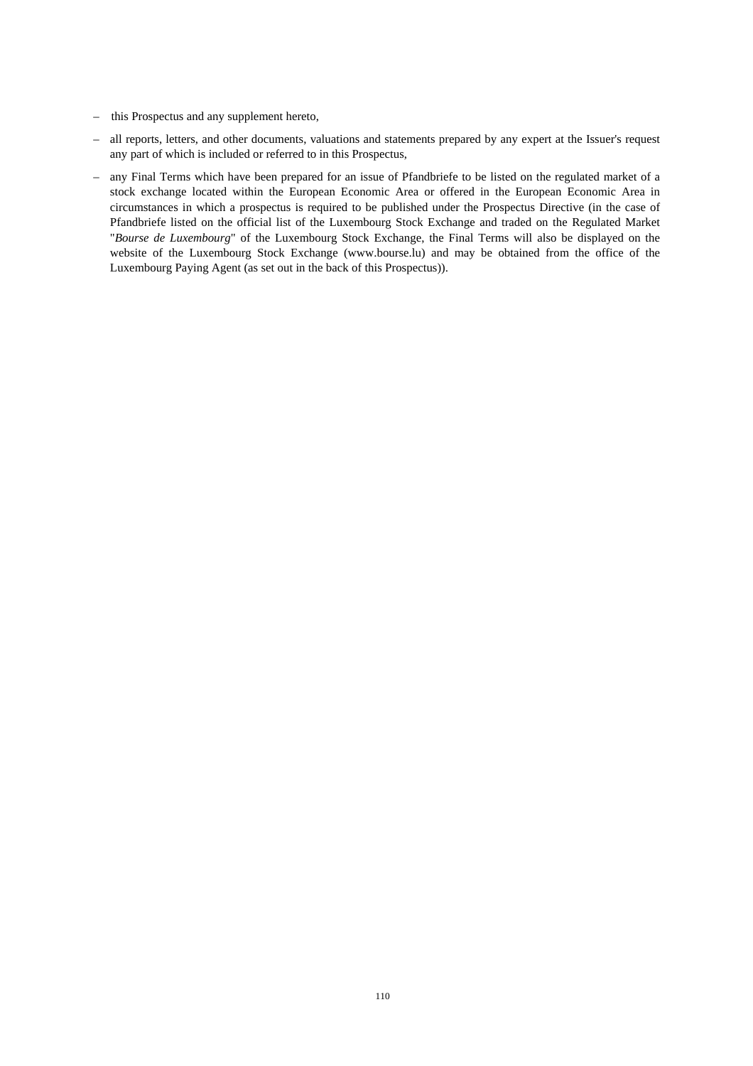- this Prospectus and any supplement hereto,
- all reports, letters, and other documents, valuations and statements prepared by any expert at the Issuer's request any part of which is included or referred to in this Prospectus,
- any Final Terms which have been prepared for an issue of Pfandbriefe to be listed on the regulated market of a stock exchange located within the European Economic Area or offered in the European Economic Area in circumstances in which a prospectus is required to be published under the Prospectus Directive (in the case of Pfandbriefe listed on the official list of the Luxembourg Stock Exchange and traded on the Regulated Market "*Bourse de Luxembourg*" of the Luxembourg Stock Exchange, the Final Terms will also be displayed on the website of the Luxembourg Stock Exchange (www.bourse.lu) and may be obtained from the office of the Luxembourg Paying Agent (as set out in the back of this Prospectus)).